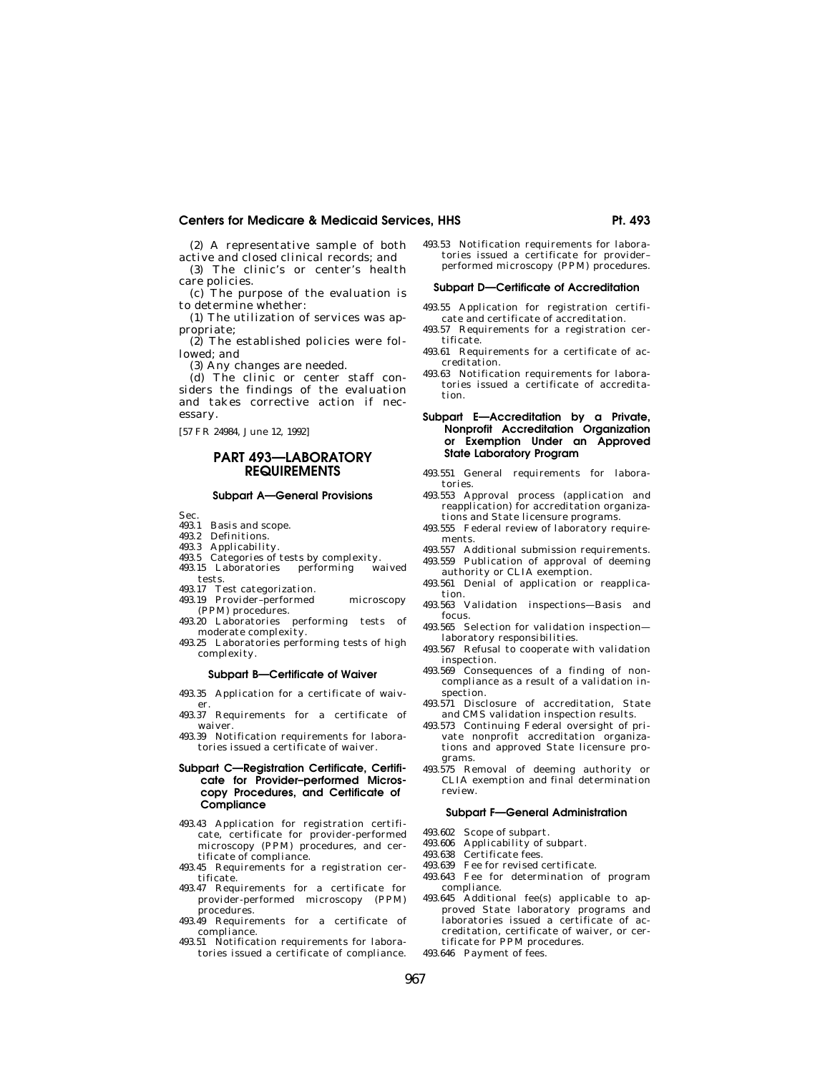(2) A representative sample of both active and closed clinical records; and

(3) The clinic's or center's health care policies.

(c) The purpose of the evaluation is to determine whether:

(1) The utilization of services was appropriate;

(2) The established policies were followed; and

(3) Any changes are needed.

(d) The clinic or center staff considers the findings of the evaluation and takes corrective action if necessary.

[57 FR 24984, June 12, 1992]

# **PART 493—LABORATORY REQUIREMENTS**

#### **Subpart A—General Provisions**

Sec.

- 493.1 Basis and scope.<br>493.2 Definitions.
- Definitions.
- 493.3 Applicability.<br>493.5 Categories of
- Categories of tests by complexity.<br>5 Laboratories performing waived 493.15 Laboratories
- tests.
- 493.17 Test categorization. 493.19 Provider–performed microscopy
- (PPM) procedures. 493.20 Laboratories performing tests of
- moderate complexity.
- 493.25 Laboratories performing tests of high complexity.

## **Subpart B—Certificate of Waiver**

- 493.35 Application for a certificate of waiver.
- 493.37 Requirements for a certificate of waiver.
- 493.39 Notification requirements for laboratories issued a certificate of waiver.

## **Subpart C—Registration Certificate, Certificate for Provider–performed Microscopy Procedures, and Certificate of Compliance**

- 493.43 Application for registration certificate, certificate for provider-performed microscopy (PPM) procedures, and certificate of compliance.
- 493.45 Requirements for a registration certificate.
- 493.47 Requirements for a certificate for provider-performed microscopy (PPM) procedures.
- 493.49 Requirements for a certificate of compliance.
- 493.51 Notification requirements for laboratories issued a certificate of compliance.

493.53 Notification requirements for laboratories issued a certificate for provider– performed microscopy (PPM) procedures.

#### **Subpart D—Certificate of Accreditation**

- 493.55 Application for registration certificate and certificate of accreditation.
- 493.57 Requirements for a registration certificate.
- 493.61 Requirements for a certificate of accreditation.
- 493.63 Notification requirements for laboratories issued a certificate of accreditation.

## **Subpart E—Accreditation by a Private, Nonprofit Accreditation Organization or Exemption Under an Approved State Laboratory Program**

- 493.551 General requirements for laboratories.
- 493.553 Approval process (application and reapplication) for accreditation organizations and State licensure programs.
- 493.555 Federal review of laboratory requirements.
- 493.557 Additional submission requirements. 493.559 Publication of approval of deeming
- authority or CLIA exemption. 493.561 Denial of application or reapplication.
- 493.563 Validation inspections—Basis and focus.
- 493.565 Selection for validation inspection laboratory responsibilities.
- 493.567 Refusal to cooperate with validation inspection.
- 493.569 Consequences of a finding of noncompliance as a result of a validation inspection.
- 493.571 Disclosure of accreditation, State and CMS validation inspection results.
- 493.573 Continuing Federal oversight of private nonprofit accreditation organizations and approved State licensure programs.
- 493.575 Removal of deeming authority or CLIA exemption and final determination review.

## **Subpart F—General Administration**

- 493.602 Scope of subpart.
- 493.606 Applicability of subpart.
- 493.638 Certificate fees.
- 493.639 Fee for revised certificate.
- 493.643 Fee for determination of program compliance.
- 493.645 Additional fee(s) applicable to approved State laboratory programs and laboratories issued a certificate of accreditation, certificate of waiver, or certificate for PPM procedures.
- 493.646 Payment of fees.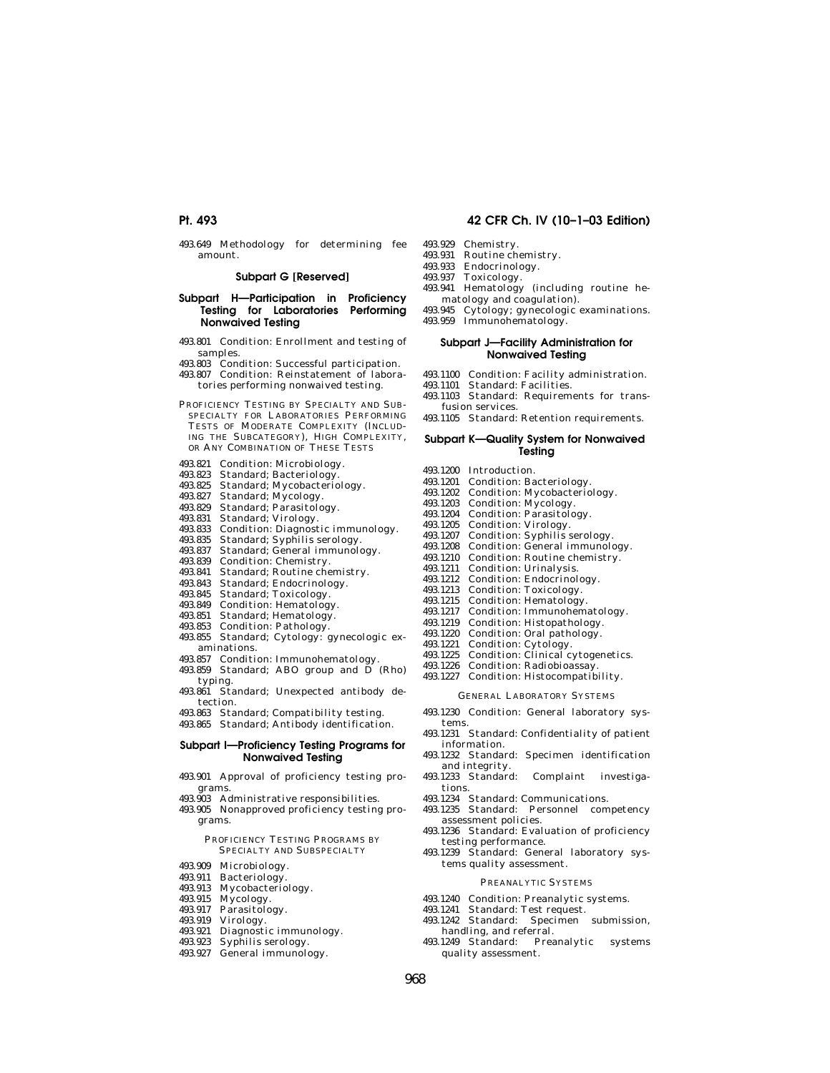493.649 Methodology for determining fee amount.

# **Subpart G [Reserved]**

## **Subpart H—Participation in Proficiency Testing for Laboratories Performing Nonwaived Testing**

- 493.801 Condition: Enrollment and testing of samples.
- 493.803 Condition: Successful participation.
- 493.807 Condition: Reinstatement of laboratories performing nonwaived testing.
- PROFICIENCY TESTING BY SPECIALTY AND SUB-SPECIALTY FOR LABORATORIES PERFORMING TESTS OF MODERATE COMPLEXITY (INCLUD-ING THE SUBCATEGORY), HIGH COMPLEXITY, OR ANY COMBINATION OF THESE TESTS
- 493.821 Condition: Microbiology.
- 493.823 Standard; Bacteriology.
- 493.825 Standard; Mycobacteriology.
- 493.827 Standard; Mycology.
- 493.829 Standard; Parasitology.
- 493.831 Standard; Virology.
- 493.833 Condition: Diagnostic immunology.
- 493.835 Standard; Syphilis serology.
- Standard; General immunology.
- 493.839 Condition: Chemistry.
- Standard; Routine chemistry.
- 493.843 Standard; Endocrinology.
- 493.845 Standard; Toxicology.
- 493.849 Condition: Hematology.
- 493.851 Standard; Hematology.
- 493.853 Condition: Pathology.
- 493.855 Standard; Cytology: gynecologic examinations.
- 493.857 Condition: Immunohematology.
- 493.859 Standard; ABO group and D (Rho) typing.
- 493.861 Standard; Unexpected antibody detection.
- 493.863 Standard; Compatibility testing.
- 493.865 Standard; Antibody identification.

## **Subpart I—Proficiency Testing Programs for Nonwaived Testing**

- 493.901 Approval of proficiency testing programs.
- 493.903 Administrative responsibilities.
- 493.905 Nonapproved proficiency testing programs.

#### PROFICIENCY TESTING PROGRAMS BY SPECIALTY AND SUBSPECIALTY

- 493.909 Microbiology.
- 
- 493.911 Bacteriology<br>493.913 Mycobacteri Mycobacteriology.
- 493.915 Mycology.
- 493.917 Parasitology.<br>493.919 Virology.
- Virology.
- 493.921 Diagnostic immunology.
- 493.923 Syphilis serology.
- 493.927 General immunology.

# **Pt. 493 42 CFR Ch. IV (10–1–03 Edition)**

- 493.929 Chemistry.
- 493.931 Routine chemistry.
- 493.933 Endocrinology.
- 493.937 Toxicology.
- 493.941 Hematology (including routine hematology and coagulation).
- 493.945 Cytology; gynecologic examinations. 493.959 Immunohematology.
- 

#### **Subpart J—Facility Administration for Nonwaived Testing**

- 493.1100 Condition: Facility administration.
- 493.1101 Standard: Facilities.
- 493.1103 Standard: Requirements for trans-
- fusion services. 493.1105 Standard: Retention requirements.

#### **Subpart K—Quality System for Nonwaived Testing**

- 493.1200 Introduction.<br>493.1201 Condition: Ba
- Condition: Bacteriology.
- 493.1202 Condition: Mycobacteriology.
- 493.1203 Condition: Mycology.<br>493.1204 Condition: Parasitolo
- Condition: Parasitology.
- 493.1205 Condition: Virology.<br>493.1207 Condition: Syphilis s
- 493.1207 Condition: Syphilis serology.<br>493.1208 Condition: General immunole
- 493.1208 Condition: General immunology.<br>493.1210 Condition: Routine chemistry. Condition: Routine chemistry.
- 
- 493.1211 Condition: Urinalysis.<br>493.1212 Condition: Endocrinol Condition: Endocrinology.
- 
- 493.1213 Condition: Toxicology.<br>493.1215 Condition: Hematology
- 493.1215 Condition: Hematology.<br>493.1217 Condition: Immunohem Condition: Immunohematology.
- 
- 493.1219 Condition: Histopathology.<br>493.1220 Condition: Oral pathology.
- 493.1220 Condition: Oral pathology.<br>493.1221 Condition: Cytology. Condition: Cytology.
- 493.1225 Condition: Clinical cytogenetics.
- 493.1226 Condition: Radiobioassay.
- 493.1227 Condition: Histocompatibility.

#### GENERAL LABORATORY SYSTEMS

- 493.1230 Condition: General laboratory systems.
- 493.1231 Standard: Confidentiality of patient information.
- 493.1232 Standard: Specimen identification
- and integrity.<br>493.1233 Standard: Complaint investigations.
- 493.1234 Standard: Communications.
- 493.1235 Standard: Personnel competency assessment policies.
- 493.1236 Standard: Evaluation of proficiency testing performance.
- 493.1239 Standard: General laboratory systems quality assessment.

### PREANALYTIC SYSTEMS

- 493.1240 Condition: Preanalytic systems.
- 493.1241 Standard: Test request.
- 493.1242 Standard: Specimen submission, handling, and referral.
- 493.1249 Standard: Preanalytic systems quality assessment.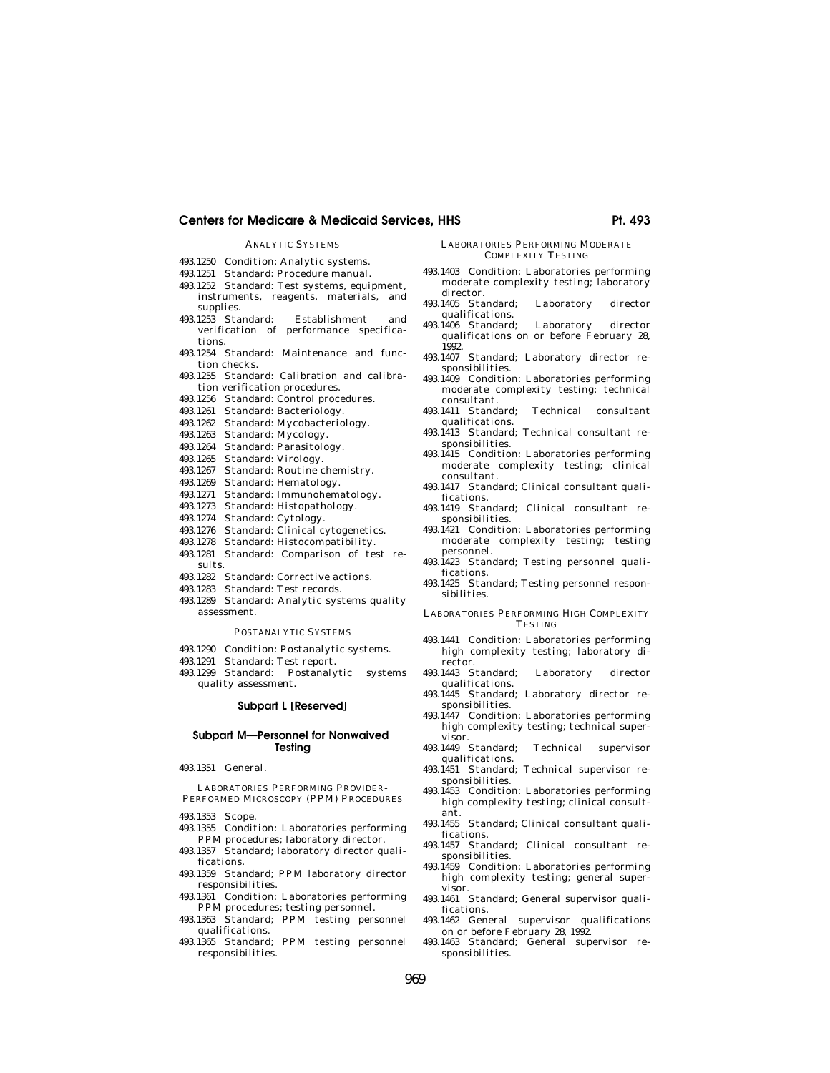#### ANALYTIC SYSTEMS

- 493.1250 Condition: Analytic systems.
- 493.1251 Standard: Procedure manual.
- 493.1252 Standard: Test systems, equipment, instruments, reagents, materials, and supplies.
- 493.1253 Standard: Establishment and verification of performance specifications.
- 493.1254 Standard: Maintenance and function checks.
- 493.1255 Standard: Calibration and calibration verification procedures.
- 493.1256 Standard: Control procedures.
- 493.1261 Standard: Bacteriology.
- 493.1262 Standard: Mycobacteriology.
- 493.1263 Standard: Mycology.
- 493.1264 Standard: Parasitology.
- 493.1265 Standard: Virology.
- 493.1267 Standard: Routine chemistry.
- 493.1269 Standard: Hematology.
- 493.1271 Standard: Immunohematology.
- 493.1273 Standard: Histopathology.
- 493.1274 Standard: Cytology.
- 493.1276 Standard: Clinical cytogenetics.
- 493.1278 Standard: Histocompatibility.
- 493.1281 Standard: Comparison of test results.
- 493.1282 Standard: Corrective actions.
- 493.1283 Standard: Test records.
- 
- 493.1289 Standard: Analytic systems quality assessment.

#### POSTANALYTIC SYSTEMS

- 493.1290 Condition: Postanalytic systems.
- 493.1291 Standard: Test report.
- 493.1299 Standard: Postanalytic systems quality assessment.

## **Subpart L [Reserved]**

### **Subpart M—Personnel for Nonwaived Testing**

493.1351 General.

LABORATORIES PERFORMING PROVIDER-PERFORMED MICROSCOPY (PPM) PROCEDURES

- 493.1353 Scope.
- 493.1355 Condition: Laboratories performing PPM procedures; laboratory director.
- 493.1357 Standard; laboratory director qualifications.
- 493.1359 Standard; PPM laboratory director responsibilities.
- 493.1361 Condition: Laboratories performing PPM procedures; testing personnel.
- 493.1363 Standard; PPM testing personnel qualifications.
- 493.1365 Standard; PPM testing personnel responsibilities.

## LABORATORIES PERFORMING MODERATE COMPLEXITY TESTING

- 493.1403 Condition: Laboratories performing moderate complexity testing; laboratory director.
- 493.1405 Standard; Laboratory director qualifications.
- 493.1406 Standard; Laboratory director qualifications on or before February 28, 1992.
- 493.1407 Standard; Laboratory director responsibilities.
- 493.1409 Condition: Laboratories performing moderate complexity testing; technical consultant.
- 493.1411 Standard; Technical consultant qualifications.
- 493.1413 Standard; Technical consultant responsibilities.
- 493.1415 Condition: Laboratories performing moderate complexity testing; clinical consultant.
- 493.1417 Standard; Clinical consultant qualifications.
- 493.1419 Standard; Clinical consultant responsibilities.
- 493.1421 Condition: Laboratories performing moderate complexity testing; testing personnel.
- 493.1423 Standard; Testing personnel qualifications.
- 493.1425 Standard; Testing personnel responsibilities.
- LABORATORIES PERFORMING HIGH COMPLEXITY **TESTING**
- 493.1441 Condition: Laboratories performing high complexity testing; laboratory director.
- 493.1443 Standard; Laboratory director qualifications.
- 493.1445 Standard; Laboratory director responsibilities.
- 493.1447 Condition: Laboratories performing high complexity testing; technical supervisor.
- 493.1449 Standard; Technical supervisor qualifications.
- 493.1451 Standard; Technical supervisor responsibilities.
- 493.1453 Condition: Laboratories performing high complexity testing; clinical consultant.
- 493.1455 Standard; Clinical consultant qualifications.
- 493.1457 Standard; Clinical consultant responsibilities.
- 493.1459 Condition: Laboratories performing high complexity testing; general supervisor. 493.1461 Standard; General supervisor quali-
- fications.
- 493.1462 General supervisor qualifications on or before February 28, 1992.
- 493.1463 Standard; General supervisor responsibilities.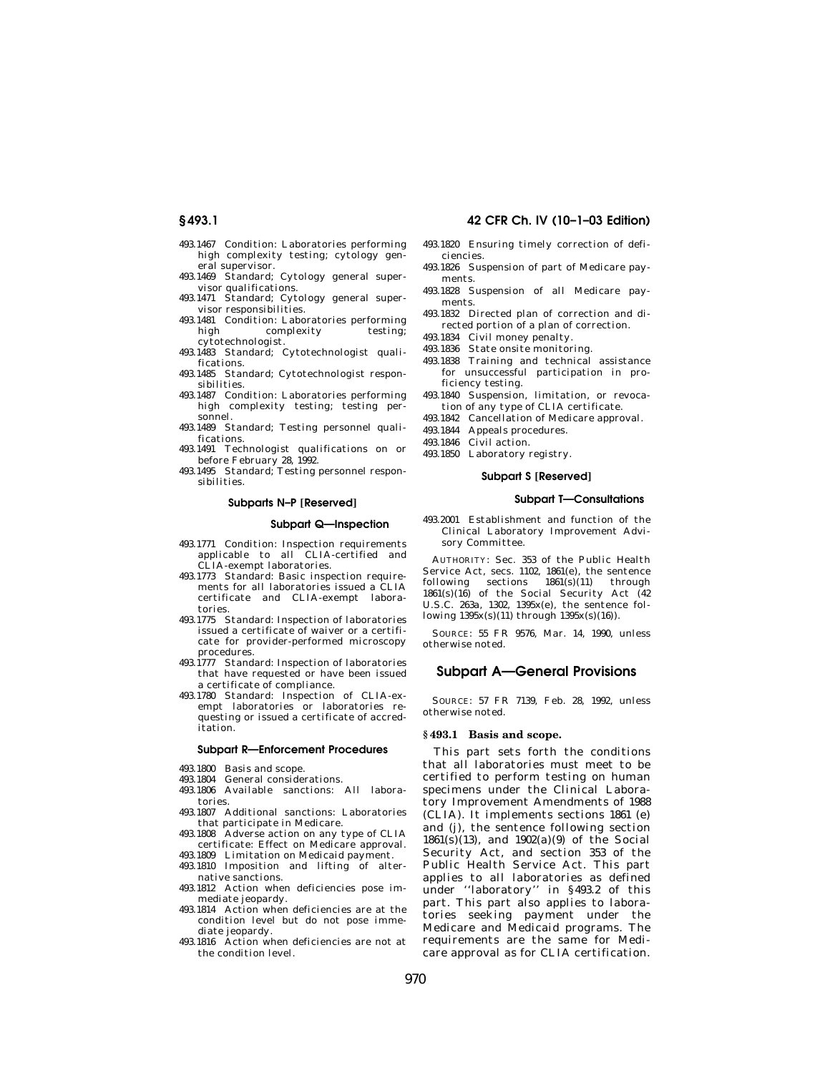# **§ 493.1 42 CFR Ch. IV (10–1–03 Edition)**

- 
- 493.1467 Condition: Laboratories performing high complexity testing; cytology general supervisor.
- 493.1469 Standard; Cytology general supervisor qualifications. 493.1471 Standard; Cytology general super-
- visor responsibilities.
- 493.1481 Condition: Laboratories performing high complexity testing; cytotechnologist.
- 493.1483 Standard; Cytotechnologist qualifications.
- 493.1485 Standard; Cytotechnologist responsibilities.
- 493.1487 Condition: Laboratories performing high complexity testing; testing personnel.
- 493.1489 Standard; Testing personnel qualifications.
- 493.1491 Technologist qualifications on or before February 28, 1992.
- 493.1495 Standard; Testing personnel responsibilities.

#### **Subparts N–P [Reserved]**

#### **Subpart Q—Inspection**

- 493.1771 Condition: Inspection requirements applicable to all CLIA-certified and CLIA-exempt laboratories.
- 493.1773 Standard: Basic inspection requirements for all laboratories issued a CLIA certificate and CLIA-exempt laboratories.
- 493.1775 Standard: Inspection of laboratories issued a certificate of waiver or a certificate for provider-performed microscopy procedures.
- 493.1777 Standard: Inspection of laboratories that have requested or have been issued a certificate of compliance.
- 493.1780 Standard: Inspection of CLIA-exempt laboratories or laboratories requesting or issued a certificate of accreditation.

#### **Subpart R—Enforcement Procedures**

- 493.1800 Basis and scope.
- 493.1804 General considerations.
- 493.1806 Available sanctions: All laboratories.
- 493.1807 Additional sanctions: Laboratories that participate in Medicare.
- 493.1808 Adverse action on any type of CLIA certificate: Effect on Medicare approval.
- 493.1809 Limitation on Medicaid payment. 493.1810 Imposition and lifting of alter-
- native sanctions. 493.1812 Action when deficiencies pose im-
- mediate jeopardy. 493.1814 Action when deficiencies are at the
- condition level but do not pose immediate jeopardy.
- 493.1816 Action when deficiencies are not at the condition level.
- 493.1820 Ensuring timely correction of deficiencies.
- 493.1826 Suspension of part of Medicare payments.
- 493.1828 Suspension of all Medicare payments.
- 493.1832 Directed plan of correction and directed portion of a plan of correction.
- 493.1834 Civil money penalty.
- 493.1836 State onsite monitoring.
- 493.1838 Training and technical assistance for unsuccessful participation in proficiency testing.
- 493.1840 Suspension, limitation, or revocation of any type of CLIA certificate.
- 493.1842 Cancellation of Medicare approval.
- 493.1844 Appeals procedures.
- 493.1846 Civil action.
- 493.1850 Laboratory registry.

#### **Subpart S [Reserved]**

#### **Subpart T—Consultations**

493.2001 Establishment and function of the Clinical Laboratory Improvement Advisory Committee.

AUTHORITY: Sec. 353 of the Public Health Service Act, secs. 1102, 1861(e), the sentence following sections 1861(s)(11) through  $1861(s)(16)$  of the Social Security Act  $(42)$ U.S.C. 263a, 1302, 1395x(e), the sentence following 1395x(s)(11) through 1395x(s)(16)).

SOURCE: 55 FR 9576, Mar. 14, 1990, unless otherwise noted.

## **Subpart A—General Provisions**

SOURCE: 57 FR 7139, Feb. 28, 1992, unless otherwise noted.

# **§ 493.1 Basis and scope.**

This part sets forth the conditions that all laboratories must meet to be certified to perform testing on human specimens under the Clinical Laboratory Improvement Amendments of 1988 (CLIA). It implements sections 1861 (e) and (j), the sentence following section  $1861(s)(13)$ , and  $1902(a)(9)$  of the Social Security Act, and section 353 of the Public Health Service Act. This part applies to all laboratories as defined under ''laboratory'' in §493.2 of this part. This part also applies to laboratories seeking payment under the Medicare and Medicaid programs. The requirements are the same for Medicare approval as for CLIA certification.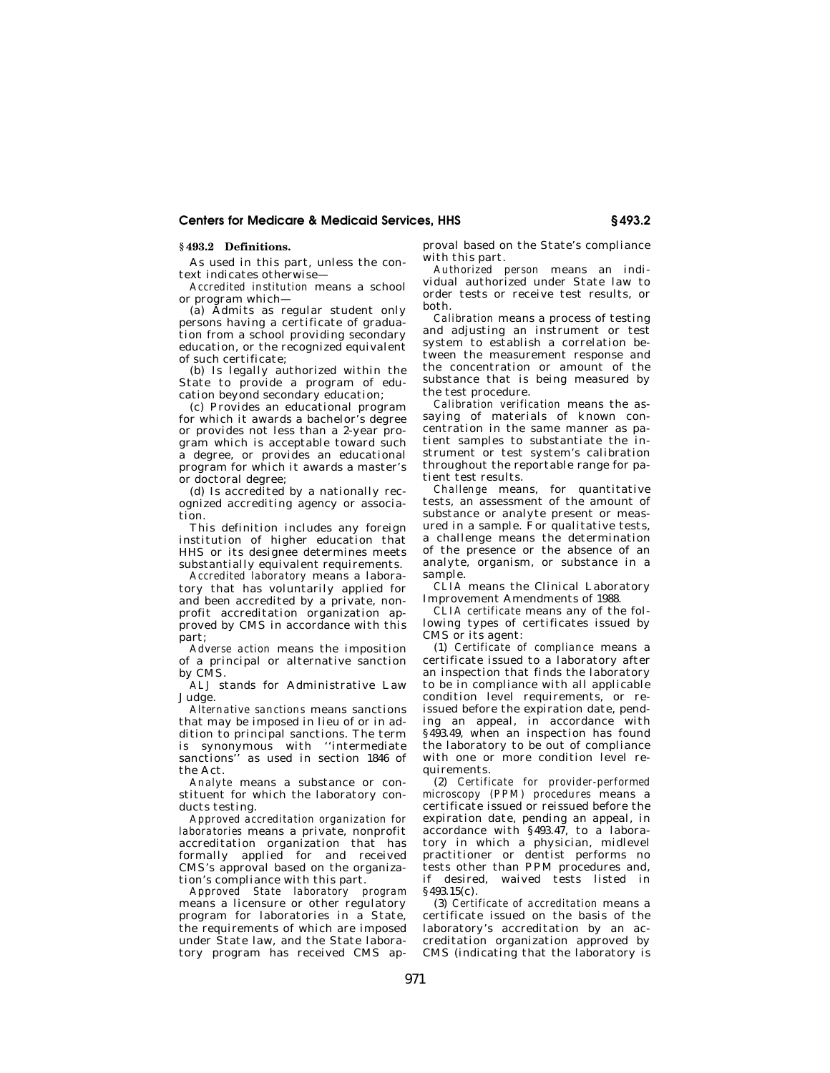# **§ 493.2 Definitions.**

As used in this part, unless the context indicates otherwise—

*Accredited institution* means a school or program which—

(a) Admits as regular student only persons having a certificate of graduation from a school providing secondary education, or the recognized equivalent of such certificate;

(b) Is legally authorized within the State to provide a program of education beyond secondary education;

(c) Provides an educational program for which it awards a bachelor's degree or provides not less than a 2-year program which is acceptable toward such a degree, or provides an educational program for which it awards a master's or doctoral degree;

(d) Is accredited by a nationally recognized accrediting agency or association.

This definition includes any foreign institution of higher education that HHS or its designee determines meets substantially equivalent requirements.

*Accredited laboratory* means a laboratory that has voluntarily applied for and been accredited by a private, nonprofit accreditation organization approved by CMS in accordance with this part;

*Adverse action* means the imposition of a principal or alternative sanction by CMS.

*ALJ* stands for Administrative Law Judge.

*Alternative sanctions* means sanctions that may be imposed in lieu of or in addition to principal sanctions. The term is synonymous with ''intermediate sanctions'' as used in section 1846 of the Act.

*Analyte* means a substance or constituent for which the laboratory conducts testing.

*Approved accreditation organization for laboratories* means a private, nonprofit accreditation organization that has formally applied for and received CMS's approval based on the organization's compliance with this part.

*Approved State laboratory program* means a licensure or other regulatory program for laboratories in a State, the requirements of which are imposed under State law, and the State laboratory program has received CMS approval based on the State's compliance with this part.

*Authorized person* means an individual authorized under State law to order tests or receive test results, or both.

*Calibration* means a process of testing and adjusting an instrument or test system to establish a correlation between the measurement response and the concentration or amount of the substance that is being measured by the test procedure.

*Calibration verification* means the assaying of materials of known concentration in the same manner as patient samples to substantiate the instrument or test system's calibration throughout the reportable range for patient test results.

*Challenge* means, for quantitative tests, an assessment of the amount of substance or analyte present or measured in a sample. For qualitative tests, a challenge means the determination of the presence or the absence of an analyte, organism, or substance in a sample.

*CLIA* means the Clinical Laboratory Improvement Amendments of 1988.

*CLIA certificate* means any of the following types of certificates issued by CMS or its agent:

(1) *Certificate of compliance* means a certificate issued to a laboratory after an inspection that finds the laboratory to be in compliance with all applicable condition level requirements, or reissued before the expiration date, pending an appeal, in accordance with §493.49, when an inspection has found the laboratory to be out of compliance with one or more condition level requirements.

(2) *Certificate for provider-performed microscopy (PPM) procedures* means a certificate issued or reissued before the expiration date, pending an appeal, in accordance with §493.47, to a laboratory in which a physician, midlevel practitioner or dentist performs no tests other than PPM procedures and, if desired, waived tests listed in §493.15(c).

(3) *Certificate of accreditation* means a certificate issued on the basis of the laboratory's accreditation by an accreditation organization approved by CMS (indicating that the laboratory is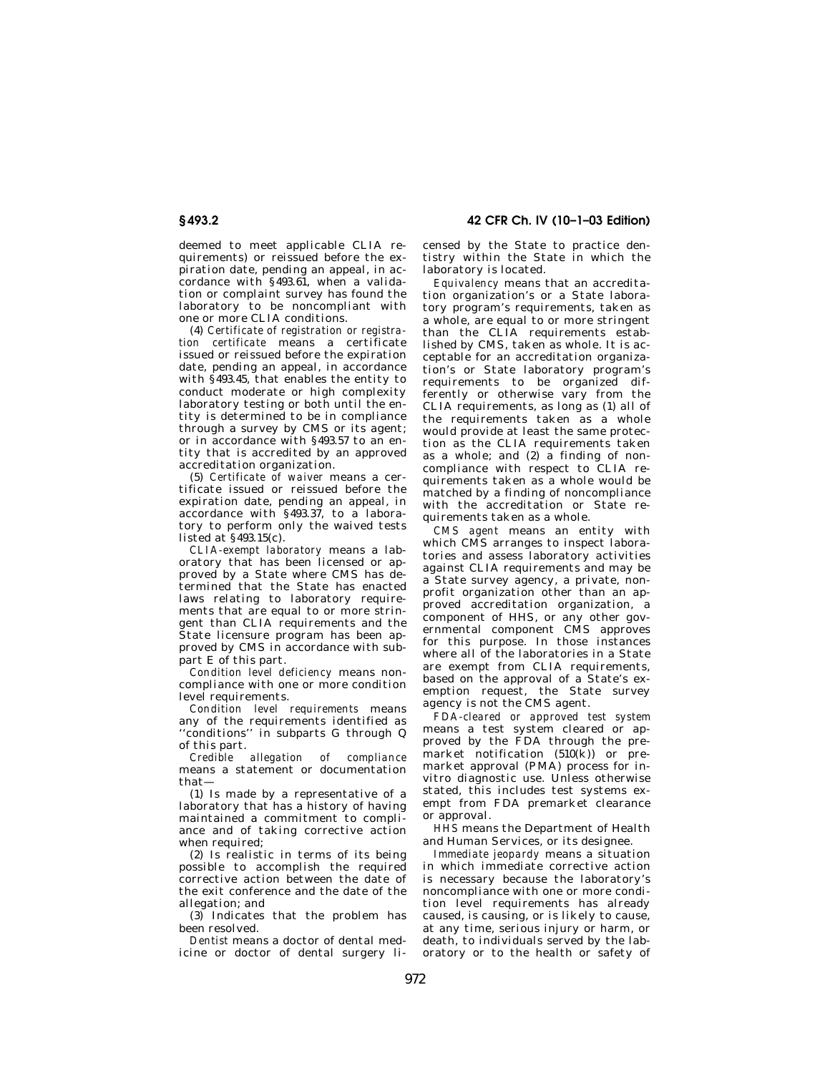deemed to meet applicable CLIA requirements) or reissued before the expiration date, pending an appeal, in accordance with §493.61, when a validation or complaint survey has found the laboratory to be noncompliant with one or more CLIA conditions.

(4) *Certificate of registration or registration certificate* means a certificate issued or reissued before the expiration date, pending an appeal, in accordance with §493.45, that enables the entity to conduct moderate or high complexity laboratory testing or both until the entity is determined to be in compliance through a survey by CMS or its agent; or in accordance with §493.57 to an entity that is accredited by an approved accreditation organization.

(5) *Certificate of waiver* means a certificate issued or reissued before the expiration date, pending an appeal, in accordance with §493.37, to a laboratory to perform only the waived tests listed at §493.15(c).

*CLIA-exempt laboratory* means a laboratory that has been licensed or approved by a State where CMS has determined that the State has enacted laws relating to laboratory requirements that are equal to or more stringent than CLIA requirements and the State licensure program has been approved by CMS in accordance with subpart E of this part.

*Condition level deficiency* means noncompliance with one or more condition level requirements.

*Condition level requirements* means any of the requirements identified as ''conditions'' in subparts G through Q

of this part.<br>Credible *Credible allegation of compliance* means a statement or documentation that—

(1) Is made by a representative of a laboratory that has a history of having maintained a commitment to compliance and of taking corrective action when required;

(2) Is realistic in terms of its being possible to accomplish the required corrective action between the date of the exit conference and the date of the allegation; and

(3) Indicates that the problem has been resolved.

*Dentist* means a doctor of dental medicine or doctor of dental surgery licensed by the State to practice dentistry within the State in which the laboratory is located.

*Equivalency* means that an accreditation organization's or a State laboratory program's requirements, taken as a whole, are equal to or more stringent than the CLIA requirements established by CMS, taken as whole. It is acceptable for an accreditation organization's or State laboratory program's requirements to be organized differently or otherwise vary from the CLIA requirements, as long as (1) all of the requirements taken as a whole would provide at least the same protection as the CLIA requirements taken as a whole; and (2) a finding of noncompliance with respect to CLIA requirements taken as a whole would be matched by a finding of noncompliance with the accreditation or State requirements taken as a whole.

*CMS agent* means an entity with which CMS arranges to inspect laboratories and assess laboratory activities against CLIA requirements and may be a State survey agency, a private, nonprofit organization other than an approved accreditation organization, a component of HHS, or any other governmental component CMS approves for this purpose. In those instances where all of the laboratories in a State are exempt from CLIA requirements, based on the approval of a State's exemption request, the State survey agency is not the CMS agent.

*FDA-cleared or approved test system* means a test system cleared or approved by the FDA through the premarket notification (510(k)) or premarket approval (PMA) process for invitro diagnostic use. Unless otherwise stated, this includes test systems exempt from FDA premarket clearance or approval.

*HHS* means the Department of Health and Human Services, or its designee.

*Immediate jeopardy* means a situation in which immediate corrective action is necessary because the laboratory's noncompliance with one or more condition level requirements has already caused, is causing, or is likely to cause, at any time, serious injury or harm, or death, to individuals served by the laboratory or to the health or safety of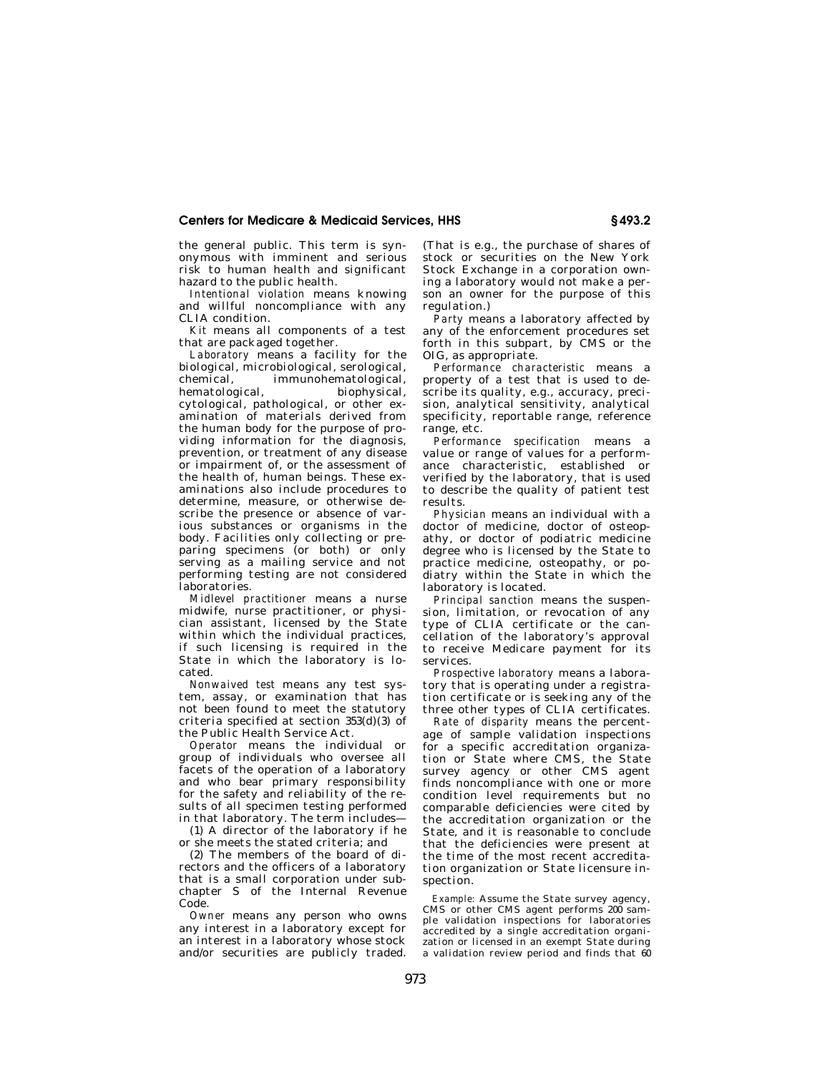the general public. This term is synonymous with imminent and serious risk to human health and significant hazard to the public health.

*Intentional violation* means knowing and willful noncompliance with any CLIA condition.

*Kit* means all components of a test that are packaged together.

*Laboratory* means a facility for the biological, microbiological, serological, immunohematological, hematological, biophysical, cytological, pathological, or other examination of materials derived from the human body for the purpose of providing information for the diagnosis, prevention, or treatment of any disease or impairment of, or the assessment of the health of, human beings. These examinations also include procedures to determine, measure, or otherwise describe the presence or absence of various substances or organisms in the body. Facilities only collecting or preparing specimens (or both) or only serving as a mailing service and not performing testing are not considered laboratories.

*Midlevel practitioner* means a nurse midwife, nurse practitioner, or physician assistant, licensed by the State within which the individual practices, if such licensing is required in the State in which the laboratory is located.

*Nonwaived test* means any test system, assay, or examination that has not been found to meet the statutory criteria specified at section 353(d)(3) of the Public Health Service Act.

*Operator* means the individual or group of individuals who oversee all facets of the operation of a laboratory and who bear primary responsibility for the safety and reliability of the results of all specimen testing performed in that laboratory. The term includes—

(1) A director of the laboratory if he or she meets the stated criteria; and

(2) The members of the board of directors and the officers of a laboratory that is a small corporation under subchapter S of the Internal Revenue Code.

*Owner* means any person who owns any interest in a laboratory except for an interest in a laboratory whose stock and/or securities are publicly traded.

(That is e.g., the purchase of shares of stock or securities on the New York Stock Exchange in a corporation owning a laboratory would not make a person an owner for the purpose of this regulation.)

*Party* means a laboratory affected by any of the enforcement procedures set forth in this subpart, by CMS or the OIG, as appropriate.

*Performance characteristic* means a property of a test that is used to describe its quality, e.g., accuracy, precision, analytical sensitivity, analytical specificity, reportable range, reference range, etc.

*Performance specification* means a value or range of values for a performance characteristic, established or verified by the laboratory, that is used to describe the quality of patient test results.

*Physician* means an individual with a doctor of medicine, doctor of osteopathy, or doctor of podiatric medicine degree who is licensed by the State to practice medicine, osteopathy, or podiatry within the State in which the laboratory is located.

*Principal sanction* means the suspension, limitation, or revocation of any type of CLIA certificate or the cancellation of the laboratory's approval to receive Medicare payment for its services.

*Prospective laboratory* means a laboratory that is operating under a registration certificate or is seeking any of the three other types of CLIA certificates.

*Rate of disparity* means the percentage of sample validation inspections for a specific accreditation organization or State where CMS, the State survey agency or other CMS agent finds noncompliance with one or more condition level requirements but no comparable deficiencies were cited by the accreditation organization or the State, and it is reasonable to conclude that the deficiencies were present at the time of the most recent accreditation organization or State licensure inspection.

*Example:* Assume the State survey agency, CMS or other CMS agent performs 200 sample validation inspections for laboratories accredited by a single accreditation organization or licensed in an exempt State during a validation review period and finds that 60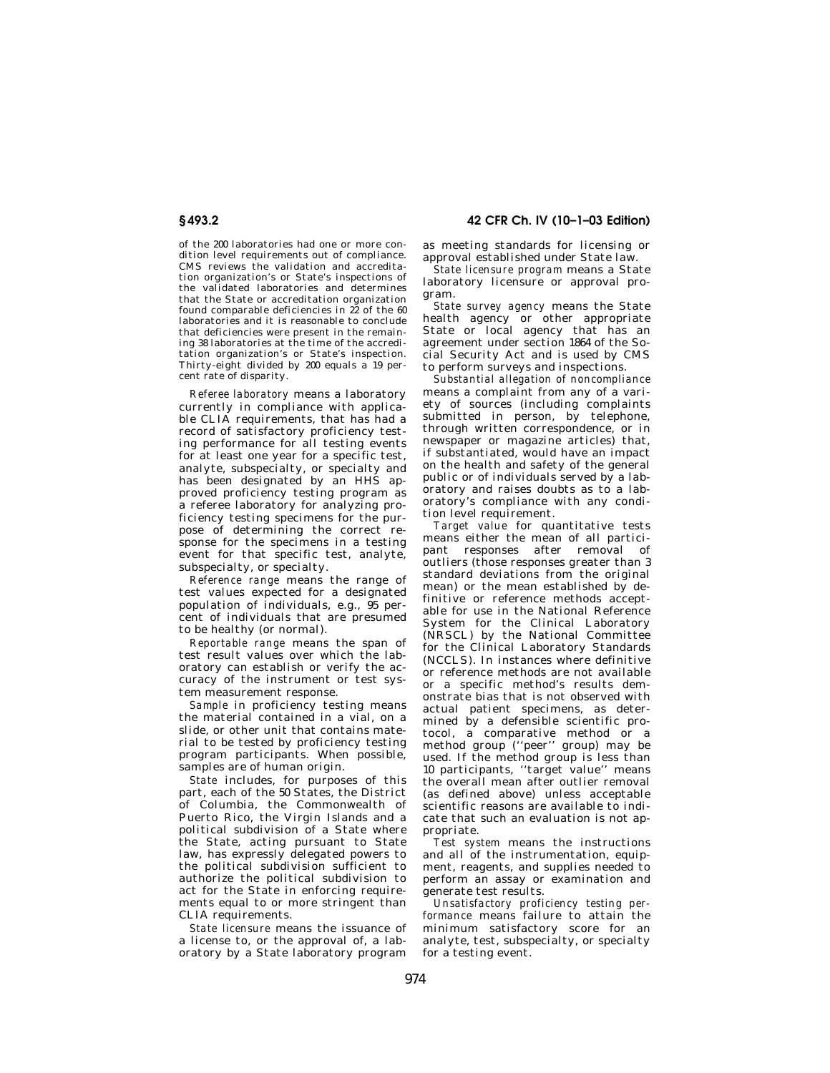# **§ 493.2 42 CFR Ch. IV (10–1–03 Edition)**

of the 200 laboratories had one or more condition level requirements out of compliance. CMS reviews the validation and accreditation organization's or State's inspections of the validated laboratories and determines that the State or accreditation organization found comparable deficiencies in 22 of the 60 laboratories and it is reasonable to conclude that deficiencies were present in the remaining 38 laboratories at the time of the accreditation organization's or State's inspection. Thirty-eight divided by 200 equals a 19 percent rate of disparity.

*Referee laboratory* means a laboratory currently in compliance with applicable CLIA requirements, that has had a record of satisfactory proficiency testing performance for all testing events for at least one year for a specific test, analyte, subspecialty, or specialty and has been designated by an HHS approved proficiency testing program as a referee laboratory for analyzing proficiency testing specimens for the purpose of determining the correct response for the specimens in a testing event for that specific test, analyte, subspecialty, or specialty.

*Reference range* means the range of test values expected for a designated population of individuals, e.g.,  $\overline{95}$  percent of individuals that are presumed to be healthy (or normal).

*Reportable range* means the span of test result values over which the laboratory can establish or verify the accuracy of the instrument or test system measurement response.

*Sample* in proficiency testing means the material contained in a vial, on a slide, or other unit that contains material to be tested by proficiency testing program participants. When possible, samples are of human origin.

*State* includes, for purposes of this part, each of the 50 States, the District of Columbia, the Commonwealth of Puerto Rico, the Virgin Islands and a political subdivision of a State where the State, acting pursuant to State law, has expressly delegated powers to the political subdivision sufficient to authorize the political subdivision to act for the State in enforcing requirements equal to or more stringent than CLIA requirements.

*State licensure* means the issuance of a license to, or the approval of, a laboratory by a State laboratory program

as meeting standards for licensing or approval established under State law.

*State licensure program* means a State laboratory licensure or approval program.

*State survey agency* means the State health agency or other appropriate State or local agency that has an agreement under section 1864 of the Social Security Act and is used by CMS to perform surveys and inspections.

*Substantial allegation of noncompliance* means a complaint from any of a variety of sources (including complaints submitted in person, by telephone, through written correspondence, or in newspaper or magazine articles) that, if substantiated, would have an impact on the health and safety of the general public or of individuals served by a laboratory and raises doubts as to a laboratory's compliance with any condition level requirement.

*Target value* for quantitative tests means either the mean of all participant responses after removal of outliers (those responses greater than 3 standard deviations from the original mean) or the mean established by definitive or reference methods acceptable for use in the National Reference System for the Clinical Laboratory (NRSCL) by the National Committee for the Clinical Laboratory Standards (NCCLS). In instances where definitive or reference methods are not available or a specific method's results demonstrate bias that is not observed with actual patient specimens, as determined by a defensible scientific protocol, a comparative method or a method group (''peer'' group) may be used. If the method group is less than 10 participants, ''target value'' means the overall mean after outlier removal (as defined above) unless acceptable scientific reasons are available to indicate that such an evaluation is not appropriate.

*Test system* means the instructions and all of the instrumentation, equipment, reagents, and supplies needed to perform an assay or examination and generate test results.

*Unsatisfactory proficiency testing performance* means failure to attain the minimum satisfactory score for an analyte, test, subspecialty, or specialty for a testing event.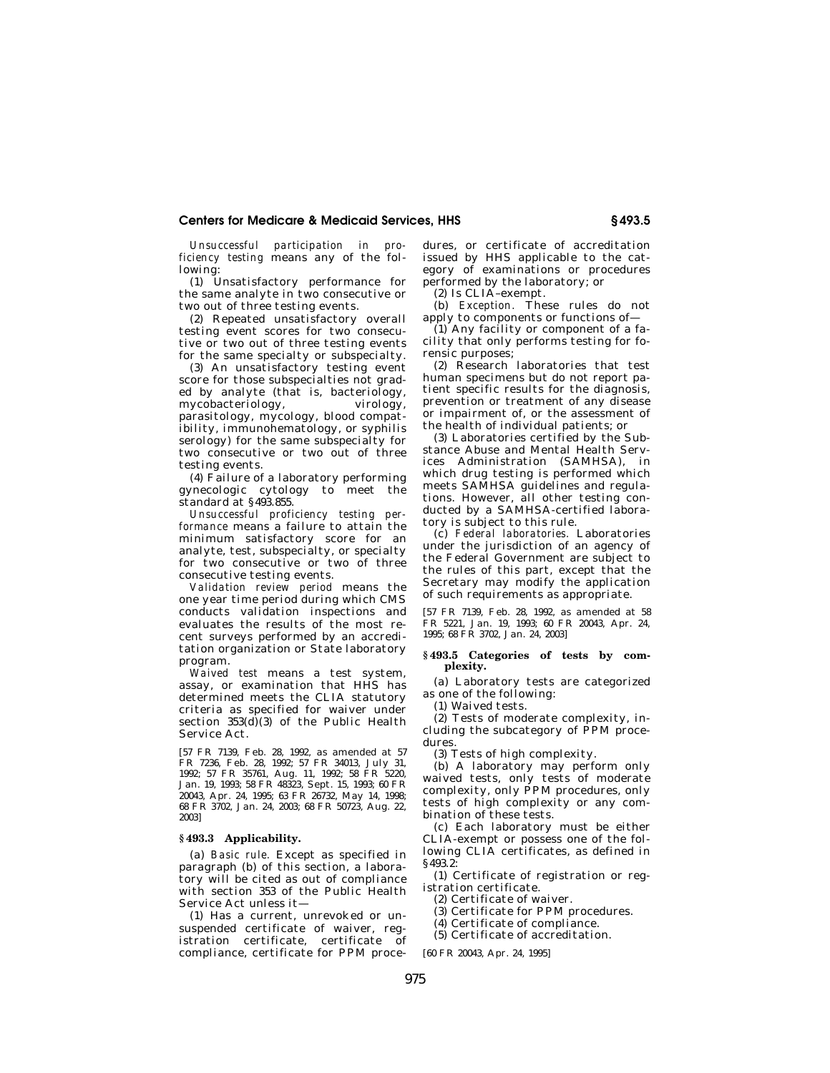*Unsuccessful participation in proficiency testing* means any of the following:

(1) Unsatisfactory performance for the same analyte in two consecutive or two out of three testing events.

(2) Repeated unsatisfactory overall testing event scores for two consecutive or two out of three testing events for the same specialty or subspecialty.

(3) An unsatisfactory testing event score for those subspecialties not graded by analyte (that is, bacteriology, mycobacteriology, virology, parasitology, mycology, blood compatibility, immunohematology, or syphilis serology) for the same subspecialty for two consecutive or two out of three testing events.

(4) Failure of a laboratory performing gynecologic cytology to meet the standard at §493.855.

*Unsuccessful proficiency testing performance* means a failure to attain the minimum satisfactory score for an analyte, test, subspecialty, or specialty for two consecutive or two of three consecutive testing events.

*Validation review period* means the one year time period during which CMS conducts validation inspections and evaluates the results of the most recent surveys performed by an accreditation organization or State laboratory program.

*Waived test* means a test system, assay, or examination that HHS has determined meets the CLIA statutory criteria as specified for waiver under section  $353(d)(3)$  of the Public Health Service Act.

[57 FR 7139, Feb. 28, 1992, as amended at 57 FR 7236, Feb. 28, 1992; 57 FR 34013, July 31, 1992; 57 FR 35761, Aug. 11, 1992; 58 FR 5220, Jan. 19, 1993; 58 FR 48323, Sept. 15, 1993; 60 FR 20043, Apr. 24, 1995; 63 FR 26732, May 14, 1998; 68 FR 3702, Jan. 24, 2003; 68 FR 50723, Aug. 22, 2003]

#### **§ 493.3 Applicability.**

(a) *Basic rule.* Except as specified in paragraph (b) of this section, a laboratory will be cited as out of compliance with section 353 of the Public Health Service Act unless it—

(1) Has a current, unrevoked or unsuspended certificate of waiver, registration certificate, certificate of compliance, certificate for PPM procedures, or certificate of accreditation issued by HHS applicable to the category of examinations or procedures performed by the laboratory; or

(2) Is CLIA–exempt.

(b) *Exception.* These rules do not apply to components or functions of—

 $(1)$  Any facility or component of a facility that only performs testing for forensic purposes;

(2) Research laboratories that test human specimens but do not report patient specific results for the diagnosis, prevention or treatment of any disease or impairment of, or the assessment of the health of individual patients; or

(3) Laboratories certified by the Substance Abuse and Mental Health Services Administration (SAMHSA), in which drug testing is performed which meets SAMHSA guidelines and regulations. However, all other testing conducted by a SAMHSA-certified laboratory is subject to this rule.

(c) *Federal laboratories.* Laboratories under the jurisdiction of an agency of the Federal Government are subject to the rules of this part, except that the Secretary may modify the application of such requirements as appropriate.

[57 FR 7139, Feb. 28, 1992, as amended at 58 FR 5221, Jan. 19, 1993; 60 FR 20043, Apr. 24, 1995; 68 FR 3702, Jan. 24, 2003]

#### **§ 493.5 Categories of tests by complexity.**

(a) Laboratory tests are categorized as one of the following:

(1) Waived tests.

(2) Tests of moderate complexity, including the subcategory of PPM procedures.

(3) Tests of high complexity.

(b) A laboratory may perform only waived tests, only tests of moderate complexity, only PPM procedures, only tests of high complexity or any combination of these tests.

(c) Each laboratory must be either CLIA-exempt or possess one of the following CLIA certificates, as defined in §493.2:

(1) Certificate of registration or registration certificate.

(2) Certificate of waiver.

(3) Certificate for PPM procedures.

(4) Certificate of compliance.

(5) Certificate of accreditation.

[60 FR 20043, Apr. 24, 1995]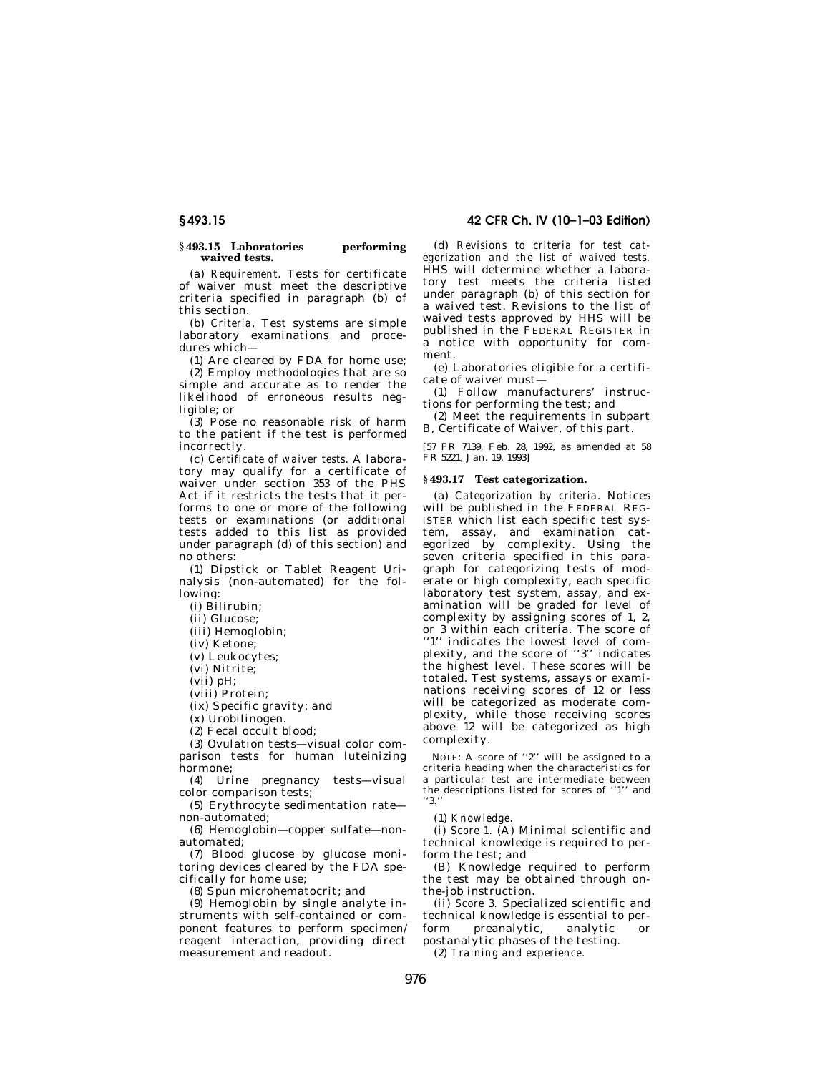#### **§ 493.15 Laboratories performing waived tests.**

(a) *Requirement.* Tests for certificate of waiver must meet the descriptive criteria specified in paragraph (b) of this section.

(b) *Criteria.* Test systems are simple laboratory examinations and procedures which—

(1) Are cleared by FDA for home use;

(2) Employ methodologies that are so simple and accurate as to render the likelihood of erroneous results negligible; or

(3) Pose no reasonable risk of harm to the patient if the test is performed incorrectly.

(c) *Certificate of waiver tests.* A laboratory may qualify for a certificate of waiver under section 353 of the PHS Act if it restricts the tests that it performs to one or more of the following tests or examinations (or additional tests added to this list as provided under paragraph (d) of this section) and no others:

(1) Dipstick or Tablet Reagent Urinalysis (non-automated) for the following:

(i) Bilirubin;

(ii) Glucose;

(iii) Hemoglobin;

(iv) Ketone;

(v) Leukocytes;

(vi) Nitrite;

(vii) pH;

(viii) Protein;

(ix) Specific gravity; and

(x) Urobilinogen.

(2) Fecal occult blood;

(3) Ovulation tests—visual color comparison tests for human luteinizing hormone;

(4) Urine pregnancy tests—visual color comparison tests;

(5) Erythrocyte sedimentation rate non-automated;

(6) Hemoglobin—copper sulfate—nonautomated;

(7) Blood glucose by glucose monitoring devices cleared by the FDA specifically for home use;

(8) Spun microhematocrit; and

(9) Hemoglobin by single analyte instruments with self-contained or component features to perform specimen/ reagent interaction, providing direct measurement and readout.

(d) *Revisions to criteria for test categorization and the list of waived tests.* HHS will determine whether a laboratory test meets the criteria listed under paragraph (b) of this section for a waived test. Revisions to the list of waived tests approved by HHS will be published in the FEDERAL REGISTER in a notice with opportunity for comment.

(e) Laboratories eligible for a certificate of waiver must—

(1) Follow manufacturers' instructions for performing the test; and

(2) Meet the requirements in subpart B, Certificate of Waiver, of this part.

[57 FR 7139, Feb. 28, 1992, as amended at 58 FR 5221, Jan. 19, 1993]

## **§ 493.17 Test categorization.**

(a) *Categorization by criteria.* Notices will be published in the FEDERAL REG-ISTER which list each specific test system, assay, and examination categorized by complexity. Using the seven criteria specified in this paragraph for categorizing tests of moderate or high complexity, each specific laboratory test system, assay, and examination will be graded for level of complexity by assigning scores of 1, 2, or 3 within each criteria. The score of ''1'' indicates the lowest level of complexity, and the score of ''3'' indicates the highest level. These scores will be totaled. Test systems, assays or examinations receiving scores of 12 or less will be categorized as moderate complexity, while those receiving scores above 12 will be categorized as high complexity.

NOTE: A score of ''2'' will be assigned to a criteria heading when the characteristics for a particular test are intermediate between the descriptions listed for scores of ''1'' and ''3.''

(1) *Knowledge.*

(i) *Score 1.* (A) Minimal scientific and technical knowledge is required to perform the test; and

(B) Knowledge required to perform the test may be obtained through onthe-job instruction.

(ii) *Score 3.* Specialized scientific and technical knowledge is essential to perform preanalytic, analytic or postanalytic phases of the testing.

(2) *Training and experience.*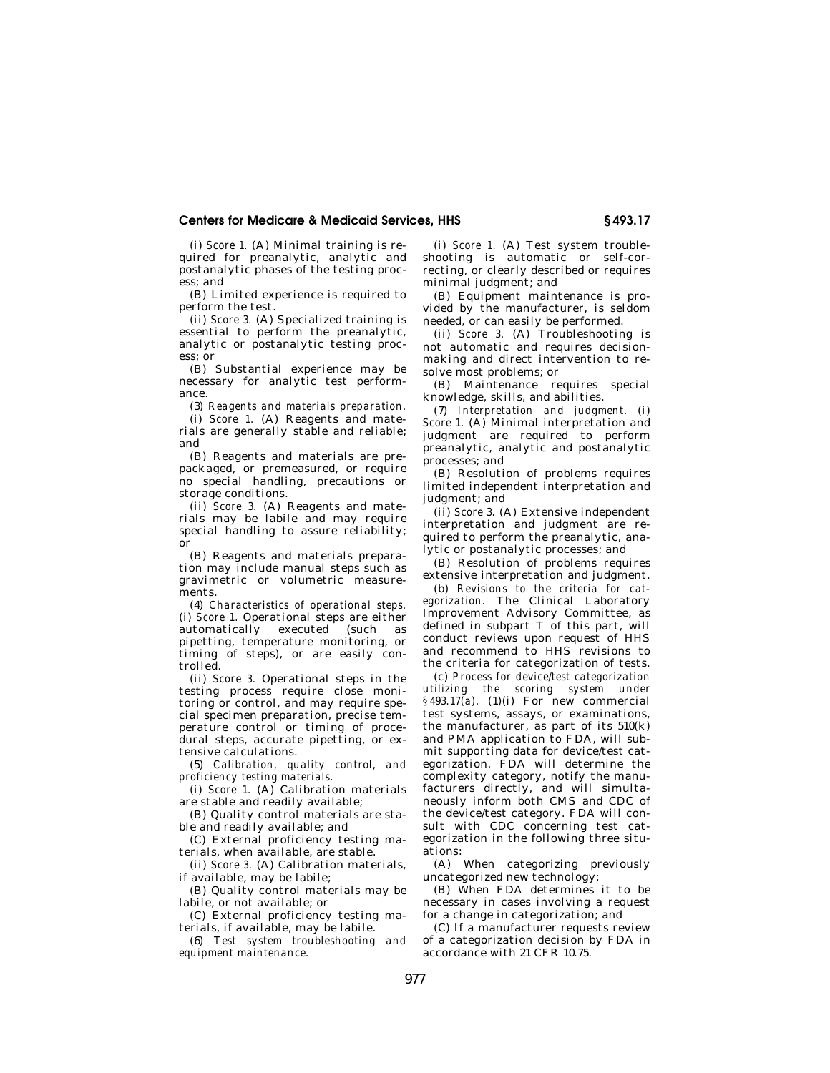(i) *Score 1.* (A) Minimal training is required for preanalytic, analytic and postanalytic phases of the testing process; and

(B) Limited experience is required to perform the test.

(ii) *Score 3.* (A) Specialized training is essential to perform the preanalytic, analytic or postanalytic testing process; or

(B) Substantial experience may be necessary for analytic test performance.

(3) *Reagents and materials preparation.*

(i) *Score 1.* (A) Reagents and materials are generally stable and reliable; and

(B) Reagents and materials are prepackaged, or premeasured, or require no special handling, precautions or storage conditions.

(ii) *Score 3.* (A) Reagents and materials may be labile and may require special handling to assure reliability; or

(B) Reagents and materials preparation may include manual steps such as gravimetric or volumetric measurements.

(4) *Characteristics of operational steps.* (i) *Score 1.* Operational steps are either automatically executed (such as pipetting, temperature monitoring, or timing of steps), or are easily controlled.

(ii) *Score 3.* Operational steps in the testing process require close monitoring or control, and may require special specimen preparation, precise temperature control or timing of procedural steps, accurate pipetting, or extensive calculations.

(5) *Calibration, quality control, and proficiency testing materials.*

(i) *Score 1.* (A) Calibration materials are stable and readily available;

(B) Quality control materials are stable and readily available; and

(C) External proficiency testing materials, when available, are stable.

(ii) *Score 3.* (A) Calibration materials, if available, may be labile;

(B) Quality control materials may be labile, or not available; or

(C) External proficiency testing materials, if available, may be labile.

(6) *Test system troubleshooting and equipment maintenance.*

(i) *Score 1.* (A) Test system troubleshooting is automatic or self-correcting, or clearly described or requires minimal judgment; and

(B) Equipment maintenance is provided by the manufacturer, is seldom needed, or can easily be performed.

(ii) *Score 3.* (A) Troubleshooting is not automatic and requires decisionmaking and direct intervention to resolve most problems; or

(B) Maintenance requires special knowledge, skills, and abilities.

(7) *Interpretation and judgment.* (i) *Score 1.* (A) Minimal interpretation and judgment are required to perform preanalytic, analytic and postanalytic processes; and

(B) Resolution of problems requires limited independent interpretation and judgment; and

(ii) *Score 3.* (A) Extensive independent interpretation and judgment are required to perform the preanalytic, analytic or postanalytic processes; and

(B) Resolution of problems requires extensive interpretation and judgment.

(b) *Revisions to the criteria for categorization.* The Clinical Laboratory Improvement Advisory Committee, as defined in subpart T of this part, will conduct reviews upon request of HHS and recommend to HHS revisions to the criteria for categorization of tests.

(c) *Process for device/test categorization utilizing the scoring system under §493.17(a).* (1)(i) For new commercial test systems, assays, or examinations, the manufacturer, as part of its 510(k) and PMA application to FDA, will submit supporting data for device/test categorization. FDA will determine the complexity category, notify the manufacturers directly, and will simultaneously inform both CMS and CDC of the device/test category. FDA will consult with CDC concerning test categorization in the following three situations:

(A) When categorizing previously uncategorized new technology;

(B) When FDA determines it to be necessary in cases involving a request for a change in categorization; and

(C) If a manufacturer requests review of a categorization decision by FDA in accordance with 21 CFR 10.75.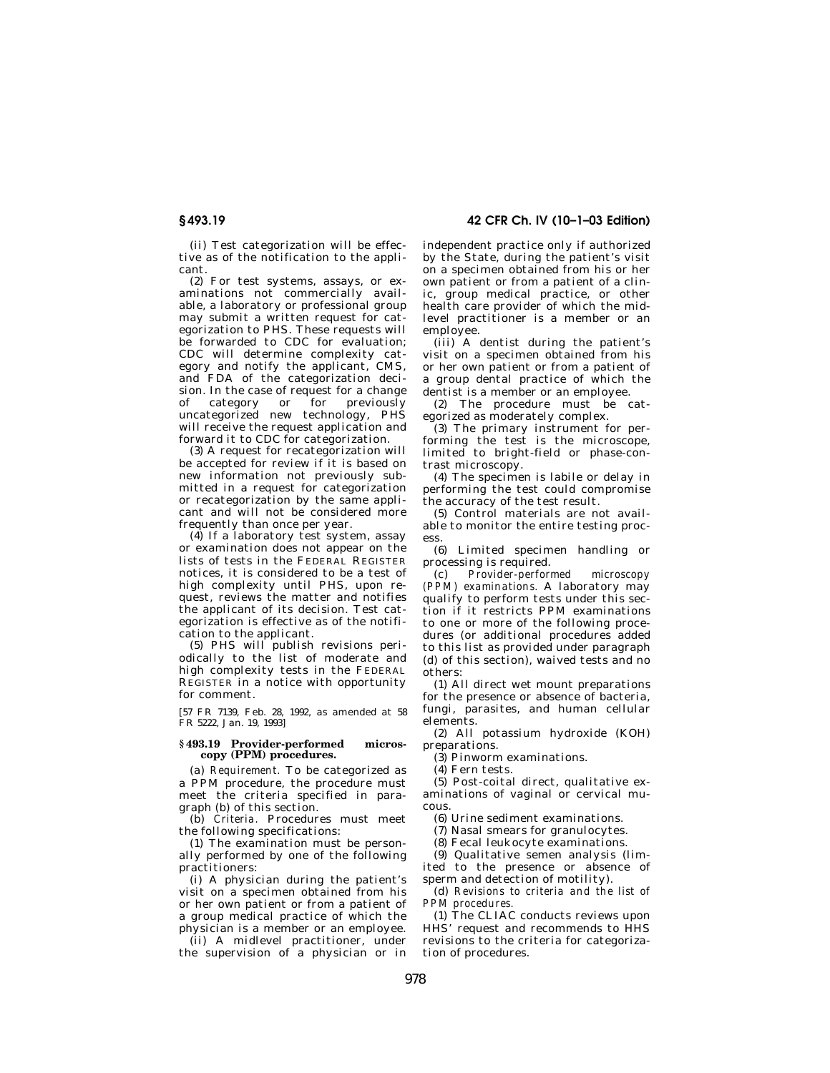(ii) Test categorization will be effective as of the notification to the applicant.

(2) For test systems, assays, or examinations not commercially available, a laboratory or professional group may submit a written request for categorization to PHS. These requests will be forwarded to CDC for evaluation; CDC will determine complexity category and notify the applicant, CMS, and FDA of the categorization decision. In the case of request for a change of category or for previously uncategorized new technology, PHS will receive the request application and forward it to CDC for categorization.

(3) A request for recategorization will be accepted for review if it is based on new information not previously submitted in a request for categorization or recategorization by the same applicant and will not be considered more frequently than once per year.

(4) If a laboratory test system, assay or examination does not appear on the lists of tests in the FEDERAL REGISTER notices, it is considered to be a test of high complexity until PHS, upon request, reviews the matter and notifies the applicant of its decision. Test categorization is effective as of the notification to the applicant.

(5) PHS will publish revisions periodically to the list of moderate and high complexity tests in the FEDERAL REGISTER in a notice with opportunity for comment.

[57 FR 7139, Feb. 28, 1992, as amended at 58 FR 5222, Jan. 19, 1993]

## **§ 493.19 Provider-performed microscopy (PPM) procedures.**

(a) *Requirement.* To be categorized as a PPM procedure, the procedure must meet the criteria specified in paragraph (b) of this section.

(b) *Criteria.* Procedures must meet the following specifications:

(1) The examination must be personally performed by one of the following practitioners:

(i) A physician during the patient's visit on a specimen obtained from his or her own patient or from a patient of a group medical practice of which the physician is a member or an employee.

(ii) A midlevel practitioner, under the supervision of a physician or in

**§ 493.19 42 CFR Ch. IV (10–1–03 Edition)**

independent practice only if authorized by the State, during the patient's visit on a specimen obtained from his or her own patient or from a patient of a clinic, group medical practice, or other health care provider of which the midlevel practitioner is a member or an employee.

(iii) A dentist during the patient's visit on a specimen obtained from his or her own patient or from a patient of a group dental practice of which the dentist is a member or an employee.

(2) The procedure must be categorized as moderately complex.

(3) The primary instrument for performing the test is the microscope, limited to bright-field or phase-contrast microscopy.

(4) The specimen is labile or delay in performing the test could compromise the accuracy of the test result.

(5) Control materials are not available to monitor the entire testing process.

(6) Limited specimen handling or processing is required.

(c) *Provider-performed microscopy (PPM) examinations.* A laboratory may qualify to perform tests under this section if it restricts PPM examinations to one or more of the following procedures (or additional procedures added to this list as provided under paragraph (d) of this section), waived tests and no others:

(1) All direct wet mount preparations for the presence or absence of bacteria, fungi, parasites, and human cellular elements.

(2) All potassium hydroxide (KOH) preparations.

(3) Pinworm examinations.

(4) Fern tests.

(5) Post-coital direct, qualitative examinations of vaginal or cervical mucous.

(6) Urine sediment examinations.

(7) Nasal smears for granulocytes.

(8) Fecal leukocyte examinations.

(9) Qualitative semen analysis (limited to the presence or absence of sperm and detection of motility).

(d) *Revisions to criteria and the list of PPM procedures.*

(1) The CLIAC conducts reviews upon HHS' request and recommends to HHS revisions to the criteria for categorization of procedures.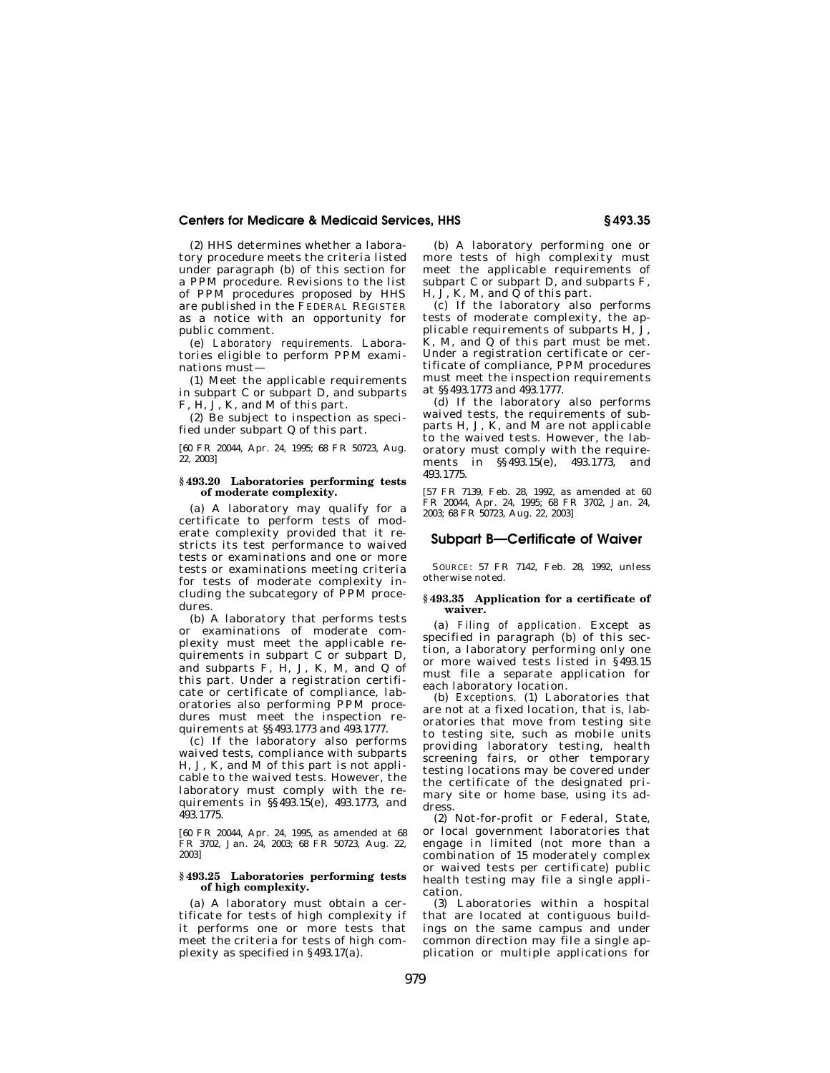(2) HHS determines whether a laboratory procedure meets the criteria listed under paragraph (b) of this section for a PPM procedure. Revisions to the list of PPM procedures proposed by HHS are published in the FEDERAL REGISTER as a notice with an opportunity for public comment.

(e) *Laboratory requirements.* Laboratories eligible to perform PPM examinations must—

(1) Meet the applicable requirements in subpart C or subpart D, and subparts F, H, J, K, and M of this part.

(2) Be subject to inspection as specified under subpart Q of this part.

[60 FR 20044, Apr. 24, 1995; 68 FR 50723, Aug. 22, 2003]

#### **§ 493.20 Laboratories performing tests of moderate complexity.**

(a) A laboratory may qualify for a certificate to perform tests of moderate complexity provided that it restricts its test performance to waived tests or examinations and one or more tests or examinations meeting criteria for tests of moderate complexity including the subcategory of PPM procedures.

(b) A laboratory that performs tests or examinations of moderate complexity must meet the applicable requirements in subpart C or subpart D, and subparts F, H, J, K, M, and Q of this part. Under a registration certificate or certificate of compliance, laboratories also performing PPM procedures must meet the inspection requirements at §§493.1773 and 493.1777.

(c) If the laboratory also performs waived tests, compliance with subparts H, J, K, and M of this part is not applicable to the waived tests. However, the laboratory must comply with the requirements in §§493.15(e), 493.1773, and 493.1775.

[60 FR 20044, Apr. 24, 1995, as amended at 68 FR 3702, Jan. 24, 2003; 68 FR 50723, Aug. 22, 2003]

### **§ 493.25 Laboratories performing tests of high complexity.**

(a) A laboratory must obtain a certificate for tests of high complexity if it performs one or more tests that meet the criteria for tests of high complexity as specified in §493.17(a).

(b) A laboratory performing one or more tests of high complexity must meet the applicable requirements of subpart C or subpart D, and subparts F, H,  $\dot{J}$ , K, M, and  $\dot{Q}$  of this part.

(c) If the laboratory also performs tests of moderate complexity, the applicable requirements of subparts  $H, J, J$ K, M, and Q of this part must be met. Under a registration certificate or certificate of compliance, PPM procedures must meet the inspection requirements at §§493.1773 and 493.1777.

(d) If the laboratory also performs waived tests, the requirements of subparts H, J, K, and M are not applicable to the waived tests. However, the laboratory must comply with the requirements in §§493.15(e), 493.1773, and 493.1775.

[57 FR 7139, Feb. 28, 1992, as amended at 60 FR 20044, Apr. 24, 1995; 68 FR 3702, Jan. 24, 2003; 68 FR 50723, Aug. 22, 2003]

# **Subpart B—Certificate of Waiver**

SOURCE: 57 FR 7142, Feb. 28, 1992, unless otherwise noted.

#### **§ 493.35 Application for a certificate of waiver.**

(a) *Filing of application.* Except as specified in paragraph (b) of this section, a laboratory performing only one or more waived tests listed in §493.15 must file a separate application for each laboratory location.

(b) *Exceptions.* (1) Laboratories that are not at a fixed location, that is, laboratories that move from testing site to testing site, such as mobile units providing laboratory testing, health screening fairs, or other temporary testing locations may be covered under the certificate of the designated primary site or home base, using its address.

(2) Not-for-profit or Federal, State, or local government laboratories that engage in limited (not more than a combination of 15 moderately complex or waived tests per certificate) public health testing may file a single application.

(3) Laboratories within a hospital that are located at contiguous buildings on the same campus and under common direction may file a single application or multiple applications for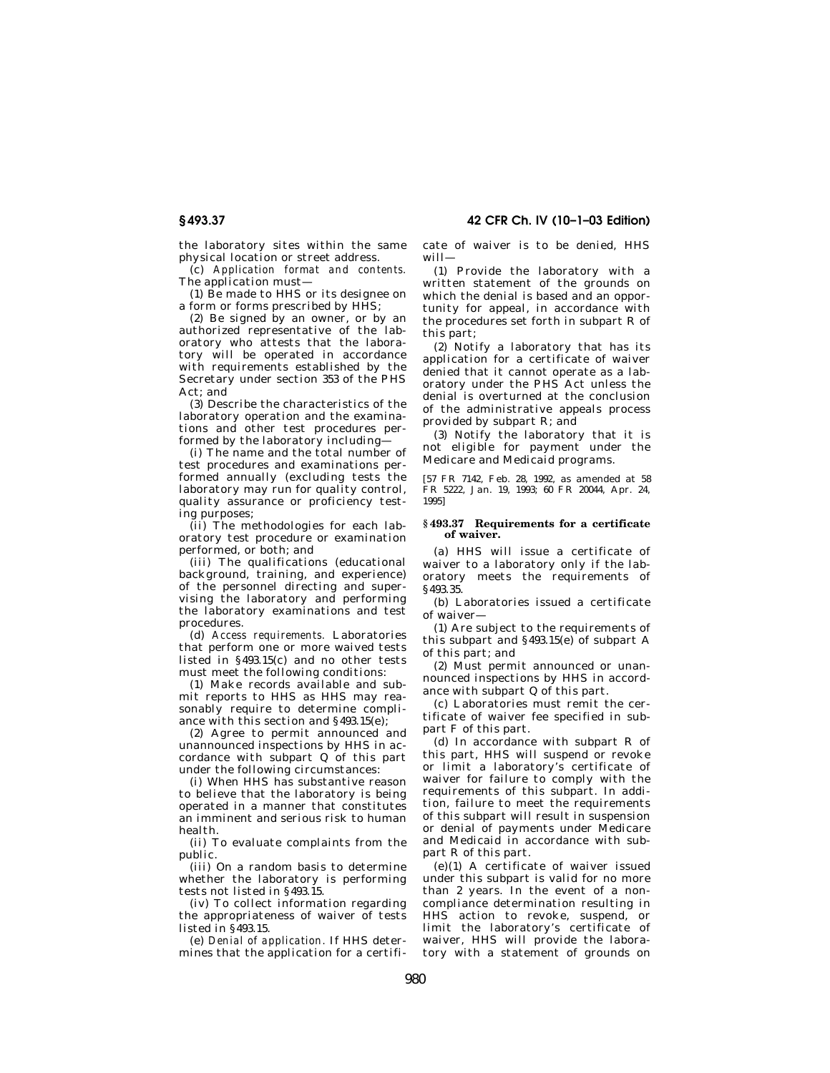the laboratory sites within the same physical location or street address.

(c) *Application format and contents.* The application must—

(1) Be made to HHS or its designee on a form or forms prescribed by HHS;

(2) Be signed by an owner, or by an authorized representative of the laboratory who attests that the laboratory will be operated in accordance with requirements established by the Secretary under section 353 of the PHS  $Act$ ; and

(3) Describe the characteristics of the laboratory operation and the examinations and other test procedures performed by the laboratory including—

(i) The name and the total number of test procedures and examinations performed annually (excluding tests the laboratory may run for quality control, quality assurance or proficiency testing purposes;

(ii) The methodologies for each laboratory test procedure or examination performed, or both; and

(iii) The qualifications (educational background, training, and experience) of the personnel directing and supervising the laboratory and performing the laboratory examinations and test procedures.

(d) *Access requirements.* Laboratories that perform one or more waived tests listed in §493.15(c) and no other tests must meet the following conditions:

(1) Make records available and submit reports to HHS as HHS may reasonably require to determine compliance with this section and §493.15(e);

(2) Agree to permit announced and unannounced inspections by HHS in accordance with subpart  $Q$  of this part under the following circumstances:

(i) When HHS has substantive reason to believe that the laboratory is being operated in a manner that constitutes an imminent and serious risk to human health.

(ii) To evaluate complaints from the public.

(iii) On a random basis to determine whether the laboratory is performing tests not listed in §493.15.

(iv) To collect information regarding the appropriateness of waiver of tests listed in §493.15.

(e) *Denial of application.* If HHS determines that the application for a certifi-

**§ 493.37 42 CFR Ch. IV (10–1–03 Edition)**

cate of waiver is to be denied, HHS will—

(1) Provide the laboratory with a written statement of the grounds on which the denial is based and an opportunity for appeal, in accordance with the procedures set forth in subpart R of this part;

(2) Notify a laboratory that has its application for a certificate of waiver denied that it cannot operate as a laboratory under the PHS Act unless the denial is overturned at the conclusion of the administrative appeals process provided by subpart R; and

(3) Notify the laboratory that it is not eligible for payment under the Medicare and Medicaid programs.

[57 FR 7142, Feb. 28, 1992, as amended at 58 FR 5222, Jan. 19, 1993; 60 FR 20044, Apr. 24, 1995]

### **§ 493.37 Requirements for a certificate of waiver.**

(a) HHS will issue a certificate of waiver to a laboratory only if the laboratory meets the requirements of §493.35.

(b) Laboratories issued a certificate of waiver—

(1) Are subject to the requirements of this subpart and  $§$ 493.15(e) of subpart A of this part; and

(2) Must permit announced or unannounced inspections by HHS in accordance with subpart Q of this part.

(c) Laboratories must remit the certificate of waiver fee specified in subpart F of this part.

(d) In accordance with subpart R of this part, HHS will suspend or revoke or limit a laboratory's certificate of waiver for failure to comply with the requirements of this subpart. In addition, failure to meet the requirements of this subpart will result in suspension or denial of payments under Medicare and Medicaid in accordance with subpart R of this part.

(e)(1) A certificate of waiver issued under this subpart is valid for no more than 2 years. In the event of a noncompliance determination resulting in HHS action to revoke, suspend, or limit the laboratory's certificate of waiver, HHS will provide the laboratory with a statement of grounds on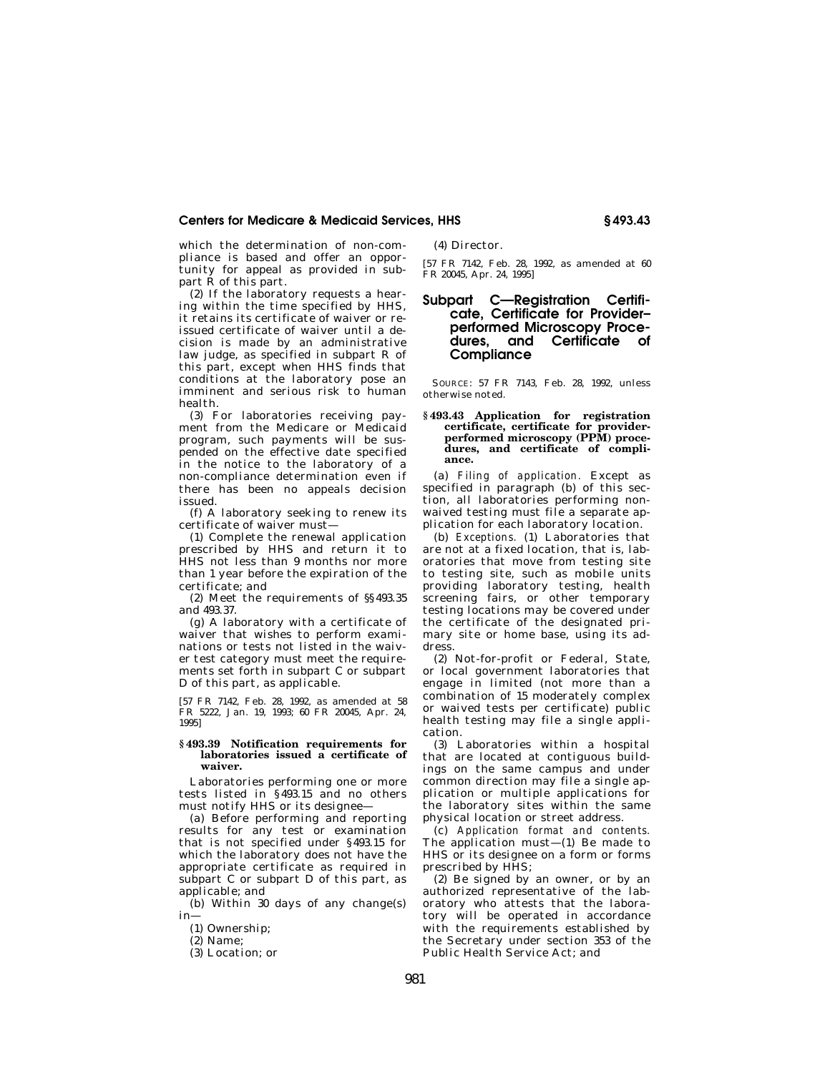which the determination of non-compliance is based and offer an opportunity for appeal as provided in subpart  $\tilde{R}$  of this part.

(2) If the laboratory requests a hearing within the time specified by HHS, it retains its certificate of waiver or reissued certificate of waiver until a decision is made by an administrative law judge, as specified in subpart R of this part, except when HHS finds that conditions at the laboratory pose an imminent and serious risk to human health.

(3) For laboratories receiving payment from the Medicare or Medicaid program, such payments will be suspended on the effective date specified in the notice to the laboratory of a non-compliance determination even if there has been no appeals decision issued.

(f) A laboratory seeking to renew its certificate of waiver must—

(1) Complete the renewal application prescribed by HHS and return it to HHS not less than 9 months nor more than 1 year before the expiration of the certificate; and

(2) Meet the requirements of §§493.35 and 493.37.

(g) A laboratory with a certificate of waiver that wishes to perform examinations or tests not listed in the waiver test category must meet the requirements set forth in subpart C or subpart D of this part, as applicable.

[57 FR 7142, Feb. 28, 1992, as amended at 58 FR 5222, Jan. 19, 1993; 60 FR 20045, Apr. 24, 1995]

## **§ 493.39 Notification requirements for laboratories issued a certificate of waiver.**

Laboratories performing one or more tests listed in §493.15 and no others must notify HHS or its designee—

(a) Before performing and reporting results for any test or examination that is not specified under §493.15 for which the laboratory does not have the appropriate certificate as required in subpart C or subpart D of this part, as applicable; and

 $(b)$  Within 30 days of any change(s) in—

(1) Ownership;

(2) Name;

(3) Location; or

(4) Director.

[57 FR 7142, Feb. 28, 1992, as amended at 60 FR 20045, Apr. 24, 1995]

# **Subpart C—Registration Certificate, Certificate for Provider– performed Microscopy Procedures, and Certificate of Compliance**

SOURCE: 57 FR 7143, Feb. 28, 1992, unless otherwise noted.

### **§ 493.43 Application for registration certificate, certificate for providerperformed microscopy (PPM) procedures, and certificate of compliance.**

(a) *Filing of application.* Except as specified in paragraph (b) of this section, all laboratories performing nonwaived testing must file a separate application for each laboratory location.

(b) *Exceptions.* (1) Laboratories that are not at a fixed location, that is, laboratories that move from testing site to testing site, such as mobile units providing laboratory testing, health screening fairs, or other temporary testing locations may be covered under the certificate of the designated primary site or home base, using its address.

(2) Not-for-profit or Federal, State, or local government laboratories that engage in limited (not more than a combination of 15 moderately complex or waived tests per certificate) public health testing may file a single application.

(3) Laboratories within a hospital that are located at contiguous buildings on the same campus and under common direction may file a single application or multiple applications for the laboratory sites within the same physical location or street address.

(c) *Application format and contents.* The application must—(1) Be made to HHS or its designee on a form or forms prescribed by HHS;

(2) Be signed by an owner, or by an authorized representative of the laboratory who attests that the laboratory will be operated in accordance with the requirements established by the Secretary under section 353 of the Public Health Service Act; and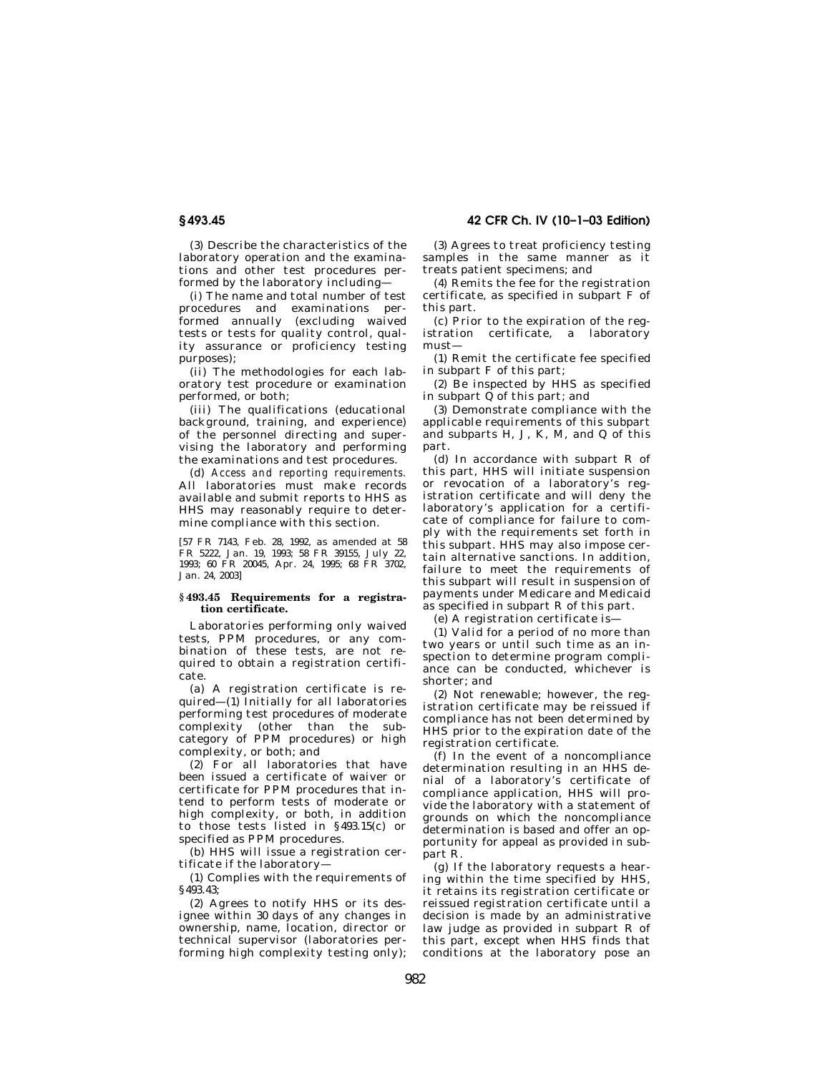(3) Describe the characteristics of the laboratory operation and the examinations and other test procedures performed by the laboratory including—

(i) The name and total number of test procedures and examinations performed annually (excluding waived tests or tests for quality control, quality assurance or proficiency testing purposes);

(ii) The methodologies for each laboratory test procedure or examination performed, or both;

(iii) The qualifications (educational background, training, and experience) of the personnel directing and supervising the laboratory and performing the examinations and test procedures.

(d) *Access and reporting requirements.* All laboratories must make records available and submit reports to HHS as HHS may reasonably require to determine compliance with this section.

[57 FR 7143, Feb. 28, 1992, as amended at 58 FR 5222, Jan. 19, 1993; 58 FR 39155, July 22, 1993; 60 FR 20045, Apr. 24, 1995; 68 FR 3702, Jan. 24, 2003]

#### **§ 493.45 Requirements for a registration certificate.**

Laboratories performing only waived tests, PPM procedures, or any combination of these tests, are not required to obtain a registration certificate.

(a) A registration certificate is required—(1) Initially for all laboratories performing test procedures of moderate complexity (other than the subcategory of PPM procedures) or high complexity, or both; and

(2) For all laboratories that have been issued a certificate of waiver or certificate for PPM procedures that intend to perform tests of moderate or high complexity, or both, in addition to those tests listed in §493.15(c) or specified as PPM procedures.

(b) HHS will issue a registration certificate if the laboratory—

(1) Complies with the requirements of §493.43;

(2) Agrees to notify HHS or its designee within 30 days of any changes in ownership, name, location, director or technical supervisor (laboratories performing high complexity testing only);

**§ 493.45 42 CFR Ch. IV (10–1–03 Edition)**

(3) Agrees to treat proficiency testing samples in the same manner as it treats patient specimens; and

(4) Remits the fee for the registration certificate, as specified in subpart F of this part.

(c) Prior to the expiration of the registration certificate, a laboratory must—

(1) Remit the certificate fee specified in subpart F of this part;

(2) Be inspected by HHS as specified in subpart  $\overline{Q}$  of this part; and

(3) Demonstrate compliance with the applicable requirements of this subpart and subparts H, J, K, M, and Q of this part.

(d) In accordance with subpart R of this part, HHS will initiate suspension or revocation of a laboratory's registration certificate and will deny the laboratory's application for a certificate of compliance for failure to comply with the requirements set forth in this subpart. HHS may also impose certain alternative sanctions. In addition, failure to meet the requirements of this subpart will result in suspension of payments under Medicare and Medicaid as specified in subpart R of this part.

(e) A registration certificate is—

(1) Valid for a period of no more than two years or until such time as an inspection to determine program compliance can be conducted, whichever is shorter; and

(2) Not renewable; however, the registration certificate may be reissued if compliance has not been determined by HHS prior to the expiration date of the registration certificate.

(f) In the event of a noncompliance determination resulting in an HHS denial of a laboratory's certificate of compliance application, HHS will provide the laboratory with a statement of grounds on which the noncompliance determination is based and offer an opportunity for appeal as provided in subpart R.

(g) If the laboratory requests a hearing within the time specified by HHS, it retains its registration certificate or reissued registration certificate until a decision is made by an administrative law judge as provided in subpart R of this part, except when HHS finds that conditions at the laboratory pose an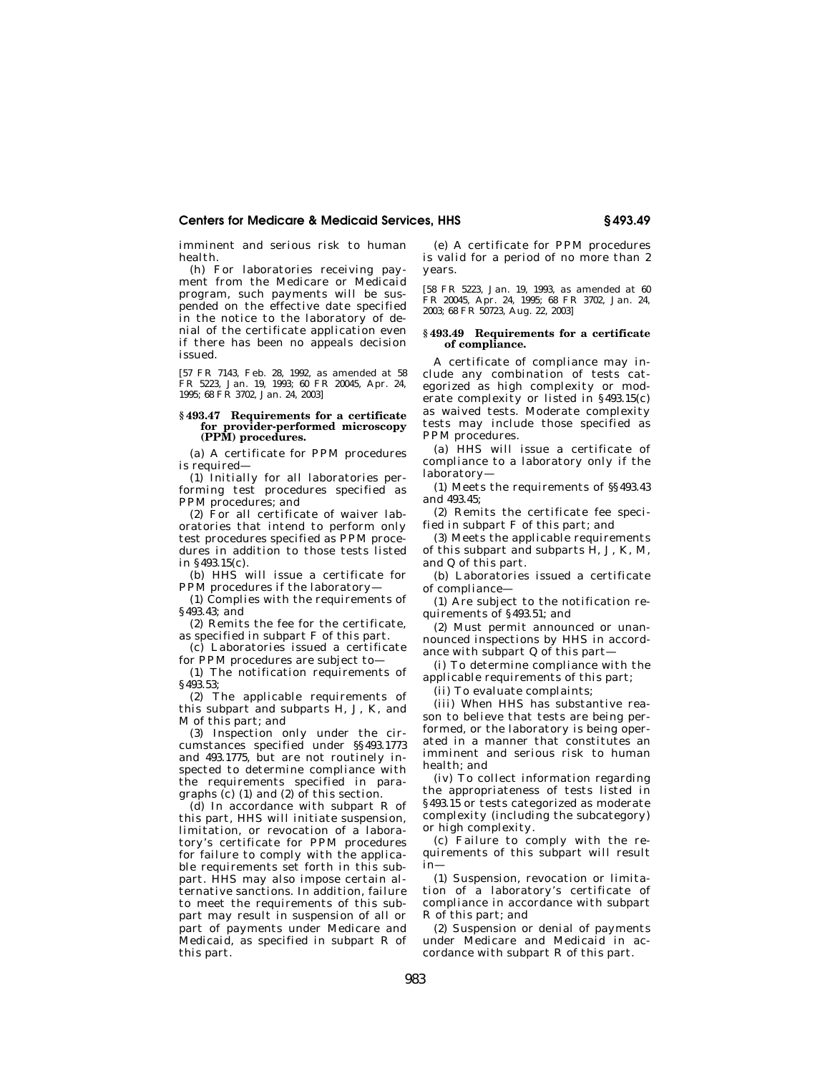imminent and serious risk to human health.

(h) For laboratories receiving payment from the Medicare or Medicaid program, such payments will be suspended on the effective date specified in the notice to the laboratory of denial of the certificate application even if there has been no appeals decision issued.

[57 FR 7143, Feb. 28, 1992, as amended at 58 FR 5223, Jan. 19, 1993; 60 FR 20045, Apr. 24, 1995; 68 FR 3702, Jan. 24, 2003]

#### **§ 493.47 Requirements for a certificate for provider-performed microscopy (PPM) procedures.**

(a) A certificate for PPM procedures is required—

(1) Initially for all laboratories performing test procedures specified as PPM procedures; and

(2) For all certificate of waiver laboratories that intend to perform only test procedures specified as PPM procedures in addition to those tests listed in §493.15(c).

(b) HHS will issue a certificate for PPM procedures if the laboratory—

(1) Complies with the requirements of §493.43; and

(2) Remits the fee for the certificate, as specified in subpart F of this part.

(c) Laboratories issued a certificate for PPM procedures are subject to—

(1) The notification requirements of §493.53;

(2) The applicable requirements of this subpart and subparts H, J, K, and M of this part; and

(3) Inspection only under the circumstances specified under §§493.1773 and 493.1775, but are not routinely inspected to determine compliance with the requirements specified in paragraphs  $(c)$  (1) and (2) of this section.

(d) In accordance with subpart R of this part, HHS will initiate suspension, limitation, or revocation of a laboratory's certificate for PPM procedures for failure to comply with the applicable requirements set forth in this subpart. HHS may also impose certain alternative sanctions. In addition, failure to meet the requirements of this subpart may result in suspension of all or part of payments under Medicare and Medicaid, as specified in subpart R of this part.

(e) A certificate for PPM procedures is valid for a period of no more than 2 years.

[58 FR 5223, Jan. 19, 1993, as amended at 60 FR 20045, Apr. 24, 1995; 68 FR 3702, Jan. 24, 2003; 68 FR 50723, Aug. 22, 2003]

#### **§ 493.49 Requirements for a certificate of compliance.**

A certificate of compliance may include any combination of tests categorized as high complexity or moderate complexity or listed in §493.15(c) as waived tests. Moderate complexity tests may include those specified as PPM procedures.

(a) HHS will issue a certificate of compliance to a laboratory only if the laboratory—

(1) Meets the requirements of §§493.43 and 493.45;

(2) Remits the certificate fee specified in subpart F of this part; and

(3) Meets the applicable requirements of this subpart and subparts H, J, K, M, and Q of this part.

(b) Laboratories issued a certificate of compliance—

(1) Are subject to the notification requirements of §493.51; and

(2) Must permit announced or unannounced inspections by HHS in accordance with subpart Q of this part—

(i) To determine compliance with the applicable requirements of this part;

(ii) To evaluate complaints;

(iii) When HHS has substantive reason to believe that tests are being performed, or the laboratory is being operated in a manner that constitutes an imminent and serious risk to human health; and

(iv) To collect information regarding the appropriateness of tests listed in §493.15 or tests categorized as moderate complexity (including the subcategory) or high complexity.

(c) Failure to comply with the requirements of this subpart will result in—

(1) Suspension, revocation or limitation of a laboratory's certificate of compliance in accordance with subpart R of this part; and

(2) Suspension or denial of payments under Medicare and Medicaid in accordance with subpart R of this part.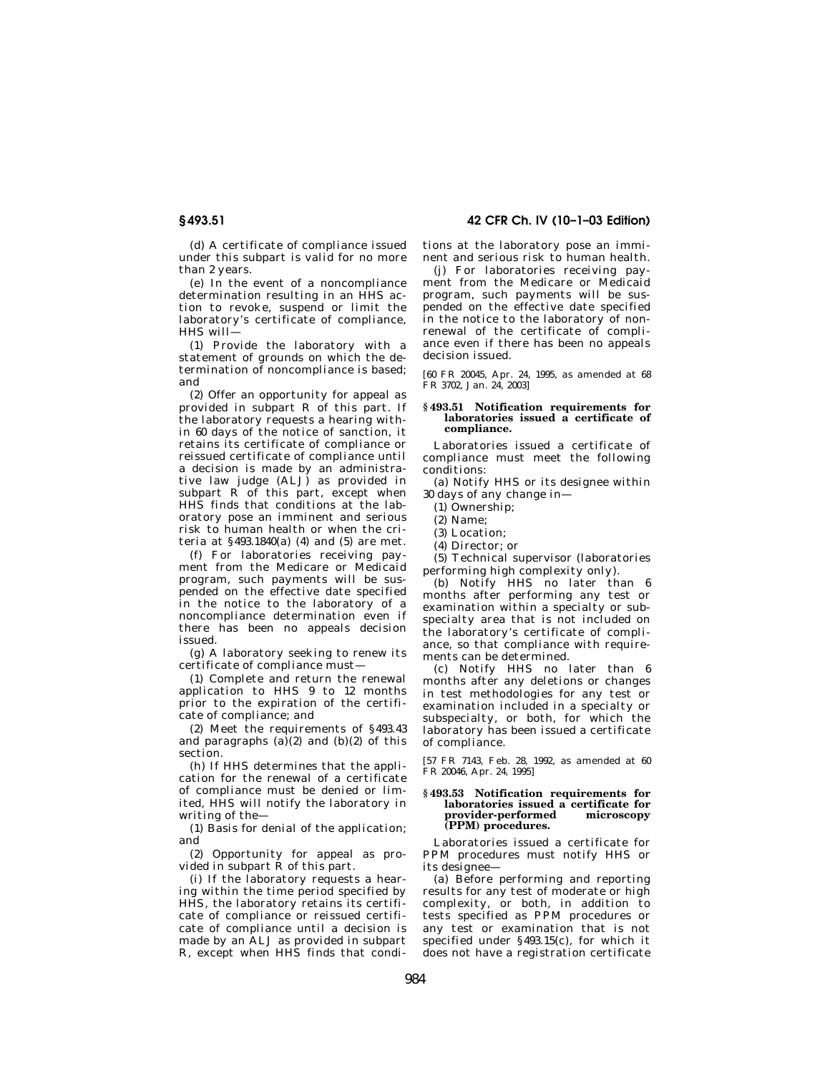**§ 493.51 42 CFR Ch. IV (10–1–03 Edition)**

(d) A certificate of compliance issued under this subpart is valid for no more than 2 years.

(e) In the event of a noncompliance determination resulting in an HHS action to revoke, suspend or limit the laboratory's certificate of compliance, HHS will—

(1) Provide the laboratory with a statement of grounds on which the determination of noncompliance is based; and

(2) Offer an opportunity for appeal as provided in subpart R of this part. If the laboratory requests a hearing within 60 days of the notice of sanction, it retains its certificate of compliance or reissued certificate of compliance until a decision is made by an administrative law judge (ALJ) as provided in subpart  $\tilde{R}$  of this part, except when HHS finds that conditions at the laboratory pose an imminent and serious risk to human health or when the criteria at  $§$ 493.1840(a) (4) and (5) are met.

(f) For laboratories receiving payment from the Medicare or Medicaid program, such payments will be suspended on the effective date specified in the notice to the laboratory of a noncompliance determination even if there has been no appeals decision issued.

(g) A laboratory seeking to renew its certificate of compliance must—

(1) Complete and return the renewal application to HHS 9 to 12 months prior to the expiration of the certificate of compliance; and

(2) Meet the requirements of §493.43 and paragraphs  $(a)(2)$  and  $(b)(2)$  of this section.

(h) If HHS determines that the application for the renewal of a certificate of compliance must be denied or limited, HHS will notify the laboratory in writing of the—

(1) Basis for denial of the application; and

(2) Opportunity for appeal as provided in subpart R of this part.

(i) If the laboratory requests a hearing within the time period specified by HHS, the laboratory retains its certificate of compliance or reissued certificate of compliance until a decision is made by an ALJ as provided in subpart R, except when HHS finds that conditions at the laboratory pose an imminent and serious risk to human health.

(j) For laboratories receiving payment from the Medicare or Medicaid program, such payments will be suspended on the effective date specified in the notice to the laboratory of nonrenewal of the certificate of compliance even if there has been no appeals decision issued.

[60 FR 20045, Apr. 24, 1995, as amended at 68 FR 3702, Jan. 24, 2003]

### **§ 493.51 Notification requirements for laboratories issued a certificate of compliance.**

Laboratories issued a certificate of compliance must meet the following conditions:

(a) Notify HHS or its designee within 30 days of any change in—

(1) Ownership;

(2) Name;

(3) Location;

(4) Director; or

(5) Technical supervisor (laboratories performing high complexity only).

(b) Notify HHS no later than 6 months after performing any test or examination within a specialty or subspecialty area that is not included on the laboratory's certificate of compliance, so that compliance with requirements can be determined.

(c) Notify HHS no later than 6 months after any deletions or changes in test methodologies for any test or examination included in a specialty or subspecialty, or both, for which the laboratory has been issued a certificate of compliance.

[57 FR 7143, Feb. 28, 1992, as amended at 60 FR 20046, Apr. 24, 1995]

#### **§ 493.53 Notification requirements for laboratories issued a certificate for provider-performed microscopy (PPM) procedures.**

Laboratories issued a certificate for PPM procedures must notify HHS or its designee—

(a) Before performing and reporting results for any test of moderate or high complexity, or both, in addition to tests specified as PPM procedures or any test or examination that is not specified under §493.15(c), for which it does not have a registration certificate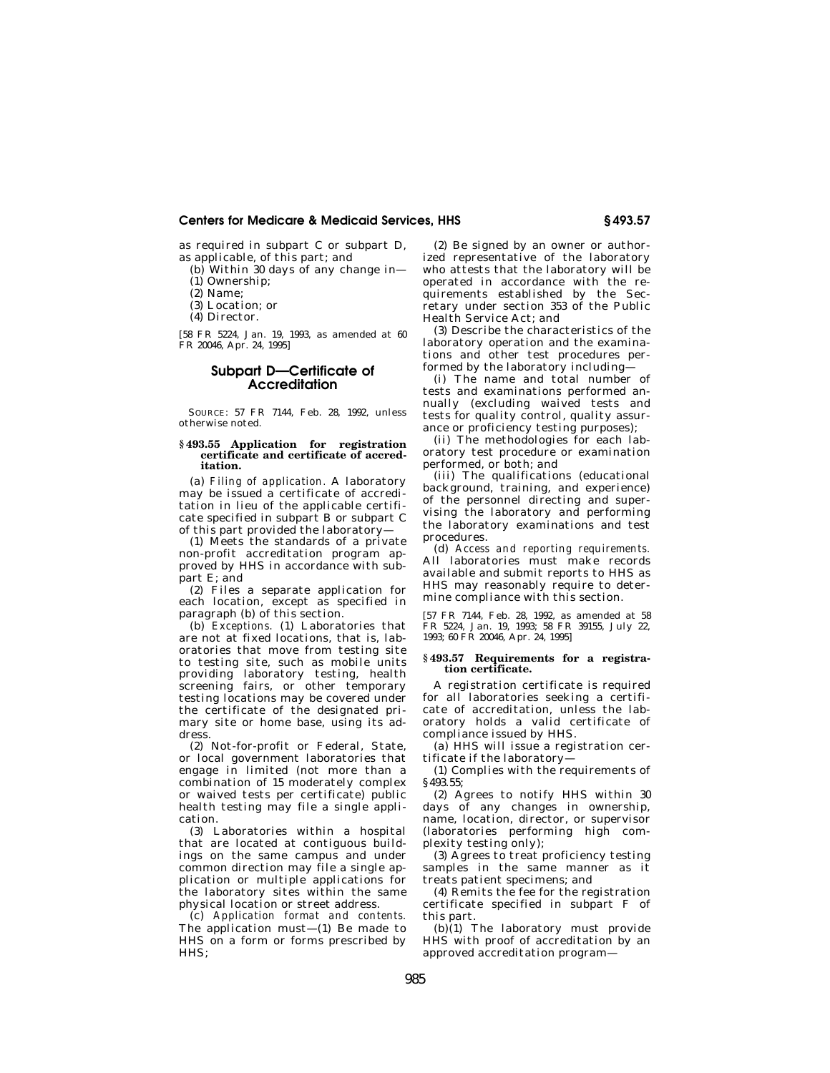as required in subpart C or subpart D, as applicable, of this part; and

(b) Within 30 days of any change in— (1) Ownership;

(2) Name;

(3) Location; or

(4) Director.

[58 FR 5224, Jan. 19, 1993, as amended at 60 FR 20046, Apr. 24, 1995]

# **Subpart D—Certificate of Accreditation**

SOURCE: 57 FR 7144, Feb. 28, 1992, unless otherwise noted.

#### **§ 493.55 Application for registration certificate and certificate of accreditation.**

(a) *Filing of application.* A laboratory may be issued a certificate of accreditation in lieu of the applicable certificate specified in subpart B or subpart C of this part provided the laboratory—

(1) Meets the standards of a private non-profit accreditation program approved by HHS in accordance with subpart E; and

(2) Files a separate application for each location, except as specified in paragraph (b) of this section.

(b) *Exceptions.* (1) Laboratories that are not at fixed locations, that is, laboratories that move from testing site to testing site, such as mobile units providing laboratory testing, health screening fairs, or other temporary testing locations may be covered under the certificate of the designated primary site or home base, using its address.

(2) Not-for-profit or Federal, State, or local government laboratories that engage in limited (not more than a combination of 15 moderately complex or waived tests per certificate) public health testing may file a single application.

(3) Laboratories within a hospital that are located at contiguous buildings on the same campus and under common direction may file a single application or multiple applications for the laboratory sites within the same physical location or street address.

(c) *Application format and contents.* The application must—(1) Be made to HHS on a form or forms prescribed by  $HHS$ 

(2) Be signed by an owner or authorized representative of the laboratory who attests that the laboratory will be operated in accordance with the requirements established by the Secretary under section 353 of the Public Health Service Act; and

(3) Describe the characteristics of the laboratory operation and the examinations and other test procedures performed by the laboratory including—

(i) The name and total number of tests and examinations performed annually (excluding waived tests and tests for quality control, quality assurance or proficiency testing purposes);

(ii) The methodologies for each laboratory test procedure or examination performed, or both; and

(iii) The qualifications (educational background, training, and experience) of the personnel directing and supervising the laboratory and performing the laboratory examinations and test procedures.

(d) *Access and reporting requirements.* All laboratories must make records available and submit reports to HHS as HHS may reasonably require to determine compliance with this section.

[57 FR 7144, Feb. 28, 1992, as amended at 58 FR 5224, Jan. 19, 1993; 58 FR 39155, July 22, 1993; 60 FR 20046, Apr. 24, 1995]

## **§ 493.57 Requirements for a registration certificate.**

A registration certificate is required for all laboratories seeking a certificate of accreditation, unless the laboratory holds a valid certificate of compliance issued by HHS.

(a) HHS will issue a registration certificate if the laboratory—

(1) Complies with the requirements of §493.55;

(2) Agrees to notify HHS within 30 days of any changes in ownership, name, location, director, or supervisor (laboratories performing high complexity testing only);

(3) Agrees to treat proficiency testing samples in the same manner as it treats patient specimens; and

(4) Remits the fee for the registration certificate specified in subpart F of this part.

 $(b)(1)$  The laboratory must provide HHS with proof of accreditation by an approved accreditation program—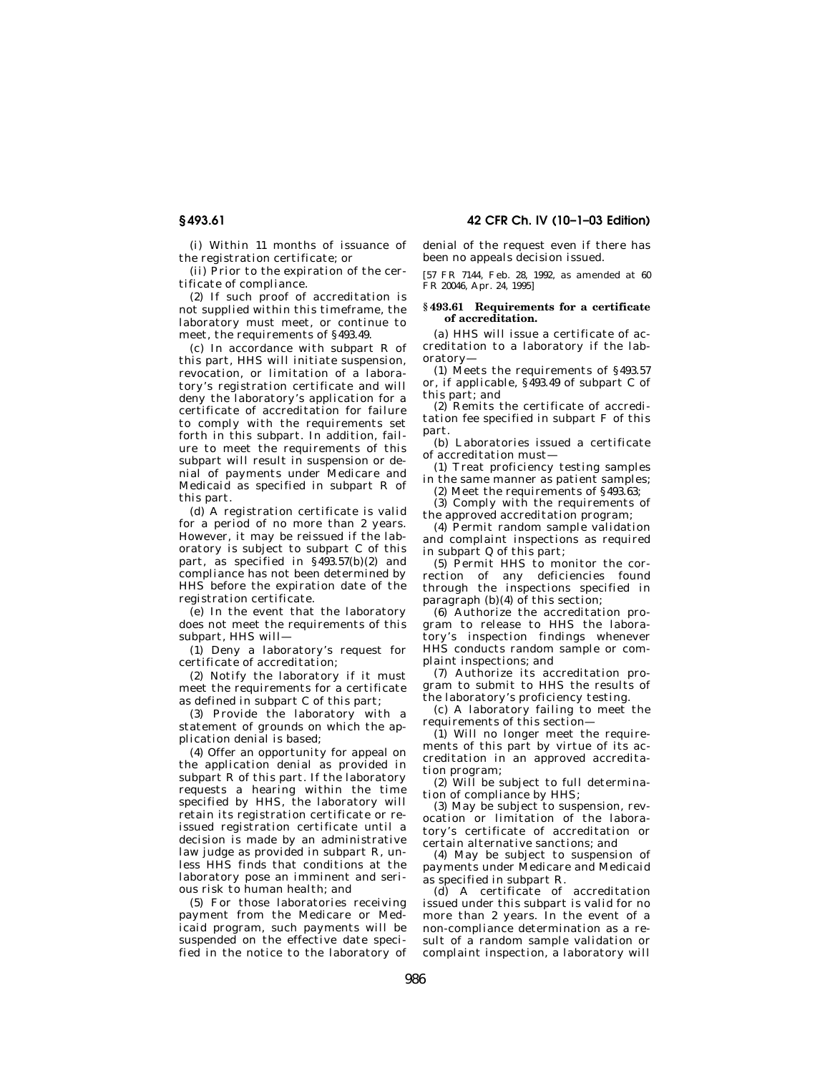(i) Within 11 months of issuance of the registration certificate; or

(ii) Prior to the expiration of the certificate of compliance.

(2) If such proof of accreditation is not supplied within this timeframe, the laboratory must meet, or continue to meet, the requirements of §493.49.

(c) In accordance with subpart R of this part, HHS will initiate suspension, revocation, or limitation of a laboratory's registration certificate and will deny the laboratory's application for a certificate of accreditation for failure to comply with the requirements set forth in this subpart. In addition, failure to meet the requirements of this subpart will result in suspension or denial of payments under Medicare and Medicaid as specified in subpart R of this part.

(d) A registration certificate is valid for a period of no more than 2 years. However, it may be reissued if the laboratory is subject to subpart C of this part, as specified in §493.57(b)(2) and compliance has not been determined by HHS before the expiration date of the registration certificate.

(e) In the event that the laboratory does not meet the requirements of this subpart, HHS will—

(1) Deny a laboratory's request for certificate of accreditation;

(2) Notify the laboratory if it must meet the requirements for a certificate as defined in subpart C of this part;

(3) Provide the laboratory with a statement of grounds on which the application denial is based;

(4) Offer an opportunity for appeal on the application denial as provided in subpart R of this part. If the laboratory requests a hearing within the time specified by HHS, the laboratory will retain its registration certificate or reissued registration certificate until a decision is made by an administrative law judge as provided in subpart R, unless HHS finds that conditions at the laboratory pose an imminent and serious risk to human health; and

(5) For those laboratories receiving payment from the Medicare or Medicaid program, such payments will be suspended on the effective date specified in the notice to the laboratory of

**§ 493.61 42 CFR Ch. IV (10–1–03 Edition)**

denial of the request even if there has been no appeals decision issued.

[57 FR 7144, Feb. 28, 1992, as amended at 60 FR 20046, Apr. 24, 1995]

#### **§ 493.61 Requirements for a certificate of accreditation.**

(a) HHS will issue a certificate of accreditation to a laboratory if the laboratory—

(1) Meets the requirements of §493.57 or, if applicable, §493.49 of subpart C of this part; and

(2) Remits the certificate of accreditation fee specified in subpart F of this part.

(b) Laboratories issued a certificate of accreditation must—

(1) Treat proficiency testing samples in the same manner as patient samples;

(2) Meet the requirements of §493.63; (3) Comply with the requirements of

the approved accreditation program;

(4) Permit random sample validation and complaint inspections as required in subpart Q of this part;

(5) Permit HHS to monitor the correction of any deficiencies found through the inspections specified in paragraph (b)(4) of this section;

(6) Authorize the accreditation program to release to HHS the laboratory's inspection findings whenever HHS conducts random sample or complaint inspections; and

(7) Authorize its accreditation program to submit to HHS the results of the laboratory's proficiency testing.

(c) A laboratory failing to meet the requirements of this section—

(1) Will no longer meet the requirements of this part by virtue of its accreditation in an approved accreditation program;

(2) Will be subject to full determination of compliance by HHS;

(3) May be subject to suspension, revocation or limitation of the laboratory's certificate of accreditation or certain alternative sanctions; and

(4) May be subject to suspension of payments under Medicare and Medicaid as specified in subpart R.

(d) A certificate of accreditation issued under this subpart is valid for no more than 2 years. In the event of a non-compliance determination as a result of a random sample validation or complaint inspection, a laboratory will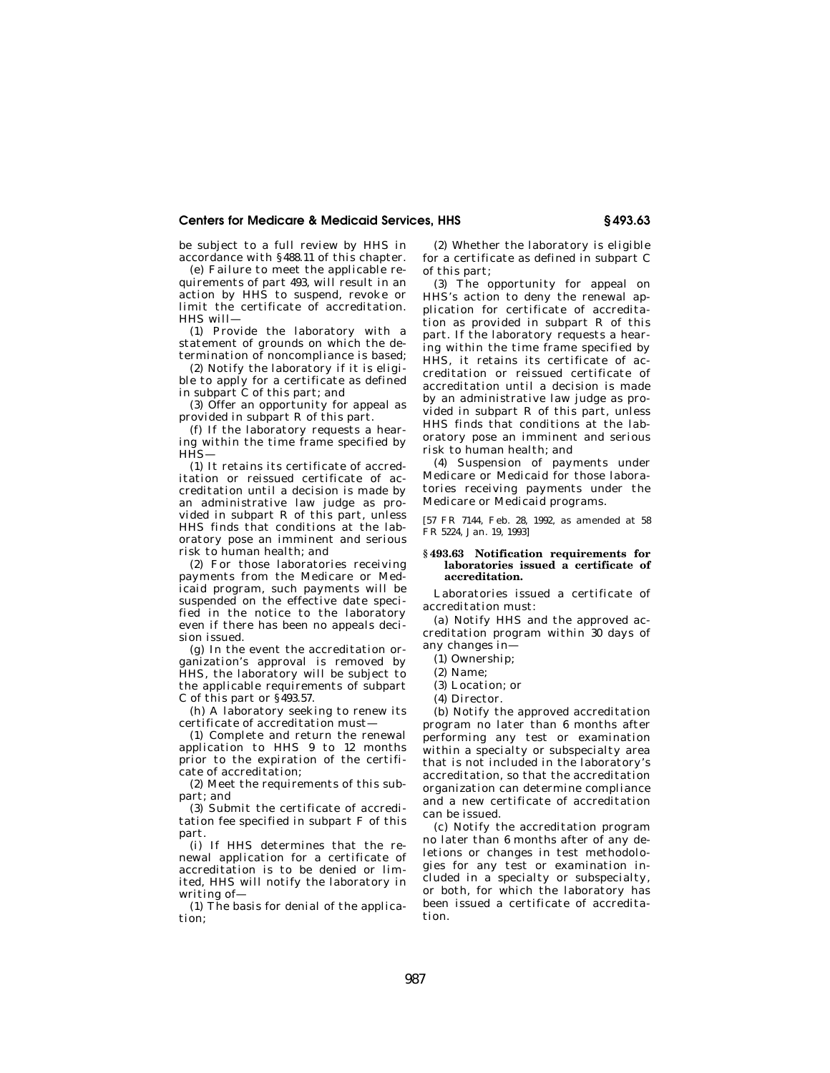be subject to a full review by HHS in accordance with §488.11 of this chapter.

(e) Failure to meet the applicable requirements of part 493, will result in an action by HHS to suspend, revoke or limit the certificate of accreditation. HHS will—

(1) Provide the laboratory with a statement of grounds on which the determination of noncompliance is based;

(2) Notify the laboratory if it is eligible to apply for a certificate as defined in subpart C of this part; and

(3) Offer an opportunity for appeal as provided in subpart R of this part.

(f) If the laboratory requests a hearing within the time frame specified by HHS—

(1) It retains its certificate of accreditation or reissued certificate of accreditation until a decision is made by an administrative law judge as provided in subpart R of this part, unless HHS finds that conditions at the laboratory pose an imminent and serious risk to human health; and

(2) For those laboratories receiving payments from the Medicare or Medicaid program, such payments will be suspended on the effective date specified in the notice to the laboratory even if there has been no appeals decision issued.

(g) In the event the accreditation organization's approval is removed by HHS, the laboratory will be subject to the applicable requirements of subpart C of this part or §493.57.

(h) A laboratory seeking to renew its certificate of accreditation must—

(1) Complete and return the renewal application to HHS 9 to 12 months prior to the expiration of the certificate of accreditation;

(2) Meet the requirements of this subpart; and

(3) Submit the certificate of accreditation fee specified in subpart F of this part.

(i) If HHS determines that the renewal application for a certificate of accreditation is to be denied or limited, HHS will notify the laboratory in writing of—

(1) The basis for denial of the application;

(2) Whether the laboratory is eligible for a certificate as defined in subpart C of this part;

(3) The opportunity for appeal on HHS's action to deny the renewal application for certificate of accreditation as provided in subpart R of this part. If the laboratory requests a hearing within the time frame specified by HHS, it retains its certificate of accreditation or reissued certificate of accreditation until a decision is made by an administrative law judge as provided in subpart R of this part, unless HHS finds that conditions at the laboratory pose an imminent and serious risk to human health; and

(4) Suspension of payments under Medicare or Medicaid for those laboratories receiving payments under the Medicare or Medicaid programs.

[57 FR 7144, Feb. 28, 1992, as amended at 58 FR 5224, Jan. 19, 1993]

#### **§ 493.63 Notification requirements for laboratories issued a certificate of accreditation.**

Laboratories issued a certificate of accreditation must:

(a) Notify HHS and the approved accreditation program within 30 days of any changes in—

(1) Ownership;

(2) Name;

(3) Location; or

(4) Director.

(b) Notify the approved accreditation program no later than 6 months after performing any test or examination within a specialty or subspecialty area that is not included in the laboratory's accreditation, so that the accreditation organization can determine compliance and a new certificate of accreditation can be issued.

(c) Notify the accreditation program no later than 6 months after of any deletions or changes in test methodologies for any test or examination included in a specialty or subspecialty, or both, for which the laboratory has been issued a certificate of accreditation.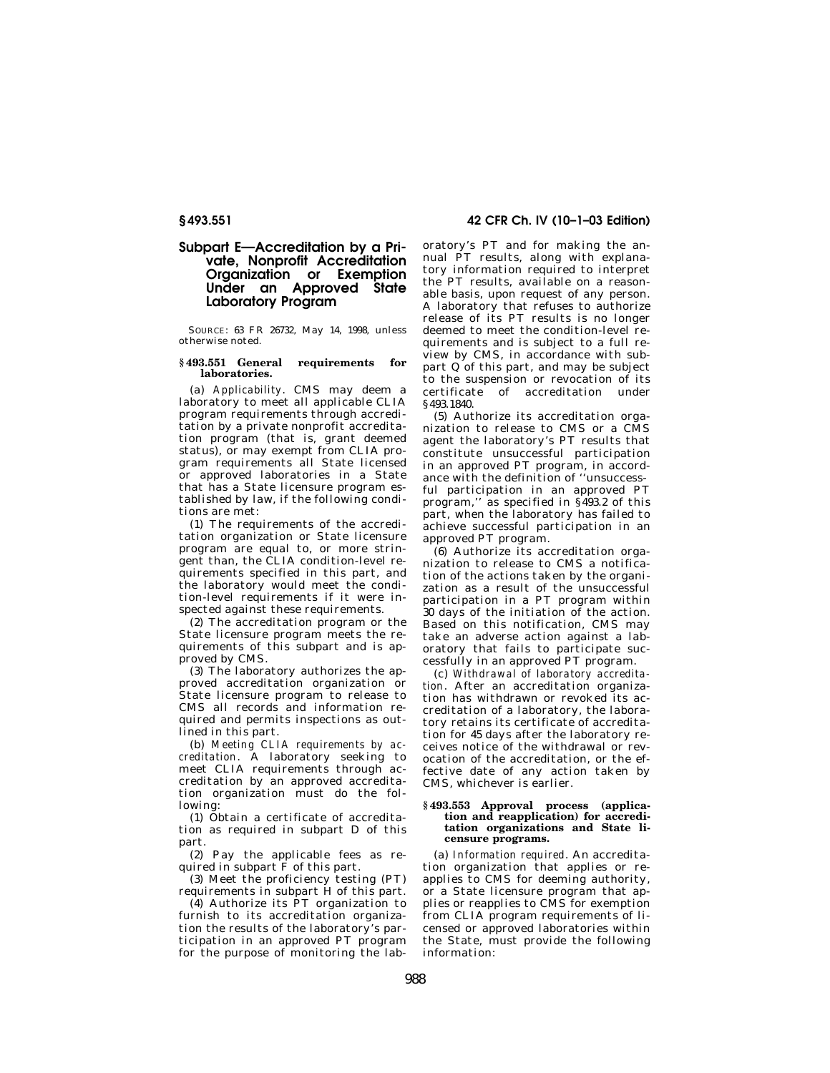# **Subpart E—Accreditation by a Private, Nonprofit Accreditation Organization or Exemption Under an Approved State Laboratory Program**

SOURCE: 63 FR 26732, May 14, 1998, unless otherwise noted.

#### **§ 493.551 General requirements for laboratories.**

(a) *Applicability*. CMS may deem a laboratory to meet all applicable CLIA program requirements through accreditation by a private nonprofit accreditation program (that is, grant deemed status), or may exempt from CLIA program requirements all State licensed or approved laboratories in a State that has a State licensure program established by law, if the following conditions are met:

(1) The requirements of the accreditation organization or State licensure program are equal to, or more stringent than, the CLIA condition-level requirements specified in this part, and the laboratory would meet the condition-level requirements if it were inspected against these requirements.

(2) The accreditation program or the State licensure program meets the requirements of this subpart and is approved by CMS.

(3) The laboratory authorizes the approved accreditation organization or State licensure program to release to CMS all records and information required and permits inspections as outlined in this part.

(b) *Meeting CLIA requirements by accreditation*. A laboratory seeking to meet CLIA requirements through accreditation by an approved accreditation organization must do the following:

(1) Obtain a certificate of accreditation as required in subpart D of this part.

(2) Pay the applicable fees as required in subpart F of this part.

(3) Meet the proficiency testing (PT) requirements in subpart H of this part.

(4) Authorize its PT organization to furnish to its accreditation organization the results of the laboratory's participation in an approved PT program for the purpose of monitoring the lab-

**§ 493.551 42 CFR Ch. IV (10–1–03 Edition)**

oratory's PT and for making the annual PT results, along with explanatory information required to interpret the PT results, available on a reasonable basis, upon request of any person. A laboratory that refuses to authorize release of its PT results is no longer deemed to meet the condition-level requirements and is subject to a full review by CMS, in accordance with subpart Q of this part, and may be subject to the suspension or revocation of its certificate of accreditation under §493.1840.

(5) Authorize its accreditation organization to release to CMS or a CMS agent the laboratory's PT results that constitute unsuccessful participation in an approved PT program, in accordance with the definition of ''unsuccessful participation in an approved PT program,'' as specified in §493.2 of this part, when the laboratory has failed to achieve successful participation in an approved PT program.

(6) Authorize its accreditation organization to release to CMS a notification of the actions taken by the organization as a result of the unsuccessful participation in a PT program within 30 days of the initiation of the action. Based on this notification, CMS may take an adverse action against a laboratory that fails to participate successfully in an approved PT program.

(c) *Withdrawal of laboratory accreditation*. After an accreditation organization has withdrawn or revoked its accreditation of a laboratory, the laboratory retains its certificate of accreditation for 45 days after the laboratory receives notice of the withdrawal or revocation of the accreditation, or the effective date of any action taken by CMS, whichever is earlier.

#### **§ 493.553 Approval process (application and reapplication) for accreditation organizations and State licensure programs.**

(a) *Information required*. An accreditation organization that applies or reapplies to CMS for deeming authority, or a State licensure program that applies or reapplies to CMS for exemption from CLIA program requirements of licensed or approved laboratories within the State, must provide the following information: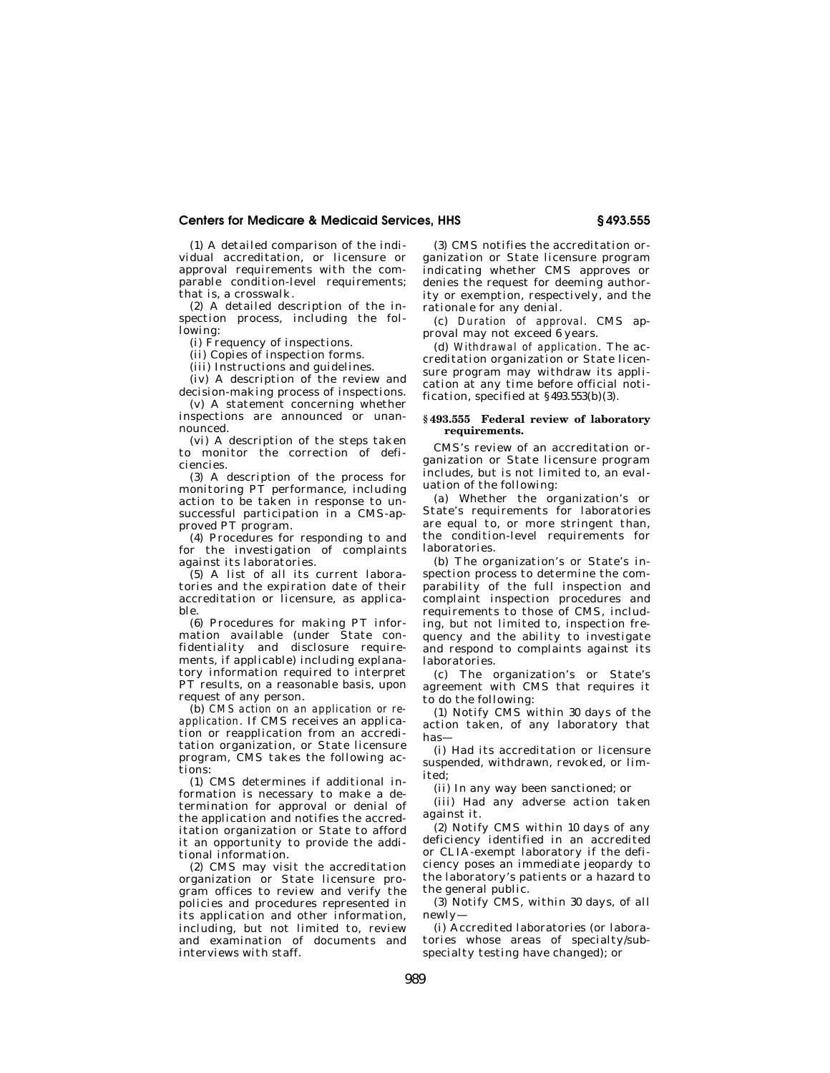(1) A detailed comparison of the individual accreditation, or licensure or approval requirements with the comparable condition-level requirements; that is, a crosswalk.

(2) A detailed description of the inspection process, including the following:

(i) Frequency of inspections.

(ii) Copies of inspection forms.

(iii) Instructions and guidelines.

(iv) A description of the review and decision-making process of inspections.

(v) A statement concerning whether inspections are announced or unannounced.

(vi) A description of the steps taken to monitor the correction of deficiencies.

(3) A description of the process for monitoring PT performance, including action to be taken in response to unsuccessful participation in a CMS-approved PT program.

(4) Procedures for responding to and for the investigation of complaints against its laboratories.

(5) A list of all its current laboratories and the expiration date of their accreditation or licensure, as applicable.

(6) Procedures for making PT information available (under State confidentiality and disclosure requirements, if applicable) including explanatory information required to interpret PT results, on a reasonable basis, upon request of any person.

(b) *CMS action on an application or reapplication*. If CMS receives an application or reapplication from an accreditation organization, or State licensure program, CMS takes the following actions:

(1) CMS determines if additional information is necessary to make a determination for approval or denial of the application and notifies the accreditation organization or State to afford it an opportunity to provide the additional information.

(2) CMS may visit the accreditation organization or State licensure program offices to review and verify the policies and procedures represented in its application and other information, including, but not limited to, review and examination of documents and interviews with staff.

(3) CMS notifies the accreditation organization or State licensure program indicating whether CMS approves or denies the request for deeming authority or exemption, respectively, and the rationale for any denial.

(c) *Duration of approval*. CMS approval may not exceed 6 years.

(d) *Withdrawal of application*. The accreditation organization or State licensure program may withdraw its application at any time before official notification, specified at §493.553(b)(3).

#### **§ 493.555 Federal review of laboratory requirements.**

CMS's review of an accreditation organization or State licensure program includes, but is not limited to, an evaluation of the following:

(a) Whether the organization's or State's requirements for laboratories are equal to, or more stringent than, the condition-level requirements for laboratories.

(b) The organization's or State's inspection process to determine the comparability of the full inspection and complaint inspection procedures and requirements to those of CMS, including, but not limited to, inspection frequency and the ability to investigate and respond to complaints against its laboratories.

(c) The organization's or State's agreement with CMS that requires it to do the following:

(1) Notify CMS within 30 days of the action taken, of any laboratory that has—

(i) Had its accreditation or licensure suspended, withdrawn, revoked, or limited;

(ii) In any way been sanctioned; or

(iii) Had any adverse action taken against it.

(2) Notify CMS within 10 days of any deficiency identified in an accredited or CLIA-exempt laboratory if the deficiency poses an immediate jeopardy to the laboratory's patients or a hazard to the general public.

(3) Notify CMS, within 30 days, of all newly—

(i) Accredited laboratories (or laboratories whose areas of specialty/subspecialty testing have changed); or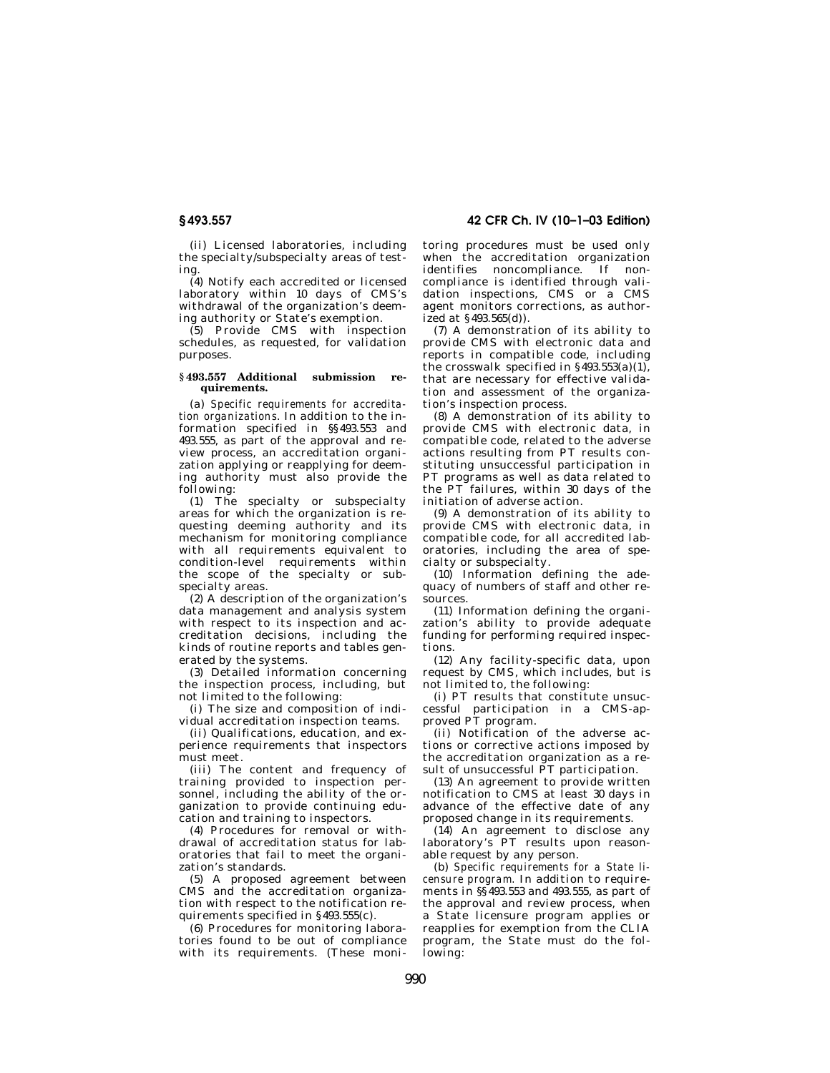(ii) Licensed laboratories, including the specialty/subspecialty areas of testing.

(4) Notify each accredited or licensed laboratory within 10 days of CMS's withdrawal of the organization's deeming authority or State's exemption.

(5) Provide CMS with inspection schedules, as requested, for validation purposes.

## **§ 493.557 Additional submission requirements.**

(a) *Specific requirements for accreditation organizations*. In addition to the information specified in §§493.553 and 493.555, as part of the approval and review process, an accreditation organization applying or reapplying for deeming authority must also provide the following:

(1) The specialty or subspecialty areas for which the organization is requesting deeming authority and its mechanism for monitoring compliance with all requirements equivalent to condition-level requirements within the scope of the specialty or subspecialty areas.

(2) A description of the organization's data management and analysis system with respect to its inspection and accreditation decisions, including the kinds of routine reports and tables generated by the systems.

(3) Detailed information concerning the inspection process, including, but not limited to the following:

(i) The size and composition of individual accreditation inspection teams.

(ii) Qualifications, education, and experience requirements that inspectors must meet.

(iii) The content and frequency of training provided to inspection personnel, including the ability of the organization to provide continuing education and training to inspectors.

(4) Procedures for removal or withdrawal of accreditation status for laboratories that fail to meet the organization's standards.

(5) A proposed agreement between CMS and the accreditation organization with respect to the notification requirements specified in §493.555(c).

(6) Procedures for monitoring laboratories found to be out of compliance with its requirements. (These moni-

**§ 493.557 42 CFR Ch. IV (10–1–03 Edition)**

toring procedures must be used only when the accreditation organization identifies noncompliance. If noncompliance is identified through validation inspections, CMS or a CMS agent monitors corrections, as authorized at §493.565(d)).

(7) A demonstration of its ability to provide CMS with electronic data and reports in compatible code, including the crosswalk specified in §493.553(a)(1), that are necessary for effective validation and assessment of the organization's inspection process.

(8) A demonstration of its ability to provide CMS with electronic data, in compatible code, related to the adverse actions resulting from PT results constituting unsuccessful participation in PT programs as well as data related to the PT failures, within 30 days of the initiation of adverse action.

(9) A demonstration of its ability to provide CMS with electronic data, in compatible code, for all accredited laboratories, including the area of specialty or subspecialty.

(10) Information defining the adequacy of numbers of staff and other resources.

(11) Information defining the organization's ability to provide adequate funding for performing required inspections.

(12) Any facility-specific data, upon request by CMS, which includes, but is not limited to, the following:

(i) PT results that constitute unsuccessful participation in a CMS-approved PT program.

(ii) Notification of the adverse actions or corrective actions imposed by the accreditation organization as a result of unsuccessful PT participation.

(13) An agreement to provide written notification to CMS at least 30 days in advance of the effective date of any proposed change in its requirements.

(14) An agreement to disclose any laboratory's PT results upon reasonable request by any person.

(b) *Specific requirements for a State licensure program.* In addition to requirements in §§493.553 and 493.555, as part of the approval and review process, when a State licensure program applies or reapplies for exemption from the CLIA program, the State must do the following: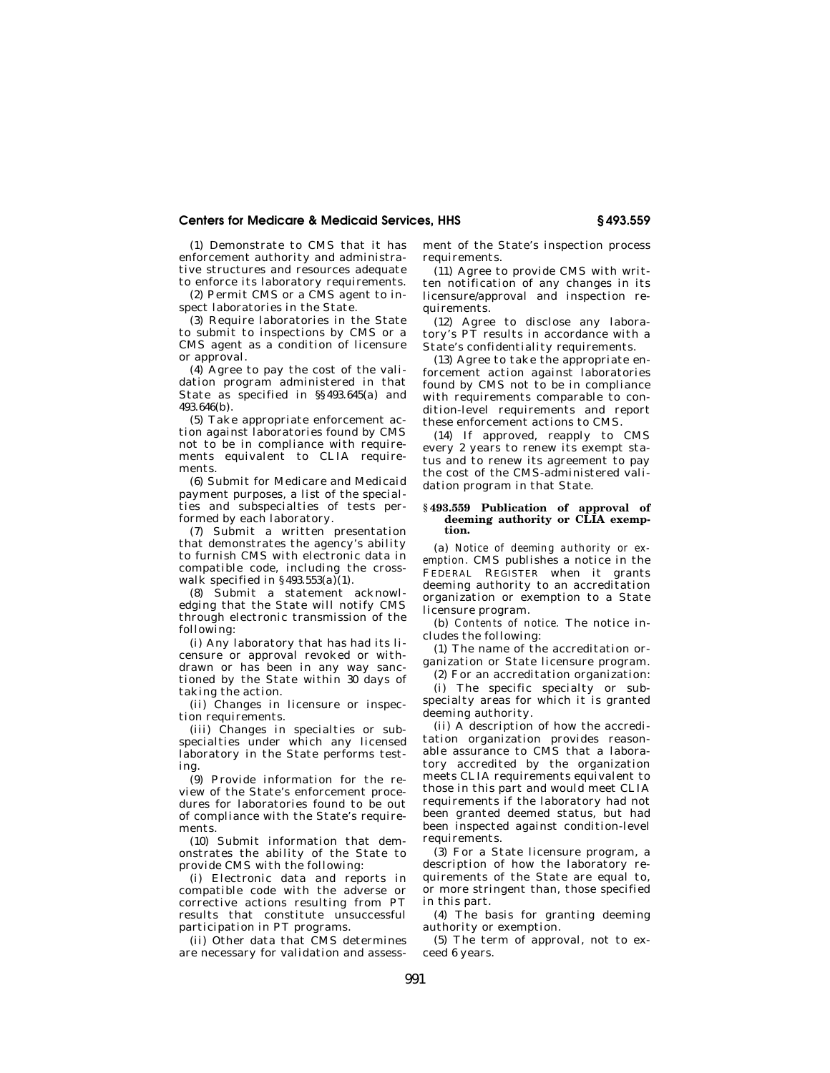(1) Demonstrate to CMS that it has enforcement authority and administrative structures and resources adequate to enforce its laboratory requirements.

(2) Permit CMS or a CMS agent to inspect laboratories in the State.

(3) Require laboratories in the State to submit to inspections by CMS or a CMS agent as a condition of licensure or approval.

(4) Agree to pay the cost of the validation program administered in that State as specified in §§493.645(a) and 493.646(b).

(5) Take appropriate enforcement action against laboratories found by CMS not to be in compliance with requirements equivalent to CLIA requirements.

(6) Submit for Medicare and Medicaid payment purposes, a list of the specialties and subspecialties of tests performed by each laboratory.

(7) Submit a written presentation that demonstrates the agency's ability to furnish CMS with electronic data in compatible code, including the crosswalk specified in §493.553(a)(1).

(8) Submit a statement acknowledging that the State will notify CMS through electronic transmission of the following:

(i) Any laboratory that has had its licensure or approval revoked or withdrawn or has been in any way sanctioned by the State within 30 days of taking the action.

(ii) Changes in licensure or inspection requirements.

(iii) Changes in specialties or subspecialties under which any licensed laboratory in the State performs testing.

(9) Provide information for the review of the State's enforcement procedures for laboratories found to be out of compliance with the State's requirements.

(10) Submit information that demonstrates the ability of the State to provide CMS with the following:

(i) Electronic data and reports in compatible code with the adverse or corrective actions resulting from PT results that constitute unsuccessful participation in PT programs.

(ii) Other data that CMS determines are necessary for validation and assessment of the State's inspection process requirements.

(11) Agree to provide CMS with written notification of any changes in its licensure/approval and inspection requirements.

(12) Agree to disclose any laboratory's PT results in accordance with a State's confidentiality requirements.

(13) Agree to take the appropriate enforcement action against laboratories found by CMS not to be in compliance with requirements comparable to condition-level requirements and report these enforcement actions to CMS.

(14) If approved, reapply to CMS every 2 years to renew its exempt status and to renew its agreement to pay the cost of the CMS-administered validation program in that State.

#### **§ 493.559 Publication of approval of deeming authority or CLIA exemption.**

(a) *Notice of deeming authority or exemption.* CMS publishes a notice in the FEDERAL REGISTER when it grants deeming authority to an accreditation organization or exemption to a State licensure program.

(b) *Contents of notice.* The notice includes the following:

(1) The name of the accreditation organization or State licensure program.

(2) For an accreditation organization:

(i) The specific specialty or subspecialty areas for which it is granted deeming authority.

(ii) A description of how the accreditation organization provides reasonable assurance to CMS that a laboratory accredited by the organization meets CLIA requirements equivalent to those in this part and would meet CLIA requirements if the laboratory had not been granted deemed status, but had been inspected against condition-level requirements.

(3) For a State licensure program, a description of how the laboratory requirements of the State are equal to, or more stringent than, those specified in this part.

(4) The basis for granting deeming authority or exemption.

(5) The term of approval, not to exceed 6 years.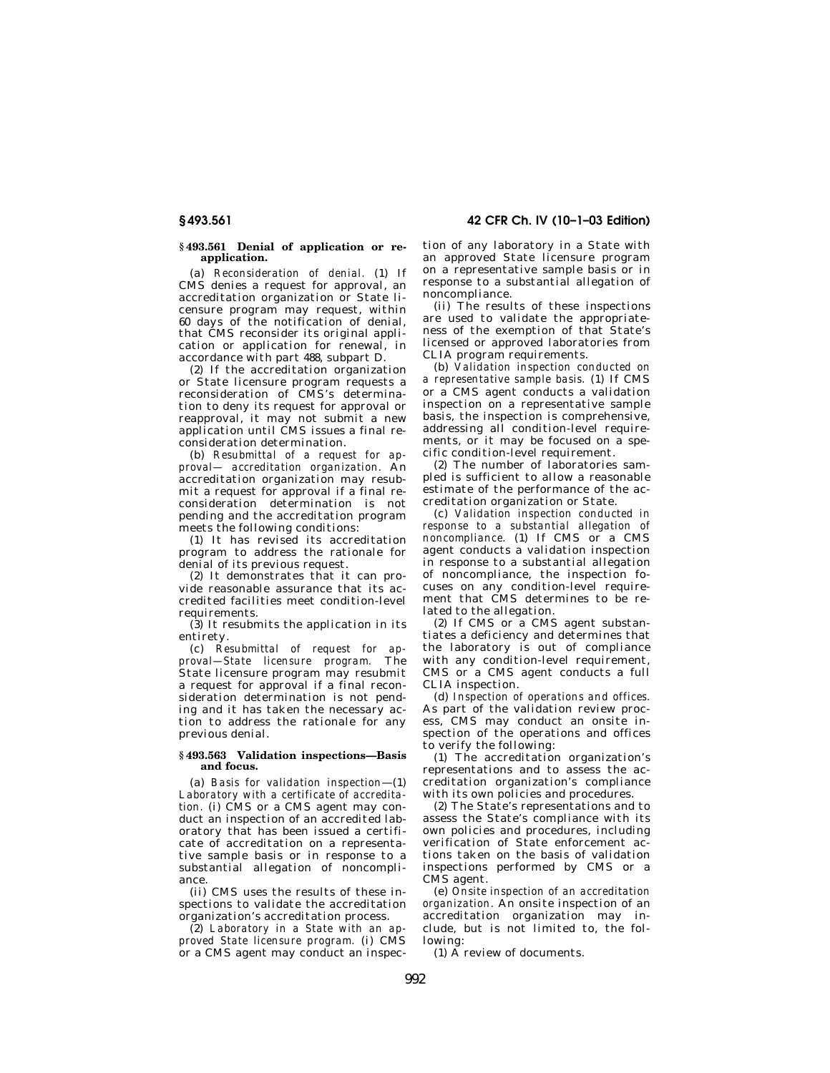# **§ 493.561 42 CFR Ch. IV (10–1–03 Edition)**

#### **§ 493.561 Denial of application or reapplication.**

(a) *Reconsideration of denial.* (1) If CMS denies a request for approval, an accreditation organization or State licensure program may request, within 60 days of the notification of denial, that CMS reconsider its original application or application for renewal, in accordance with part 488, subpart D.

(2) If the accreditation organization or State licensure program requests a reconsideration of CMS's determination to deny its request for approval or reapproval, it may not submit a new application until CMS issues a final reconsideration determination.

(b) *Resubmittal of a request for approval— accreditation organization.* An accreditation organization may resubmit a request for approval if a final reconsideration determination is not pending and the accreditation program meets the following conditions:

(1) It has revised its accreditation program to address the rationale for denial of its previous request.

(2) It demonstrates that it can provide reasonable assurance that its accredited facilities meet condition-level requirements.

(3) It resubmits the application in its entirety.

(c) *Resubmittal of request for approval—State licensure program.* The .<br>State licensure program may resubmit a request for approval if a final reconsideration determination is not pending and it has taken the necessary action to address the rationale for any previous denial.

## **§ 493.563 Validation inspections—Basis and focus.**

(a) *Basis for validation inspection*—(1) *Laboratory with a certificate of accreditation.* (i) CMS or a CMS agent may conduct an inspection of an accredited laboratory that has been issued a certificate of accreditation on a representative sample basis or in response to a substantial allegation of noncompliance.

(ii) CMS uses the results of these inspections to validate the accreditation organization's accreditation process.

(2) *Laboratory in a State with an approved State licensure program.* (i) CMS or a CMS agent may conduct an inspec-

tion of any laboratory in a State with an approved State licensure program on a representative sample basis or in response to a substantial allegation of noncompliance.

(ii) The results of these inspections are used to validate the appropriateness of the exemption of that State's licensed or approved laboratories from CLIA program requirements.

(b) *Validation inspection conducted on a representative sample basis.* (1) If CMS or a CMS agent conducts a validation inspection on a representative sample basis, the inspection is comprehensive, addressing all condition-level requirements, or it may be focused on a specific condition-level requirement.

(2) The number of laboratories sampled is sufficient to allow a reasonable estimate of the performance of the accreditation organization or State.

(c) *Validation inspection conducted in response to a substantial allegation of noncompliance.* (1) If CMS or a CMS agent conducts a validation inspection in response to a substantial allegation of noncompliance, the inspection focuses on any condition-level requirement that CMS determines to be related to the allegation.

(2) If CMS or a CMS agent substantiates a deficiency and determines that the laboratory is out of compliance with any condition-level requirement, CMS or a CMS agent conducts a full CLIA inspection.

(d) *Inspection of operations and offices.* As part of the validation review process, CMS may conduct an onsite inspection of the operations and offices to verify the following:

(1) The accreditation organization's representations and to assess the accreditation organization's compliance with its own policies and procedures.

(2) The State's representations and to assess the State's compliance with its own policies and procedures, including verification of State enforcement actions taken on the basis of validation inspections performed by CMS or a CMS agent.

(e) *Onsite inspection of an accreditation organization.* An onsite inspection of an accreditation organization may include, but is not limited to, the following:

 $(1)$  A review of documents.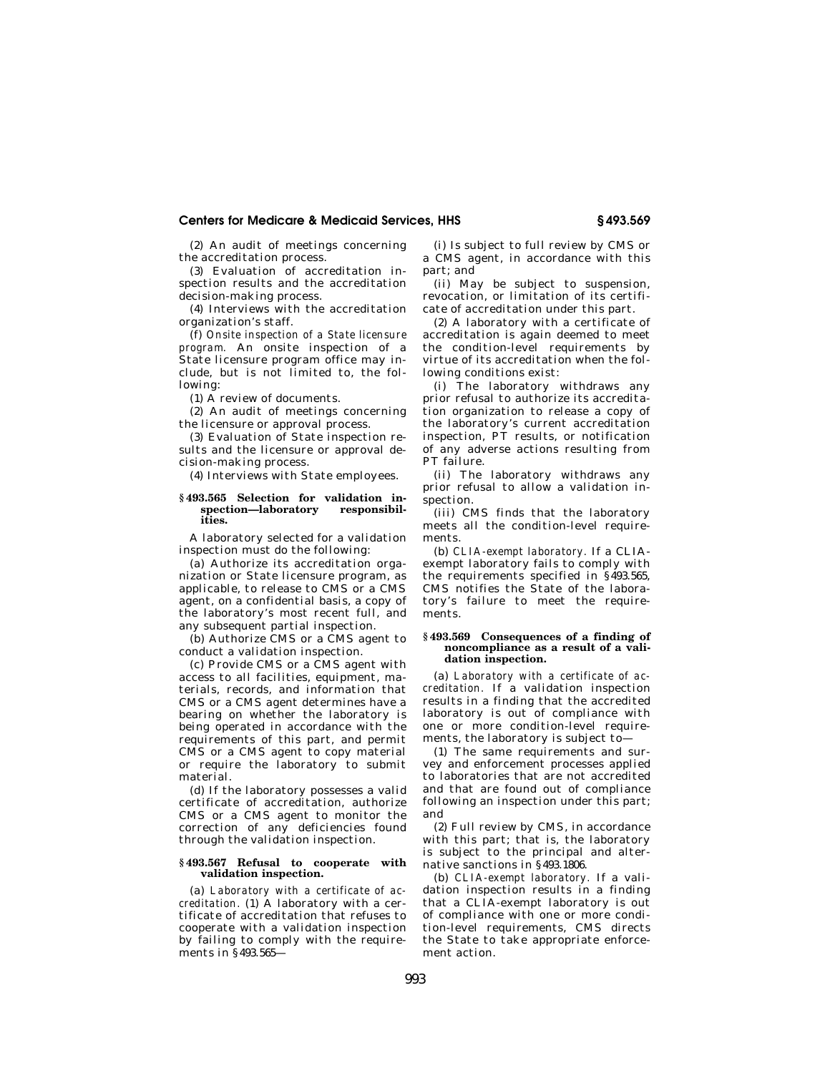(2) An audit of meetings concerning the accreditation process.

(3) Evaluation of accreditation inspection results and the accreditation decision-making process.

(4) Interviews with the accreditation organization's staff.

(f) *Onsite inspection of a State licensure program.* An onsite inspection of a State licensure program office may include, but is not limited to, the following:

(1) A review of documents.

(2) An audit of meetings concerning the licensure or approval process.

(3) Evaluation of State inspection results and the licensure or approval decision-making process.

(4) Interviews with State employees.

#### **§ 493.565 Selection for validation in**spection-laboratory **ities.**

A laboratory selected for a validation inspection must do the following:

(a) Authorize its accreditation organization or State licensure program, as applicable, to release to CMS or a CMS agent, on a confidential basis, a copy of the laboratory's most recent full, and any subsequent partial inspection.

(b) Authorize CMS or a CMS agent to conduct a validation inspection.

(c) Provide CMS or a CMS agent with access to all facilities, equipment, materials, records, and information that CMS or a CMS agent determines have a bearing on whether the laboratory is being operated in accordance with the requirements of this part, and permit CMS or a CMS agent to copy material or require the laboratory to submit material.

(d) If the laboratory possesses a valid certificate of accreditation, authorize CMS or a CMS agent to monitor the correction of any deficiencies found through the validation inspection.

## **§ 493.567 Refusal to cooperate with validation inspection.**

(a) *Laboratory with a certificate of accreditation.* (1) A laboratory with a certificate of accreditation that refuses to cooperate with a validation inspection by failing to comply with the requirements in §493.565—

(i) Is subject to full review by CMS or a CMS agent, in accordance with this part; and

(ii) May be subject to suspension, revocation, or limitation of its certificate of accreditation under this part.

(2) A laboratory with a certificate of accreditation is again deemed to meet the condition-level requirements by virtue of its accreditation when the following conditions exist:

(i) The laboratory withdraws any prior refusal to authorize its accreditation organization to release a copy of the laboratory's current accreditation inspection, PT results, or notification of any adverse actions resulting from PT failure.

(ii) The laboratory withdraws any prior refusal to allow a validation inspection.

(iii) CMS finds that the laboratory meets all the condition-level requirements.

(b) *CLIA-exempt laboratory.* If a CLIAexempt laboratory fails to comply with the requirements specified in §493.565, CMS notifies the State of the laboratory's failure to meet the requirements.

#### **§ 493.569 Consequences of a finding of noncompliance as a result of a validation inspection.**

(a) *Laboratory with a certificate of accreditation.* If a validation inspection results in a finding that the accredited laboratory is out of compliance with one or more condition-level requirements, the laboratory is subject to—

(1) The same requirements and survey and enforcement processes applied to laboratories that are not accredited and that are found out of compliance following an inspection under this part; and

(2) Full review by CMS, in accordance with this part; that is, the laboratory is subject to the principal and alternative sanctions in §493.1806.

(b) *CLIA-exempt laboratory.* If a validation inspection results in a finding that a CLIA-exempt laboratory is out of compliance with one or more condition-level requirements, CMS directs the State to take appropriate enforcement action.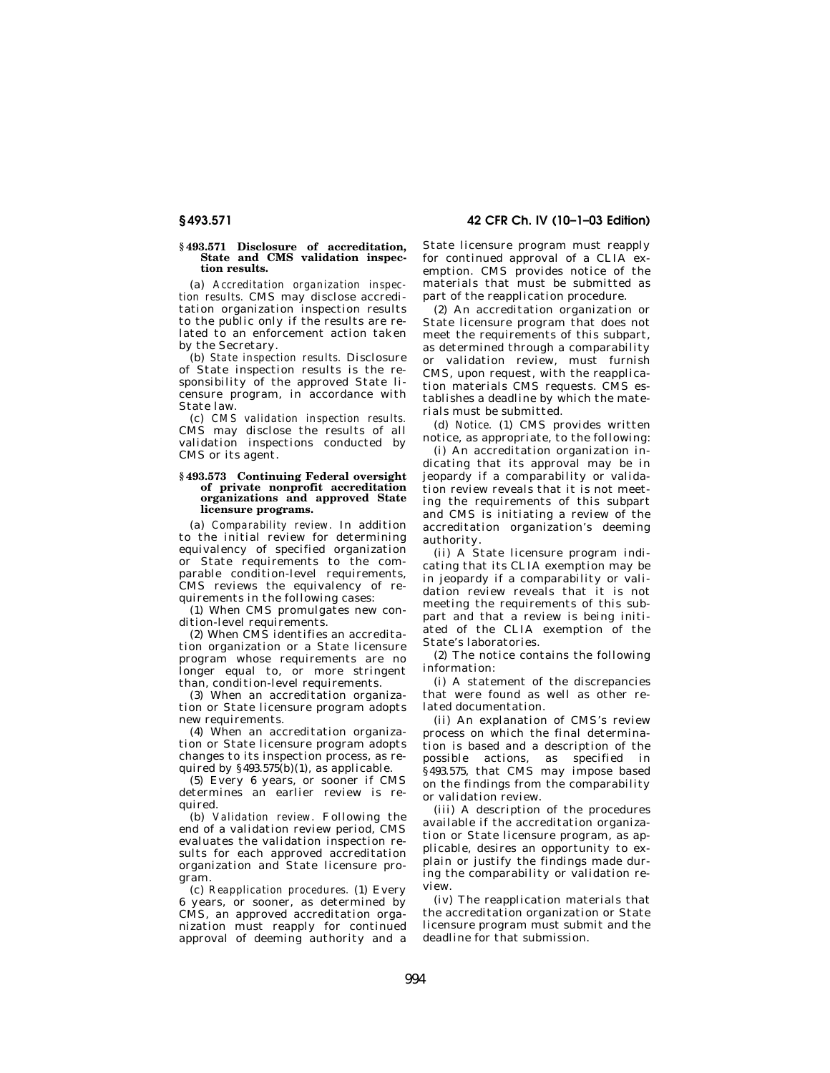#### **§ 493.571 Disclosure of accreditation, State and CMS validation inspection results.**

(a) *Accreditation organization inspection results.* CMS may disclose accreditation organization inspection results to the public only if the results are related to an enforcement action taken by the Secretary.

(b) *State inspection results.* Disclosure of State inspection results is the responsibility of the approved State licensure program, in accordance with State law.

(c) *CMS validation inspection results.* CMS may disclose the results of all validation inspections conducted by CMS or its agent.

### **§ 493.573 Continuing Federal oversight of private nonprofit accreditation organizations and approved State licensure programs.**

(a) *Comparability review.* In addition to the initial review for determining equivalency of specified organization or State requirements to the comparable condition-level requirements, CMS reviews the equivalency of requirements in the following cases:

(1) When CMS promulgates new condition-level requirements.

(2) When CMS identifies an accreditation organization or a State licensure program whose requirements are no longer equal to, or more stringent than, condition-level requirements.

(3) When an accreditation organization or State licensure program adopts new requirements.

(4) When an accreditation organization or State licensure program adopts changes to its inspection process, as required by §493.575(b)(1), as applicable.

(5) Every 6 years, or sooner if CMS determines an earlier review is required.

(b) *Validation review.* Following the end of a validation review period, CMS evaluates the validation inspection results for each approved accreditation organization and State licensure program.

(c) *Reapplication procedures.* (1) Every 6 years, or sooner, as determined by CMS, an approved accreditation organization must reapply for continued approval of deeming authority and a State licensure program must reapply for continued approval of a CLIA exemption. CMS provides notice of the materials that must be submitted as part of the reapplication procedure.

(2) An accreditation organization or State licensure program that does not meet the requirements of this subpart, as determined through a comparability or validation review, must furnish CMS, upon request, with the reapplication materials CMS requests. CMS establishes a deadline by which the materials must be submitted.

(d) *Notice.* (1) CMS provides written notice, as appropriate, to the following:

(i) An accreditation organization indicating that its approval may be in jeopardy if a comparability or validation review reveals that it is not meeting the requirements of this subpart and CMS is initiating a review of the accreditation organization's deeming authority.

(ii) A State licensure program indicating that its CLIA exemption may be in jeopardy if a comparability or validation review reveals that it is not meeting the requirements of this subpart and that a review is being initiated of the CLIA exemption of the State's laboratories.

(2) The notice contains the following information:

(i) A statement of the discrepancies that were found as well as other related documentation.

(ii) An explanation of CMS's review process on which the final determination is based and a description of the possible actions, as specified in §493.575, that CMS may impose based on the findings from the comparability or validation review.

(iii) A description of the procedures available if the accreditation organization or State licensure program, as applicable, desires an opportunity to explain or justify the findings made during the comparability or validation review.

(iv) The reapplication materials that the accreditation organization or State licensure program must submit and the deadline for that submission.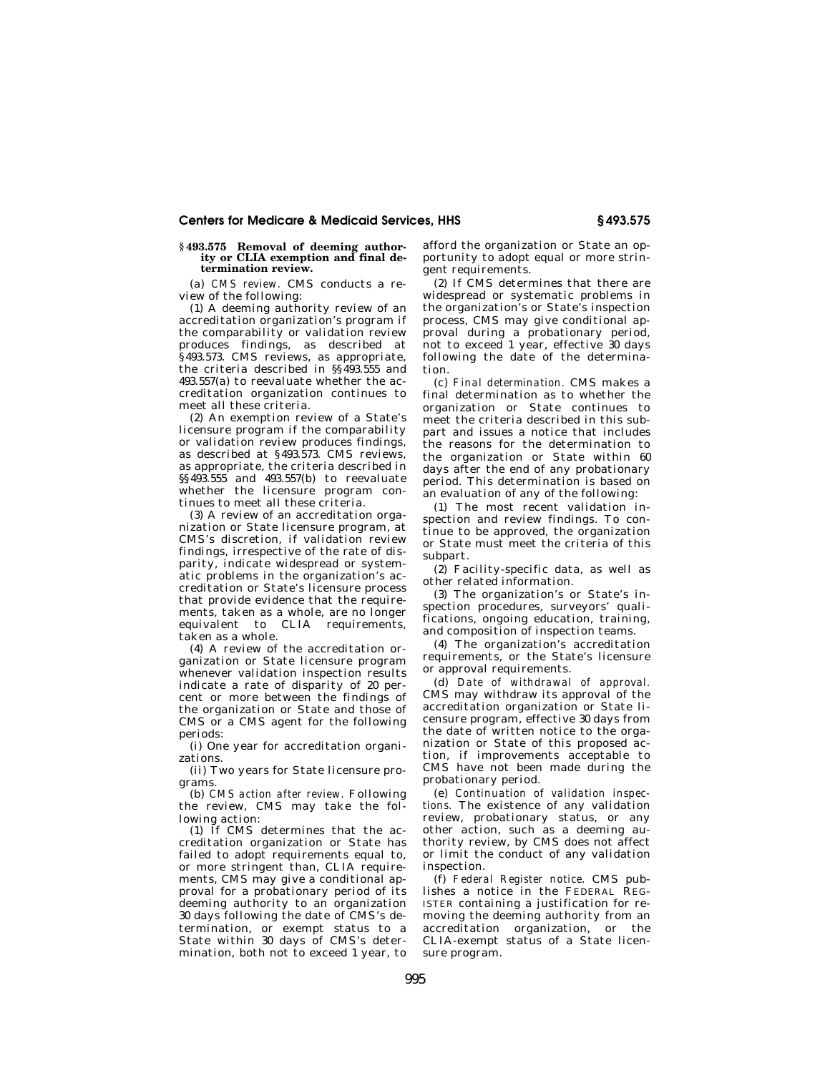#### **§ 493.575 Removal of deeming authority or CLIA exemption and final determination review.**

(a) *CMS review.* CMS conducts a review of the following:

(1) A deeming authority review of an accreditation organization's program if the comparability or validation review produces findings, as described at §493.573. CMS reviews, as appropriate, the criteria described in §§493.555 and 493.557(a) to reevaluate whether the accreditation organization continues to meet all these criteria.

(2) An exemption review of a State's licensure program if the comparability or validation review produces findings, as described at §493.573. CMS reviews, as appropriate, the criteria described in §§493.555 and 493.557(b) to reevaluate whether the licensure program continues to meet all these criteria.

(3) A review of an accreditation organization or State licensure program, at CMS's discretion, if validation review findings, irrespective of the rate of disparity, indicate widespread or systematic problems in the organization's accreditation or State's licensure process that provide evidence that the requirements, taken as a whole, are no longer equivalent to CLIA requirements, taken as a whole.

(4) A review of the accreditation organization or State licensure program whenever validation inspection results indicate a rate of disparity of 20 percent or more between the findings of the organization or State and those of CMS or a CMS agent for the following periods:

(i) One year for accreditation organizations.

(ii) Two years for State licensure programs.

(b) *CMS action after review.* Following the review, CMS may take the following action:

(1) If CMS determines that the accreditation organization or State has failed to adopt requirements equal to, or more stringent than, CLIA requirements, CMS may give a conditional approval for a probationary period of its deeming authority to an organization 30 days following the date of CMS's determination, or exempt status to a State within 30 days of CMS's determination, both not to exceed 1 year, to

afford the organization or State an opportunity to adopt equal or more stringent requirements.

(2) If CMS determines that there are widespread or systematic problems in the organization's or State's inspection process, CMS may give conditional approval during a probationary period, not to exceed 1 year, effective 30 days following the date of the determination.

(c) *Final determination.* CMS makes a final determination as to whether the organization or State continues to meet the criteria described in this subpart and issues a notice that includes the reasons for the determination to the organization or State within 60 days after the end of any probationary period. This determination is based on an evaluation of any of the following:

(1) The most recent validation inspection and review findings. To continue to be approved, the organization or State must meet the criteria of this subpart.

(2) Facility-specific data, as well as other related information.

(3) The organization's or State's inspection procedures, surveyors' qualifications, ongoing education, training, and composition of inspection teams.

(4) The organization's accreditation requirements, or the State's licensure or approval requirements.

(d) *Date of withdrawal of approval.* CMS may withdraw its approval of the accreditation organization or State licensure program, effective 30 days from the date of written notice to the organization or State of this proposed action, if improvements acceptable to CMS have not been made during the probationary period.

(e) *Continuation of validation inspections.* The existence of any validation review, probationary status, or any other action, such as a deeming authority review, by CMS does not affect or limit the conduct of any validation inspection.

(f) *Federal Register notice.* CMS publishes a notice in the FEDERAL REG-ISTER containing a justification for removing the deeming authority from an accreditation organization, or the CLIA-exempt status of a State licensure program.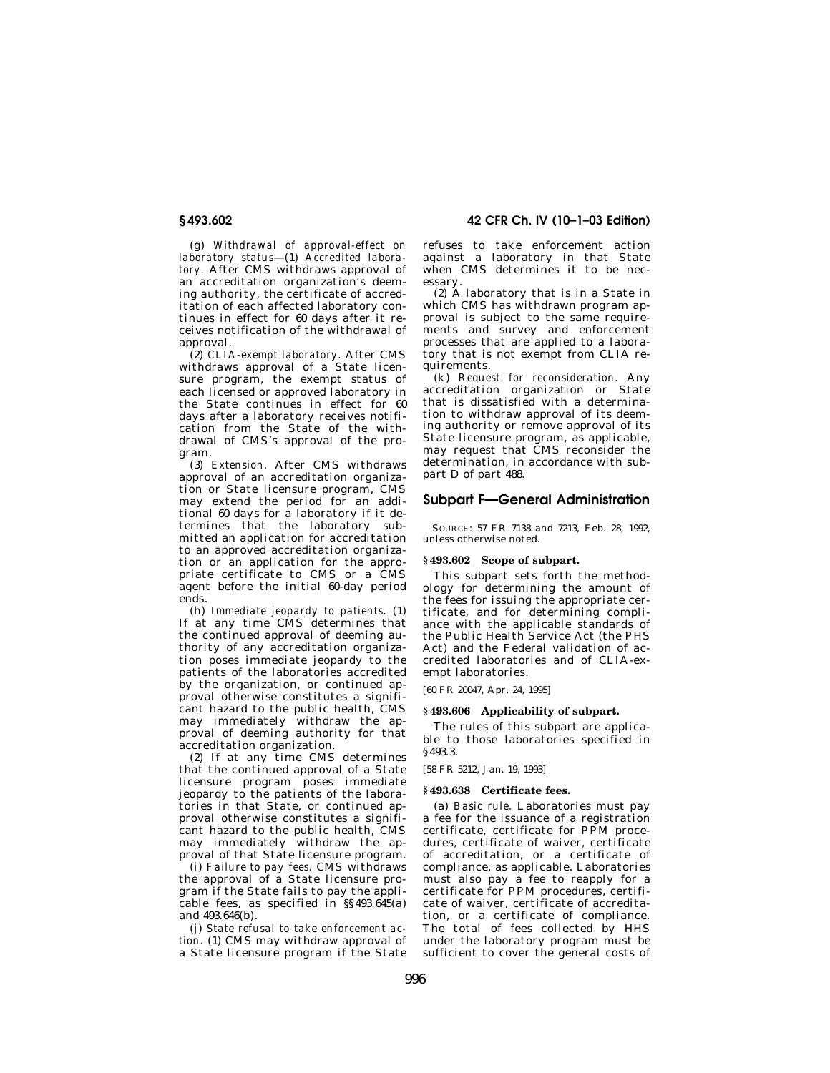(g) *Withdrawal of approval-effect on laboratory status*—(1) *Accredited laboratory.* After CMS withdraws approval of an accreditation organization's deeming authority, the certificate of accreditation of each affected laboratory continues in effect for 60 days after it receives notification of the withdrawal of approval.

(2) *CLIA-exempt laboratory.* After CMS withdraws approval of a State licensure program, the exempt status of each licensed or approved laboratory in the State continues in effect for 60 days after a laboratory receives notification from the State of the withdrawal of CMS's approval of the program.

(3) *Extension.* After CMS withdraws approval of an accreditation organization or State licensure program, CMS may extend the period for an additional 60 days for a laboratory if it determines that the laboratory submitted an application for accreditation to an approved accreditation organization or an application for the appropriate certificate to CMS or a CMS agent before the initial 60-day period ends.

(h) *Immediate jeopardy to patients.* (1) If at any time CMS determines that the continued approval of deeming authority of any accreditation organization poses immediate jeopardy to the patients of the laboratories accredited by the organization, or continued approval otherwise constitutes a significant hazard to the public health, CMS may immediately withdraw the approval of deeming authority for that accreditation organization.

(2) If at any time CMS determines that the continued approval of a State licensure program poses immediate jeopardy to the patients of the laboratories in that State, or continued approval otherwise constitutes a significant hazard to the public health, CMS may immediately withdraw the approval of that State licensure program.

(i) *Failure to pay fees.* CMS withdraws the approval of a State licensure program if the State fails to pay the applicable fees, as specified in §§493.645(a) and 493.646(b).

(j) *State refusal to take enforcement action.* (1) CMS may withdraw approval of a State licensure program if the State

# **§ 493.602 42 CFR Ch. IV (10–1–03 Edition)**

refuses to take enforcement action against a laboratory in that State when CMS determines it to be necessary.

(2) A laboratory that is in a State in which CMS has withdrawn program approval is subject to the same requirements and survey and enforcement processes that are applied to a laboratory that is not exempt from CLIA requirements.

(k) *Request for reconsideration.* Any accreditation organization or State that is dissatisfied with a determination to withdraw approval of its deeming authority or remove approval of its State licensure program, as applicable, may request that CMS reconsider the determination, in accordance with subpart D of part 488.

# **Subpart F—General Administration**

SOURCE: 57 FR 7138 and 7213, Feb. 28, 1992, unless otherwise noted.

### **§ 493.602 Scope of subpart.**

This subpart sets forth the methodology for determining the amount of the fees for issuing the appropriate certificate, and for determining compliance with the applicable standards of the Public Health Service Act (the PHS Act) and the Federal validation of accredited laboratories and of CLIA-exempt laboratories.

[60 FR 20047, Apr. 24, 1995]

#### **§ 493.606 Applicability of subpart.**

The rules of this subpart are applicable to those laboratories specified in §493.3.

[58 FR 5212, Jan. 19, 1993]

## **§ 493.638 Certificate fees.**

(a) *Basic rule.* Laboratories must pay a fee for the issuance of a registration certificate, certificate for PPM procedures, certificate of waiver, certificate of accreditation, or a certificate of compliance, as applicable. Laboratories must also pay a fee to reapply for a certificate for PPM procedures, certificate of waiver, certificate of accreditation, or a certificate of compliance. The total of fees collected by HHS under the laboratory program must be sufficient to cover the general costs of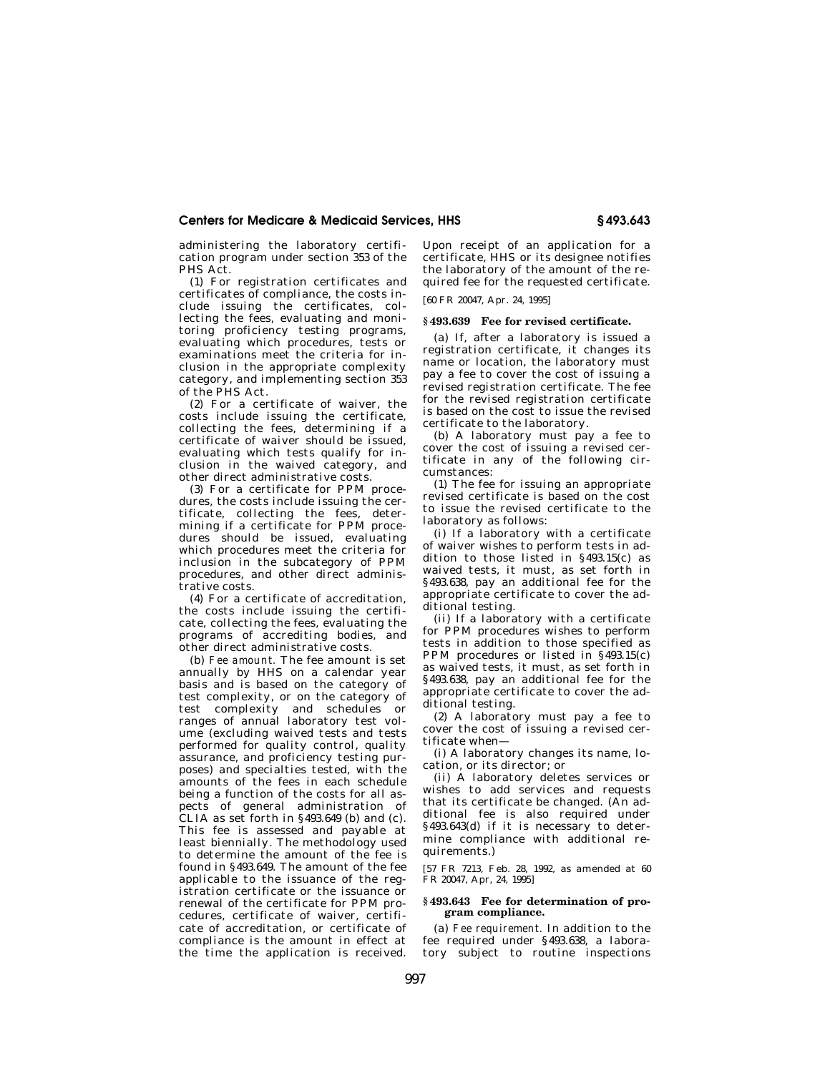administering the laboratory certification program under section 353 of the PHS Act.

(1) For registration certificates and certificates of compliance, the costs include issuing the certificates, collecting the fees, evaluating and monitoring proficiency testing programs, evaluating which procedures, tests or examinations meet the criteria for inclusion in the appropriate complexity category, and implementing section 353 of the PHS Act.

(2) For a certificate of waiver, the costs include issuing the certificate, collecting the fees, determining if a certificate of waiver should be issued, evaluating which tests qualify for inclusion in the waived category, and other direct administrative costs.

(3) For a certificate for PPM procedures, the costs include issuing the certificate, collecting the fees, determining if a certificate for PPM procedures should be issued, evaluating which procedures meet the criteria for inclusion in the subcategory of PPM procedures, and other direct adminis-.<br>trative costs .

(4) For a certificate of accreditation, the costs include issuing the certificate, collecting the fees, evaluating the programs of accrediting bodies, and other direct administrative costs.

(b) *Fee amount.* The fee amount is set annually by HHS on a calendar year basis and is based on the category of test complexity, or on the category of test complexity and schedules or ranges of annual laboratory test volume (excluding waived tests and tests performed for quality control, quality assurance, and proficiency testing purposes) and specialties tested, with the amounts of the fees in each schedule being a function of the costs for all aspects of general administration of CLIA as set forth in  $§493.649$  (b) and (c). This fee is assessed and payable at least biennially. The methodology used to determine the amount of the fee is found in §493.649. The amount of the fee applicable to the issuance of the registration certificate or the issuance or renewal of the certificate for PPM procedures, certificate of waiver, certificate of accreditation, or certificate of compliance is the amount in effect at the time the application is received.

Upon receipt of an application for a certificate, HHS or its designee notifies the laboratory of the amount of the required fee for the requested certificate.

[60 FR 20047, Apr. 24, 1995]

## **§ 493.639 Fee for revised certificate.**

(a) If, after a laboratory is issued a registration certificate, it changes its name or location, the laboratory must pay a fee to cover the cost of issuing a revised registration certificate. The fee for the revised registration certificate is based on the cost to issue the revised certificate to the laboratory.

(b) A laboratory must pay a fee to cover the cost of issuing a revised certificate in any of the following circumstances:

(1) The fee for issuing an appropriate revised certificate is based on the cost to issue the revised certificate to the laboratory as follows:

(i) If a laboratory with a certificate of waiver wishes to perform tests in addition to those listed in §493.15(c) as waived tests, it must, as set forth in §493.638, pay an additional fee for the appropriate certificate to cover the additional testing.

(ii) If a laboratory with a certificate for PPM procedures wishes to perform tests in addition to those specified as PPM procedures or listed in §493.15(c) as waived tests, it must, as set forth in §493.638, pay an additional fee for the appropriate certificate to cover the additional testing.

(2) A laboratory must pay a fee to cover the cost of issuing a revised certificate when—

(i) A laboratory changes its name, location, or its director; or

(ii) A laboratory deletes services or wishes to add services and requests that its certificate be changed.  $(\text{An} \text{ ad} - \text{An} \text{ ad} - \text{An} \text{ ad} - \text{An} \text{ ad} - \text{An} \text{ ad} - \text{An} \text{ ad} - \text{An} \text{ ad} - \text{An} \text{ ad} - \text{An} \text{ ad} - \text{An} \text{ ad} - \text{An} \text{ ad} - \text{An} \text{ ad} - \text{An} \text{ ad} - \text{An} \text{ ad} - \text{An} \text{ ad} - \text{An} \text{ ad} - \text{An} \text{ ad}$ ditional fee is also required under §493.643(d) if it is necessary to determine compliance with additional requirements.)

[57 FR 7213, Feb. 28, 1992, as amended at 60 FR 20047, Apr, 24, 1995]

#### **§ 493.643 Fee for determination of program compliance.**

(a) *Fee requirement.* In addition to the fee required under §493.638, a laboratory subject to routine inspections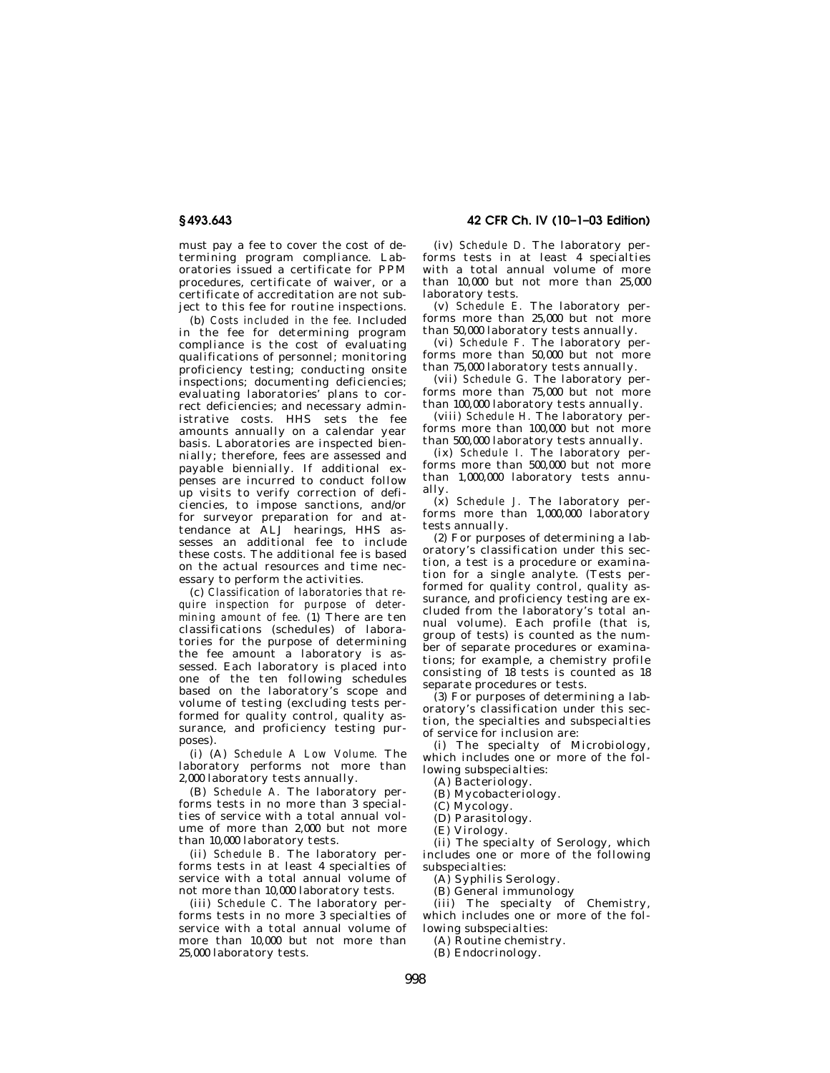must pay a fee to cover the cost of determining program compliance. Laboratories issued a certificate for PPM procedures, certificate of waiver, or a certificate of accreditation are not subject to this fee for routine inspections.

(b) *Costs included in the fee.* Included in the fee for determining program compliance is the cost of evaluating qualifications of personnel; monitoring proficiency testing; conducting onsite inspections; documenting deficiencies; evaluating laboratories' plans to correct deficiencies; and necessary administrative costs. HHS sets the fee amounts annually on a calendar year basis. Laboratories are inspected biennially; therefore, fees are assessed and payable biennially. If additional expenses are incurred to conduct follow up visits to verify correction of deficiencies, to impose sanctions, and/or for surveyor preparation for and attendance at ALJ hearings, HHS assesses an additional fee to include these costs. The additional fee is based on the actual resources and time necessary to perform the activities.

(c) *Classification of laboratories that require inspection for purpose of determining amount of fee.* (1) There are ten classifications (schedules) of laboratories for the purpose of determining the fee amount a laboratory is assessed. Each laboratory is placed into one of the ten following schedules based on the laboratory's scope and volume of testing (excluding tests performed for quality control, quality assurance, and proficiency testing purposes).

(i) (A) *Schedule A Low Volume.* The laboratory performs not more than 2,000 laboratory tests annually.

(B) *Schedule A.* The laboratory performs tests in no more than 3 specialties of service with a total annual volume of more than 2,000 but not more than 10,000 laboratory tests.

(ii) *Schedule B.* The laboratory performs tests in at least 4 specialties of service with a total annual volume of not more than 10,000 laboratory tests.

(iii) *Schedule C.* The laboratory performs tests in no more 3 specialties of service with a total annual volume of more than 10,000 but not more than 25,000 laboratory tests.

**§ 493.643 42 CFR Ch. IV (10–1–03 Edition)**

(iv) *Schedule D.* The laboratory performs tests in at least 4 specialties with a total annual volume of more than 10,000 but not more than 25,000 laboratory tests.

(v) *Schedule E.* The laboratory performs more than 25,000 but not more than 50,000 laboratory tests annually.

(vi) *Schedule F.* The laboratory performs more than 50,000 but not more than 75,000 laboratory tests annually.

(vii) *Schedule G.* The laboratory performs more than 75,000 but not more than 100,000 laboratory tests annually.

(viii) *Schedule H.* The laboratory performs more than 100,000 but not more than 500,000 laboratory tests annually.

(ix) *Schedule I.* The laboratory performs more than 500,000 but not more than 1,000,000 laboratory tests annually.

(x) *Schedule J.* The laboratory performs more than 1,000,000 laboratory tests annually.

(2) For purposes of determining a laboratory's classification under this section, a test is a procedure or examination for a single analyte. (Tests performed for quality control, quality assurance, and proficiency testing are excluded from the laboratory's total annual volume). Each profile (that is, group of tests) is counted as the number of separate procedures or examinations; for example, a chemistry profile consisting of 18 tests is counted as 18 separate procedures or tests.

(3) For purposes of determining a laboratory's classification under this section, the specialties and subspecialties of service for inclusion are:

(i) The specialty of Microbiology, which includes one or more of the following subspecialties:

(A) Bacteriology.

(B) Mycobacteriology.

(C) Mycology.

(D) Parasitology.

(E) Virology.

(ii) The specialty of Serology, which includes one or more of the following subspecialties:

(A) Syphilis Serology.

(B) General immunology

(iii) The specialty of Chemistry, which includes one or more of the following subspecialties:

(A) Routine chemistry.

(B) Endocrinology.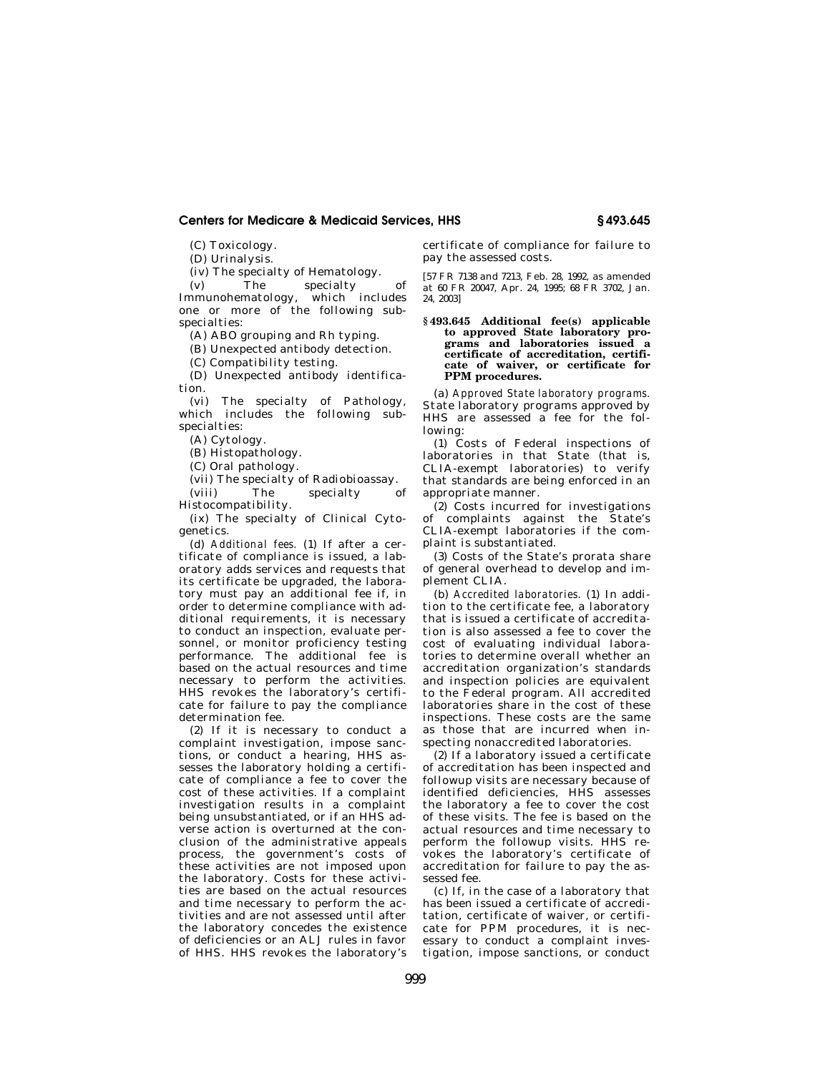(C) Toxicology.

(D) Urinalysis.

(iv) The specialty of Hematology.

(v) The specialty of Immunohematology, which includes one or more of the following subspecialties:

(A) ABO grouping and Rh typing.

(B) Unexpected antibody detection.

(C) Compatibility testing.

(D) Unexpected antibody identification.

(vi) The specialty of Pathology, which includes the following subspecialties:

(A) Cytology.

(B) Histopathology.

(C) Oral pathology.

(vii) The specialty of Radiobioassay.

(viii) The specialty of Histocompatibility.

(ix) The specialty of Clinical Cytogenetics.

(d) *Additional fees.* (1) If after a certificate of compliance is issued, a laboratory adds services and requests that its certificate be upgraded, the laboratory must pay an additional fee if, in order to determine compliance with additional requirements, it is necessary to conduct an inspection, evaluate personnel, or monitor proficiency testing performance. The additional fee is based on the actual resources and time necessary to perform the activities. HHS revokes the laboratory's certificate for failure to pay the compliance determination fee.

(2) If it is necessary to conduct a complaint investigation, impose sanctions, or conduct a hearing, HHS assesses the laboratory holding a certificate of compliance a fee to cover the cost of these activities. If a complaint investigation results in a complaint being unsubstantiated, or if an HHS adverse action is overturned at the conclusion of the administrative appeals process, the government's costs of these activities are not imposed upon the laboratory. Costs for these activities are based on the actual resources and time necessary to perform the activities and are not assessed until after the laboratory concedes the existence of deficiencies or an ALJ rules in favor of HHS. HHS revokes the laboratory's

certificate of compliance for failure to pay the assessed costs.

[57 FR 7138 and 7213, Feb. 28, 1992, as amended at 60 FR 20047, Apr. 24, 1995; 68 FR 3702, Jan. 24, 2003]

#### **§ 493.645 Additional fee(s) applicable to approved State laboratory programs and laboratories issued a certificate of accreditation, certificate of waiver, or certificate for PPM procedures.**

(a) *Approved State laboratory programs.* State laboratory programs approved by HHS are assessed a fee for the following:

(1) Costs of Federal inspections of laboratories in that State (that is, CLIA-exempt laboratories) to verify that standards are being enforced in an appropriate manner.

(2) Costs incurred for investigations of complaints against the State's CLIA-exempt laboratories if the complaint is substantiated.

(3) Costs of the State's prorata share of general overhead to develop and implement CLIA.

(b) *Accredited laboratories.* (1) In addition to the certificate fee, a laboratory that is issued a certificate of accreditation is also assessed a fee to cover the cost of evaluating individual laboratories to determine overall whether an accreditation organization's standards and inspection policies are equivalent to the Federal program. All accredited laboratories share in the cost of these inspections. These costs are the same as those that are incurred when inspecting nonaccredited laboratories.

(2) If a laboratory issued a certificate of accreditation has been inspected and followup visits are necessary because of identified deficiencies, HHS assesses the laboratory a fee to cover the cost of these visits. The fee is based on the actual resources and time necessary to perform the followup visits. HHS revokes the laboratory's certificate of accreditation for failure to pay the assessed fee.

 $(c)$  If, in the case of a laboratory that has been issued a certificate of accreditation, certificate of waiver, or certificate for PPM procedures, it is necessary to conduct a complaint investigation, impose sanctions, or conduct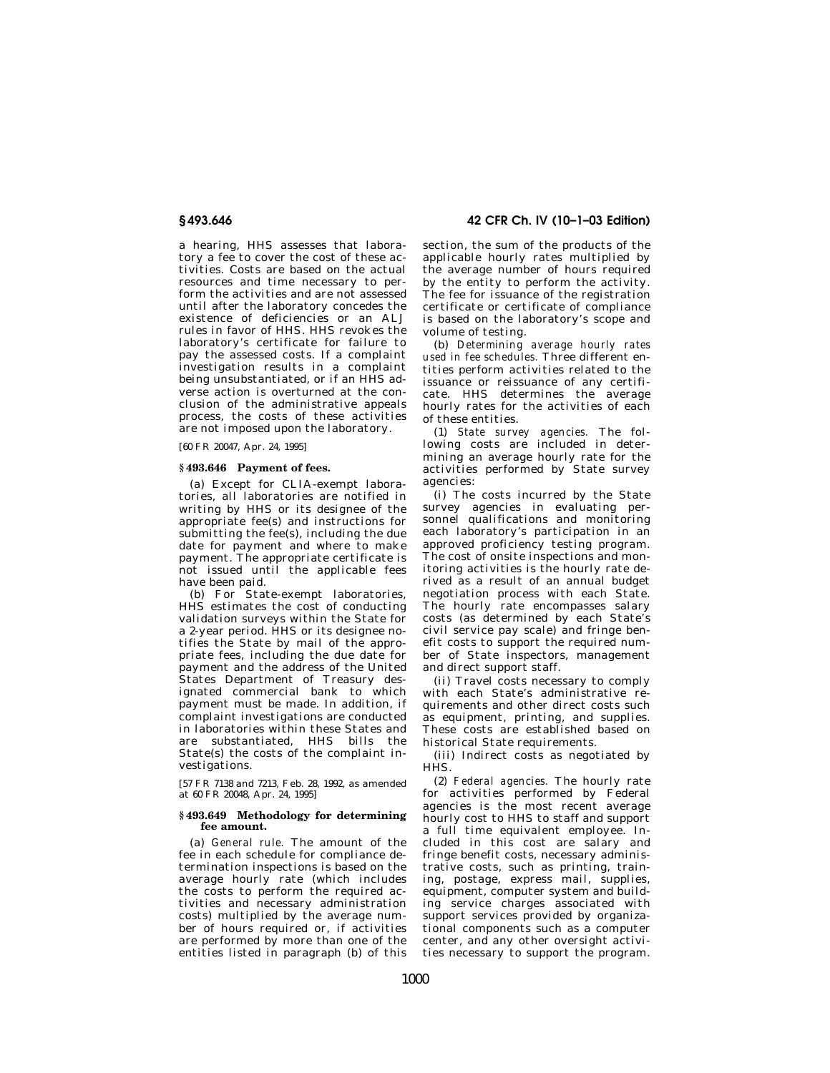a hearing, HHS assesses that laboratory a fee to cover the cost of these activities. Costs are based on the actual resources and time necessary to perform the activities and are not assessed until after the laboratory concedes the existence of deficiencies or an ALJ rules in favor of HHS. HHS revokes the laboratory's certificate for failure to pay the assessed costs. If a complaint investigation results in a complaint being unsubstantiated, or if an HHS adverse action is overturned at the conclusion of the administrative appeals process, the costs of these activities are not imposed upon the laboratory.

[60 FR 20047, Apr. 24, 1995]

### **§ 493.646 Payment of fees.**

(a) Except for CLIA-exempt laboratories, all laboratories are notified in writing by HHS or its designee of the appropriate fee(s) and instructions for submitting the fee(s), including the due date for payment and where to make payment. The appropriate certificate is not issued until the applicable fees have been paid.

(b) For State-exempt laboratories, HHS estimates the cost of conducting validation surveys within the State for a 2-year period. HHS or its designee notifies the State by mail of the appropriate fees, including the due date for payment and the address of the United States Department of Treasury designated commercial bank to which payment must be made. In addition, if complaint investigations are conducted in laboratories within these States and are substantiated, HHS bills the State(s) the costs of the complaint investigations.

[57 FR 7138 and 7213, Feb. 28, 1992, as amended at 60 FR 20048, Apr. 24, 1995]

### **§ 493.649 Methodology for determining fee amount.**

(a) *General rule.* The amount of the fee in each schedule for compliance determination inspections is based on the average hourly rate (which includes the costs to perform the required activities and necessary administration costs) multiplied by the average number of hours required or, if activities are performed by more than one of the entities listed in paragraph (b) of this

# **§ 493.646 42 CFR Ch. IV (10–1–03 Edition)**

section, the sum of the products of the applicable hourly rates multiplied by the average number of hours required by the entity to perform the activity. The fee for issuance of the registration certificate or certificate of compliance is based on the laboratory's scope and volume of testing.

(b) *Determining average hourly rates used in fee schedules.* Three different entities perform activities related to the issuance or reissuance of any certificate. HHS determines the average hourly rates for the activities of each of these entities.

(1) *State survey agencies.* The following costs are included in determining an average hourly rate for the activities performed by State survey agencies:

(i) The costs incurred by the State survey agencies in evaluating personnel qualifications and monitoring each laboratory's participation in an approved proficiency testing program. The cost of onsite inspections and monitoring activities is the hourly rate derived as a result of an annual budget negotiation process with each State. The hourly rate encompasses salary costs (as determined by each State's civil service pay scale) and fringe benefit costs to support the required number of State inspectors, management and direct support staff.

(ii) Travel costs necessary to comply with each State's administrative requirements and other direct costs such as equipment, printing, and supplies. These costs are established based on historical State requirements.

(iii) Indirect costs as negotiated by HHS.

(2) *Federal agencies.* The hourly rate for activities performed by Federal agencies is the most recent average hourly cost to HHS to staff and support a full time equivalent employee. Included in this cost are salary and fringe benefit costs, necessary administrative costs, such as printing, training, postage, express mail, supplies, equipment, computer system and building service charges associated with support services provided by organizational components such as a computer center, and any other oversight activities necessary to support the program.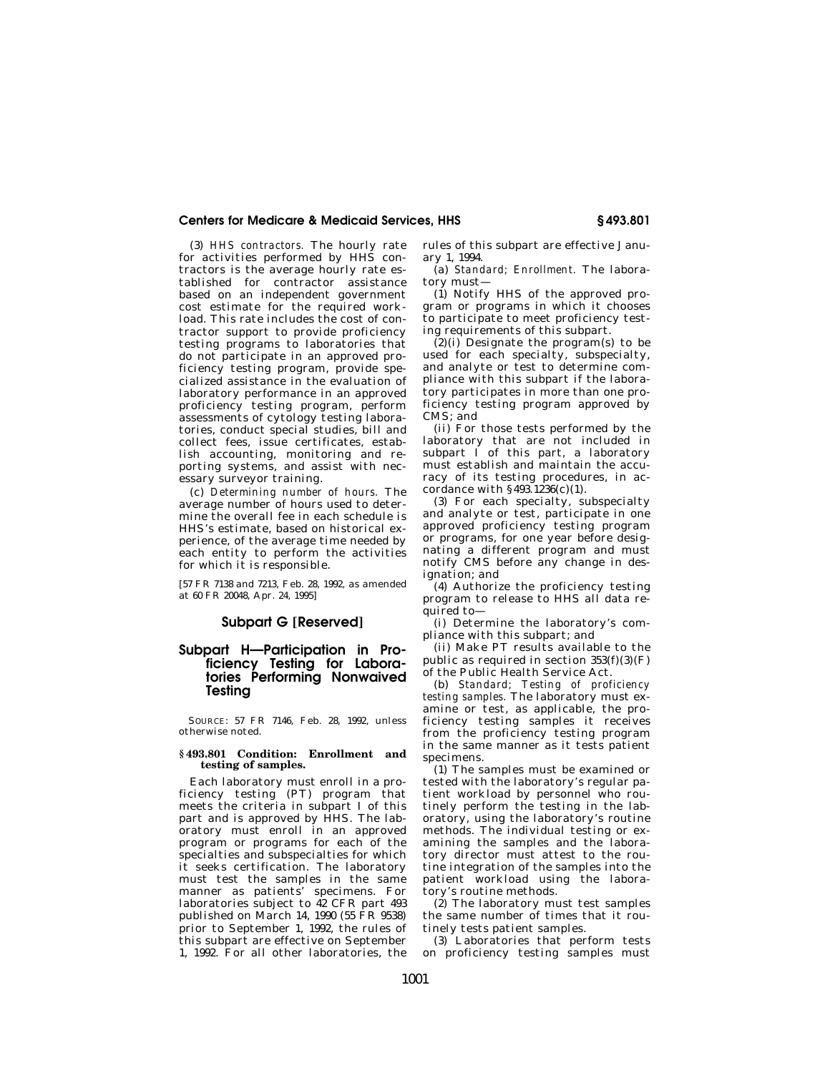(3) *HHS contractors.* The hourly rate for activities performed by HHS contractors is the average hourly rate established for contractor assistance based on an independent government cost estimate for the required workload. This rate includes the cost of contractor support to provide proficiency testing programs to laboratories that do not participate in an approved proficiency testing program, provide specialized assistance in the evaluation of laboratory performance in an approved proficiency testing program, perform assessments of cytology testing laboratories, conduct special studies, bill and collect fees, issue certificates, establish accounting, monitoring and reporting systems, and assist with necessary surveyor training.

(c) *Determining number of hours.* The average number of hours used to determine the overall fee in each schedule is HHS's estimate, based on historical experience, of the average time needed by each entity to perform the activities for which it is responsible.

[57 FR 7138 and 7213, Feb. 28, 1992, as amended at 60 FR 20048, Apr. 24, 1995]

# **Subpart G [Reserved]**

# **Subpart H—Participation in Proficiency Testing for Laboratories Performing Nonwaived Testing**

SOURCE: 57 FR 7146, Feb. 28, 1992, unless otherwise noted.

#### **§ 493.801 Condition: Enrollment and testing of samples.**

Each laboratory must enroll in a proficiency testing (PT) program that meets the criteria in subpart I of this part and is approved by HHS. The laboratory must enroll in an approved program or programs for each of the specialties and subspecialties for which it seeks certification. The laboratory must test the samples in the same manner as patients' specimens. For laboratories subject to 42 CFR part 493 published on March 14, 1990 (55 FR 9538) prior to September 1, 1992, the rules of this subpart are effective on September 1, 1992. For all other laboratories, the rules of this subpart are effective January 1, 1994.

(a) *Standard; Enrollment.* The laboratory must—

(1) Notify HHS of the approved program or programs in which it chooses to participate to meet proficiency testing requirements of this subpart.

 $(2)(i)$  Designate the program(s) to be used for each specialty, subspecialty, and analyte or test to determine compliance with this subpart if the laboratory participates in more than one proficiency testing program approved by CMS; and

(ii) For those tests performed by the laboratory that are not included in subpart  $\tilde{I}$  of this part, a laboratory must establish and maintain the accuracy of its testing procedures, in accordance with  $\S 493.1236(c)(1)$ .

(3) For each specialty, subspecialty and analyte or test, participate in one approved proficiency testing program or programs, for one year before designating a different program and must notify CMS before any change in designation; and

(4) Authorize the proficiency testing program to release to HHS all data required to—

(i) Determine the laboratory's compliance with this subpart; and

(ii) Make PT results available to the public as required in section  $353(f)(3)(F)$ of the Public Health Service Act.

(b) *Standard; Testing of proficiency testing samples.* The laboratory must examine or test, as applicable, the proficiency testing samples it receives from the proficiency testing program in the same manner as it tests patient specimens.

(1) The samples must be examined or tested with the laboratory's regular patient workload by personnel who routinely perform the testing in the laboratory, using the laboratory's routine methods. The individual testing or examining the samples and the laboratory director must attest to the routine integration of the samples into the patient workload using the laboratory's routine methods.

(2) The laboratory must test samples the same number of times that it routinely tests patient samples.

(3) Laboratories that perform tests on proficiency testing samples must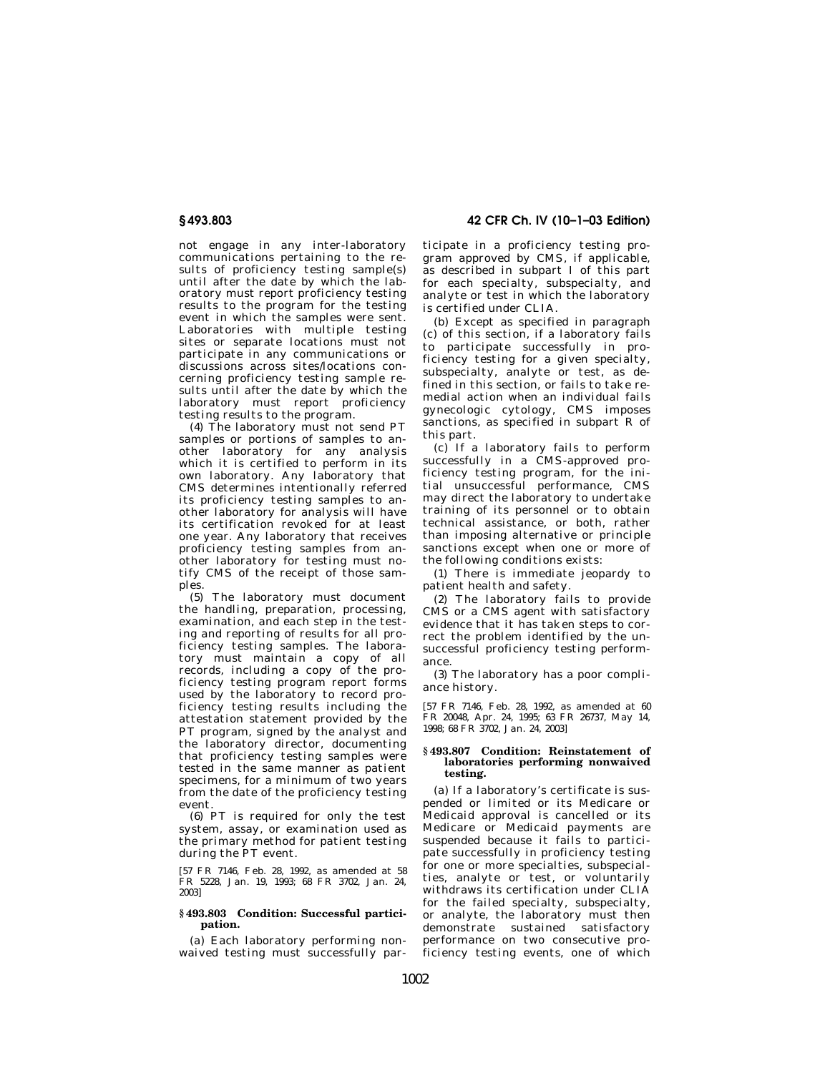not engage in any inter-laboratory communications pertaining to the results of proficiency testing sample(s) until after the date by which the laboratory must report proficiency testing results to the program for the testing event in which the samples were sent. Laboratories with multiple testing sites or separate locations must not participate in any communications or discussions across sites/locations concerning proficiency testing sample results until after the date by which the laboratory must report proficiency testing results to the program.

(4) The laboratory must not send PT samples or portions of samples to another laboratory for any analysis which it is certified to perform in its own laboratory. Any laboratory that CMS determines intentionally referred its proficiency testing samples to another laboratory for analysis will have its certification revoked for at least one year. Any laboratory that receives proficiency testing samples from another laboratory for testing must notify CMS of the receipt of those samples.

(5) The laboratory must document the handling, preparation, processing, examination, and each step in the testing and reporting of results for all proficiency testing samples. The laboratory must maintain a copy of all records, including a copy of the proficiency testing program report forms used by the laboratory to record proficiency testing results including the attestation statement provided by the PT program, signed by the analyst and the laboratory director, documenting that proficiency testing samples were tested in the same manner as patient specimens, for a minimum of two years from the date of the proficiency testing event.

(6) PT is required for only the test system, assay, or examination used as the primary method for patient testing during the PT event.

[57 FR 7146, Feb. 28, 1992, as amended at 58 FR 5228, Jan. 19, 1993; 68 FR 3702, Jan. 24, 2003]

## **§ 493.803 Condition: Successful participation.**

(a) Each laboratory performing nonwaived testing must successfully par-

**§ 493.803 42 CFR Ch. IV (10–1–03 Edition)**

ticipate in a proficiency testing program approved by CMS, if applicable, as described in subpart I of this part for each specialty, subspecialty, and analyte or test in which the laboratory is certified under CLIA.

(b) Except as specified in paragraph (c) of this section, if a laboratory fails to participate successfully in proficiency testing for a given specialty, subspecialty, analyte or test, as defined in this section, or fails to take remedial action when an individual fails gynecologic cytology, CMS imposes sanctions, as specified in subpart R of this part.

(c) If a laboratory fails to perform successfully in a CMS-approved proficiency testing program, for the initial unsuccessful performance, CMS may direct the laboratory to undertake training of its personnel or to obtain technical assistance, or both, rather than imposing alternative or principle sanctions except when one or more of the following conditions exists:

(1) There is immediate jeopardy to patient health and safety.

(2) The laboratory fails to provide CMS or a CMS agent with satisfactory evidence that it has taken steps to correct the problem identified by the unsuccessful proficiency testing performance.

(3) The laboratory has a poor compliance history.

[57 FR 7146, Feb. 28, 1992, as amended at 60 FR 20048, Apr. 24, 1995; 63 FR 26737, May 14, 1998; 68 FR 3702, Jan. 24, 2003]

## **§ 493.807 Condition: Reinstatement of laboratories performing nonwaived testing.**

(a) If a laboratory's certificate is suspended or limited or its Medicare or Medicaid approval is cancelled or its Medicare or Medicaid payments are suspended because it fails to participate successfully in proficiency testing for one or more specialties, subspecialties, analyte or test, or voluntarily withdraws its certification under CLIA for the failed specialty, subspecialty, or analyte, the laboratory must then demonstrate sustained satisfactory performance on two consecutive proficiency testing events, one of which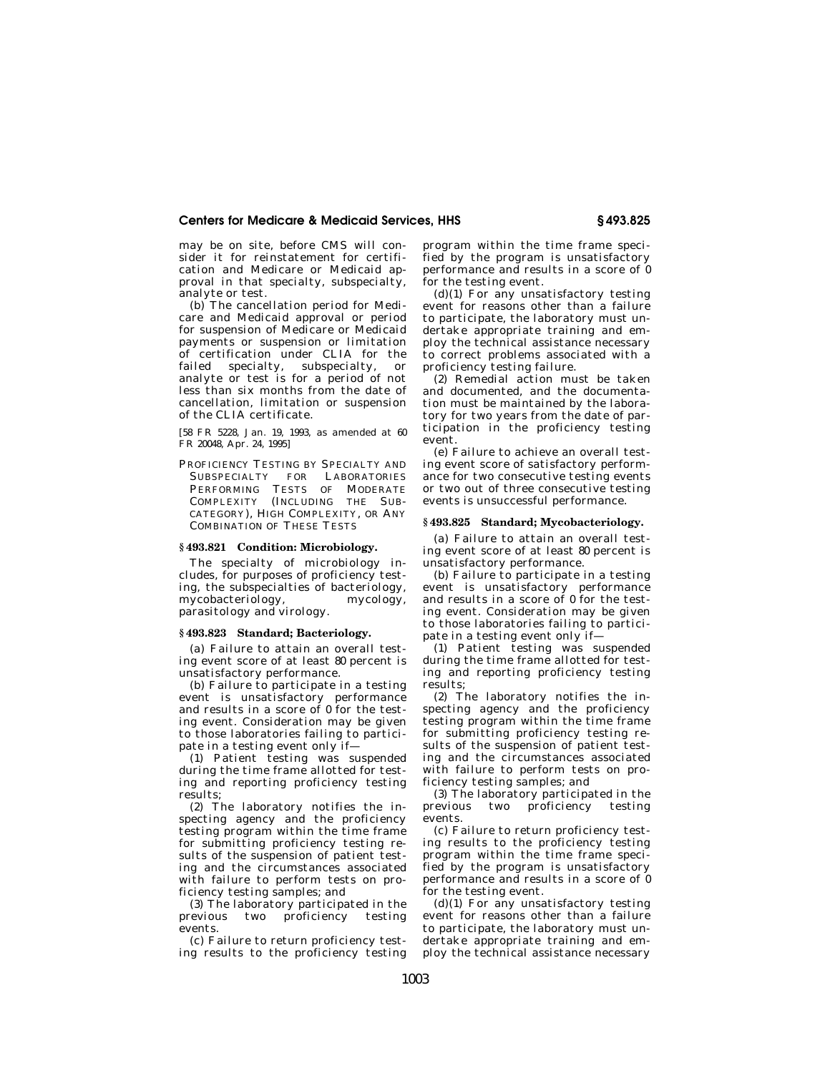may be on site, before CMS will consider it for reinstatement for certification and Medicare or Medicaid approval in that specialty, subspecialty, analyte or test.

(b) The cancellation period for Medicare and Medicaid approval or period for suspension of Medicare or Medicaid payments or suspension or limitation of certification under CLIA for the<br>failed specialty, subspecialty, or specialty, subspecialty, or analyte or test is for a period of not less than six months from the date of cancellation, limitation or suspension of the CLIA certificate.

[58 FR 5228, Jan. 19, 1993, as amended at 60 FR 20048, Apr. 24, 1995]

PROFICIENCY TESTING BY SPECIALTY AND SUBSPECIALTY FOR LABORATORIES PERFORMING TESTS OF MODERATE COMPLEXITY (INCLUDING THE SUB-CATEGORY), HIGH COMPLEXITY, OR ANY COMBINATION OF THESE TESTS

#### **§ 493.821 Condition: Microbiology.**

The specialty of microbiology includes, for purposes of proficiency testing, the subspecialties of bacteriology, mycobacteriology, mycology, parasitology and virology.

## **§ 493.823 Standard; Bacteriology.**

(a) Failure to attain an overall testing event score of at least 80 percent is unsatisfactory performance.

(b) Failure to participate in a testing event is unsatisfactory performance and results in a score of 0 for the testing event. Consideration may be given to those laboratories failing to participate in a testing event only if—

(1) Patient testing was suspended during the time frame allotted for testing and reporting proficiency testing results;

(2) The laboratory notifies the inspecting agency and the proficiency testing program within the time frame for submitting proficiency testing results of the suspension of patient testing and the circumstances associated with failure to perform tests on proficiency testing samples; and

(3) The laboratory participated in the previous two proficiency testing events.

(c) Failure to return proficiency testing results to the proficiency testing program within the time frame specified by the program is unsatisfactory performance and results in a score of 0 for the testing event.

(d)(1) For any unsatisfactory testing event for reasons other than a failure to participate, the laboratory must undertake appropriate training and employ the technical assistance necessary to correct problems associated with a proficiency testing failure.

(2) Remedial action must be taken and documented, and the documentation must be maintained by the laboratory for two years from the date of participation in the proficiency testing event.

(e) Failure to achieve an overall testing event score of satisfactory performance for two consecutive testing events or two out of three consecutive testing events is unsuccessful performance.

## **§ 493.825 Standard; Mycobacteriology.**

(a) Failure to attain an overall testing event score of at least 80 percent is unsatisfactory performance.

(b) Failure to participate in a testing event is unsatisfactory performance and results in a score of 0 for the testing event. Consideration may be given to those laboratories failing to participate in a testing event only if—

(1) Patient testing was suspended during the time frame allotted for testing and reporting proficiency testing results;

(2) The laboratory notifies the inspecting agency and the proficiency testing program within the time frame for submitting proficiency testing results of the suspension of patient testing and the circumstances associated with failure to perform tests on proficiency testing samples; and

(3) The laboratory participated in the<br>previous two proficiency testing two proficiency testing events.

(c) Failure to return proficiency testing results to the proficiency testing program within the time frame specified by the program is unsatisfactory performance and results in a score of 0 for the testing event.

(d)(1) For any unsatisfactory testing event for reasons other than a failure to participate, the laboratory must undertake appropriate training and employ the technical assistance necessary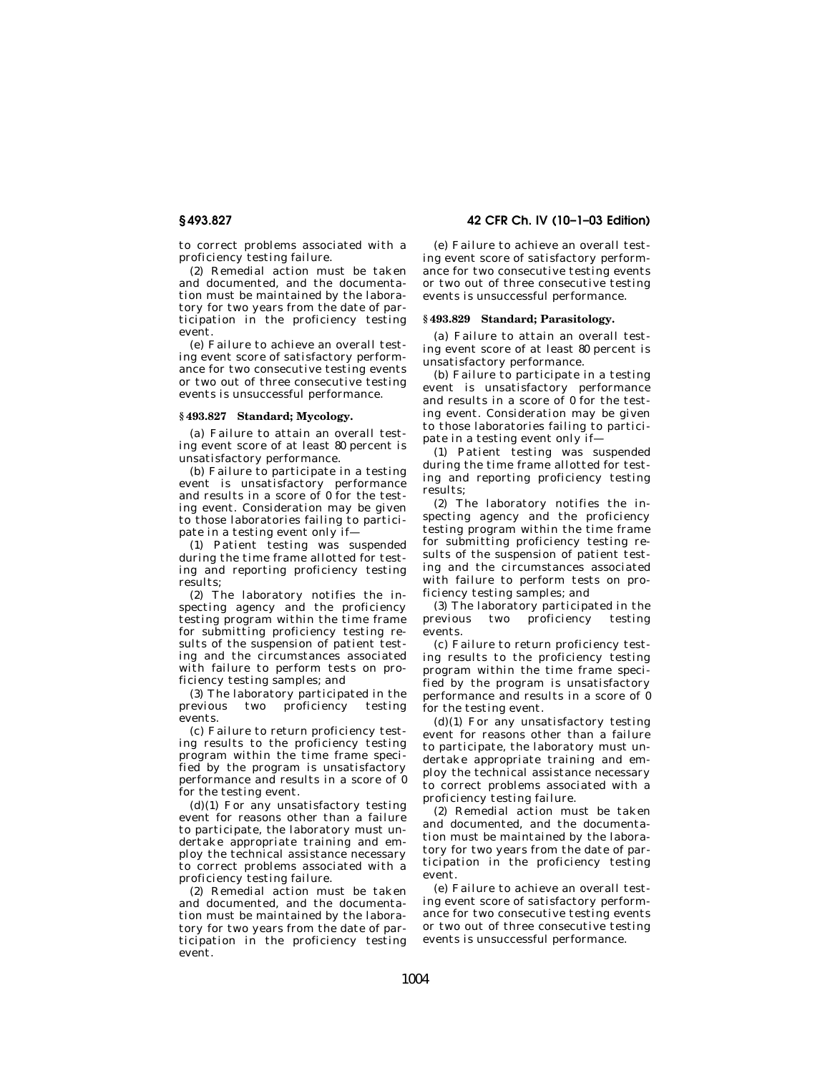to correct problems associated with a proficiency testing failure.

(2) Remedial action must be taken and documented, and the documentation must be maintained by the laboratory for two years from the date of participation in the proficiency testing event.

(e) Failure to achieve an overall testing event score of satisfactory performance for two consecutive testing events or two out of three consecutive testing events is unsuccessful performance.

## **§ 493.827 Standard; Mycology.**

(a) Failure to attain an overall testing event score of at least 80 percent is unsatisfactory performance.

(b) Failure to participate in a testing event is unsatisfactory performance and results in a score of 0 for the testing event. Consideration may be given to those laboratories failing to participate in a testing event only if—

(1) Patient testing was suspended during the time frame allotted for testing and reporting proficiency testing results;

(2) The laboratory notifies the inspecting agency and the proficiency testing program within the time frame for submitting proficiency testing results of the suspension of patient testing and the circumstances associated with failure to perform tests on proficiency testing samples; and

(3) The laboratory participated in the previous two proficiency testing events.

(c) Failure to return proficiency testing results to the proficiency testing program within the time frame specified by the program is unsatisfactory performance and results in a score of 0 for the testing event.

 $(d)(1)$  For any unsatisfactory testing event for reasons other than a failure to participate, the laboratory must undertake appropriate training and employ the technical assistance necessary to correct problems associated with a proficiency testing failure.

(2) Remedial action must be taken and documented, and the documentation must be maintained by the laboratory for two years from the date of participation in the proficiency testing event.

**§ 493.827 42 CFR Ch. IV (10–1–03 Edition)**

(e) Failure to achieve an overall testing event score of satisfactory performance for two consecutive testing events or two out of three consecutive testing events is unsuccessful performance.

# **§ 493.829 Standard; Parasitology.**

(a) Failure to attain an overall testing event score of at least 80 percent is unsatisfactory performance.

(b) Failure to participate in a testing event is unsatisfactory performance and results in a score of 0 for the testing event. Consideration may be given to those laboratories failing to participate in a testing event only if—

(1) Patient testing was suspended during the time frame allotted for testing and reporting proficiency testing results;

(2) The laboratory notifies the inspecting agency and the proficiency testing program within the time frame for submitting proficiency testing results of the suspension of patient testing and the circumstances associated with failure to perform tests on proficiency testing samples; and

(3) The laboratory participated in the previous two proficiency testing events.

(c) Failure to return proficiency testing results to the proficiency testing program within the time frame specified by the program is unsatisfactory performance and results in a score of 0 for the testing event.

(d)(1) For any unsatisfactory testing event for reasons other than a failure to participate, the laboratory must undertake appropriate training and employ the technical assistance necessary to correct problems associated with a proficiency testing failure.

(2) Remedial action must be taken and documented, and the documentation must be maintained by the laboratory for two years from the date of participation in the proficiency testing event.

(e) Failure to achieve an overall testing event score of satisfactory performance for two consecutive testing events or two out of three consecutive testing events is unsuccessful performance.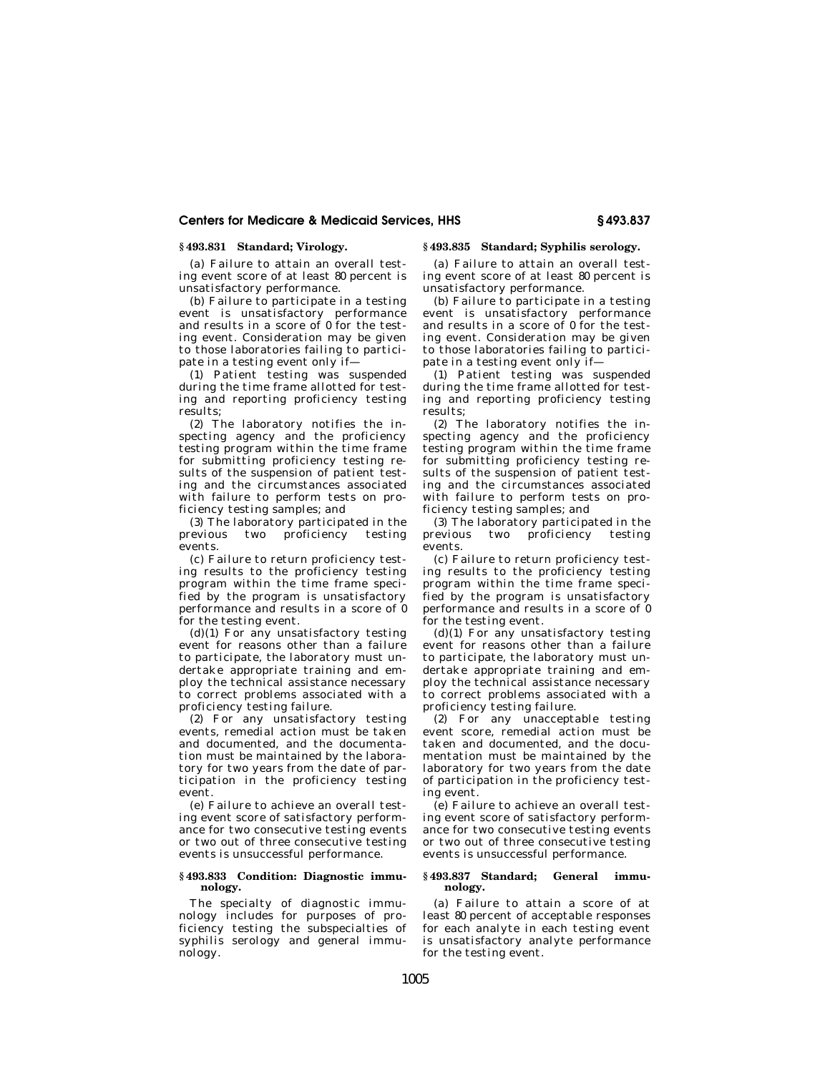# **§ 493.831 Standard; Virology.**

(a) Failure to attain an overall testing event score of at least 80 percent is unsatisfactory performance.

(b) Failure to participate in a testing event is unsatisfactory performance and results in a score of 0 for the testing event. Consideration may be given to those laboratories failing to participate in a testing event only if—

(1) Patient testing was suspended during the time frame allotted for testing and reporting proficiency testing results;

(2) The laboratory notifies the inspecting agency and the proficiency testing program within the time frame for submitting proficiency testing results of the suspension of patient testing and the circumstances associated with failure to perform tests on proficiency testing samples; and

(3) The laboratory participated in the previous two proficiency testing events.

(c) Failure to return proficiency testing results to the proficiency testing program within the time frame specified by the program is unsatisfactory performance and results in a score of 0 for the testing event.

(d)(1) For any unsatisfactory testing event for reasons other than a failure to participate, the laboratory must undertake appropriate training and employ the technical assistance necessary to correct problems associated with a proficiency testing failure.

(2) For any unsatisfactory testing events, remedial action must be taken and documented, and the documentation must be maintained by the laboratory for two years from the date of participation in the proficiency testing event.

(e) Failure to achieve an overall testing event score of satisfactory performance for two consecutive testing events or two out of three consecutive testing events is unsuccessful performance.

## **§ 493.833 Condition: Diagnostic immunology.**

The specialty of diagnostic immunology includes for purposes of proficiency testing the subspecialties of syphilis serology and general immunology.

# **§ 493.835 Standard; Syphilis serology.**

(a) Failure to attain an overall testing event score of at least 80 percent is unsatisfactory performance.

(b) Failure to participate in a testing event is unsatisfactory performance and results in a score of 0 for the testing event. Consideration may be given to those laboratories failing to participate in a testing event only if—

(1) Patient testing was suspended during the time frame allotted for testing and reporting proficiency testing results;

(2) The laboratory notifies the inspecting agency and the proficiency testing program within the time frame for submitting proficiency testing results of the suspension of patient testing and the circumstances associated with failure to perform tests on proficiency testing samples; and

(3) The laboratory participated in the previous two proficiency testing events.

(c) Failure to return proficiency testing results to the proficiency testing program within the time frame specified by the program is unsatisfactory performance and results in a score of 0 for the testing event.

(d)(1) For any unsatisfactory testing event for reasons other than a failure to participate, the laboratory must undertake appropriate training and employ the technical assistance necessary to correct problems associated with a proficiency testing failure.

(2) For any unacceptable testing event score, remedial action must be taken and documented, and the documentation must be maintained by the laboratory for two years from the date of participation in the proficiency testing event.

(e) Failure to achieve an overall testing event score of satisfactory performance for two consecutive testing events or two out of three consecutive testing events is unsuccessful performance.

### **§ 493.837 Standard; General immunology.**

(a) Failure to attain a score of at least 80 percent of acceptable responses for each analyte in each testing event is unsatisfactory analyte performance for the testing event.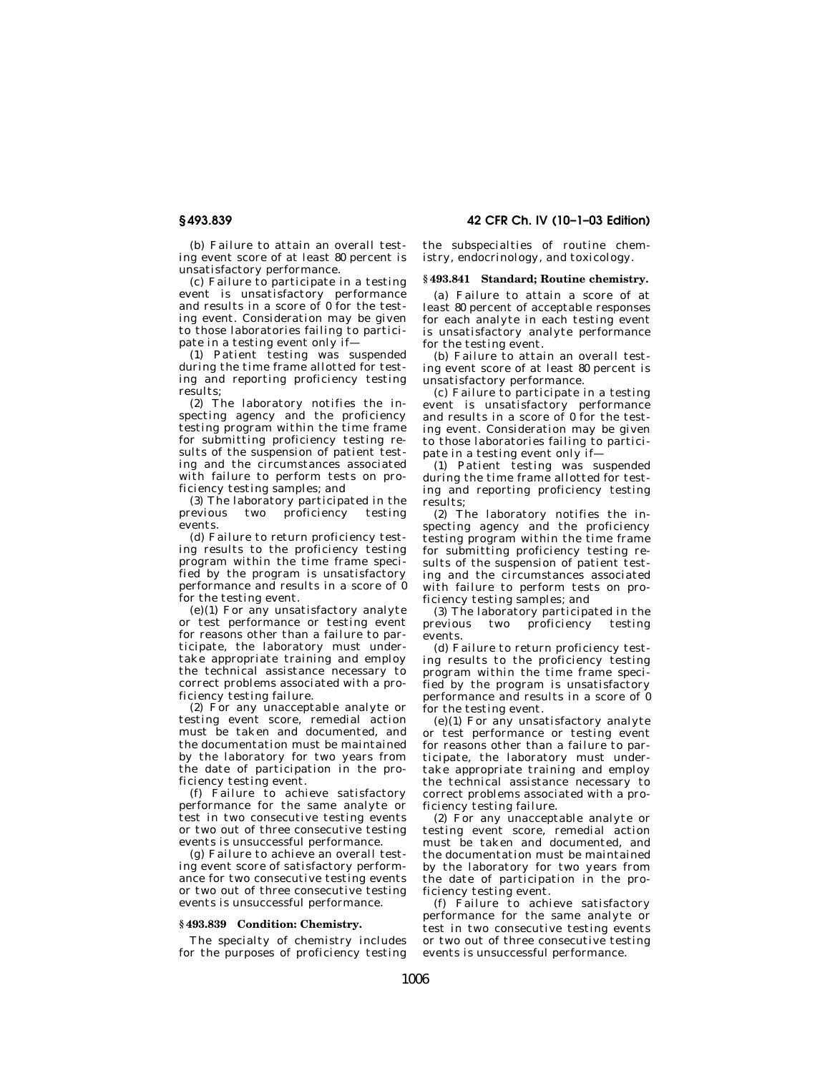(b) Failure to attain an overall testing event score of at least 80 percent is unsatisfactory performance.

(c) Failure to participate in a testing event is unsatisfactory performance and results in a score of 0 for the testing event. Consideration may be given to those laboratories failing to participate in a testing event only if—

(1) Patient testing was suspended during the time frame allotted for testing and reporting proficiency testing results;

(2) The laboratory notifies the inspecting agency and the proficiency testing program within the time frame for submitting proficiency testing results of the suspension of patient testing and the circumstances associated with failure to perform tests on proficiency testing samples; and

(3) The laboratory participated in the previous two proficiency testing events.

(d) Failure to return proficiency testing results to the proficiency testing program within the time frame specified by the program is unsatisfactory performance and results in a score of 0 for the testing event.

(e)(1) For any unsatisfactory analyte or test performance or testing event for reasons other than a failure to participate, the laboratory must undertake appropriate training and employ the technical assistance necessary to correct problems associated with a proficiency testing failure.

(2) For any unacceptable analyte or testing event score, remedial action must be taken and documented, and the documentation must be maintained by the laboratory for two years from the date of participation in the proficiency testing event.

(f) Failure to achieve satisfactory performance for the same analyte or test in two consecutive testing events or two out of three consecutive testing events is unsuccessful performance.

(g) Failure to achieve an overall testing event score of satisfactory performance for two consecutive testing events or two out of three consecutive testing events is unsuccessful performance.

## **§ 493.839 Condition: Chemistry.**

The specialty of chemistry includes for the purposes of proficiency testing

# **§ 493.839 42 CFR Ch. IV (10–1–03 Edition)**

the subspecialties of routine chemistry, endocrinology, and toxicology.

### **§ 493.841 Standard; Routine chemistry.**

(a) Failure to attain a score of at least 80 percent of acceptable responses for each analyte in each testing event is unsatisfactory analyte performance for the testing event.

(b) Failure to attain an overall testing event score of at least 80 percent is unsatisfactory performance.

(c) Failure to participate in a testing event is unsatisfactory performance and results in a score of 0 for the testing event. Consideration may be given to those laboratories failing to participate in a testing event only if—

(1) Patient testing was suspended during the time frame allotted for testing and reporting proficiency testing results;

(2) The laboratory notifies the inspecting agency and the proficiency testing program within the time frame for submitting proficiency testing results of the suspension of patient testing and the circumstances associated with failure to perform tests on proficiency testing samples; and

(3) The laboratory participated in the previous two proficiency testing events.

(d) Failure to return proficiency testing results to the proficiency testing program within the time frame specified by the program is unsatisfactory performance and results in a score of 0 for the testing event.

(e)(1) For any unsatisfactory analyte or test performance or testing event for reasons other than a failure to participate, the laboratory must undertake appropriate training and employ the technical assistance necessary to correct problems associated with a proficiency testing failure.

(2) For any unacceptable analyte or testing event score, remedial action must be taken and documented, and the documentation must be maintained by the laboratory for two years from the date of participation in the proficiency testing event.

(f) Failure to achieve satisfactory performance for the same analyte or test in two consecutive testing events or two out of three consecutive testing events is unsuccessful performance.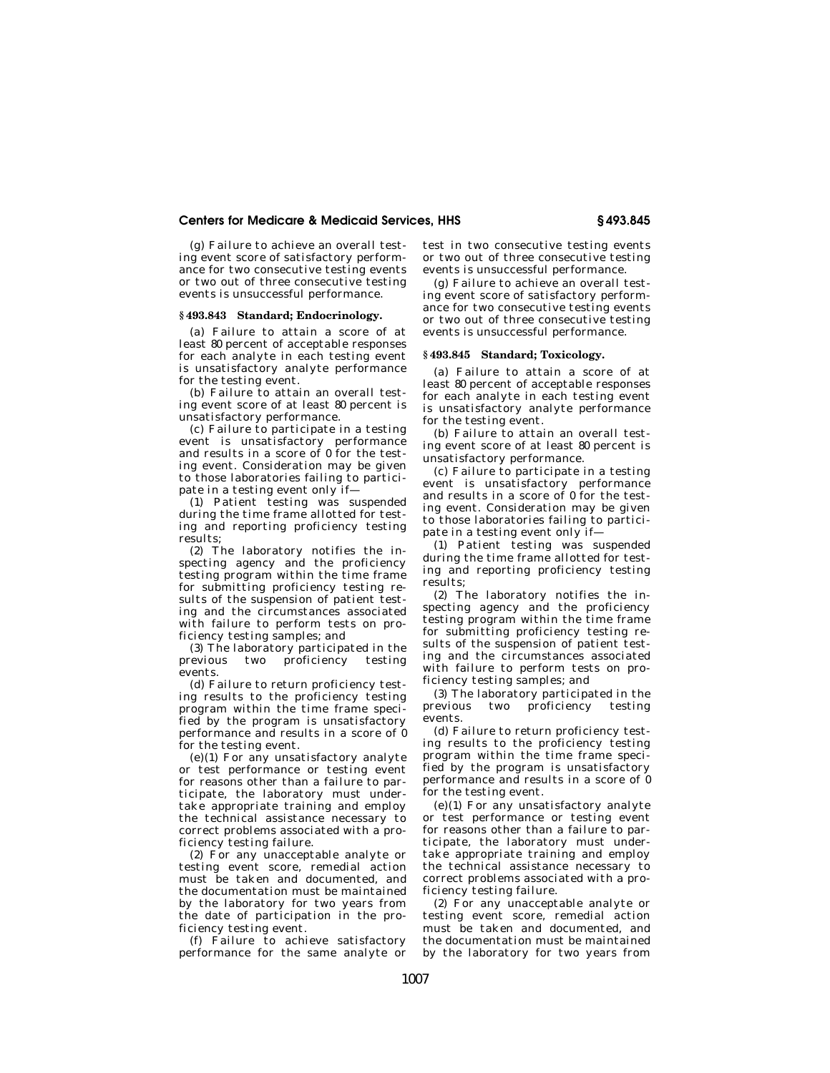(g) Failure to achieve an overall testing event score of satisfactory performance for two consecutive testing events or two out of three consecutive testing events is unsuccessful performance.

## **§ 493.843 Standard; Endocrinology.**

(a) Failure to attain a score of at least 80 percent of acceptable responses for each analyte in each testing event is unsatisfactory analyte performance for the testing event.

(b) Failure to attain an overall testing event score of at least 80 percent is unsatisfactory performance.

(c) Failure to participate in a testing event is unsatisfactory performance and results in a score of 0 for the testing event. Consideration may be given to those laboratories failing to participate in a testing event only if—

(1) Patient testing was suspended during the time frame allotted for testing and reporting proficiency testing results;

(2) The laboratory notifies the inspecting agency and the proficiency testing program within the time frame for submitting proficiency testing results of the suspension of patient testing and the circumstances associated with failure to perform tests on proficiency testing samples; and

(3) The laboratory participated in the previous two proficiency testing events.

(d) Failure to return proficiency testing results to the proficiency testing program within the time frame specified by the program is unsatisfactory performance and results in a score of 0 for the testing event.

(e)(1) For any unsatisfactory analyte or test performance or testing event for reasons other than a failure to participate, the laboratory must undertake appropriate training and employ the technical assistance necessary to correct problems associated with a proficiency testing failure.

(2) For any unacceptable analyte or testing event score, remedial action must be taken and documented, and the documentation must be maintained by the laboratory for two years from the date of participation in the proficiency testing event.

(f) Failure to achieve satisfactory performance for the same analyte or

test in two consecutive testing events or two out of three consecutive testing events is unsuccessful performance.

(g) Failure to achieve an overall testing event score of satisfactory performance for two consecutive testing events or two out of three consecutive testing events is unsuccessful performance.

# **§ 493.845 Standard; Toxicology.**

(a) Failure to attain a score of at least 80 percent of acceptable responses for each analyte in each testing event is unsatisfactory analyte performance for the testing event.

(b) Failure to attain an overall testing event score of at least 80 percent is unsatisfactory performance.

(c) Failure to participate in a testing event is unsatisfactory performance and results in a score of 0 for the testing event. Consideration may be given to those laboratories failing to participate in a testing event only if—

(1) Patient testing was suspended during the time frame allotted for testing and reporting proficiency testing results;

(2) The laboratory notifies the inspecting agency and the proficiency testing program within the time frame for submitting proficiency testing results of the suspension of patient testing and the circumstances associated with failure to perform tests on proficiency testing samples; and

(3) The laboratory participated in the previous two proficiency testing events.

(d) Failure to return proficiency testing results to the proficiency testing program within the time frame specified by the program is unsatisfactory performance and results in a score of 0 for the testing event.

(e)(1) For any unsatisfactory analyte or test performance or testing event for reasons other than a failure to participate, the laboratory must undertake appropriate training and employ the technical assistance necessary to correct problems associated with a proficiency testing failure.

(2) For any unacceptable analyte or testing event score, remedial action must be taken and documented, and the documentation must be maintained by the laboratory for two years from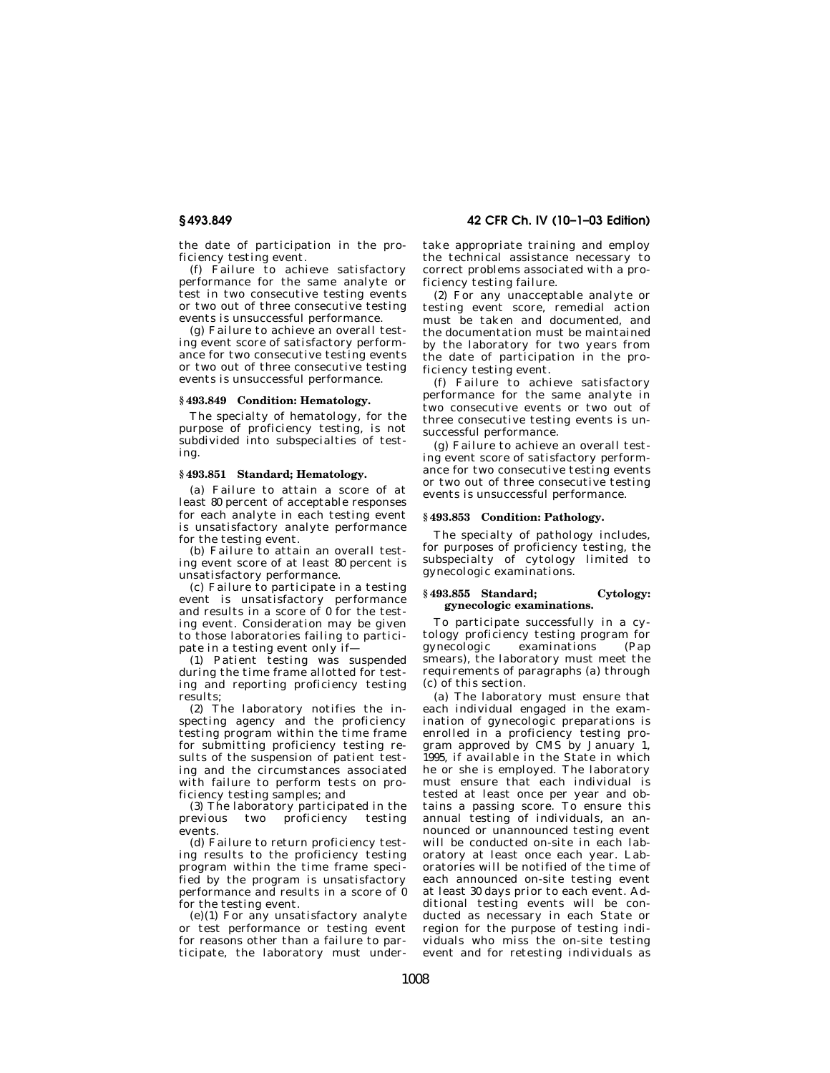the date of participation in the proficiency testing event.

(f) Failure to achieve satisfactory performance for the same analyte or test in two consecutive testing events or two out of three consecutive testing events is unsuccessful performance.

(g) Failure to achieve an overall testing event score of satisfactory performance for two consecutive testing events or two out of three consecutive testing events is unsuccessful performance.

## **§ 493.849 Condition: Hematology.**

The specialty of hematology, for the purpose of proficiency testing, is not subdivided into subspecialties of testing.

# **§ 493.851 Standard; Hematology.**

(a) Failure to attain a score of at least 80 percent of acceptable responses for each analyte in each testing event is unsatisfactory analyte performance for the testing event.

(b) Failure to attain an overall testing event score of at least 80 percent is unsatisfactory performance.

(c) Failure to participate in a testing event is unsatisfactory performance and results in a score of 0 for the testing event. Consideration may be given to those laboratories failing to participate in a testing event only if—

(1) Patient testing was suspended during the time frame allotted for testing and reporting proficiency testing results;

(2) The laboratory notifies the inspecting agency and the proficiency testing program within the time frame for submitting proficiency testing results of the suspension of patient testing and the circumstances associated with failure to perform tests on proficiency testing samples; and

(3) The laboratory participated in the previous two proficiency testing events.

(d) Failure to return proficiency testing results to the proficiency testing program within the time frame specified by the program is unsatisfactory performance and results in a score of 0 for the testing event.

(e)(1) For any unsatisfactory analyte or test performance or testing event for reasons other than a failure to participate, the laboratory must undertake appropriate training and employ the technical assistance necessary to correct problems associated with a proficiency testing failure.

(2) For any unacceptable analyte or testing event score, remedial action must be taken and documented, and the documentation must be maintained by the laboratory for two years from the date of participation in the proficiency testing event.

(f) Failure to achieve satisfactory performance for the same analyte in two consecutive events or two out of three consecutive testing events is unsuccessful performance.

(g) Failure to achieve an overall testing event score of satisfactory performance for two consecutive testing events or two out of three consecutive testing events is unsuccessful performance.

### **§ 493.853 Condition: Pathology.**

The specialty of pathology includes, for purposes of proficiency testing, the subspecialty of cytology limited to gynecologic examinations.

## **§ 493.855 Standard; Cytology: gynecologic examinations.**

To participate successfully in a cytology proficiency testing program for<br>gynecologic examinations (Pap  $examinations$  (Pap smears), the laboratory must meet the requirements of paragraphs (a) through (c) of this section.

(a) The laboratory must ensure that each individual engaged in the examination of gynecologic preparations is enrolled in a proficiency testing program approved by CMS by January 1, 1995, if available in the State in which he or she is employed. The laboratory must ensure that each individual is tested at least once per year and obtains a passing score. To ensure this annual testing of individuals, an announced or unannounced testing event will be conducted on-site in each laboratory at least once each year. Laboratories will be notified of the time of each announced on-site testing event at least 30 days prior to each event. Additional testing events will be conducted as necessary in each State or region for the purpose of testing individuals who miss the on-site testing event and for retesting individuals as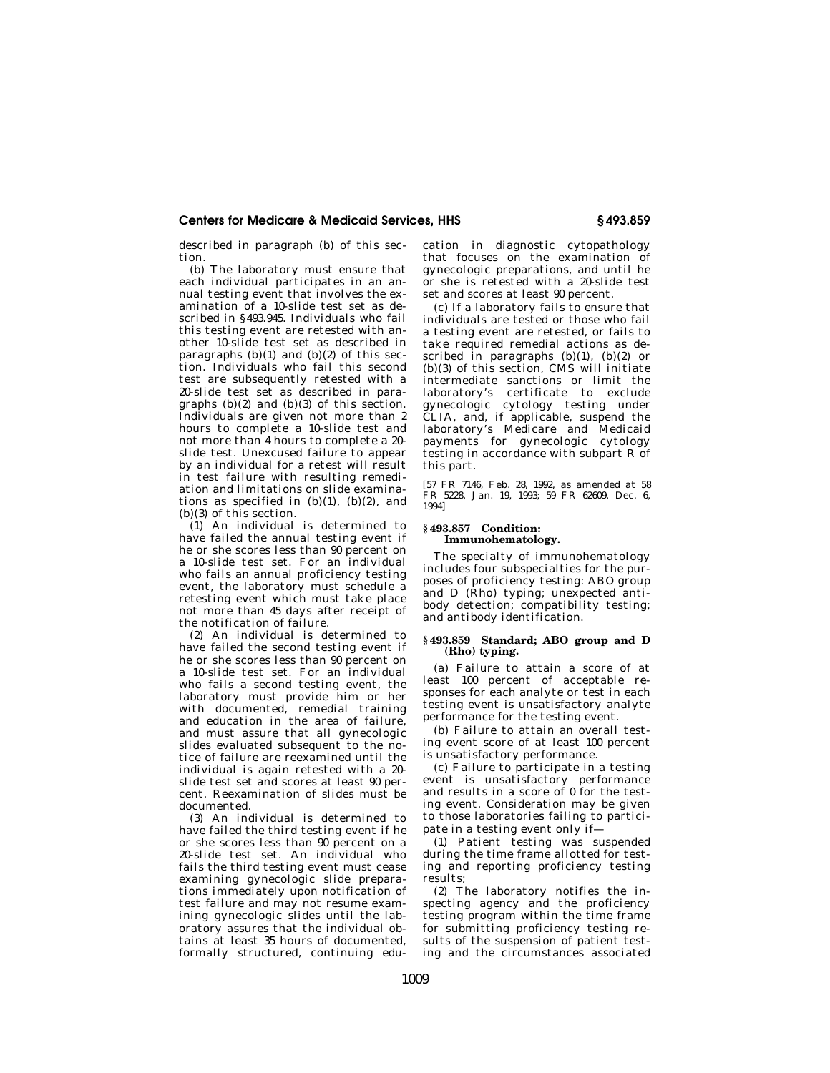described in paragraph (b) of this section.

(b) The laboratory must ensure that each individual participates in an annual testing event that involves the examination of a 10-slide test set as described in §493.945. Individuals who fail this testing event are retested with another 10-slide test set as described in paragraphs  $(b)(1)$  and  $(b)(2)$  of this section. Individuals who fail this second test are subsequently retested with a 20-slide test set as described in paragraphs  $(b)(2)$  and  $(b)(3)$  of this section. Individuals are given not more than 2 hours to complete a 10-slide test and not more than 4 hours to complete a 20 slide test. Unexcused failure to appear by an individual for a retest will result in test failure with resulting remediation and limitations on slide examinations as specified in  $(b)(1)$ ,  $(b)(2)$ , and (b)(3) of this section.

(1) An individual is determined to have failed the annual testing event if he or she scores less than 90 percent on a 10-slide test set. For an individual who fails an annual proficiency testing event, the laboratory must schedule a retesting event which must take place not more than 45 days after receipt of the notification of failure.

(2) An individual is determined to have failed the second testing event if he or she scores less than 90 percent on a 10-slide test set. For an individual who fails a second testing event, the laboratory must provide him or her with documented, remedial training and education in the area of failure, and must assure that all gynecologic slides evaluated subsequent to the notice of failure are reexamined until the individual is again retested with a 20 slide test set and scores at least 90 percent. Reexamination of slides must be documented.

(3) An individual is determined to have failed the third testing event if he or she scores less than 90 percent on a 20-slide test set. An individual who fails the third testing event must cease examining gynecologic slide preparations immediately upon notification of test failure and may not resume examining gynecologic slides until the laboratory assures that the individual obtains at least 35 hours of documented, formally structured, continuing education in diagnostic cytopathology that focuses on the examination of gynecologic preparations, and until he or she is retested with a 20-slide test set and scores at least 90 percent.

(c) If a laboratory fails to ensure that individuals are tested or those who fail a testing event are retested, or fails to take required remedial actions as described in paragraphs  $(b)(1)$ ,  $(b)(2)$  or (b)(3) of this section, CMS will initiate intermediate sanctions or limit the laboratory's certificate to exclude gynecologic cytology testing under CLIA, and, if applicable, suspend the laboratory's Medicare and Medicaid payments for gynecologic cytology testing in accordance with subpart R of this part.

[57 FR 7146, Feb. 28, 1992, as amended at 58 FR 5228, Jan. 19, 1993; 59 FR 62609, Dec. 6, 1994]

## **§ 493.857 Condition: Immunohematology.**

The specialty of immunohematology includes four subspecialties for the purposes of proficiency testing: ABO group and D (Rho) typing; unexpected antibody detection; compatibility testing; and antibody identification.

## **§ 493.859 Standard; ABO group and D (Rho) typing.**

(a) Failure to attain a score of at least 100 percent of acceptable responses for each analyte or test in each testing event is unsatisfactory analyte performance for the testing event.

(b) Failure to attain an overall testing event score of at least 100 percent is unsatisfactory performance.

(c) Failure to participate in a testing event is unsatisfactory performance and results in a score of 0 for the testing event. Consideration may be given to those laboratories failing to participate in a testing event only if—

(1) Patient testing was suspended during the time frame allotted for testing and reporting proficiency testing results;

(2) The laboratory notifies the inspecting agency and the proficiency testing program within the time frame for submitting proficiency testing results of the suspension of patient testing and the circumstances associated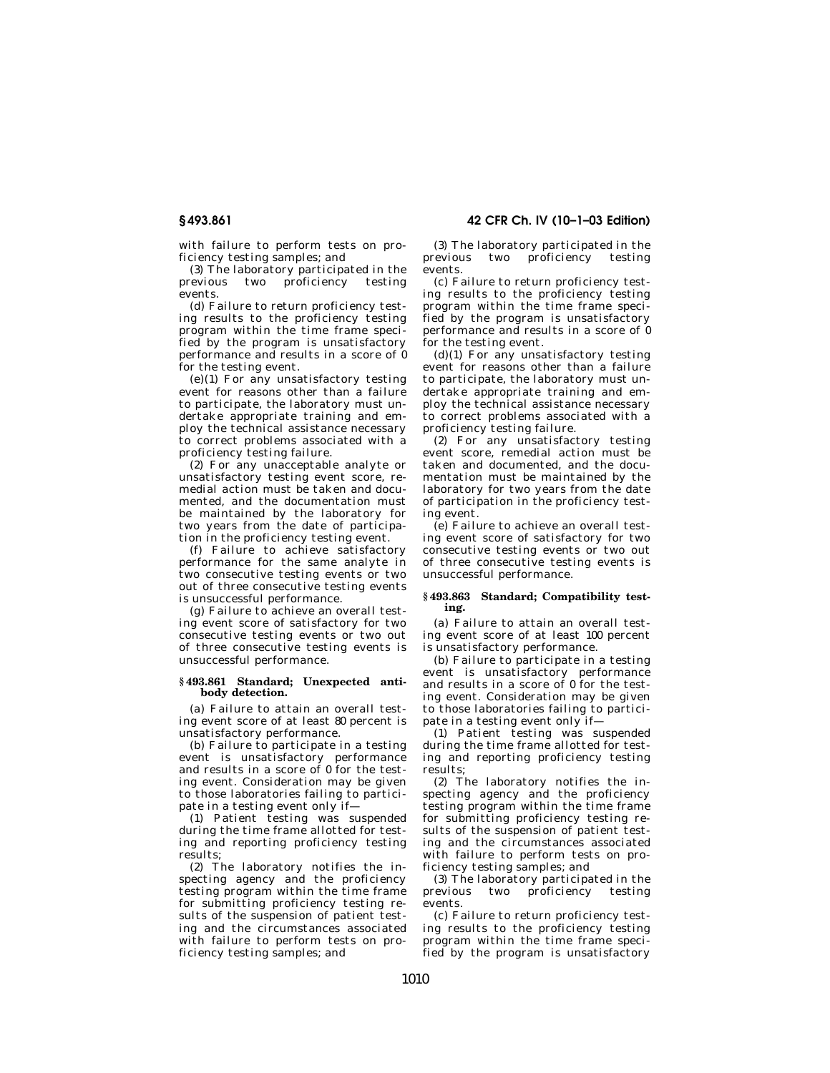with failure to perform tests on proficiency testing samples; and

(3) The laboratory participated in the previous two proficiency testing events.

(d) Failure to return proficiency testing results to the proficiency testing program within the time frame specified by the program is unsatisfactory performance and results in a score of 0 for the testing event.

(e)(1) For any unsatisfactory testing event for reasons other than a failure to participate, the laboratory must undertake appropriate training and employ the technical assistance necessary to correct problems associated with a proficiency testing failure.

(2) For any unacceptable analyte or unsatisfactory testing event score, remedial action must be taken and documented, and the documentation must be maintained by the laboratory for two years from the date of participation in the proficiency testing event.

(f) Failure to achieve satisfactory performance for the same analyte in two consecutive testing events or two out of three consecutive testing events is unsuccessful performance.

(g) Failure to achieve an overall testing event score of satisfactory for two consecutive testing events or two out of three consecutive testing events is unsuccessful performance.

### **§ 493.861 Standard; Unexpected antibody detection.**

(a) Failure to attain an overall testing event score of at least 80 percent is unsatisfactory performance.

(b) Failure to participate in a testing event is unsatisfactory performance and results in a score of 0 for the testing event. Consideration may be given to those laboratories failing to participate in a testing event only if—

(1) Patient testing was suspended during the time frame allotted for testing and reporting proficiency testing results;

(2) The laboratory notifies the inspecting agency and the proficiency testing program within the time frame for submitting proficiency testing results of the suspension of patient testing and the circumstances associated with failure to perform tests on proficiency testing samples; and

(3) The laboratory participated in the previous two proficiency testing events.

(c) Failure to return proficiency testing results to the proficiency testing program within the time frame specified by the program is unsatisfactory performance and results in a score of 0 for the testing event.

(d)(1) For any unsatisfactory testing event for reasons other than a failure to participate, the laboratory must undertake appropriate training and employ the technical assistance necessary to correct problems associated with a proficiency testing failure.

(2) For any unsatisfactory testing event score, remedial action must be taken and documented, and the documentation must be maintained by the laboratory for two years from the date of participation in the proficiency testing event.

(e) Failure to achieve an overall testing event score of satisfactory for two consecutive testing events or two out of three consecutive testing events is unsuccessful performance.

## **§ 493.863 Standard; Compatibility testing.**

(a) Failure to attain an overall testing event score of at least 100 percent is unsatisfactory performance.

(b) Failure to participate in a testing event is unsatisfactory performance and results in a score of 0 for the testing event. Consideration may be given to those laboratories failing to participate in a testing event only if—

(1) Patient testing was suspended during the time frame allotted for testing and reporting proficiency testing results;

(2) The laboratory notifies the inspecting agency and the proficiency testing program within the time frame for submitting proficiency testing results of the suspension of patient testing and the circumstances associated with failure to perform tests on proficiency testing samples; and

(3) The laboratory participated in the previous two proficiency testing two proficiency testing events.

(c) Failure to return proficiency testing results to the proficiency testing program within the time frame specified by the program is unsatisfactory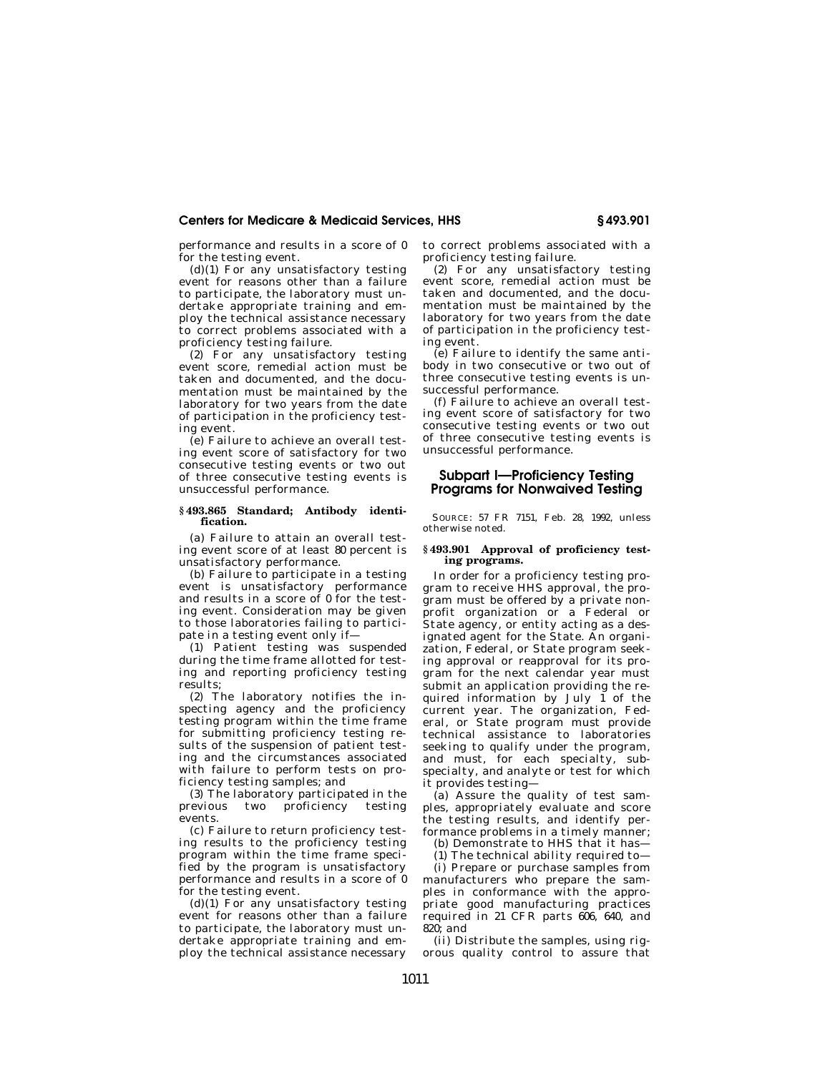performance and results in a score of 0 for the testing event.

(d)(1) For any unsatisfactory testing event for reasons other than a failure to participate, the laboratory must undertake appropriate training and employ the technical assistance necessary to correct problems associated with a proficiency testing failure.

 $(2)$  For any unsatisfactory testing event score, remedial action must be taken and documented, and the documentation must be maintained by the laboratory for two years from the date of participation in the proficiency testing event.

(e) Failure to achieve an overall testing event score of satisfactory for two consecutive testing events or two out of three consecutive testing events is unsuccessful performance.

## **§ 493.865 Standard; Antibody identification.**

(a) Failure to attain an overall testing event score of at least 80 percent is unsatisfactory performance.

(b) Failure to participate in a testing event is unsatisfactory performance and results in a score of 0 for the testing event. Consideration may be given to those laboratories failing to participate in a testing event only if—

(1) Patient testing was suspended during the time frame allotted for testing and reporting proficiency testing results;

(2) The laboratory notifies the inspecting agency and the proficiency testing program within the time frame for submitting proficiency testing results of the suspension of patient testing and the circumstances associated with failure to perform tests on proficiency testing samples; and

(3) The laboratory participated in the previous two proficiency testing events.

(c) Failure to return proficiency testing results to the proficiency testing program within the time frame specified by the program is unsatisfactory performance and results in a score of 0 for the testing event.

(d)(1) For any unsatisfactory testing event for reasons other than a failure to participate, the laboratory must undertake appropriate training and employ the technical assistance necessary

to correct problems associated with a proficiency testing failure.

(2) For any unsatisfactory testing event score, remedial action must be taken and documented, and the documentation must be maintained by the laboratory for two years from the date of participation in the proficiency testing event.

(e) Failure to identify the same antibody in two consecutive or two out of three consecutive testing events is unsuccessful performance.

(f) Failure to achieve an overall testing event score of satisfactory for two consecutive testing events or two out of three consecutive testing events is unsuccessful performance.

# **Subpart I—Proficiency Testing Programs for Nonwaived Testing**

SOURCE: 57 FR 7151, Feb. 28, 1992, unless otherwise noted.

## **§ 493.901 Approval of proficiency testing programs.**

In order for a proficiency testing program to receive HHS approval, the program must be offered by a private nonprofit organization or a Federal or State agency, or entity acting as a designated agent for the State. An organization, Federal, or State program seeking approval or reapproval for its program for the next calendar year must submit an application providing the required information by July  $\tilde{1}$  of the current year. The organization, Federal, or State program must provide technical assistance to laboratories seeking to qualify under the program, and must, for each specialty, subspecialty, and analyte or test for which it provides testing—

(a) Assure the quality of test samples, appropriately evaluate and score the testing results, and identify performance problems in a timely manner;

(b) Demonstrate to HHS that it has—

(1) The technical ability required to— (i) Prepare or purchase samples from manufacturers who prepare the samples in conformance with the appropriate good manufacturing practices required in 21 CFR parts 606, 640, and 820; and

(ii) Distribute the samples, using rigorous quality control to assure that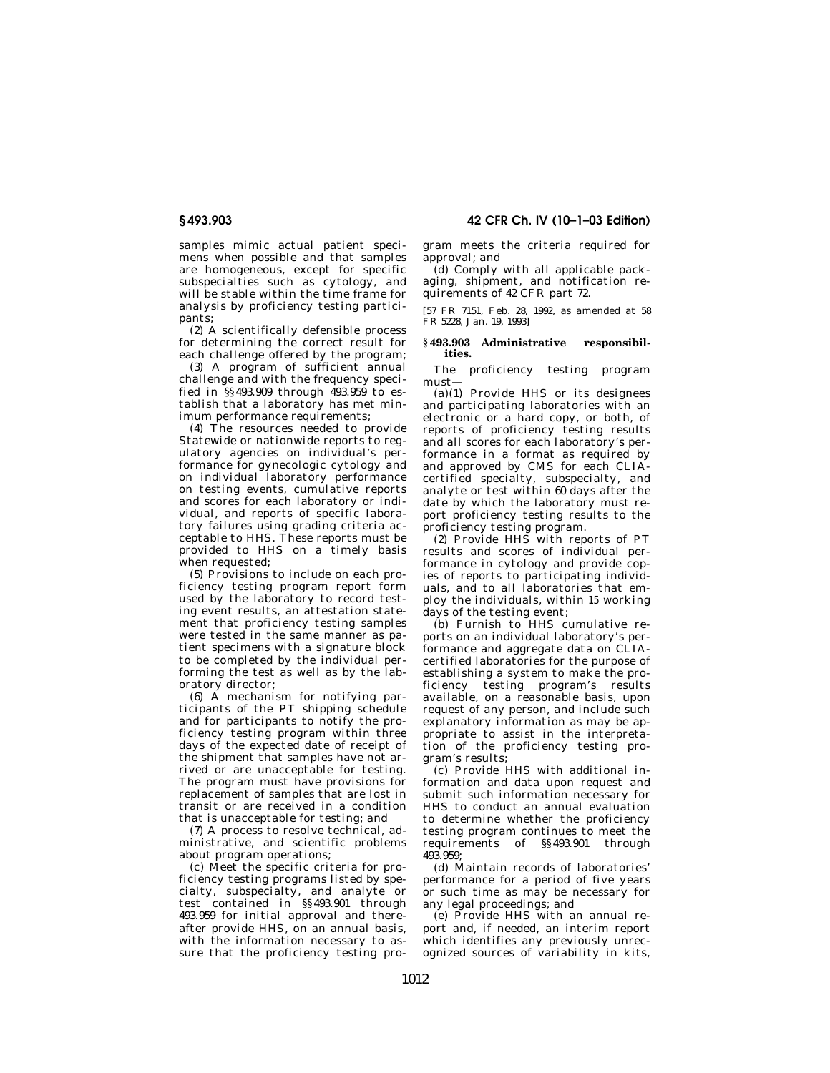samples mimic actual patient specimens when possible and that samples are homogeneous, except for specific subspecialties such as cytology, and will be stable within the time frame for analysis by proficiency testing participants;

(2) A scientifically defensible process for determining the correct result for each challenge offered by the program;

(3) A program of sufficient annual challenge and with the frequency specified in §§493.909 through 493.959 to establish that a laboratory has met minimum performance requirements;

(4) The resources needed to provide Statewide or nationwide reports to regulatory agencies on individual's performance for gynecologic cytology and on individual laboratory performance on testing events, cumulative reports and scores for each laboratory or individual, and reports of specific laboratory failures using grading criteria acceptable to HHS. These reports must be provided to HHS on a timely basis when requested:

(5) Provisions to include on each proficiency testing program report form used by the laboratory to record testing event results, an attestation statement that proficiency testing samples were tested in the same manner as patient specimens with a signature block to be completed by the individual performing the test as well as by the laboratory director;

(6) A mechanism for notifying participants of the PT shipping schedule and for participants to notify the proficiency testing program within three days of the expected date of receipt of the shipment that samples have not arrived or are unacceptable for testing. The program must have provisions for replacement of samples that are lost in transit or are received in a condition that is unacceptable for testing; and

(7) A process to resolve technical, administrative, and scientific problems about program operations;

(c) Meet the specific criteria for proficiency testing programs listed by specialty, subspecialty, and analyte or test contained in §§493.901 through 493.959 for initial approval and thereafter provide HHS, on an annual basis, with the information necessary to assure that the proficiency testing pro-

**§ 493.903 42 CFR Ch. IV (10–1–03 Edition)**

gram meets the criteria required for approval; and

(d) Comply with all applicable packaging, shipment, and notification requirements of 42 CFR part 72.

[57 FR 7151, Feb. 28, 1992, as amended at 58 <sub>.</sub><br>FR 5228, Jan. 19, 1993]

## **§ 493.903 Administrative responsibilities.**

The proficiency testing program must—

(a)(1) Provide HHS or its designees and participating laboratories with an electronic or a hard copy, or both, of reports of proficiency testing results and all scores for each laboratory's performance in a format as required by and approved by CMS for each CLIAcertified specialty, subspecialty, and analyte or test within 60 days after the date by which the laboratory must report proficiency testing results to the proficiency testing program.

(2) Provide HHS with reports of PT results and scores of individual performance in cytology and provide copies of reports to participating individuals, and to all laboratories that employ the individuals, within *15* working days of the testing event;

(b) Furnish to HHS cumulative reports on an individual laboratory's performance and aggregate data on CLIAcertified laboratories for the purpose of establishing a system to make the proficiency testing program's results available, on a reasonable basis, upon request of any person, and include such explanatory information as may be appropriate to assist in the interpretation of the proficiency testing program's results;

(c) Provide HHS with additional information and data upon request and submit such information necessary for HHS to conduct an annual evaluation to determine whether the proficiency testing program continues to meet the requirements of §§493.901 through 493.959;

(d) Maintain records of laboratories' performance for a period of five years or such time as may be necessary for any legal proceedings; and

(e) Provide HHS with an annual report and, if needed, an interim report which identifies any previously unrecognized sources of variability in kits,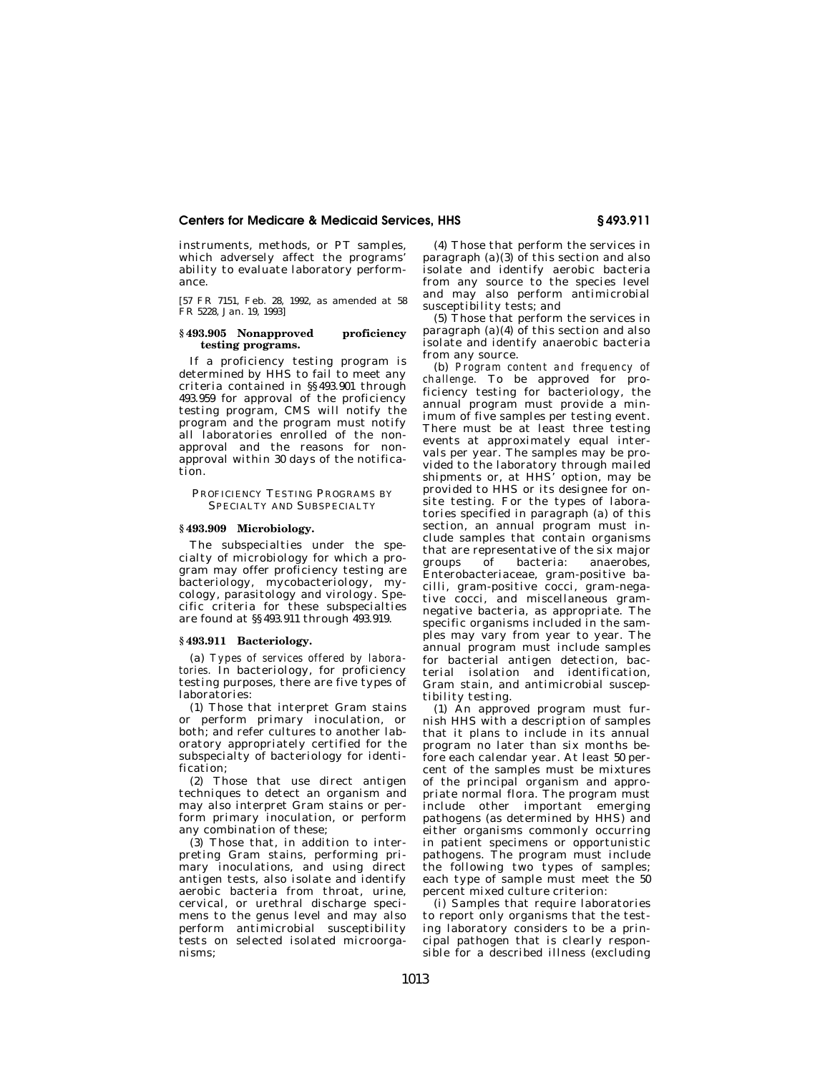instruments, methods, or PT samples, which adversely affect the programs' ability to evaluate laboratory performance.

[57 FR 7151, Feb. 28, 1992, as amended at 58 FR 5228, Jan. 19, 1993]

# **§ 493.905 Nonapproved proficiency testing programs.**

If a proficiency testing program is determined by HHS to fail to meet any criteria contained in §§493.901 through 493.959 for approval of the proficiency testing program, CMS will notify the program and the program must notify all laboratories enrolled of the nonapproval and the reasons for nonapproval within 30 days of the notification.

PROFICIENCY TESTING PROGRAMS BY SPECIALTY AND SUBSPECIALTY

## **§ 493.909 Microbiology.**

The subspecialties under the specialty of microbiology for which a program may offer proficiency testing are bacteriology, mycobacteriology, mycology, parasitology and virology. Specific criteria for these subspecialties are found at §§493.911 through 493.919.

# **§ 493.911 Bacteriology.**

(a) *Types of services offered by laboratories.* In bacteriology, for proficiency testing purposes, there are five types of laboratories:

(1) Those that interpret Gram stains or perform primary inoculation, or both; and refer cultures to another laboratory appropriately certified for the subspecialty of bacteriology for identification;

(2) Those that use direct antigen techniques to detect an organism and may also interpret Gram stains or perform primary inoculation, or perform any combination of these;

(3) Those that, in addition to interpreting Gram stains, performing primary inoculations, and using direct antigen tests, also isolate and identify aerobic bacteria from throat, urine, cervical, or urethral discharge specimens to the genus level and may also perform antimicrobial susceptibility tests on selected isolated microorganisms;

(4) Those that perform the services in paragraph (a)(3) of this section and also isolate and identify aerobic bacteria from any source to the species level and may also perform antimicrobial susceptibility tests; and

(5) Those that perform the services in paragraph (a)(4) of this section and also isolate and identify anaerobic bacteria from any source.

(b) *Program content and frequency of challenge.* To be approved for proficiency testing for bacteriology, the annual program must provide a minimum of five samples per testing event. There must be at least three testing events at approximately equal intervals per year. The samples may be provided to the laboratory through mailed shipments or, at HHS' option, may be provided to HHS or its designee for onsite testing. For the types of laboratories specified in paragraph (a) of this section, an annual program must include samples that contain organisms that are representative of the six major groups of bacteria: anaerobes, Enterobacteriaceae, gram-positive bacilli, gram-positive cocci, gram-negative cocci, and miscellaneous gramnegative bacteria, as appropriate. The specific organisms included in the samples may vary from year to year. The annual program must include samples for bacterial antigen detection, bacterial isolation and identification, Gram stain, and antimicrobial susceptibility testing.

(1) An approved program must furnish HHS with a description of samples that it plans to include in its annual program no later than six months before each calendar year. At least 50 percent of the samples must be mixtures of the principal organism and appropriate normal flora. The program must include other important emerging pathogens (as determined by HHS) and either organisms commonly occurring in patient specimens or opportunistic pathogens. The program must include the following two types of samples; each type of sample must meet the 50 percent mixed culture criterion:

(i) Samples that require laboratories to report only organisms that the testing laboratory considers to be a principal pathogen that is clearly responsible for a described illness (excluding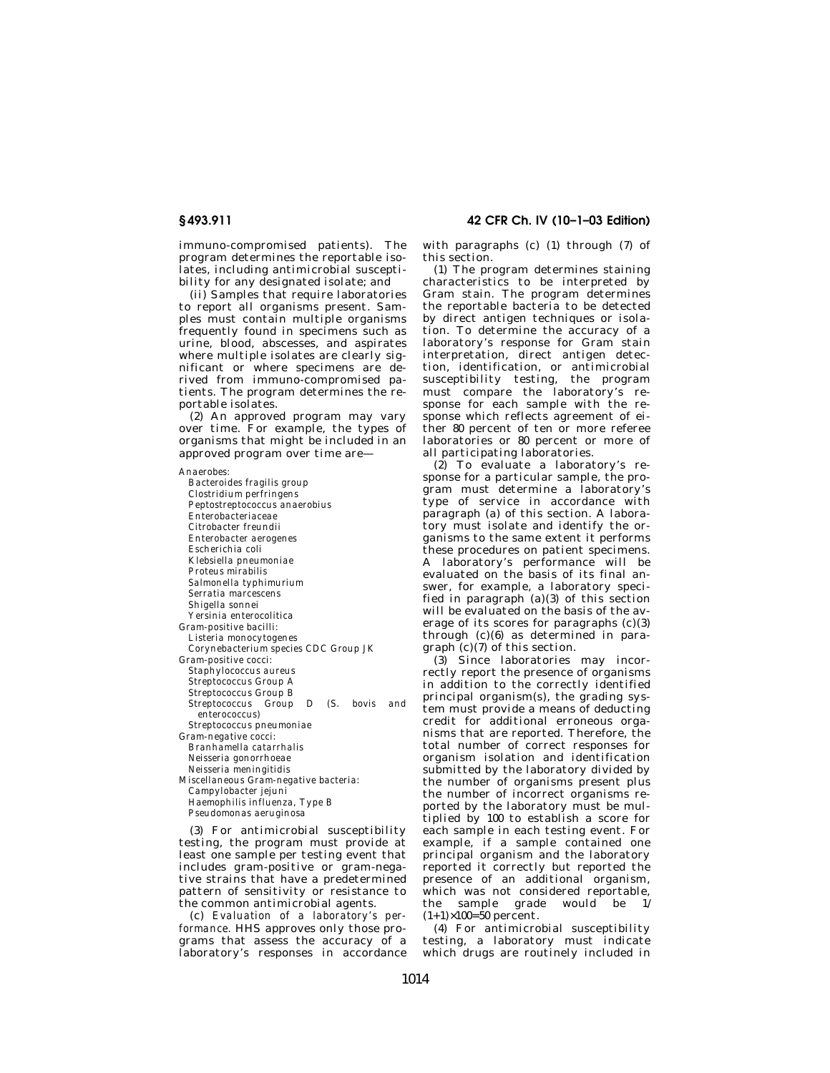immuno-compromised patients). The program determines the reportable isolates, including antimicrobial susceptibility for any designated isolate; and

(ii) Samples that require laboratories to report all organisms present. Samples must contain multiple organisms frequently found in specimens such as urine, blood, abscesses, and aspirates where multiple isolates are clearly significant or where specimens are derived from immuno-compromised patients. The program determines the reportable isolates.

(2) An approved program may vary over time. For example, the types of organisms that might be included in an approved program over time are—

| Anaerobes:                             |
|----------------------------------------|
| Bacteroides fragilis group             |
| Clostridium perfringens                |
| Peptostreptococcus anaerobius          |
| Enterobacteriaceae                     |
| Citrobacter freundii                   |
| Enterobacter aerogenes                 |
| Escherichia coli                       |
| Klebsiella pneumoniae                  |
| Proteus mirabilis                      |
| Salmonella typhimurium                 |
| Serratia marcescens                    |
| Shigella sonnei                        |
| Yersinia enterocolitica                |
| Gram-positive bacilli:                 |
| Listeria monocytogenes                 |
| Corynebacterium species CDC Group JK   |
| Gram-positive cocci:                   |
| Staphylococcus aureus                  |
| Streptococcus Group A                  |
| Streptococcus Group B                  |
| Streptococcus Group D (S. bovis<br>and |
| enterococcus)                          |
| Streptococcus pneumoniae               |
| Gram-negative cocci:                   |
| Branhamella catarrhalis                |
| Neisseria gonorrhoeae                  |
| Neisseria meningitidis                 |
| Miscellaneous Gram-negative bacteria:  |
| Campylobacter jejuni                   |
| Haemophilis influenza, Type B          |
| Pseudomonas aeruginosa                 |
|                                        |

(3) For antimicrobial susceptibility testing, the program must provide at least one sample per testing event that includes gram-positive or gram-negative strains that have a predetermined pattern of sensitivity or resistance to the common antimicrobial agents.

(c) *Evaluation of a laboratory's performance.* HHS approves only those programs that assess the accuracy of a laboratory's responses in accordance

**§ 493.911 42 CFR Ch. IV (10–1–03 Edition)**

with paragraphs (c) (1) through (7) of this section.

(1) The program determines staining characteristics to be interpreted by Gram stain. The program determines the reportable bacteria to be detected by direct antigen techniques or isolation. To determine the accuracy of a laboratory's response for Gram stain interpretation, direct antigen detection, identification, or antimicrobial susceptibility testing, the program must compare the laboratory's response for each sample with the response which reflects agreement of either 80 percent of ten or more referee laboratories or 80 percent or more of all participating laboratories.

(2) To evaluate a laboratory's response for a particular sample, the program must determine a laboratory's type of service in accordance with paragraph (a) of this section. A laboratory must isolate and identify the organisms to the same extent it performs these procedures on patient specimens. A laboratory's performance will be evaluated on the basis of its final answer, for example, a laboratory specified in paragraph  $(a)(3)$  of this section will be evaluated on the basis of the average of its scores for paragraphs (c)(3) through (c)(6) as determined in para $graph (c)(7)$  of this section.

(3) Since laboratories may incorrectly report the presence of organisms in addition to the correctly identified principal organism(s), the grading system must provide a means of deducting credit for additional erroneous organisms that are reported. Therefore, the total number of correct responses for organism isolation and identification submitted by the laboratory divided by the number of organisms present plus the number of incorrect organisms reported by the laboratory must be multiplied by 100 to establish a score for each sample in each testing event. For example, if a sample contained one principal organism and the laboratory reported it correctly but reported the presence of an additional organism, which was not considered reportable, the sample grade would be 1/  $(1+1)\times100=50$  percent.

(4) For antimicrobial susceptibility testing, a laboratory must indicate which drugs are routinely included in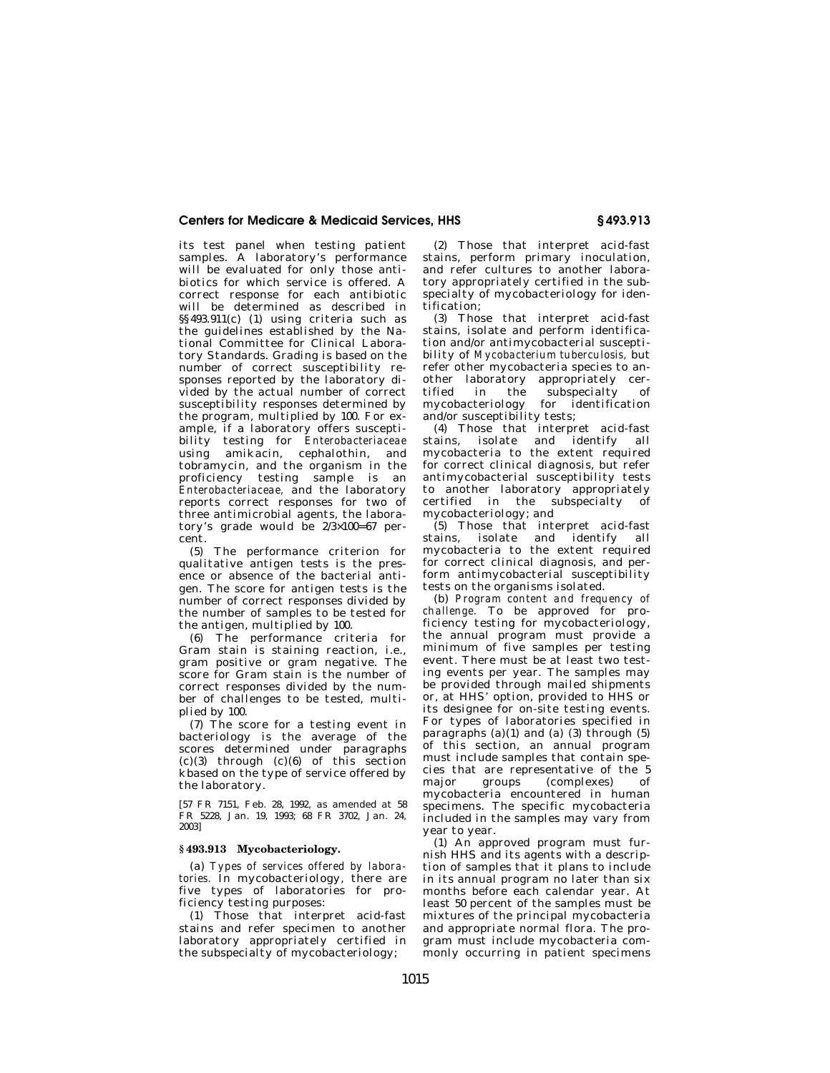its test panel when testing patient samples. A laboratory's performance will be evaluated for only those antibiotics for which service is offered. A correct response for each antibiotic will be determined as described in §§493.911(c) (1) using criteria such as the guidelines established by the National Committee for Clinical Laboratory Standards. Grading is based on the number of correct susceptibility responses reported by the laboratory divided by the actual number of correct susceptibility responses determined by the program, multiplied by 100. For example, if a laboratory offers susceptibility testing for *Enterobacteriaceae* using amikacin, cephalothin, and tobramycin, and the organism in the proficiency testing sample is an *Enterobacteriaceae,* and the laboratory reports correct responses for two of three antimicrobial agents, the laboratory's grade would be 2/3×100=67 percent.

(5) The performance criterion for qualitative antigen tests is the presence or absence of the bacterial antigen. The score for antigen tests is the number of correct responses divided by the number of samples to be tested for the antigen, multiplied by 100.

(6) The performance criteria for Gram stain is staining reaction, i.e., gram positive or gram negative. The score for Gram stain is the number of correct responses divided by the number of challenges to be tested, multiplied by 100.

(7) The score for a testing event in bacteriology is the average of the scores determined under paragraphs  $(c)(3)$  through  $(c)(6)$  of this section kbased on the type of service offered by the laboratory.

[57 FR 7151, Feb. 28, 1992, as amended at 58 FR 5228, Jan. 19, 1993; 68 FR 3702, Jan. 24, 2003]

# **§ 493.913 Mycobacteriology.**

(a) *Types of services offered by laboratories.* In mycobacteriology, there are five types of laboratories for proficiency testing purposes:

(1) Those that interpret acid-fast stains and refer specimen to another laboratory appropriately certified in the subspecialty of mycobacteriology;

(2) Those that interpret acid-fast stains, perform primary inoculation, and refer cultures to another laboratory appropriately certified in the subspecialty of mycobacteriology for identification;

(3) Those that interpret acid-fast stains, isolate and perform identification and/or antimycobacterial susceptibility of *Mycobacterium tuberculosis,* but refer other mycobacteria species to another laboratory appropriately cer-<br>tified in the subspecialty of tified in the subspecialty of mycobacteriology for identification and/or susceptibility tests;

(4) Those that interpret acid-fast stains, isolate and identify all mycobacteria to the extent required for correct clinical diagnosis, but refer antimycobacterial susceptibility tests to another laboratory appropriately certified in the subspecialty of mycobacteriology; and

(5) Those that interpret acid-fast stains, isolate and identify all mycobacteria to the extent required for correct clinical diagnosis, and perform antimycobacterial susceptibility tests on the organisms isolated.

(b) *Program content and frequency of challenge*. To be approved for proficiency testing for mycobacteriology, the annual program must provide a minimum of five samples per testing event. There must be at least two testing events per year. The samples may be provided through mailed shipments or, at HHS' option, provided to HHS or its designee for on-site testing events. For types of laboratories specified in paragraphs (a)(1) and (a) (3) through  $(5)$ of this section, an annual program must include samples that contain species that are representative of the 5 major groups (complexes) of mycobacteria encountered in human specimens. The specific mycobacteria included in the samples may vary from year to year.

(1) An approved program must furnish HHS and its agents with a description of samples that it plans to include in its annual program no later than six months before each calendar year. At least 50 percent of the samples must be mixtures of the principal mycobacteria and appropriate normal flora. The program must include mycobacteria commonly occurring in patient specimens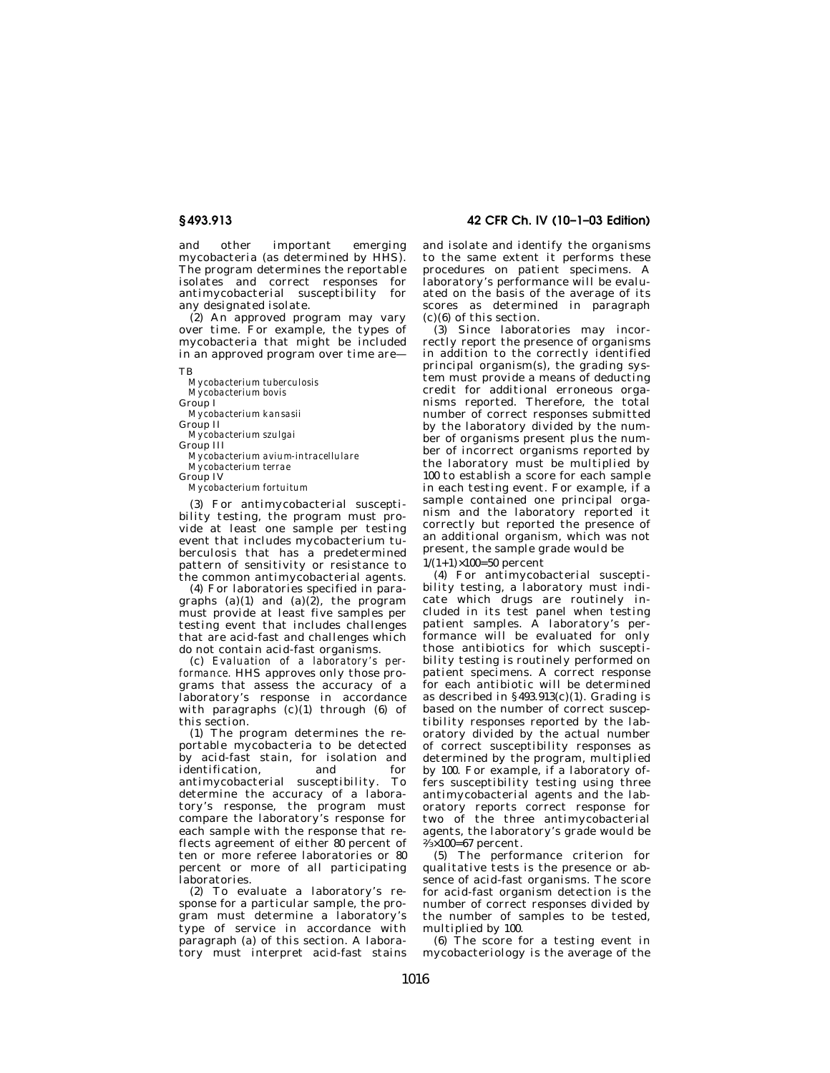and other important emerging mycobacteria (as determined by HHS). The program determines the reportable isolates and correct responses for antimycobacterial susceptibility for any designated isolate.

(2) An approved program may vary over time. For example, the types of mycobacteria that might be included in an approved program over time are—

TB

*Mycobacterium tuberculosis Mycobacterium bovis*

Group I

*Mycobacterium kansasii* Group II

*Mycobacterium szulgai*

Group III

*Mycobacterium avium-intracellulare Mycobacterium terrae* Group IV

*Mycobacterium fortuitum*

(3) For antimycobacterial susceptibility testing, the program must provide at least one sample per testing event that includes mycobacterium tuberculosis that has a predetermined pattern of sensitivity or resistance to the common antimycobacterial agents.

(4) For laboratories specified in paragraphs (a)(1) and (a)(2), the program must provide at least five samples per testing event that includes challenges that are acid-fast and challenges which do not contain acid-fast organisms.

(c) *Evaluation of a laboratory's performance.* HHS approves only those programs that assess the accuracy of a laboratory's response in accordance with paragraphs  $(c)(1)$  through  $(6)$  of this section.

(1) The program determines the reportable mycobacteria to be detected by acid-fast stain, for isolation and identification, and for antimycobacterial susceptibility. To determine the accuracy of a laboratory's response, the program must compare the laboratory's response for each sample with the response that reflects agreement of either 80 percent of ten or more referee laboratories or 80 percent or more of all participating laboratories.

(2) To evaluate a laboratory's response for a particular sample, the program must determine a laboratory's type of service in accordance with paragraph (a) of this section. A laboratory must interpret acid-fast stains

**§ 493.913 42 CFR Ch. IV (10–1–03 Edition)**

and isolate and identify the organisms to the same extent it performs these procedures on patient specimens. A laboratory's performance will be evaluated on the basis of the average of its scores as determined in paragraph (c)(6) of this section.

(3) Since laboratories may incorrectly report the presence of organisms in addition to the correctly identified principal organism(s), the grading system must provide a means of deducting credit for additional erroneous organisms reported. Therefore, the total number of correct responses submitted by the laboratory divided by the number of organisms present plus the number of incorrect organisms reported by the laboratory must be multiplied by 100 to establish a score for each sample in each testing event. For example, if a sample contained one principal organism and the laboratory reported it correctly but reported the presence of an additional organism, which was not present, the sample grade would be

 $1/(1+1)\times100=50$  percent

(4) For antimycobacterial susceptibility testing, a laboratory must indicate which drugs are routinely included in its test panel when testing patient samples. A laboratory's performance will be evaluated for only those antibiotics for which susceptibility testing is routinely performed on patient specimens. A correct response for each antibiotic will be determined as described in §493.913(c)(1). Grading is based on the number of correct susceptibility responses reported by the laboratory divided by the actual number of correct susceptibility responses as determined by the program, multiplied by 100. For example, if a laboratory offers susceptibility testing using three antimycobacterial agents and the laboratory reports correct response for two of the three antimycobacterial agents, the laboratory's grade would be 2⁄3×100=67 percent.

(5) The performance criterion for qualitative tests is the presence or absence of acid-fast organisms. The score for acid-fast organism detection is the number of correct responses divided by the number of samples to be tested, multiplied by 100.

(6) The score for a testing event in mycobacteriology is the average of the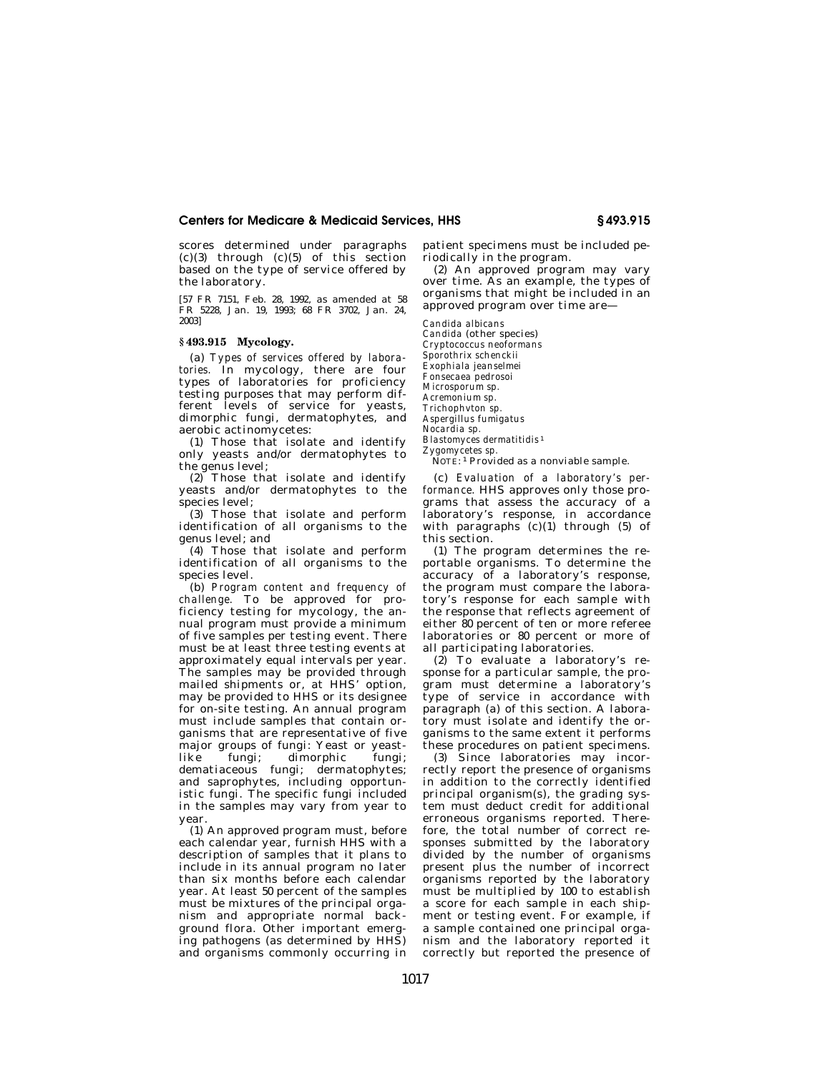scores determined under paragraphs (c)(3) through (c)(5) of this section based on the type of service offered by the laboratory.

[57 FR 7151, Feb. 28, 1992, as amended at 58 FR 5228, Jan. 19, 1993; 68 FR 3702, Jan. 24, 2003]

# **§ 493.915 Mycology.**

(a) *Types of services offered by laboratories.* In mycology, there are four types of laboratories for proficiency testing purposes that may perform different levels of service for yeasts, dimorphic fungi, dermatophytes, and aerobic actinomycetes:

(1) Those that isolate and identify only yeasts and/or dermatophytes to the genus level;

(2) Those that isolate and identify yeasts and/or dermatophytes to the species level;

(3) Those that isolate and perform identification of all organisms to the genus level; and

(4) Those that isolate and perform identification of all organisms to the species level.

(b) *Program content and frequency of challenge.* To be approved for proficiency testing for mycology, the annual program must provide a minimum of five samples per testing event. There must be at least three testing events at approximately equal intervals per year. The samples may be provided through mailed shipments or, at HHS' option, may be provided to HHS or its designee for on-site testing. An annual program must include samples that contain organisms that are representative of five major groups of fungi: Yeast or yeastlike fungi; dimorphic fungi; dematiaceous fungi; dermatophytes; and saprophytes, including opportunistic fungi. The specific fungi included in the samples may vary from year to year.

(1) An approved program must, before each calendar year, furnish HHS with a description of samples that it plans to include in its annual program no later than six months before each calendar year. At least 50 percent of the samples must be mixtures of the principal organism and appropriate normal background flora. Other important emerging pathogens (as determined by HHS) and organisms commonly occurring in

patient specimens must be included periodically in the program.

(2) An approved program may vary over time. As an example, the types of organisms that might be included in an approved program over time are—

*Candida albicans Candida* (other species) *Cryptococcus neoformans Sporothrix schenckii Exophiala jeanselmei Fonsecaea pedrosoi Microsporum sp. Acremonium sp. Trichophvton sp. Aspergillus fumigatus Nocardia sp. Blastomyces dermatitidis 1 Zygomycetes sp.*

NOTE: 1 Provided as a nonviable sample.

(c) *Evaluation of a laboratory's performance*. HHS approves only those programs that assess the accuracy of a laboratory's response, in accordance with paragraphs  $(c)(1)$  through  $(5)$  of this section.

(1) The program determines the reportable organisms. To determine the accuracy of a laboratory's response, the program must compare the laboratory's response for each sample with the response that reflects agreement of either 80 percent of ten or more referee laboratories or 80 percent or more of all participating laboratories.

(2) To evaluate a laboratory's response for a particular sample, the program must determine a laboratory's type of service in accordance with paragraph (a) of this section. A laboratory must isolate and identify the organisms to the same extent it performs these procedures on patient specimens.

(3) Since laboratories may incorrectly report the presence of organisms in addition to the correctly identified principal organism(s), the grading system must deduct credit for additional erroneous organisms reported. Therefore, the total number of correct responses submitted by the laboratory divided by the number of organisms present plus the number of incorrect organisms reported by the laboratory must be multiplied by 100 to establish a score for each sample in each shipment or testing event. For example, if a sample contained one principal organism and the laboratory reported it correctly but reported the presence of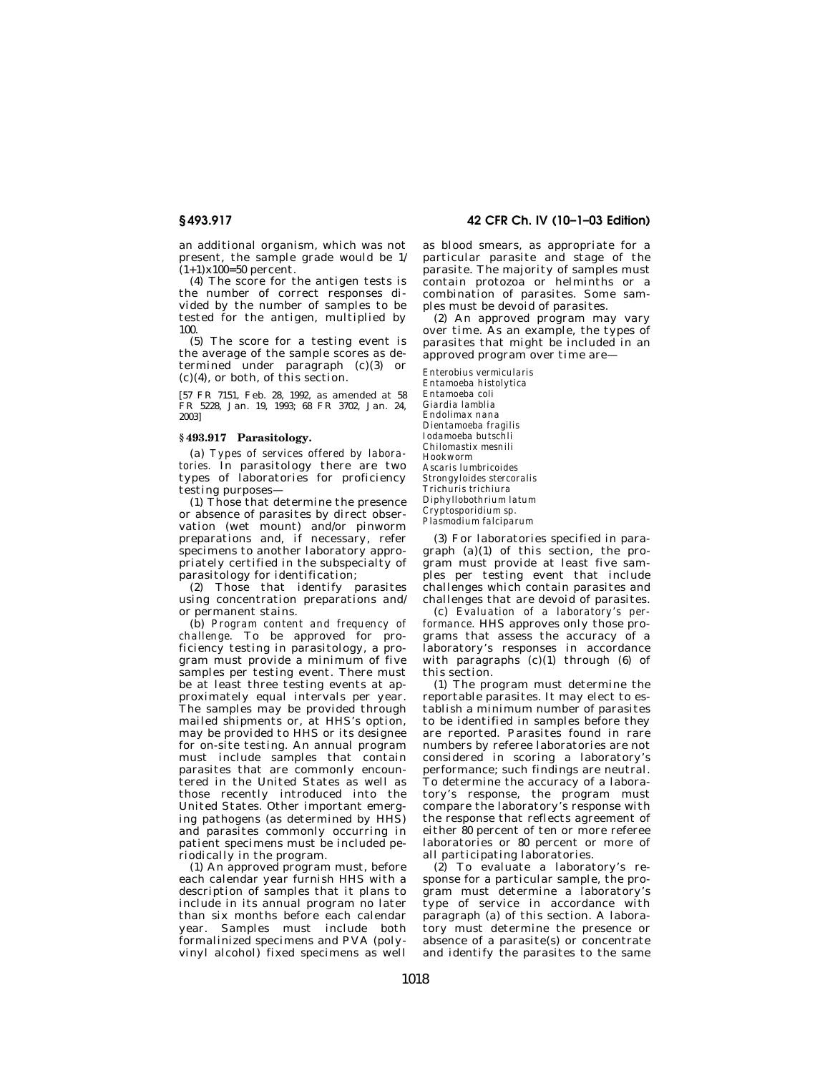**§ 493.917 42 CFR Ch. IV (10–1–03 Edition)**

an additional organism, which was not present, the sample grade would be 1/  $(1+1)x100=50$  percent.

(4) The score for the antigen tests is the number of correct responses divided by the number of samples to be tested for the antigen, multiplied by 100.

(5) The score for a testing event is the average of the sample scores as determined under paragraph (c)(3) or (c)(4), or both, of this section.

[57 FR 7151, Feb. 28, 1992, as amended at 58 FR 5228, Jan. 19, 1993; 68 FR 3702, Jan. 24, 2003]

# **§ 493.917 Parasitology.**

(a) *Types of services offered by laboratories.* In parasitology there are two types of laboratories for proficiency testing purposes—

(1) Those that determine the presence or absence of parasites by direct observation (wet mount) and/or pinworm preparations and, if necessary, refer specimens to another laboratory appropriately certified in the subspecialty of parasitology for identification;

(2) Those that identify parasites using concentration preparations and/ or permanent stains.

(b) *Program content and frequency of challenge.* To be approved for proficiency testing in parasitology, a program must provide a minimum of five samples per testing event. There must be at least three testing events at approximately equal intervals per year. The samples may be provided through mailed shipments or, at HHS's option, may be provided to HHS or its designee for on-site testing. An annual program must include samples that contain parasites that are commonly encountered in the United States as well as those recently introduced into the United States. Other important emerging pathogens (as determined by HHS) and parasites commonly occurring in patient specimens must be included periodically in the program.

(1) An approved program must, before each calendar year furnish HHS with a description of samples that it plans to include in its annual program no later than six months before each calendar year. Samples must include both formalinized specimens and PVA (polyvinyl alcohol) fixed specimens as well as blood smears, as appropriate for a particular parasite and stage of the parasite. The majority of samples must contain protozoa or helminths or a combination of parasites. Some samples must be devoid of parasites.

(2) An approved program may vary over time. As an example, the types of parasites that might be included in an approved program over time are—

*Enterobius vermicularis Entamoeba histolytica Entamoeba coli Giardia lamblia Endolimax nana Dientamoeba fragilis Iodamoeba butschli Chilomastix mesnili Hookworm Ascaris lumbricoides Strongyloides stercoralis Trichuris trichiura Diphyllobothrium latum Cryptosporidium sp. Plasmodium falciparum*

(3) For laboratories specified in paragraph (a)(1) of this section, the program must provide at least five samples per testing event that include challenges which contain parasites and challenges that are devoid of parasites.

(c) *Evaluation of a laboratory's performance.* HHS approves only those programs that assess the accuracy of a laboratory's responses in accordance with paragraphs (c)(1) through (6) of this section.

(1) The program must determine the reportable parasites. It may elect to establish a minimum number of parasites to be identified in samples before they are reported. Parasites found in rare numbers by referee laboratories are not considered in scoring a laboratory's performance; such findings are neutral. To determine the accuracy of a laboratory's response, the program must compare the laboratory's response with the response that reflects agreement of either 80 percent of ten or more referee laboratories or 80 percent or more of all participating laboratories.

(2) To evaluate a laboratory's response for a particular sample, the program must determine a laboratory's type of service in accordance with paragraph (a) of this section. A laboratory must determine the presence or absence of a parasite $(s)$  or concentrate and identify the parasites to the same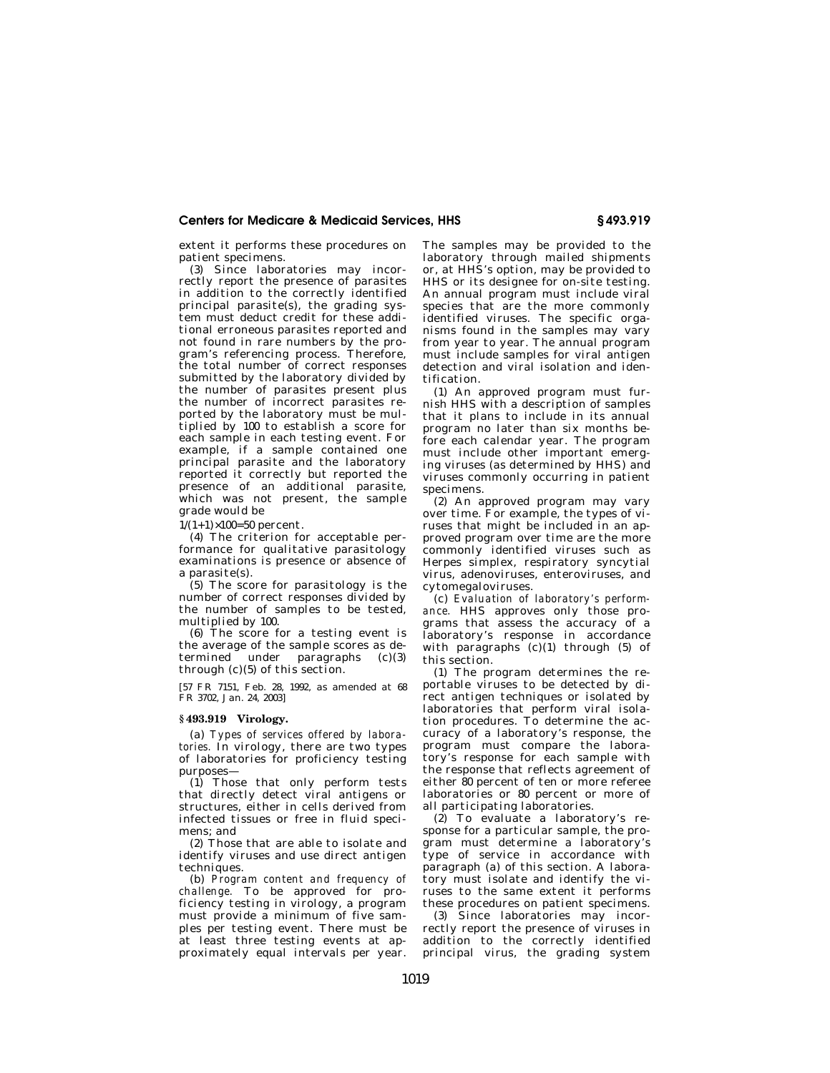extent it performs these procedures on patient specimens.

(3) Since laboratories may incorrectly report the presence of parasites in addition to the correctly identified principal parasite(s), the grading system must deduct credit for these additional erroneous parasites reported and not found in rare numbers by the program's referencing process. Therefore, the total number of correct responses submitted by the laboratory divided by the number of parasites present plus the number of incorrect parasites reported by the laboratory must be multiplied by 100 to establish a score for each sample in each testing event. For example, if a sample contained one principal parasite and the laboratory reported it correctly but reported the presence of an additional parasite, which was not present, the sample grade would be

 $1/(1+1)\times100=50$  percent.

(4) The criterion for acceptable performance for qualitative parasitology examinations is presence or absence of a parasite(s).

(5) The score for parasitology is the number of correct responses divided by the number of samples to be tested, multiplied by 100.

(6) The score for a testing event is the average of the sample scores as determined under paragraphs (c)(3) through (c)(5) of this section.

[57 FR 7151, Feb. 28, 1992, as amended at 68 FR 3702, Jan. 24, 2003]

## **§ 493.919 Virology.**

(a) *Types of services offered by laboratories.* In virology, there are two types of laboratories for proficiency testing purposes—

(1) Those that only perform tests that directly detect viral antigens or structures, either in cells derived from infected tissues or free in fluid specimens; and

(2) Those that are able to isolate and identify viruses and use direct antigen techniques.

(b) *Program content and frequency of challenge*. To be approved for proficiency testing in virology, a program must provide a minimum of five samples per testing event. There must be at least three testing events at approximately equal intervals per year.

The samples may be provided to the laboratory through mailed shipments or, at HHS's option, may be provided to HHS or its designee for on-site testing. An annual program must include viral species that are the more commonly identified viruses. The specific organisms found in the samples may vary from year to year. The annual program must include samples for viral antigen detection and viral isolation and identification.

(1) An approved program must furnish HHS with a description of samples that it plans to include in its annual program no later than six months before each calendar year. The program must include other important emerging viruses (as determined by HHS) and viruses commonly occurring in patient specimens.

(2) An approved program may vary over time. For example, the types of viruses that might be included in an approved program over time are the more commonly identified viruses such as Herpes simplex, respiratory syncytial virus, adenoviruses, enteroviruses, and cytomegaloviruses.

(c) *Evaluation of laboratory's performance.* HHS approves only those programs that assess the accuracy of a laboratory's response in accordance with paragraphs  $(c)(1)$  through  $(5)$  of this section.

(1) The program determines the reportable viruses to be detected by direct antigen techniques or isolated by laboratories that perform viral isolation procedures. To determine the accuracy of a laboratory's response, the program must compare the laboratory's response for each sample with the response that reflects agreement of either 80 percent of ten or more referee laboratories or 80 percent or more of all participating laboratories.

(2) To evaluate a laboratory's response for a particular sample, the program must determine a laboratory's type of service in accordance with paragraph (a) of this section. A laboratory must isolate and identify the viruses to the same extent it performs these procedures on patient specimens.

(3) Since laboratories may incorrectly report the presence of viruses in addition to the correctly identified principal virus, the grading system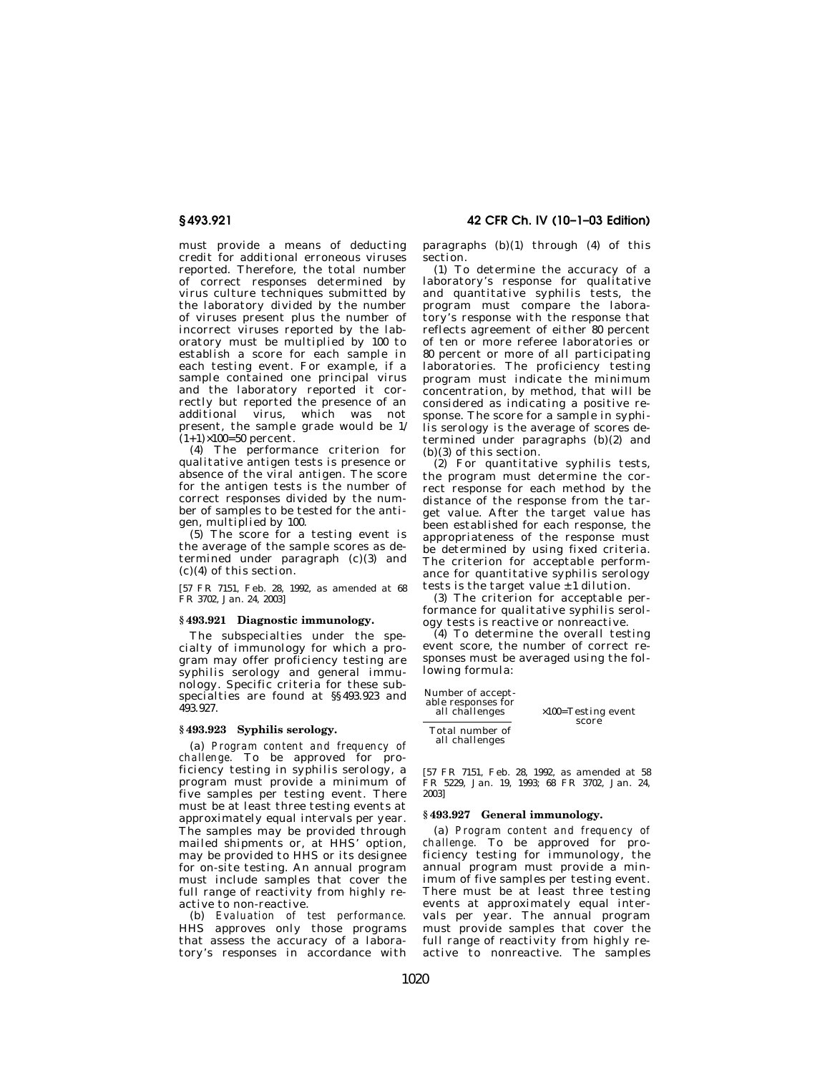must provide a means of deducting credit for additional erroneous viruses reported. Therefore, the total number of correct responses determined by virus culture techniques submitted by the laboratory divided by the number of viruses present plus the number of incorrect viruses reported by the laboratory must be multiplied by 100 to establish a score for each sample in each testing event. For example, if a sample contained one principal virus and the laboratory reported it correctly but reported the presence of an additional virus, which was not present, the sample grade would be 1/  $(1+1)\times100=50$  percent.

(4) The performance criterion for qualitative antigen tests is presence or absence of the viral antigen. The score for the antigen tests is the number of correct responses divided by the number of samples to be tested for the antigen, multiplied by 100.

(5) The score for a testing event is the average of the sample scores as determined under paragraph (c)(3) and (c)(4) of this section.

[57 FR 7151, Feb. 28, 1992, as amended at 68 FR 3702, Jan. 24, 2003]

# **§ 493.921 Diagnostic immunology.**

The subspecialties under the specialty of immunology for which a program may offer proficiency testing are syphilis serology and general immunology. Specific criteria for these subspecialties are found at §§493.923 and 493.927.

## **§ 493.923 Syphilis serology.**

(a) *Program content and frequency of challenge*. To be approved for proficiency testing in syphilis serology, a program must provide a minimum of five samples per testing event. There must be at least three testing events at approximately equal intervals per year. The samples may be provided through mailed shipments or, at HHS' option, may be provided to HHS or its designee for on-site testing. An annual program must include samples that cover the full range of reactivity from highly reactive to non-reactive.

(b) *Evaluation of test performance.* HHS approves only those programs that assess the accuracy of a laboratory's responses in accordance with

**§ 493.921 42 CFR Ch. IV (10–1–03 Edition)**

paragraphs  $(b)(1)$  through  $(4)$  of this section.

(1) To determine the accuracy of a laboratory's response for qualitative and quantitative syphilis tests, the program must compare the laboratory's response with the response that reflects agreement of either 80 percent of ten or more referee laboratories or 80 percent or more of all participating laboratories. The proficiency testing program must indicate the minimum concentration, by method, that will be considered as indicating a positive response. The score for a sample in syphilis serology is the average of scores determined under paragraphs (b)(2) and (b)(3) of this section.

(2) For quantitative syphilis tests, the program must determine the correct response for each method by the distance of the response from the target value. After the target value has been established for each response, the appropriateness of the response must be determined by using fixed criteria. The criterion for acceptable performance for quantitative syphilis serology tests is the target value  $\pm 1$  dilution.

(3) The criterion for acceptable performance for qualitative syphilis serology tests is reactive or nonreactive.

(4) To determine the overall testing event score, the number of correct responses must be averaged using the following formula:

| Number of accept-<br>able responses for<br>all challenges | $\times$ 100=Testing event<br>score |
|-----------------------------------------------------------|-------------------------------------|
| Total number of<br>all challenges                         |                                     |

[57 FR 7151, Feb. 28, 1992, as amended at 58 FR 5229, Jan. 19, 1993; 68 FR 3702, Jan. 24, 2003]

## **§ 493.927 General immunology.**

(a) *Program content and frequency of challenge*. To be approved for proficiency testing for immunology, the annual program must provide a minimum of five samples per testing event. There must be at least three testing events at approximately equal intervals per year. The annual program must provide samples that cover the full range of reactivity from highly reactive to nonreactive. The samples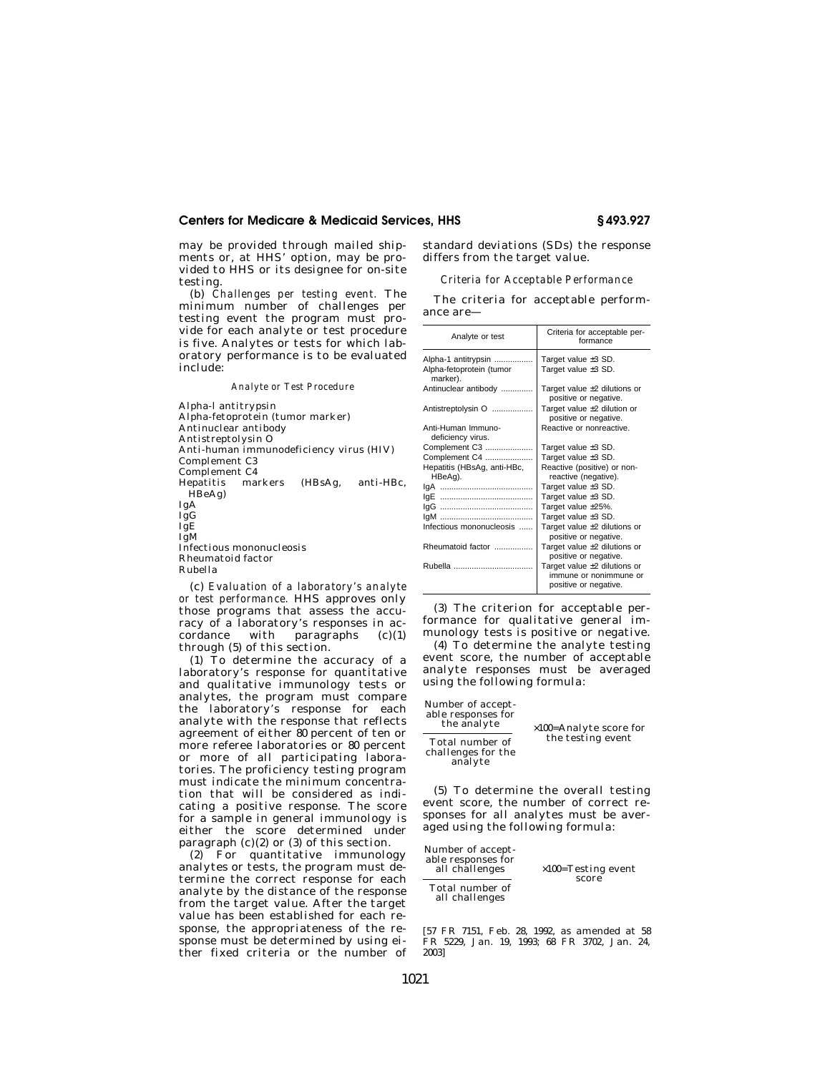may be provided through mailed shipments or, at HHS' option, may be provided to HHS or its designee for on-site testing.

(b) *Challenges per testing event.* The minimum number of challenges per testing event the program must provide for each analyte or test procedure is five. Analytes or tests for which laboratory performance is to be evaluated include:

## *Analyte or Test Procedure*

Alpha-l antitrypsin Alpha-fetoprotein (tumor marker) Antinuclear antibody Antistreptolysin O Anti-human immunodeficiency virus (HIV) Complement C3 Complement C4<br>Hepatitis mai markers (HBsAg, anti-HBc, HBeAg) IgA IgG IgE IgM Infectious mononucleosis Rheumatoid factor Rubella

(c) *Evaluation of a laboratory's analyte or test performance.* HHS approves only those programs that assess the accuracy of a laboratory's responses in accordance with paragraphs (c)(1) through (5) of this section.

(1) To determine the accuracy of a laboratory's response for quantitative and qualitative immunology tests or analytes, the program must compare the laboratory's response for each analyte with the response that reflects agreement of either 80 percent of ten or more referee laboratories or 80 percent or more of all participating laboratories. The proficiency testing program must indicate the minimum concentration that will be considered as indicating a positive response. The score for a sample in general immunology is either the score determined under paragraph (c)(2) or (3) of this section.

(2) For quantitative immunology analytes or tests, the program must determine the correct response for each analyte by the distance of the response from the target value. After the target value has been established for each response, the appropriateness of the response must be determined by using either fixed criteria or the number of standard deviations (SDs) the response differs from the target value.

### *Criteria for Acceptable Performance*

The criteria for acceptable performance are—

| Analyte or test                                             | Criteria for acceptable per-<br>formance                                        |
|-------------------------------------------------------------|---------------------------------------------------------------------------------|
| Alpha-1 antitrypsin<br>Alpha-fetoprotein (tumor<br>marker). | Target value $\pm 3$ SD.<br>Target value ±3 SD.                                 |
| Antinuclear antibody                                        | Target value $\pm 2$ dilutions or<br>positive or negative.                      |
| Antistreptolysin O                                          | Target value $\pm 2$ dilution or<br>positive or negative.                       |
| Anti-Human Immuno-<br>deficiency virus.                     | Reactive or nonreactive.                                                        |
| Complement C3                                               | Target value ±3 SD.                                                             |
| Complement C4                                               | Target value ±3 SD.                                                             |
| Hepatitis (HBsAg, anti-HBc,<br>HBeAg).                      | Reactive (positive) or non-<br>reactive (negative).                             |
|                                                             | Target value ±3 SD.                                                             |
|                                                             | Target value ±3 SD.                                                             |
|                                                             | Target value ±25%.                                                              |
|                                                             | Target value $\pm 3$ SD.                                                        |
| Infectious mononucleosis                                    | Target value $\pm 2$ dilutions or<br>positive or negative.                      |
| Rheumatoid factor                                           | Target value $\pm 2$ dilutions or<br>positive or negative.                      |
|                                                             | Target value ±2 dilutions or<br>immune or nonimmune or<br>positive or negative. |

(3) The criterion for acceptable performance for qualitative general immunology tests is positive or negative.

(4) To determine the analyte testing event score, the number of acceptable analyte responses must be averaged using the following formula:

| Number of accept-<br>able responses for<br>the analyte | $\times$ 100=Analyte score for |
|--------------------------------------------------------|--------------------------------|
| Total number of<br>challenges for the<br>analyte       | the testing event              |

(5) To determine the overall testing event score, the number of correct responses for all analytes must be averaged using the following formula:

| Number of accept-<br>able responses for<br>all challenges | $\times$ 100=Testing event |
|-----------------------------------------------------------|----------------------------|
| Total number of                                           | score                      |

all challenges

[57 FR 7151, Feb. 28, 1992, as amended at 58 FR 5229, Jan. 19, 1993; 68 FR 3702, Jan. 24, 2003]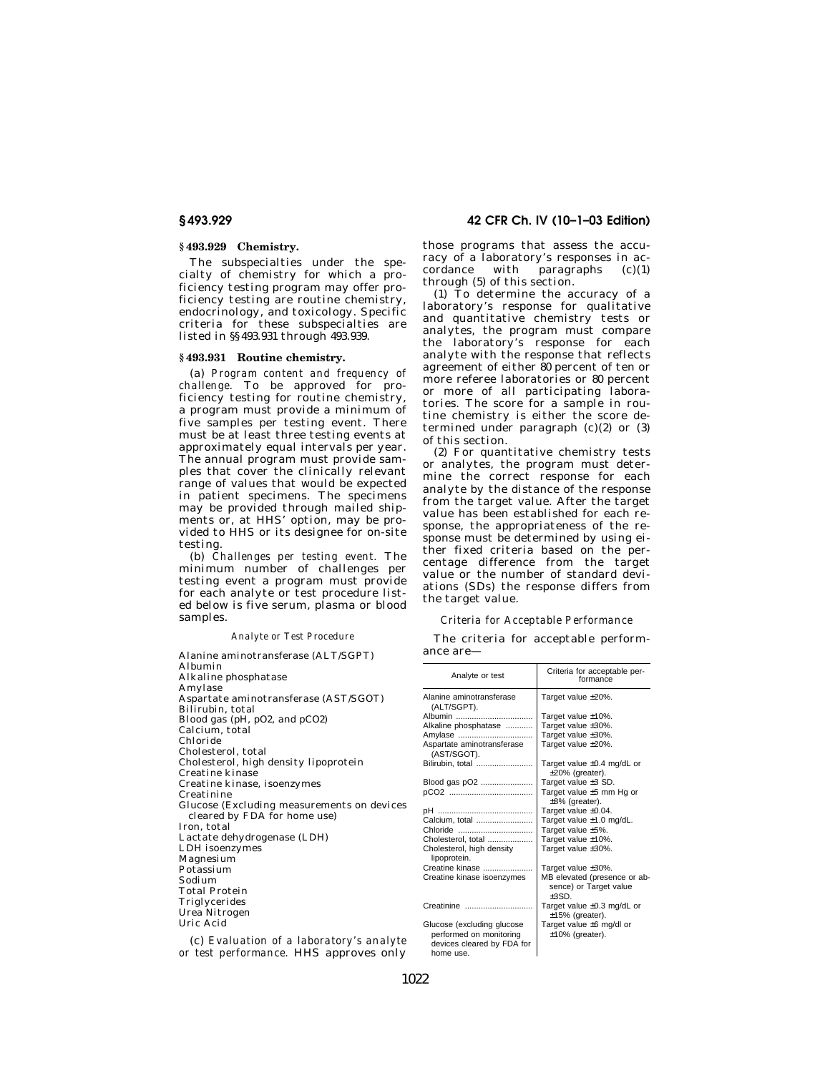## **§ 493.929 Chemistry.**

The subspecialties under the specialty of chemistry for which a proficiency testing program may offer proficiency testing are routine chemistry, endocrinology, and toxicology. Specific criteria for these subspecialties are listed in §§493.931 through 493.939.

## **§ 493.931 Routine chemistry.**

(a) *Program content and frequency of challenge*. To be approved for proficiency testing for routine chemistry, a program must provide a minimum of five samples per testing event. There must be at least three testing events at approximately equal intervals per year. The annual program must provide samples that cover the clinically relevant range of values that would be expected in patient specimens. The specimens may be provided through mailed shipments or, at HHS' option, may be provided to HHS or its designee for on-site testing.

(b) *Challenges per testing event.* The minimum number of challenges per testing event a program must provide for each analyte or test procedure listed below is five serum, plasma or blood samples.

### *Analyte or Test Procedure*

Alanine aminotransferase (ALT/SGPT) Albumin Alkaline phosphatase Amylase Aspartate aminotransferase (AST/SGOT) Bilirubin, total Blood gas (pH, pO2, and pCO2) Calcium, total Chloride Cholesterol, total Cholesterol, high density lipoprotein Creatine kinase Creatine kinase, isoenzymes Creatinine Glucose (Excluding measurements on devices cleared by FDA for home use) Iron, total Lactate dehydrogenase (LDH) LDH isoenzymes Magnesium Potassium Sodium Total Protein Triglycerides Urea Nitrogen Uric Acid

(c) *Evaluation of a laboratory's analyte or test performance.* HHS approves only

# **§ 493.929 42 CFR Ch. IV (10–1–03 Edition)**

those programs that assess the accuracy of a laboratory's responses in accordance with paragraphs (c)(1) through (5) of this section.

(1) To determine the accuracy of a laboratory's response for qualitative and quantitative chemistry tests or analytes, the program must compare the laboratory's response for each analyte with the response that reflects agreement of either 80 percent of ten or more referee laboratories or 80 percent or more of all participating laboratories. The score for a sample in routine chemistry is either the score determined under paragraph  $(c)(2)$  or  $(3)$ of this section.

(2) For quantitative chemistry tests or analytes, the program must determine the correct response for each analyte by the distance of the response from the target value. After the target value has been established for each response, the appropriateness of the response must be determined by using either fixed criteria based on the percentage difference from the target value or the number of standard deviations (SDs) the response differs from the target value.

# *Criteria for Acceptable Performance*

The criteria for acceptable performance are—

| Analyte or test                                                    | Criteria for acceptable per-<br>formance                          |
|--------------------------------------------------------------------|-------------------------------------------------------------------|
| Alanine aminotransferase<br>(ALT/SGPT).                            | Target value ±20%.                                                |
| Albumin                                                            | Target value ±10%.                                                |
| Alkaline phosphatase                                               | Target value ±30%.                                                |
| Amvlase                                                            | Target value ±30%.                                                |
| Aspartate aminotransferase<br>(AST/SGOT).                          | Target value ±20%.                                                |
| Bilirubin, total                                                   | Target value $\pm 0.4$ mg/dL or<br>$\pm 20\%$ (greater).          |
| Blood gas pO2                                                      | Target value $\pm 3$ SD.                                          |
|                                                                    | Target value ±5 mm Hg or<br>±8% (greater).                        |
|                                                                    | Target value $\pm 0.04$ .                                         |
| Calcium, total                                                     | Target value ±1.0 mg/dL.                                          |
| Chloride                                                           | Target value ±5%.                                                 |
| Cholesterol, total                                                 | Target value ±10%.                                                |
| Cholesterol, high density<br>lipoprotein.                          | Target value ±30%.                                                |
| Creatine kinase                                                    | Target value ±30%.                                                |
| Creatine kinase isoenzymes                                         | MB elevated (presence or ab-<br>sence) or Target value<br>$+3SD.$ |
| Creatinine                                                         | Target value ±0.3 mg/dL or<br>$±15%$ (greater).                   |
| Glucose (excluding glucose                                         | Target value $\pm 6$ mg/dl or                                     |
| performed on monitoring<br>devices cleared by FDA for<br>home use. | $±10\%$ (greater).                                                |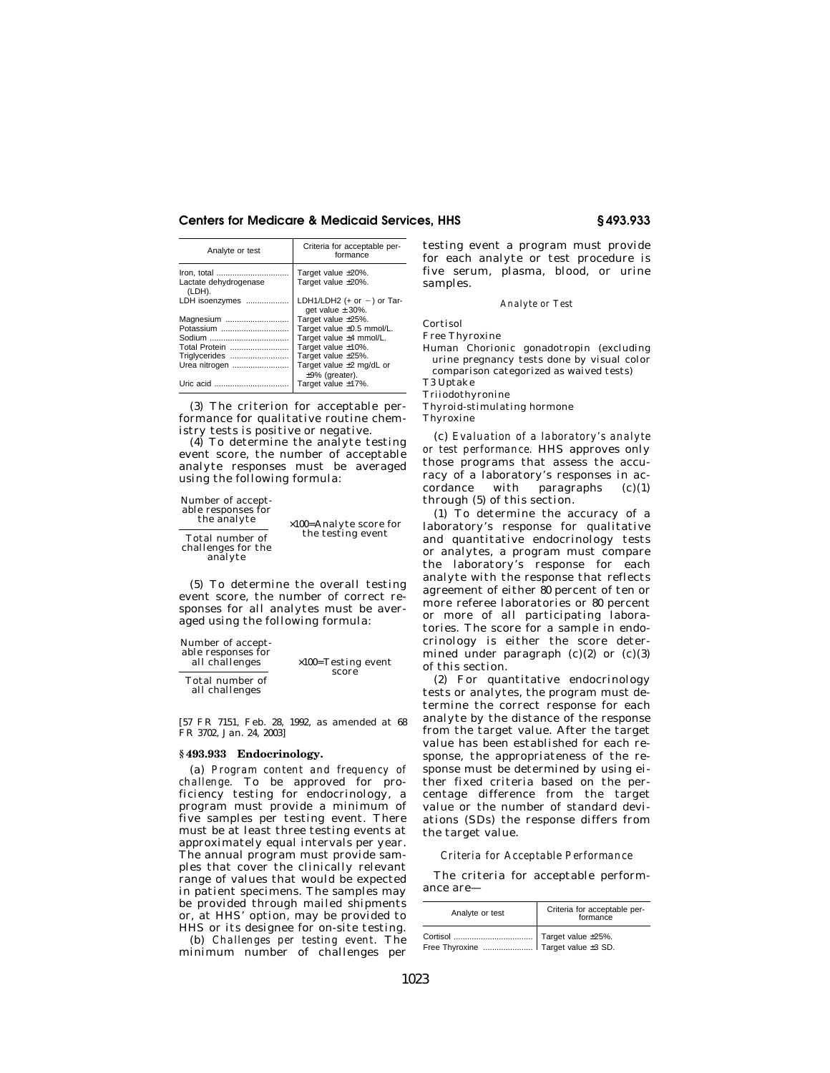| §493.933 |
|----------|
|----------|

| Analyte or test                                | Criteria for acceptable per-<br>formance              |
|------------------------------------------------|-------------------------------------------------------|
| Iron. total<br>Lactate dehydrogenase<br>(LDH). | Target value ±20%.<br>Target value ±20%.              |
| LDH isoenzymes                                 | LDH1/LDH2 $(+ or -)$ or Tar-<br>get value $\pm$ 30%.  |
| Magnesium                                      | Target value ±25%.                                    |
| Potassium                                      | Target value ±0.5 mmol/L.                             |
|                                                | Target value ±4 mmol/L.                               |
| Total Protein                                  | Target value ±10%.                                    |
| Triglycerides                                  | Target value ±25%.                                    |
| Urea nitrogen                                  | Target value $\pm 2$ mg/dL or<br>$\pm 9\%$ (greater). |
| Uric acid                                      | Target value ±17%.                                    |

(3) The criterion for acceptable performance for qualitative routine chemistry tests is positive or negative.

(4) To determine the analyte testing event score, the number of acceptable analyte responses must be averaged using the following formula:

| Number of accept-<br>able responses for<br>the analyte | $\times$ 100=Analyte score for |
|--------------------------------------------------------|--------------------------------|
| Total number of<br>challenges for the<br>analyte       | the testing event              |

(5) To determine the overall testing event score, the number of correct responses for all analytes must be averaged using the following formula:

| Number of accept-<br>able responses for<br>all challenges | $\times$ 100=Testing event<br>score |
|-----------------------------------------------------------|-------------------------------------|
| Total number of<br>all challenges                         |                                     |

[57 FR 7151, Feb. 28, 1992, as amended at 68 FR 3702, Jan. 24, 2003]

# **§ 493.933 Endocrinology.**

(a) *Program content and frequency of challenge.* To be approved for proficiency testing for endocrinology, a program must provide a minimum of five samples per testing event. There must be at least three testing events at approximately equal intervals per year. The annual program must provide samples that cover the clinically relevant range of values that would be expected in patient specimens. The samples may be provided through mailed shipments or, at HHS' option, may be provided to HHS or its designee for on-site testing.

(b) *Challenges per testing event*. The minimum number of challenges per

testing event a program must provide for each analyte or test procedure is five serum, plasma, blood, or urine samples.

*Analyte or Test*

Cortisol

Free Thyroxine Human Chorionic gonadotropin (excluding urine pregnancy tests done by visual color comparison categorized as waived tests) T3 Uptake Triiodothyronine

Thyroid-stimulating hormone

Thyroxine

(c) *Evaluation of a laboratory's analyte or test performance.* HHS approves only those programs that assess the accuracy of a laboratory's responses in accordance with paragraphs (c)(1) through (5) of this section.

(1) To determine the accuracy of a laboratory's response for qualitative and quantitative endocrinology tests or analytes, a program must compare the laboratory's response for each analyte with the response that reflects agreement of either 80 percent of ten or more referee laboratories or 80 percent or more of all participating laboratories. The score for a sample in endocrinology is either the score determined under paragraph  $(c)(2)$  or  $(c)(3)$ of this section.

(2) For quantitative endocrinology tests or analytes, the program must determine the correct response for each analyte by the distance of the response from the target value. After the target value has been established for each response, the appropriateness of the response must be determined by using either fixed criteria based on the percentage difference from the target value or the number of standard deviations (SDs) the response differs from the target value.

# *Criteria for Acceptable Performance*

The criteria for acceptable performance are—

| Analyte or test                     | Criteria for acceptable per-<br>formance |
|-------------------------------------|------------------------------------------|
| Free Thyroxine  Target value ±3 SD. | Target value ±25%.                       |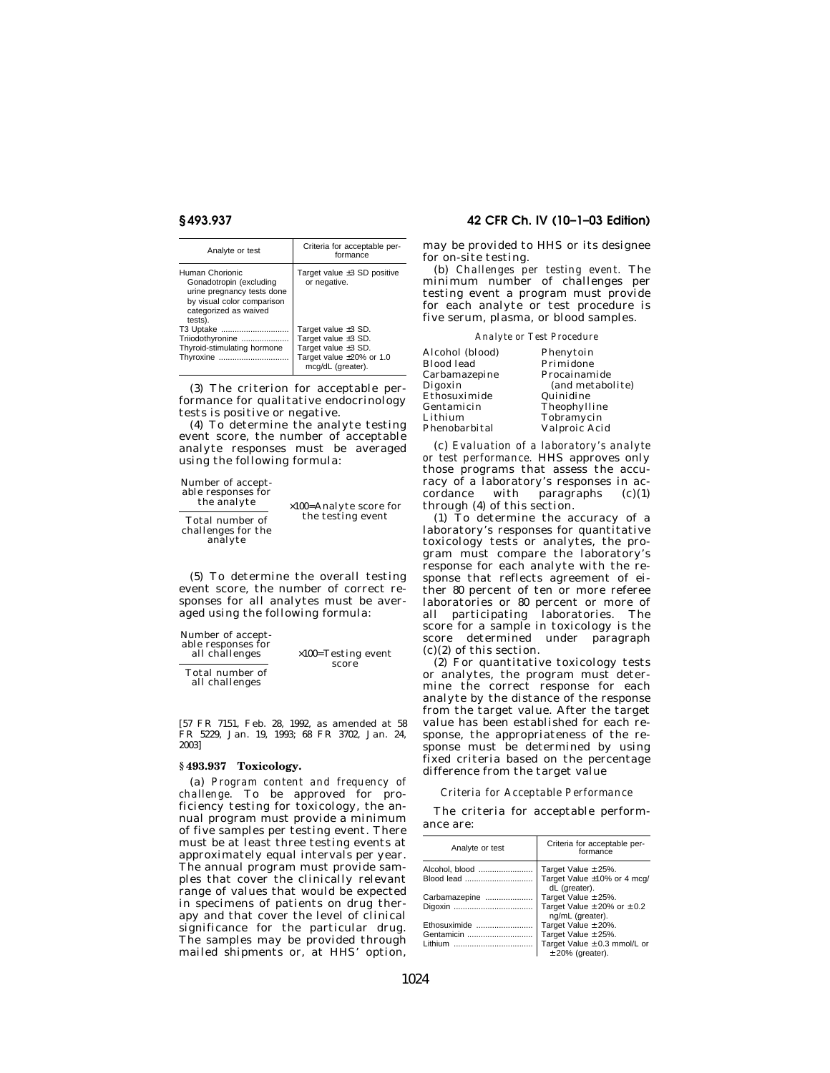| Analyte or test                                                                                                                            | Criteria for acceptable per-<br>formance                                                                                 |
|--------------------------------------------------------------------------------------------------------------------------------------------|--------------------------------------------------------------------------------------------------------------------------|
| Human Chorionic<br>Gonadotropin (excluding<br>urine pregnancy tests done<br>by visual color comparison<br>categorized as waived<br>tests). | Target value $\pm 3$ SD positive<br>or negative.                                                                         |
| T3 Uptake<br>Triiodothyronine<br>Thyroid-stimulating hormone<br>Thyroxine                                                                  | Target value ±3 SD.<br>Target value ±3 SD.<br>Target value ±3 SD.<br>Target value $\pm 20\%$ or 1.0<br>mcg/dL (greater). |

(3) The criterion for acceptable performance for qualitative endocrinology tests is positive or negative.

(4) To determine the analyte testing event score, the number of acceptable analyte responses must be averaged using the following formula:

| Number of accept-  |  |
|--------------------|--|
| able responses for |  |
| the analyte        |  |

| the analyte                                      | $\times$ 100=Analyte score for |
|--------------------------------------------------|--------------------------------|
| Total number of<br>challenges for the<br>analyte | the testing event              |

(5) To determine the overall testing event score, the number of correct responses for all analytes must be averaged using the following formula:

| Number of accept-<br>able responses for<br>all challenges | $\times$ 100=Testing event<br>score |
|-----------------------------------------------------------|-------------------------------------|
| Total number of<br>all challenges                         |                                     |

[57 FR 7151, Feb. 28, 1992, as amended at 58 FR 5229, Jan. 19, 1993; 68 FR 3702, Jan. 24, 2003]

# **§ 493.937 Toxicology.**

(a) *Program content and frequency of challenge.* To be approved for proficiency testing for toxicology, the annual program must provide a minimum of five samples per testing event. There must be at least three testing events at approximately equal intervals per year. The annual program must provide samples that cover the clinically relevant range of values that would be expected in specimens of patients on drug therapy and that cover the level of clinical significance for the particular drug. The samples may be provided through mailed shipments or, at HHS' option,

# **§ 493.937 42 CFR Ch. IV (10–1–03 Edition)**

may be provided to HHS or its designee for on-site testing.

(b) *Challenges per testing event.* The minimum number of challenges per testing event a program must provide for each analyte or test procedure is five serum, plasma, or blood samples.

|  |  | Analyte or Test Procedure |
|--|--|---------------------------|
|  |  |                           |

| Alcohol (blood) | Phenytoin        |
|-----------------|------------------|
| Blood lead      | Primidone        |
| Carbamazepine   | Procainamide     |
| Digoxin         | (and metabolite) |
| Ethosuximide    | Quinidine        |
| Gentamicin      | Theophylline     |
| Lithium         | Tobramycin       |
| Phenobarbital   | Valproic Acid    |

(c) *Evaluation of a laboratory's analyte or test performance.* HHS approves only those programs that assess the accuracy of a laboratory's responses in accordance with paragraphs (c)(1) through (4) of this section.

(1) To determine the accuracy of a laboratory's responses for quantitative toxicology tests or analytes, the program must compare the laboratory's response for each analyte with the response that reflects agreement of either 80 percent of ten or more referee laboratories or 80 percent or more of all participating laboratories. The score for a sample in toxicology is the score determined under paragraph (c)(2) of this section.

(2) For quantitative toxicology tests or analytes, the program must determine the correct response for each analyte by the distance of the response from the target value. After the target value has been established for each response, the appropriateness of the response must be determined by using fixed criteria based on the percentage difference from the target value

## *Criteria for Acceptable Performance*

The criteria for acceptable performance are:

| Analyte or test                       | Criteria for acceptable per-<br>formance                                                                     |
|---------------------------------------|--------------------------------------------------------------------------------------------------------------|
| Alcohol, blood<br>Blood lead          | Target Value $\pm$ 25%.<br>Target Value ±10% or 4 mcg/<br>dL (greater).                                      |
| Carbamazepine                         | Target Value $\pm$ 25%.<br>Target Value $\pm$ 20% or $\pm$ 0.2<br>ng/mL (greater).                           |
| Ethosuximide<br>Gentamicin<br>Lithium | Target Value $\pm$ 20%.<br>Target Value $\pm$ 25%.<br>Target Value $\pm$ 0.3 mmol/L or<br>$±$ 20% (greater). |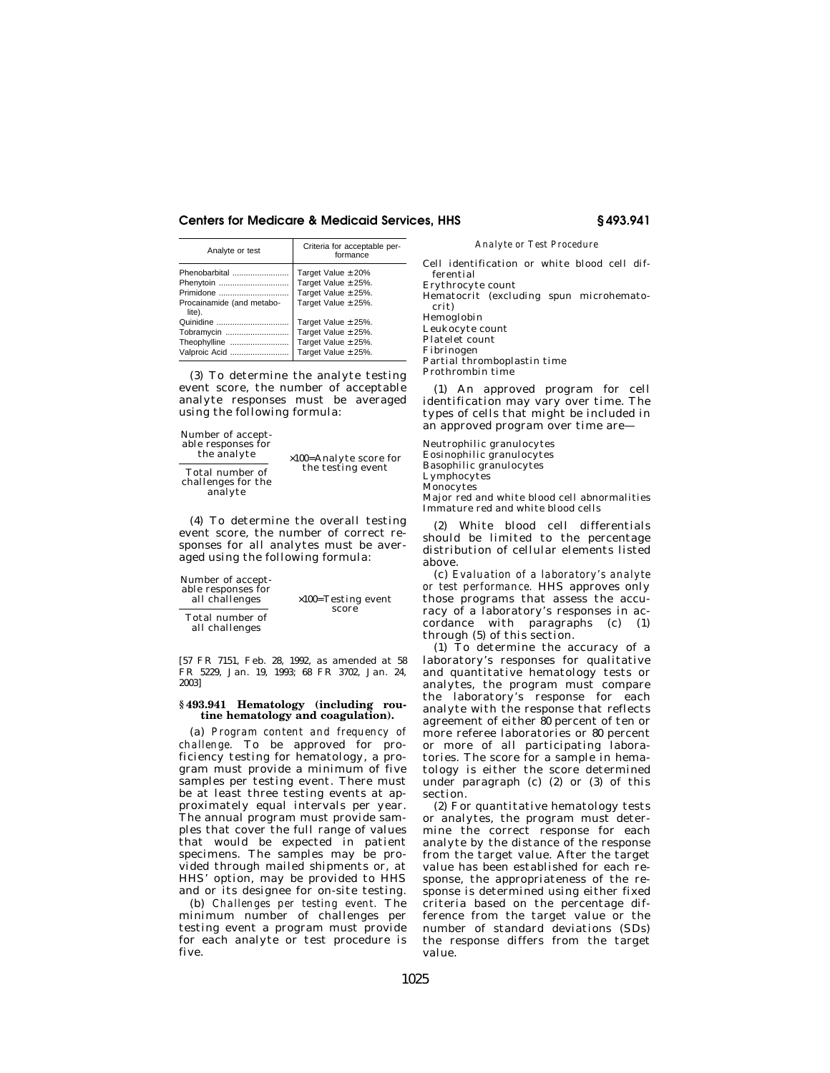| Analyte or test                                                                | Criteria for acceptable per-<br>formance                                                             |
|--------------------------------------------------------------------------------|------------------------------------------------------------------------------------------------------|
| Phenobarbital<br>Phenytoin<br>Primidone<br>Procainamide (and metabo-<br>lite). | Target Value $\pm$ 20%<br>Target Value $\pm$ 25%.<br>Target Value ± 25%.<br>Target Value $\pm$ 25%.  |
| Quinidine<br>Tobramycin<br>Theophylline<br>Valproic Acid                       | Target Value $\pm$ 25%.<br>Target Value $\pm$ 25%.<br>Target Value ± 25%.<br>Target Value $\pm$ 25%. |

(3) To determine the analyte testing event score, the number of acceptable analyte responses must be averaged using the following formula:

| Number of accept-<br>able responses for<br>the analyte | $\times$ 100=Analyte score for |
|--------------------------------------------------------|--------------------------------|
| Total number of<br>challenges for the<br>analyte       | the testing event              |

(4) To determine the overall testing event score, the number of correct responses for all analytes must be averaged using the following formula:

Number of acceptable responses for all challenges ×100=Testing event score Total number of

all challenges

[57 FR 7151, Feb. 28, 1992, as amended at 58 FR 5229, Jan. 19, 1993; 68 FR 3702, Jan. 24, 2003]

## **§ 493.941 Hematology (including routine hematology and coagulation).**

(a) *Program content and frequency of challenge.* To be approved for proficiency testing for hematology, a program must provide a minimum of five samples per testing event. There must be at least three testing events at approximately equal intervals per year. The annual program must provide samples that cover the full range of values that would be expected in patient specimens. The samples may be provided through mailed shipments or, at HHS' option, may be provided to HHS and or its designee for on-site testing.

(b) *Challenges per testing event.* The minimum number of challenges per testing event a program must provide for each analyte or test procedure is five.

Cell identification or white blood cell differential Erythrocyte count Hematocrit (excluding spun microhematocrit) Hemoglobin Leukocyte count Platelet count Fibrinogen

*Analyte or Test Procedure*

Partial thromboplastin time Prothrombin time

(1) An approved program for cell identification may vary over time. The types of cells that might be included in an approved program over time are—

Neutrophilic granulocytes Eosinophilic granulocytes Basophilic granulocytes Lymphocytes Monocytes Major red and white blood cell abnormalities Immature red and white blood cells

(2) White blood cell differentials should be limited to the percentage distribution of cellular elements listed above.

(c) *Evaluation of a laboratory's analyte or test performance.* HHS approves only those programs that assess the accuracy of a laboratory's responses in accordance with paragraphs (c) (1) through (5) of this section.

(1) To determine the accuracy of a laboratory's responses for qualitative and quantitative hematology tests or analytes, the program must compare the laboratory's response for each analyte with the response that reflects agreement of either 80 percent of ten or more referee laboratories or 80 percent or more of all participating laboratories. The score for a sample in hematology is either the score determined under paragraph (c) (2) or (3) of this section.

(2) For quantitative hematology tests or analytes, the program must determine the correct response for each analyte by the distance of the response from the target value. After the target value has been established for each response, the appropriateness of the response is determined using either fixed criteria based on the percentage difference from the target value or the number of standard deviations (SDs) the response differs from the target value.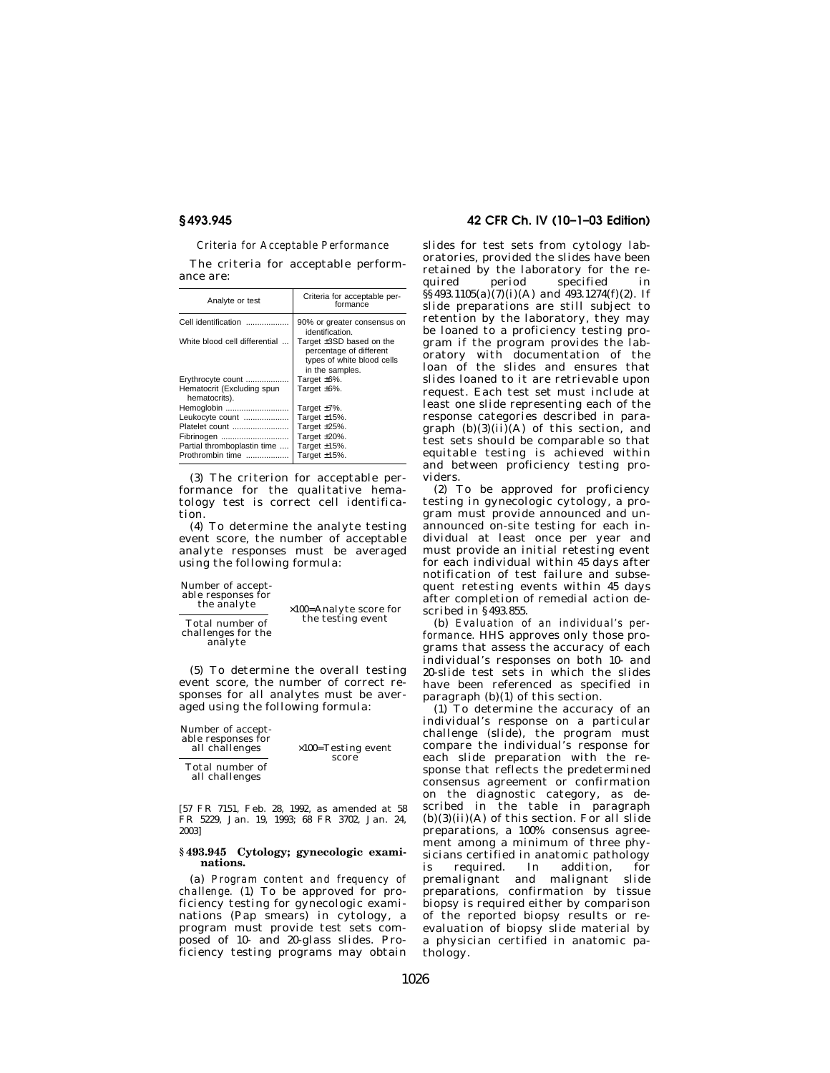*Criteria for Acceptable Performance* 

The criteria for acceptable performance are:

| Analyte or test                             | Criteria for acceptable per-<br>formance                                                             |
|---------------------------------------------|------------------------------------------------------------------------------------------------------|
| Cell identification                         | 90% or greater consensus on<br>identification.                                                       |
| White blood cell differential               | Target ±3SD based on the<br>percentage of different<br>types of white blood cells<br>in the samples. |
| Erythrocyte count                           | Target ±6%.                                                                                          |
| Hematocrit (Excluding spun<br>hematocrits). | Target $\pm 6\%$ .                                                                                   |
| Hemoglobin                                  | Target $\pm 7\%$ .                                                                                   |
| Leukocyte count                             | Target $\pm$ 15%.                                                                                    |
| Platelet count                              | Target $\pm 25\%$ .                                                                                  |
| Fibrinogen                                  | Target ±20%.                                                                                         |
| Partial thromboplastin time                 | Target $\pm 15$ %.                                                                                   |
| Prothrombin time                            | Target $\pm 15\%$ .                                                                                  |
|                                             |                                                                                                      |

(3) The criterion for acceptable performance for the qualitative hematology test is correct cell identification.

(4) To determine the analyte testing event score, the number of acceptable analyte responses must be averaged using the following formula:

| Number of accept-<br>able responses for |                                |
|-----------------------------------------|--------------------------------|
| the analyte                             | $\times$ 100=Analyte score for |
| Total number of                         | the testing event              |

| Total number of    |  |
|--------------------|--|
| challenges for the |  |
| analyte            |  |

(5) To determine the overall testing event score, the number of correct responses for all analytes must be averaged using the following formula:

| Number of accept-<br>able responses for<br>all challenges | $\times$ 100=Testing event |
|-----------------------------------------------------------|----------------------------|
| Total number of<br>all challenges                         | score                      |

[57 FR 7151, Feb. 28, 1992, as amended at 58 FR 5229, Jan. 19, 1993; 68 FR 3702, Jan. 24, 2003]

## **§ 493.945 Cytology; gynecologic examinations.**

(a) *Program content and frequency of challenge.* (1) To be approved for proficiency testing for gynecologic examinations (Pap smears) in cytology, a program must provide test sets composed of 10- and 20-glass slides. Proficiency testing programs may obtain

# **§ 493.945 42 CFR Ch. IV (10–1–03 Edition)**

slides for test sets from cytology laboratories, provided the slides have been retained by the laboratory for the required period specified in quired period specified in  $\hat{\$}493.1105(a)(7)(i)(A)$  and  $\hat{4}93.1274(f)(2)$ . If slide preparations are still subject to retention by the laboratory, they may be loaned to a proficiency testing program if the program provides the laboratory with documentation of the loan of the slides and ensures that slides loaned to it are retrievable upon request. Each test set must include at least one slide representing each of the response categories described in paragraph  $(b)(3)(ii)(A)$  of this section, and test sets should be comparable so that equitable testing is achieved within and between proficiency testing providers.

(2) To be approved for proficiency testing in gynecologic cytology, a program must provide announced and unannounced on-site testing for each individual at least once per year and must provide an initial retesting event for each individual within 45 days after notification of test failure and subsequent retesting events within 45 days after completion of remedial action described in §493.855.

(b) *Evaluation of an individual's performance.* HHS approves only those programs that assess the accuracy of each individual's responses on both 10- and 20-slide test sets in which the slides have been referenced as specified in paragraph (b)(1) of this section.

(1) To determine the accuracy of an individual's response on a particular challenge (slide), the program must compare the individual's response for each slide preparation with the response that reflects the predetermined consensus agreement or confirmation on the diagnostic category, as described in the table in paragraph  $(b)(3)(ii)(A)$  of this section. For all slide preparations, a 100% consensus agreement among a minimum of three physicians certified in anatomic pathology is required. In addition, for premalignant and malignant slide presses and confirmation by tissue biopsy is required either by comparison of the reported biopsy results or reevaluation of biopsy slide material by a physician certified in anatomic pathology.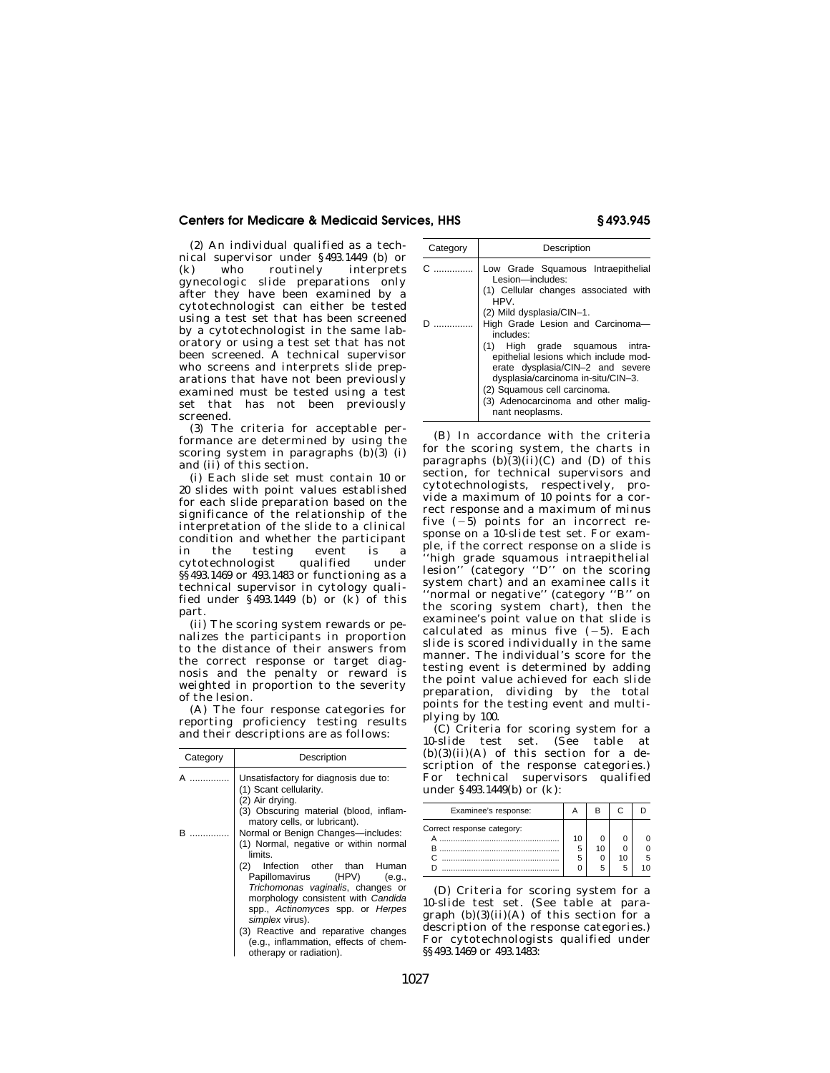(2) An individual qualified as a technical supervisor under §493.1449 (b) or (k) who routinely interprets gynecologic slide preparations only after they have been examined by a cytotechnologist can either be tested using a test set that has been screened by a cytotechnologist in the same laboratory or using a test set that has not been screened. A technical supervisor who screens and interprets slide preparations that have not been previously examined must be tested using a test set that has not been previously screened.

(3) The criteria for acceptable performance are determined by using the scoring system in paragraphs  $(b)(3)$  (i) and (ii) of this section.

(i) Each slide set must contain 10 or 20 slides with point values established for each slide preparation based on the significance of the relationship of the interpretation of the slide to a clinical condition and whether the participant in the testing event is a cytotechnologist qualified under §§493.1469 or 493.1483 or functioning as a technical supervisor in cytology qualified under §493.1449 (b) or (k) of this part.

(ii) The scoring system rewards or penalizes the participants in proportion to the distance of their answers from the correct response or target diagnosis and the penalty or reward is weighted in proportion to the severity of the lesion.

(A) The four response categories for reporting proficiency testing results and their descriptions are as follows:

| Category | Description                                                                                                                                                                                                                                                                                   |  |  |
|----------|-----------------------------------------------------------------------------------------------------------------------------------------------------------------------------------------------------------------------------------------------------------------------------------------------|--|--|
|          | Unsatisfactory for diagnosis due to:<br>(1) Scant cellularity.                                                                                                                                                                                                                                |  |  |
|          | (2) Air drying.<br>(3) Obscuring material (blood, inflam-<br>matory cells, or lubricant).                                                                                                                                                                                                     |  |  |
|          | Normal or Benign Changes-includes:<br>(1) Normal, negative or within normal                                                                                                                                                                                                                   |  |  |
|          | limits.<br>(2) Infection other than Human<br>Papillomavirus (HPV)<br>(e.g.,<br>Trichomonas vaginalis, changes or<br>morphology consistent with Candida<br>spp., Actinomyces spp. or Herpes<br>simplex virus).<br>(3) Reactive and reparative changes<br>(e.g., inflammation, effects of chem- |  |  |
|          | otherapy or radiation).                                                                                                                                                                                                                                                                       |  |  |

| Category | Description                                                                                                                                                                                                                                    |  |  |  |
|----------|------------------------------------------------------------------------------------------------------------------------------------------------------------------------------------------------------------------------------------------------|--|--|--|
| C.       | Low Grade Squamous Intraepithelial<br>Lesion-includes:<br>(1) Cellular changes associated with<br><b>HPV</b>                                                                                                                                   |  |  |  |
|          | (2) Mild dysplasia/CIN-1.<br>High Grade Lesion and Carcinoma-<br>includes:                                                                                                                                                                     |  |  |  |
|          | High grade squamous intra-<br>(1)<br>epithelial lesions which include mod-<br>erate dysplasia/CIN-2 and severe<br>dysplasia/carcinoma in-situ/CIN-3.<br>(2) Squamous cell carcinoma.<br>(3) Adenocarcinoma and other malig-<br>nant neoplasms. |  |  |  |

(B) In accordance with the criteria for the scoring system, the charts in paragraphs  $(b)(3)(ii)(C)$  and  $(D)$  of this section, for technical supervisors and cytotechnologists, respectively, provide a maximum of 10 points for a correct response and a maximum of minus five  $(-5)$  points for an incorrect response on a 10-slide test set. For example, if the correct response on a slide is ''high grade squamous intraepithelial lesion'' (category ''D'' on the scoring system chart) and an examinee calls it 'normal or negative" (category "B" on the scoring system chart), then the examinee's point value on that slide is calculated as minus five  $(-5)$ . Each slide is scored individually in the same manner. The individual's score for the testing event is determined by adding the point value achieved for each slide preparation, dividing by the total points for the testing event and multiplying by 100.

(C) Criteria for scoring system for a 10-slide test set. (See table at  $(b)(3)(ii)(A)$  of this section for a description of the response categories.) For technical supervisors qualified under §493.1449(b) or (k):

| Examinee's response:       |    | в       | C       |  |
|----------------------------|----|---------|---------|--|
| Correct response category: | 10 | 10<br>5 | 10<br>5 |  |

(D) Criteria for scoring system for a 10-slide test set. (See table at paragraph  $(b)(3)(ii)(A)$  of this section for a description of the response categories.) For cytotechnologists qualified under §§493.1469 or 493.1483: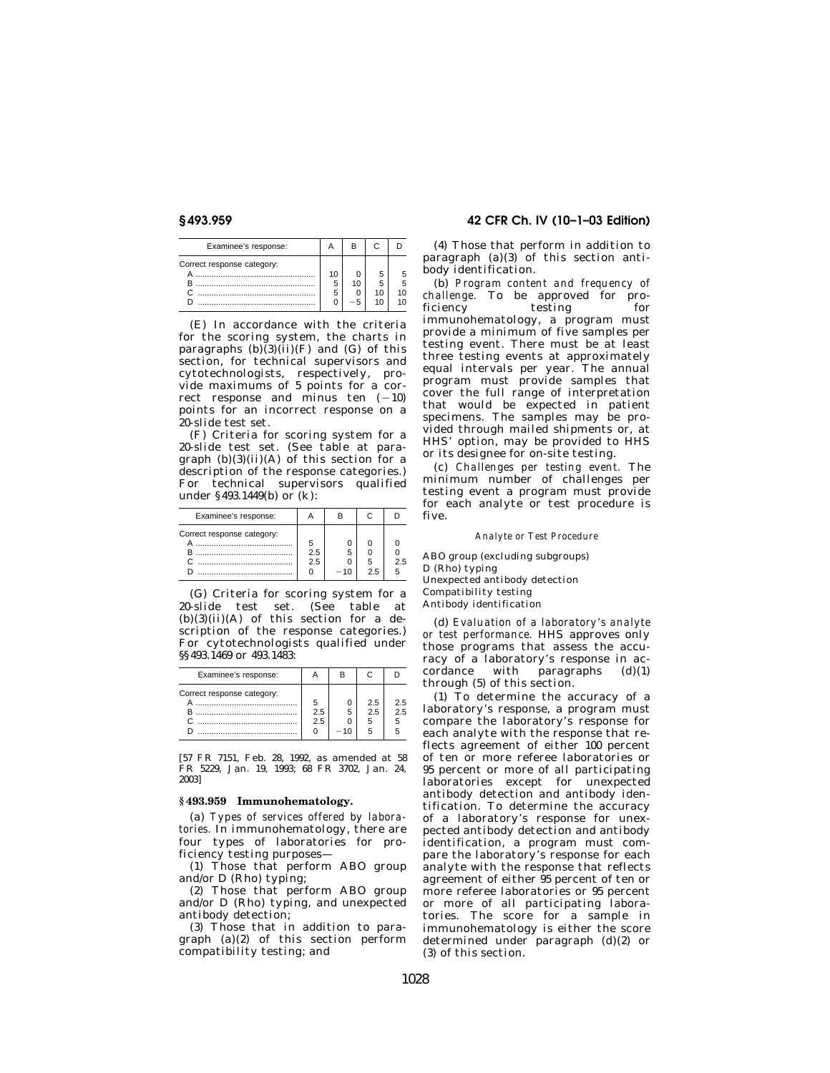| Examinee's response:       |    | в          |    |    |
|----------------------------|----|------------|----|----|
| Correct response category: | 10 | าเเ<br>-5. | 10 | 10 |

(E) In accordance with the criteria for the scoring system, the charts in paragraphs  $(b)(3)(ii)(F)$  and  $(G)$  of this section, for technical supervisors and cytotechnologists, respectively, provide maximums of 5 points for a correct response and minus ten  $(-10)$ points for an incorrect response on a 20-slide test set.

(F) Criteria for scoring system for a 20-slide test set. (See table at paragraph  $(b)(3)(ii)(A)$  of this section for a description of the response categories.) For technical supervisors qualified under §493.1449(b) or (k):

| Examinee's response:       |            |      |    |    |
|----------------------------|------------|------|----|----|
| Correct response category: | 2.5<br>2.5 | - 10 | 25 | 25 |

(G) Criteria for scoring system for a 20-slide test set. (See table at  $(b)(3)(ii)(A)$  of this section for a description of the response categories.) For cytotechnologists qualified under §§493.1469 or 493.1483:

| Examinee's response:       |                      | C               |            |
|----------------------------|----------------------|-----------------|------------|
| Correct response category: | 5<br>2.5<br>2.5<br>0 | 2.5<br>2.5<br>5 | 2.5<br>2.5 |

[57 FR 7151, Feb. 28, 1992, as amended at 58 FR 5229, Jan. 19, 1993; 68 FR 3702, Jan. 24, 2003]

# **§ 493.959 Immunohematology.**

(a) *Types of services offered by laboratories.* In immunohematology, there are four types of laboratories for proficiency testing purposes—

(1) Those that perform ABO group and/or D (Rho) typing;

(2) Those that perform ABO group and/or D (Rho) typing, and unexpected antibody detection;

(3) Those that in addition to paragraph (a)(2) of this section perform compatibility testing; and

# **§ 493.959 42 CFR Ch. IV (10–1–03 Edition)**

(4) Those that perform in addition to paragraph  $(a)(3)$  of this section antibody identification.

(b) *Program content and frequency of challenge.* To be approved for proficiency testing for immunohematology, a program must provide a minimum of five samples per testing event. There must be at least three testing events at approximately equal intervals per year. The annual program must provide samples that cover the full range of interpretation that would be expected in patient specimens. The samples may be provided through mailed shipments or, at HHS' option, may be provided to HHS or its designee for on-site testing.

(c) *Challenges per testing event.* The minimum number of challenges per testing event a program must provide for each analyte or test procedure is five.

# *Analyte or Test Procedure*

ABO group (excluding subgroups) D (Rho) typing Unexpected antibody detection Compatibility testing Antibody identification

(d) *Evaluation of a laboratory's analyte or test performance.* HHS approves only those programs that assess the accuracy of a laboratory's response in accordance with paragraphs (d)(1) through (5) of this section.

(1) To determine the accuracy of a laboratory's response, a program must compare the laboratory's response for each analyte with the response that reflects agreement of either 100 percent of ten or more referee laboratories or 95 percent or more of all participating laboratories except for unexpected antibody detection and antibody identification. To determine the accuracy of a laboratory's response for unexpected antibody detection and antibody identification, a program must compare the laboratory's response for each analyte with the response that reflects agreement of either 95 percent of ten or more referee laboratories or 95 percent or more of all participating laboratories. The score for a sample in immunohematology is either the score determined under paragraph  $(d)(2)$  or (3) of this section.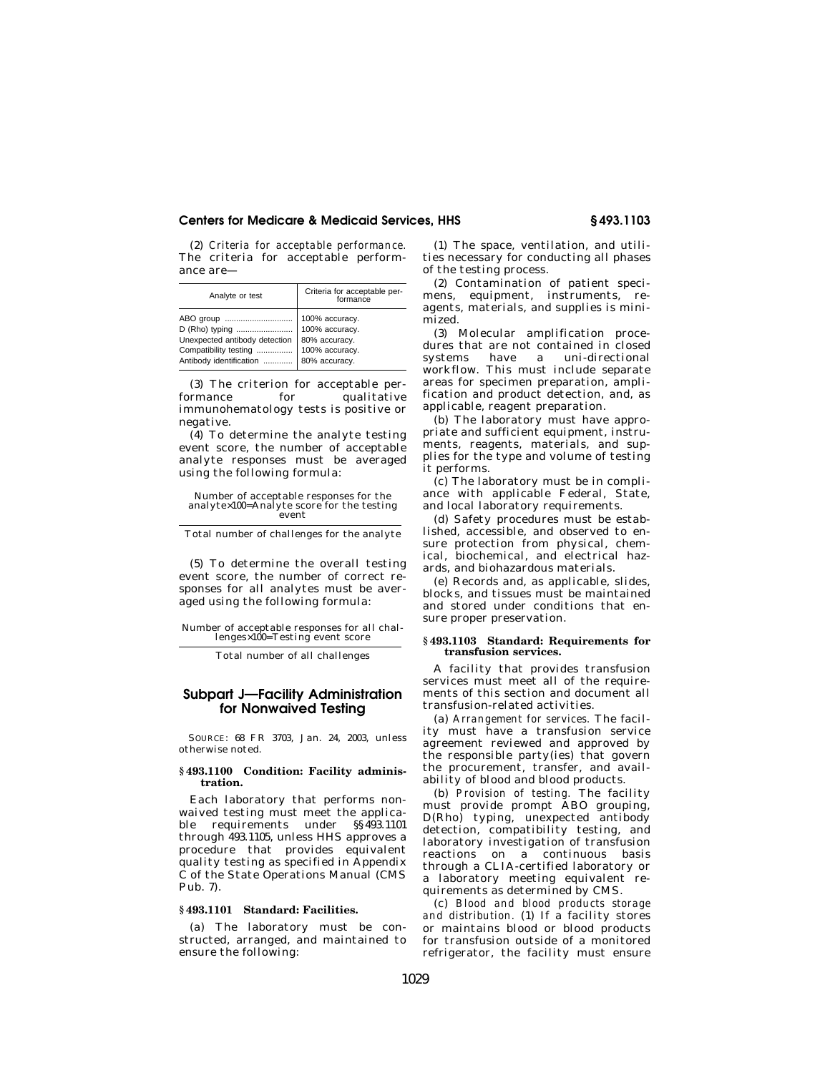(2) *Criteria for acceptable performance.* The criteria for acceptable performance are—

| Analyte or test               | Criteria for acceptable per-<br>formance |
|-------------------------------|------------------------------------------|
| ABO group                     | 100% accuracy.                           |
| D (Rho) typing                | 100% accuracy.                           |
| Unexpected antibody detection | 80% accuracy.                            |
| Compatibility testing         | 100% accuracy.                           |
| Antibody identification       | 80% accuracy.                            |

(3) The criterion for acceptable performance for qualitative immunohematology tests is positive or negative.

(4) To determine the analyte testing event score, the number of acceptable analyte responses must be averaged using the following formula:

Number of acceptable responses for the analyte×100=Analyte score for the testing event

Total number of challenges for the analyte

(5) To determine the overall testing event score, the number of correct responses for all analytes must be averaged using the following formula:

Number of acceptable responses for all chal-lenges×100=Testing event score

Total number of all challenges

# **Subpart J—Facility Administration for Nonwaived Testing**

SOURCE: 68 FR 3703, Jan. 24, 2003, unless otherwise noted.

## **§ 493.1100 Condition: Facility administration.**

Each laboratory that performs nonwaived testing must meet the applicable requirements under §§493.1101 through 493.1105, unless HHS approves a procedure that provides equivalent quality testing as specified in Appendix C of the State Operations Manual (CMS Pub. 7).

# **§ 493.1101 Standard: Facilities.**

(a) The laboratory must be constructed, arranged, and maintained to ensure the following:

(1) The space, ventilation, and utilities necessary for conducting all phases of the testing process.

(2) Contamination of patient specimens, equipment, instruments, reagents, materials, and supplies is minimized.

(3) Molecular amplification procedures that are not contained in closed systems have a uni-directional workflow. This must include separate areas for specimen preparation, amplification and product detection, and, as applicable, reagent preparation.

(b) The laboratory must have appropriate and sufficient equipment, instruments, reagents, materials, and supplies for the type and volume of testing it performs.

(c) The laboratory must be in compliance with applicable Federal, State, and local laboratory requirements.

(d) Safety procedures must be established, accessible, and observed to ensure protection from physical, chemical, biochemical, and electrical hazards, and biohazardous materials.

(e) Records and, as applicable, slides, blocks, and tissues must be maintained and stored under conditions that ensure proper preservation.

## **§ 493.1103 Standard: Requirements for transfusion services.**

A facility that provides transfusion services must meet all of the requirements of this section and document all transfusion-related activities.

(a) *Arrangement for services.* The facility must have a transfusion service agreement reviewed and approved by the responsible party(ies) that govern the procurement, transfer, and availability of blood and blood products.

(b) *Provision of testing.* The facility must provide prompt ABO grouping, D(Rho) typing, unexpected antibody detection, compatibility testing, and laboratory investigation of transfusion reactions on a continuous basis through a CLIA-certified laboratory or a laboratory meeting equivalent requirements as determined by CMS.

(c) *Blood and blood products storage and distribution.* (1) If a facility stores or maintains blood or blood products for transfusion outside of a monitored refrigerator, the facility must ensure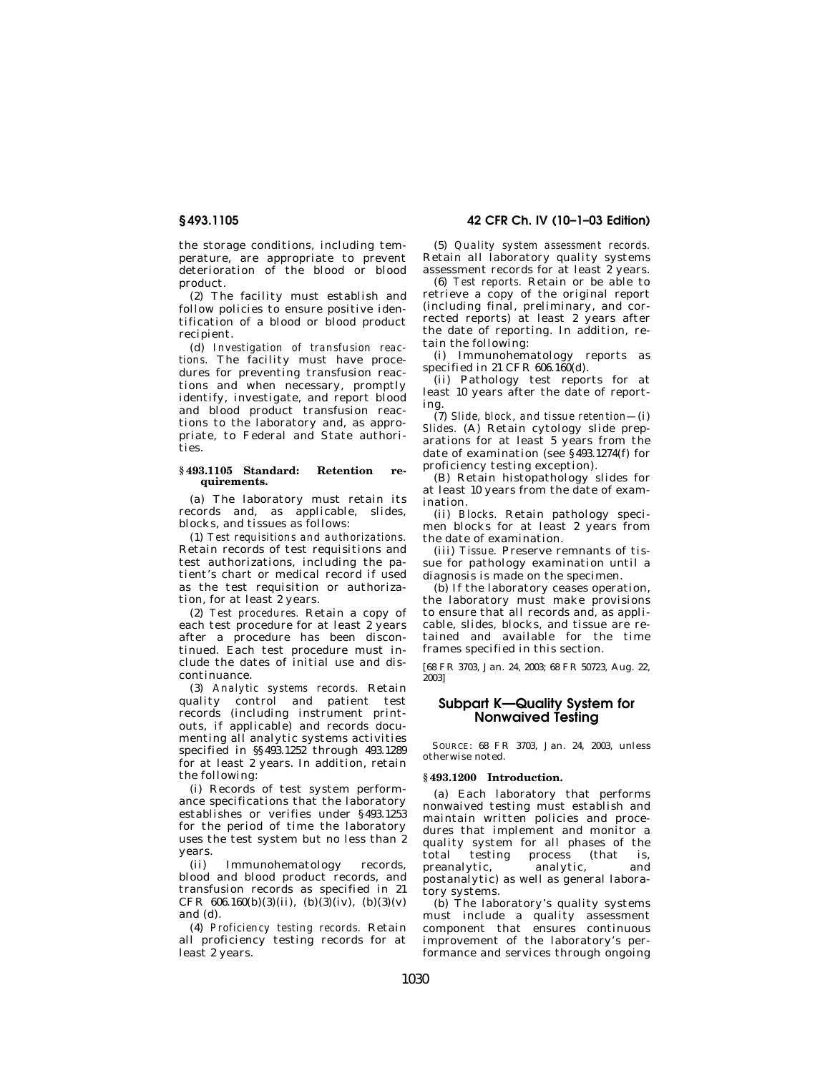the storage conditions, including temperature, are appropriate to prevent deterioration of the blood or blood product.

(2) The facility must establish and follow policies to ensure positive identification of a blood or blood product recipient.

(d) *Investigation of transfusion reactions.* The facility must have procedures for preventing transfusion reactions and when necessary, promptly identify, investigate, and report blood and blood product transfusion reactions to the laboratory and, as appropriate, to Federal and State authorities.

## **§ 493.1105 Standard: Retention requirements.**

(a) The laboratory must retain its records and, as applicable, slides, blocks, and tissues as follows:

(1) *Test requisitions and authorizations.* Retain records of test requisitions and test authorizations, including the patient's chart or medical record if used as the test requisition or authorization, for at least 2 years.

(2) *Test procedures.* Retain a copy of each test procedure for at least 2 years after a procedure has been discontinued. Each test procedure must include the dates of initial use and discontinuance.

(3) *Analytic systems records.* Retain quality control and patient test records (including instrument printouts, if applicable) and records documenting all analytic systems activities specified in §§493.1252 through 493.1289 for at least 2 years. In addition, retain the following:

(i) Records of test system performance specifications that the laboratory establishes or verifies under §493.1253 for the period of time the laboratory uses the test system but no less than 2 years.

(ii) Immunohematology records, blood and blood product records, and transfusion records as specified in 21 CFR  $606.160(b)(3)(ii)$ , (b)(3)(iv), (b)(3)(v) and (d).

(4) *Proficiency testing records.* Retain all proficiency testing records for at least 2 years.

# **§ 493.1105 42 CFR Ch. IV (10–1–03 Edition)**

(5) *Quality system assessment records.* Retain all laboratory quality systems assessment records for at least 2 years.

(6) *Test reports.* Retain or be able to retrieve a copy of the original report (including final, preliminary, and corrected reports) at least 2 years after the date of reporting. In addition, retain the following:

(i) Immunohematology reports as specified in 21 CFR 606.160(d).

(ii) Pathology test reports for at least 10 years after the date of reporting.

(7) *Slide, block, and tissue retention—*(i) *Slides.* (A) Retain cytology slide preparations for at least 5 years from the date of examination (see §493.1274(f) for proficiency testing exception).

(B) Retain histopathology slides for at least 10 years from the date of examination.

(ii) *Blocks.* Retain pathology specimen blocks for at least 2 years from the date of examination.

(iii) *Tissue.* Preserve remnants of tissue for pathology examination until a diagnosis is made on the specimen.

(b) If the laboratory ceases operation, the laboratory must make provisions to ensure that all records and, as applicable, slides, blocks, and tissue are retained and available for the time frames specified in this section.

[68 FR 3703, Jan. 24, 2003; 68 FR 50723, Aug. 22, 2003]

# **Subpart K—Quality System for Nonwaived Testing**

SOURCE: 68 FR 3703, Jan. 24, 2003, unless otherwise noted.

## **§ 493.1200 Introduction.**

(a) Each laboratory that performs nonwaived testing must establish and maintain written policies and procedures that implement and monitor a quality system for all phases of the<br>total testing process (that is, total testing process (that is,<br>preanalytic, analytic, and preanalytic, postanalytic) as well as general laboratory systems.

(b) The laboratory's quality systems must include a quality assessment component that ensures continuous improvement of the laboratory's performance and services through ongoing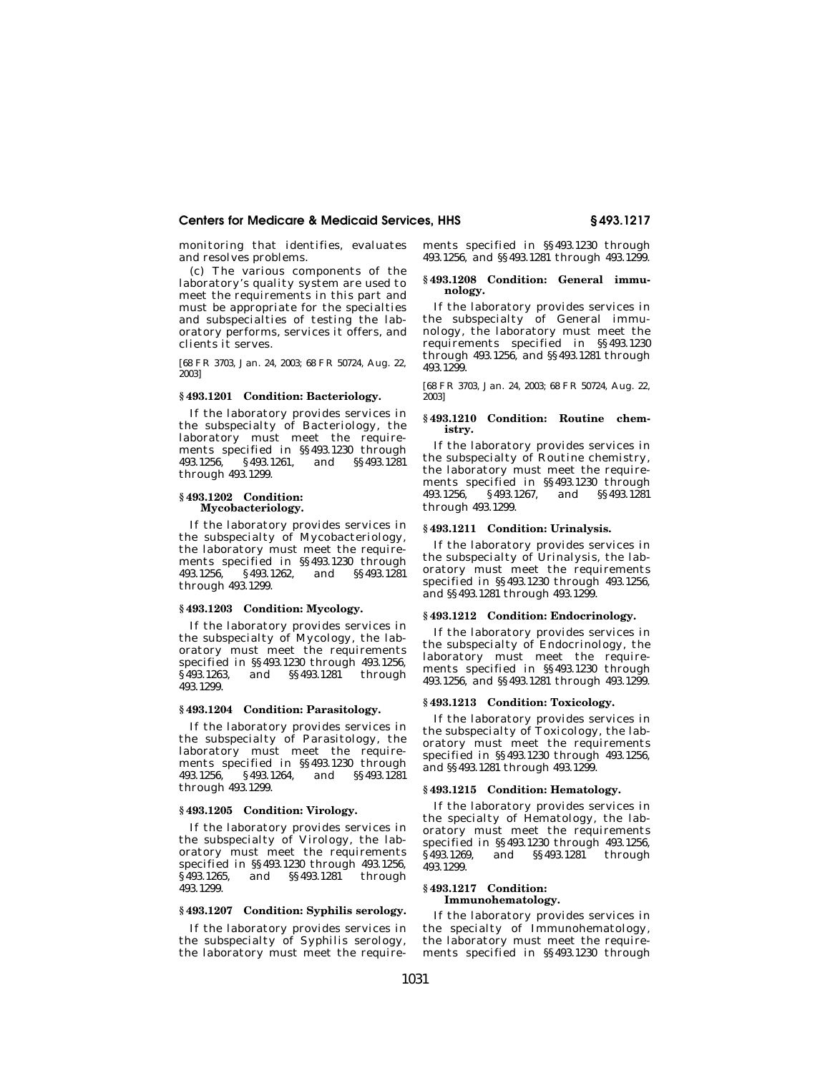monitoring that identifies, evaluates and resolves problems.

(c) The various components of the laboratory's quality system are used to meet the requirements in this part and must be appropriate for the specialties and subspecialties of testing the laboratory performs, services it offers, and clients it serves.

[68 FR 3703, Jan. 24, 2003; 68 FR 50724, Aug. 22, 2003]

# **§ 493.1201 Condition: Bacteriology.**

If the laboratory provides services in the subspecialty of Bacteriology, the laboratory must meet the requirements specified in §§493.1230 through 493.1256, §493.1261, and §§493.1281 through 493.1299.

# **§ 493.1202 Condition: Mycobacteriology.**

If the laboratory provides services in the subspecialty of Mycobacteriology, the laboratory must meet the requirements specified in §§493.1230 through 493.1256, §493.1262, and §§493.1281 through 493.1299.

# **§ 493.1203 Condition: Mycology.**

If the laboratory provides services in the subspecialty of Mycology, the laboratory must meet the requirements specified in §§493.1230 through 493.1256, §493.1263, and §§493.1281 through 493.1299.

# **§ 493.1204 Condition: Parasitology.**

If the laboratory provides services in the subspecialty of Parasitology, the laboratory must meet the requirements specified in §§493.1230 through 493.1256, §493.1264, and §§493.1281 through 493.1299.

# **§ 493.1205 Condition: Virology.**

If the laboratory provides services in the subspecialty of Virology, the laboratory must meet the requirements specified in §§493.1230 through 493.1256, §493.1265, and §§493.1281 through 493.1299.

## **§ 493.1207 Condition: Syphilis serology.**

If the laboratory provides services in the subspecialty of Syphilis serology, the laboratory must meet the requirements specified in §§493.1230 through 493.1256, and §§493.1281 through 493.1299.

## **§ 493.1208 Condition: General immunology.**

If the laboratory provides services in the subspecialty of General immunology, the laboratory must meet the requirements specified in §§493.1230 through 493.1256, and §§493.1281 through 493.1299.

[68 FR 3703, Jan. 24, 2003; 68 FR 50724, Aug. 22, 2003]

## **§ 493.1210 Condition: Routine chemistry.**

If the laboratory provides services in the subspecialty of Routine chemistry, the laboratory must meet the requirements specified in §§493.1230 through 493.1256, §493.1267, and §§493.1281 through 493.1299.

# **§ 493.1211 Condition: Urinalysis.**

If the laboratory provides services in the subspecialty of Urinalysis, the laboratory must meet the requirements specified in §§493.1230 through 493.1256, and §§493.1281 through 493.1299.

# **§ 493.1212 Condition: Endocrinology.**

If the laboratory provides services in the subspecialty of Endocrinology, the laboratory must meet the requirements specified in §§493.1230 through 493.1256, and §§493.1281 through 493.1299.

## **§ 493.1213 Condition: Toxicology.**

If the laboratory provides services in the subspecialty of Toxicology, the laboratory must meet the requirements specified in §§493.1230 through 493.1256, and §§493.1281 through 493.1299.

# **§ 493.1215 Condition: Hematology.**

If the laboratory provides services in the specialty of Hematology, the laboratory must meet the requirements specified in §§493.1230 through 493.1256, §493.1269, and §§493.1281 through 493.1299.

# **§ 493.1217 Condition:**

# **Immunohematology.**

If the laboratory provides services in the specialty of Immunohematology, the laboratory must meet the requirements specified in §§493.1230 through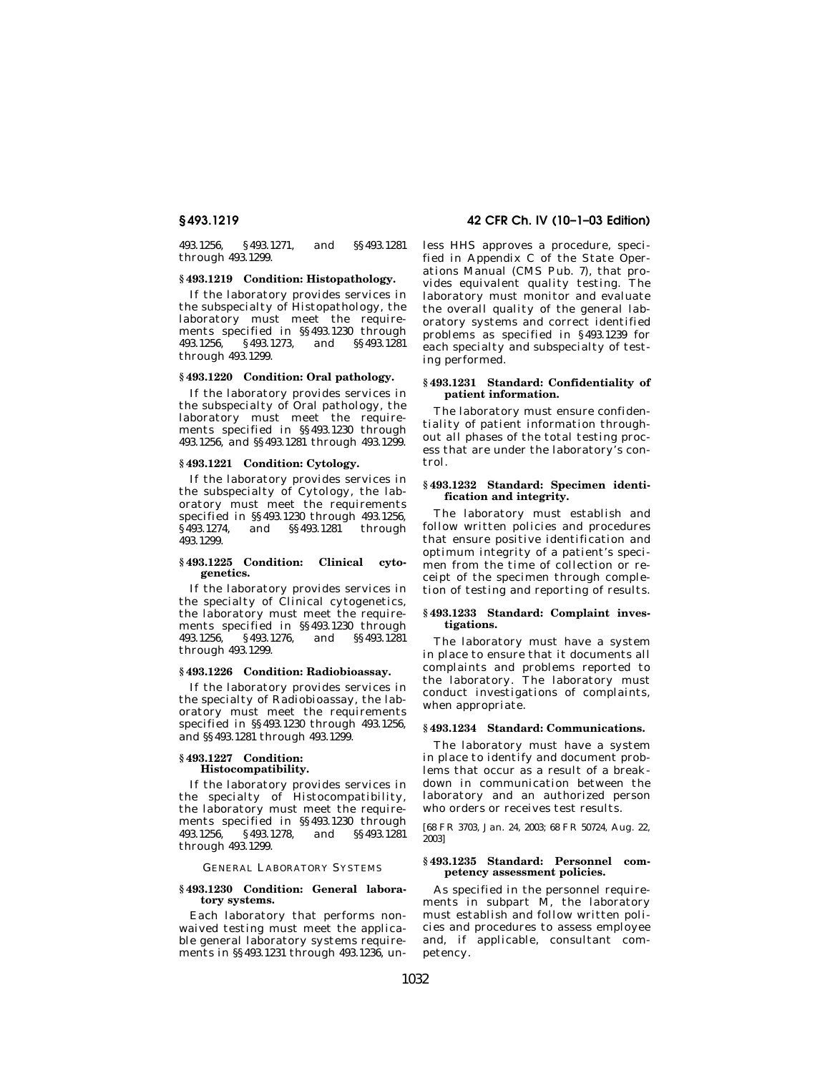493.1256, §493.1271, and §§493.1281 through 493.1299.

## **§ 493.1219 Condition: Histopathology.**

If the laboratory provides services in the subspecialty of Histopathology, the laboratory must meet the requirements specified in §§493.1230 through<br>493.1256, §493.1273, and §§493.1281 §§493.1281 through 493.1299.

# **§ 493.1220 Condition: Oral pathology.**

If the laboratory provides services in the subspecialty of Oral pathology, the laboratory must meet the requirements specified in §§493.1230 through 493.1256, and §§493.1281 through 493.1299.

## **§ 493.1221 Condition: Cytology.**

If the laboratory provides services in the subspecialty of Cytology, the laboratory must meet the requirements specified in §§493.1230 through 493.1256, §493.1274, and §§493.1281 through 493.1299.

## **§ 493.1225 Condition: Clinical cytogenetics.**

If the laboratory provides services in the specialty of Clinical cytogenetics, the laboratory must meet the requirements specified in §§493.1230 through 493.1256, §493.1276, and §§493.1281 through 493.1299.

# **§ 493.1226 Condition: Radiobioassay.**

If the laboratory provides services in the specialty of Radiobioassay, the laboratory must meet the requirements specified in §§493.1230 through 493.1256, and §§493.1281 through 493.1299.

## **§ 493.1227 Condition: Histocompatibility.**

If the laboratory provides services in the specialty of Histocompatibility, the laboratory must meet the requirements specified in §§493.1230 through<br>493.1256, §493.1278, and §§493.1281 §493.1278, through 493.1299.

GENERAL LABORATORY SYSTEMS

## **§ 493.1230 Condition: General laboratory systems.**

Each laboratory that performs nonwaived testing must meet the applicable general laboratory systems requirements in §§493.1231 through 493.1236, un-

**§ 493.1219 42 CFR Ch. IV (10–1–03 Edition)**

less HHS approves a procedure, specified in Appendix C of the State Operations Manual (CMS Pub. 7), that provides equivalent quality testing. The laboratory must monitor and evaluate the overall quality of the general laboratory systems and correct identified problems as specified in §493.1239 for each specialty and subspecialty of testing performed.

## **§ 493.1231 Standard: Confidentiality of patient information.**

The laboratory must ensure confidentiality of patient information throughout all phases of the total testing process that are under the laboratory's control.

## **§ 493.1232 Standard: Specimen identification and integrity.**

The laboratory must establish and follow written policies and procedures that ensure positive identification and optimum integrity of a patient's specimen from the time of collection or receipt of the specimen through completion of testing and reporting of results.

# **§ 493.1233 Standard: Complaint investigations.**

The laboratory must have a system in place to ensure that it documents all complaints and problems reported to the laboratory. The laboratory must conduct investigations of complaints, when appropriate.

# **§ 493.1234 Standard: Communications.**

The laboratory must have a system in place to identify and document problems that occur as a result of a breakdown in communication between the laboratory and an authorized person who orders or receives test results.

[68 FR 3703, Jan. 24, 2003; 68 FR 50724, Aug. 22, 2003]

## **§ 493.1235 Standard: Personnel competency assessment policies.**

As specified in the personnel requirements in subpart M, the laboratory must establish and follow written policies and procedures to assess employee and, if applicable, consultant competency.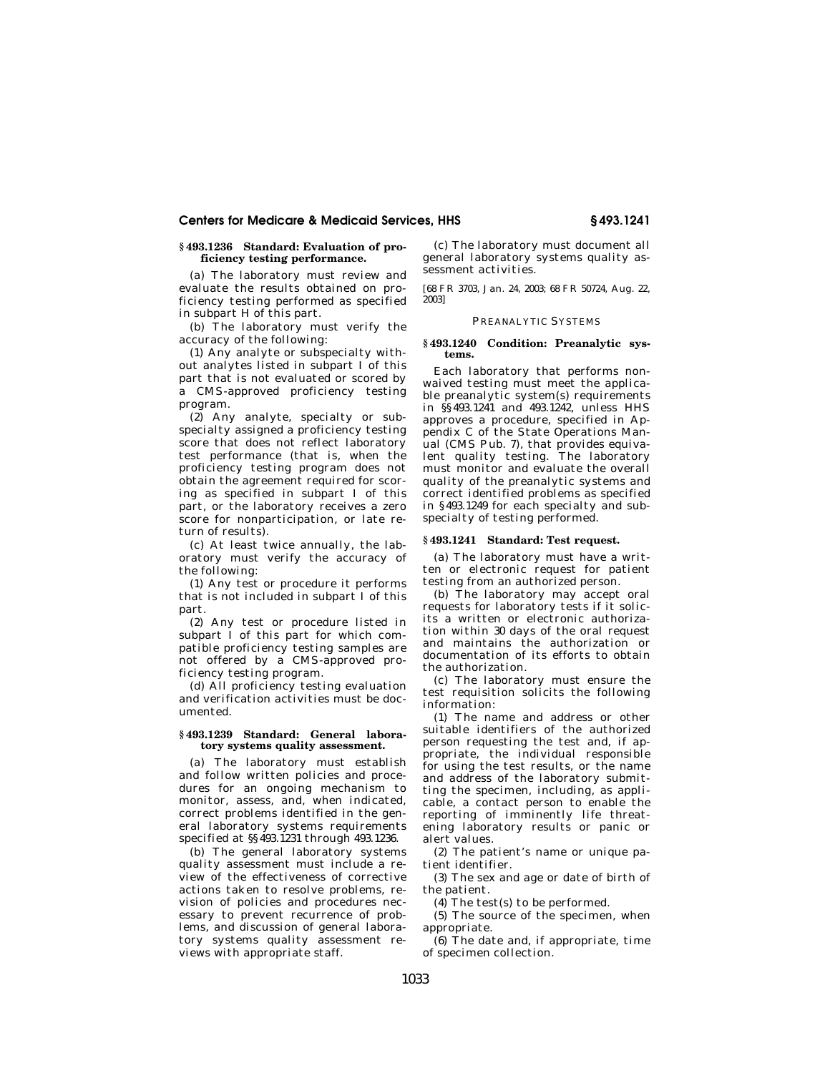# **§ 493.1236 Standard: Evaluation of proficiency testing performance.**

(a) The laboratory must review and evaluate the results obtained on proficiency testing performed as specified in subpart H of this part.

(b) The laboratory must verify the accuracy of the following:

(1) Any analyte or subspecialty without analytes listed in subpart I of this part that is not evaluated or scored by a CMS-approved proficiency testing program.

(2) Any analyte, specialty or subspecialty assigned a proficiency testing score that does not reflect laboratory test performance (that is, when the proficiency testing program does not obtain the agreement required for scoring as specified in subpart I of this part, or the laboratory receives a zero score for nonparticipation, or late return of results).

(c) At least twice annually, the laboratory must verify the accuracy of the following:

(1) Any test or procedure it performs that is not included in subpart I of this part.

(2) Any test or procedure listed in subpart I of this part for which compatible proficiency testing samples are not offered by a CMS-approved proficiency testing program.

(d) All proficiency testing evaluation and verification activities must be documented.

## **§ 493.1239 Standard: General laboratory systems quality assessment.**

(a) The laboratory must establish and follow written policies and procedures for an ongoing mechanism to monitor, assess, and, when indicated, correct problems identified in the general laboratory systems requirements specified at §§493.1231 through 493.1236.

(b) The general laboratory systems quality assessment must include a review of the effectiveness of corrective actions taken to resolve problems, revision of policies and procedures necessary to prevent recurrence of problems, and discussion of general laboratory systems quality assessment reviews with appropriate staff.

(c) The laboratory must document all general laboratory systems quality assessment activities.

[68 FR 3703, Jan. 24, 2003; 68 FR 50724, Aug. 22, 2003]

## PREANALYTIC SYSTEMS

## **§ 493.1240 Condition: Preanalytic systems.**

Each laboratory that performs nonwaived testing must meet the applicable preanalytic system(s) requirements in §§493.1241 and 493.1242, unless HHS approves a procedure, specified in Appendix C of the State Operations Manual (CMS Pub. 7), that provides equivalent quality testing. The laboratory must monitor and evaluate the overall quality of the preanalytic systems and correct identified problems as specified in §493.1249 for each specialty and subspecialty of testing performed.

#### **§ 493.1241 Standard: Test request.**

(a) The laboratory must have a written or electronic request for patient testing from an authorized person.

(b) The laboratory may accept oral requests for laboratory tests if it solicits a written or electronic authorization within 30 days of the oral request and maintains the authorization or documentation of its efforts to obtain the authorization.

(c) The laboratory must ensure the test requisition solicits the following information:

(1) The name and address or other suitable identifiers of the authorized person requesting the test and, if appropriate, the individual responsible for using the test results, or the name and address of the laboratory submitting the specimen, including, as applicable, a contact person to enable the reporting of imminently life threatening laboratory results or panic or alert values.

(2) The patient's name or unique patient identifier.

(3) The sex and age or date of birth of the patient.

(4) The test(s) to be performed.

(5) The source of the specimen, when appropriate.

(6) The date and, if appropriate, time of specimen collection.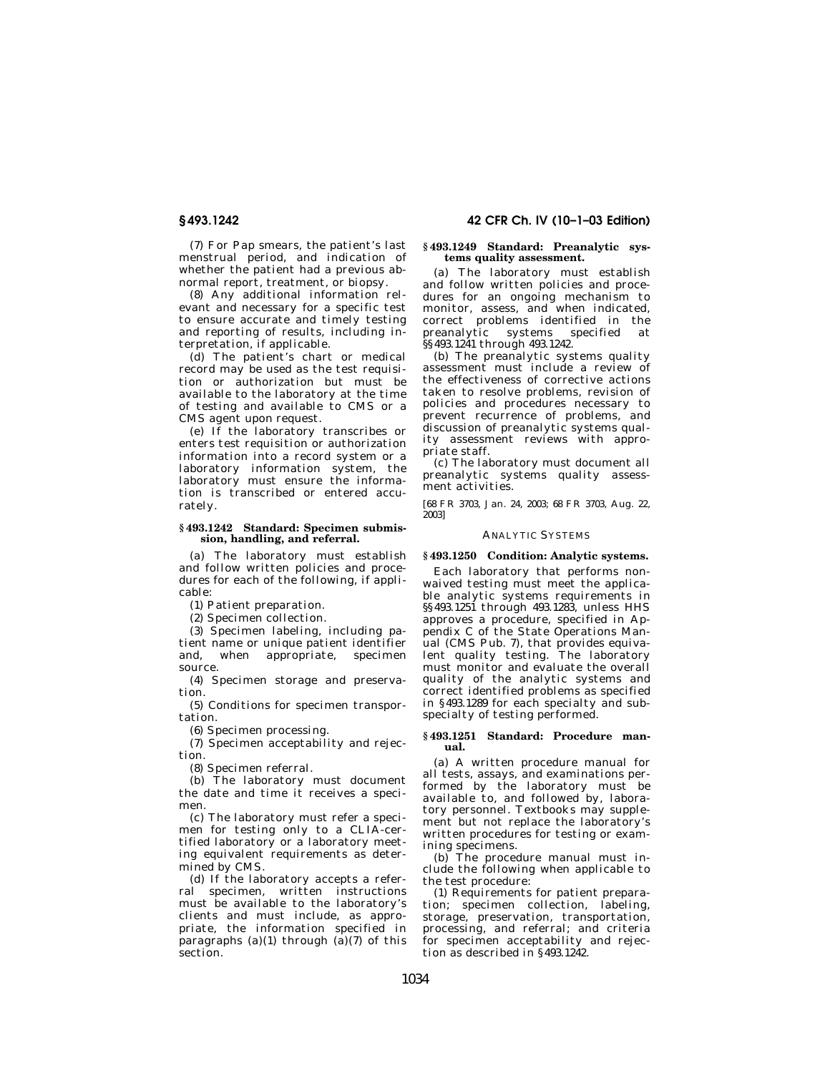**§ 493.1242 42 CFR Ch. IV (10–1–03 Edition)**

(7) For Pap smears, the patient's last menstrual period, and indication of whether the patient had a previous abnormal report, treatment, or biopsy.

(8) Any additional information relevant and necessary for a specific test to ensure accurate and timely testing and reporting of results, including interpretation, if applicable.

(d) The patient's chart or medical record may be used as the test requisition or authorization but must be available to the laboratory at the time of testing and available to CMS or a CMS agent upon request.

(e) If the laboratory transcribes or enters test requisition or authorization information into a record system or a laboratory information system, the laboratory must ensure the information is transcribed or entered accurately.

## **§ 493.1242 Standard: Specimen submission, handling, and referral.**

(a) The laboratory must establish and follow written policies and procedures for each of the following, if applicable:

(1) Patient preparation.

(2) Specimen collection.

(3) Specimen labeling, including patient name or unique patient identifier and, when appropriate, specimen source.

(4) Specimen storage and preservation.

(5) Conditions for specimen transportation.

(6) Specimen processing.

(7) Specimen acceptability and rejection.

(8) Specimen referral.

(b) The laboratory must document the date and time it receives a specimen.

(c) The laboratory must refer a specimen for testing only to a CLIA-certified laboratory or a laboratory meeting equivalent requirements as determined by CMS.

(d) If the laboratory accepts a referral specimen, written instructions must be available to the laboratory's clients and must include, as appropriate, the information specified in paragraphs  $(a)(1)$  through  $(a)(7)$  of this section.

## **§ 493.1249 Standard: Preanalytic systems quality assessment.**

(a) The laboratory must establish and follow written policies and procedures for an ongoing mechanism to monitor, assess, and when indicated, correct problems identified in the preanalytic systems specified at §§493.1241 through 493.1242.

(b) The preanalytic systems quality assessment must include a review of the effectiveness of corrective actions taken to resolve problems, revision of policies and procedures necessary to prevent recurrence of problems, and discussion of preanalytic systems quality assessment reviews with appropriate staff.

(c) The laboratory must document all preanalytic systems quality assessment activities.

[68 FR 3703, Jan. 24, 2003; 68 FR 3703, Aug. 22, 2003]

## ANALYTIC SYSTEMS

## **§ 493.1250 Condition: Analytic systems.**

Each laboratory that performs nonwaived testing must meet the applicable analytic systems requirements in §§493.1251 through 493.1283, unless HHS approves a procedure, specified in Appendix C of the State Operations Manual (CMS Pub. 7), that provides equivalent quality testing. The laboratory must monitor and evaluate the overall quality of the analytic systems and correct identified problems as specified in §493.1289 for each specialty and subspecialty of testing performed.

## **§ 493.1251 Standard: Procedure manual.**

(a) A written procedure manual for all tests, assays, and examinations performed by the laboratory must be available to, and followed by, laboratory personnel. Textbooks may supplement but not replace the laboratory's written procedures for testing or examining specimens.

(b) The procedure manual must include the following when applicable to the test procedure:

(1) Requirements for patient preparation; specimen collection, labeling, storage, preservation, transportation, processing, and referral; and criteria for specimen acceptability and rejection as described in §493.1242.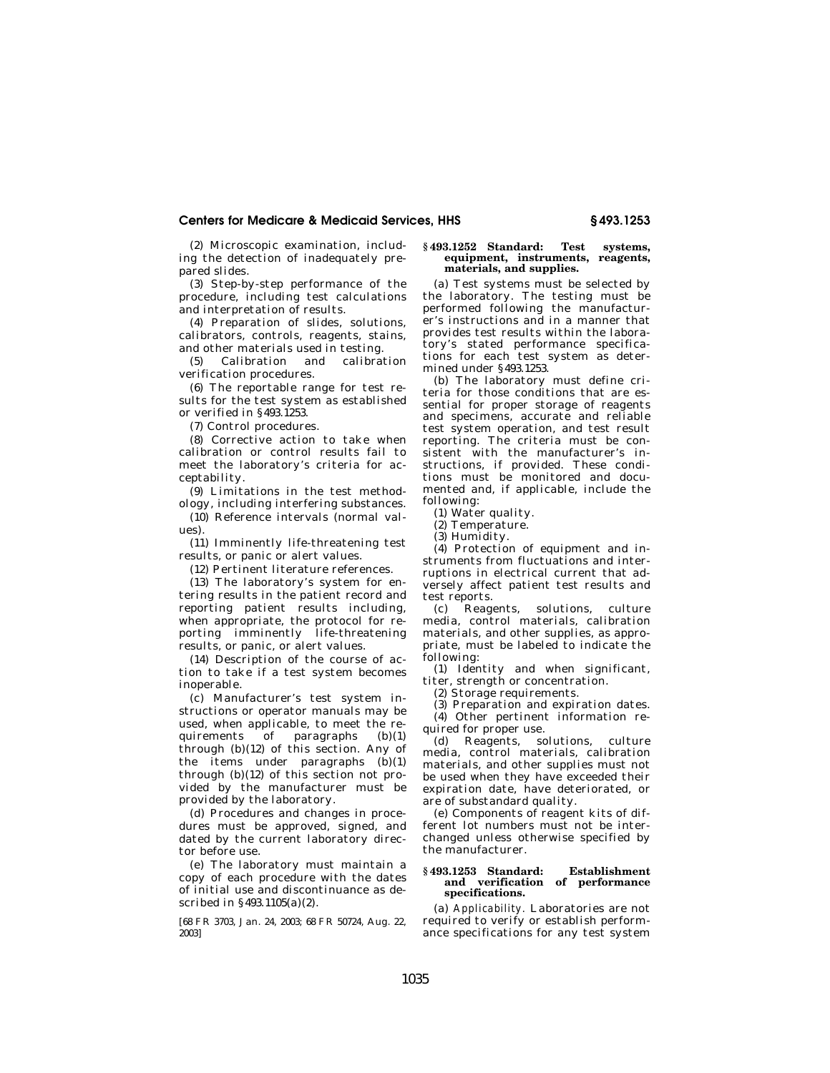(2) Microscopic examination, including the detection of inadequately prepared slides.

(3) Step-by-step performance of the procedure, including test calculations and interpretation of results.

(4) Preparation of slides, solutions, calibrators, controls, reagents, stains, and other materials used in testing.

(5) Calibration and calibration verification procedures.

(6) The reportable range for test results for the test system as established or verified in §493.1253.

(7) Control procedures.

(8) Corrective action to take when calibration or control results fail to meet the laboratory's criteria for acceptability.

(9) Limitations in the test methodology, including interfering substances. (10) Reference intervals (normal values).

(11) Imminently life-threatening test results, or panic or alert values.

(12) Pertinent literature references.

(13) The laboratory's system for entering results in the patient record and reporting patient results including, when appropriate, the protocol for reporting imminently life-threatening results, or panic, or alert values.

(14) Description of the course of action to take if a test system becomes inoperable.

(c) Manufacturer's test system instructions or operator manuals may be used, when applicable, to meet the requirements of paragraphs (b)(1) through (b)(12) of this section. Any of the items under paragraphs (b)(1) through (b)(12) of this section not provided by the manufacturer must be provided by the laboratory.

(d) Procedures and changes in procedures must be approved, signed, and dated by the current laboratory director before use.

(e) The laboratory must maintain a copy of each procedure with the dates of initial use and discontinuance as described in §493.1105(a)(2).

[68 FR 3703, Jan. 24, 2003; 68 FR 50724, Aug. 22, 2003]

## **§ 493.1252 Standard: Test systems, equipment, instruments, reagents, materials, and supplies.**

(a) Test systems must be selected by the laboratory. The testing must be performed following the manufacturer's instructions and in a manner that provides test results within the laboratory's stated performance specifications for each test system as determined under §493.1253.

(b) The laboratory must define criteria for those conditions that are essential for proper storage of reagents and specimens, accurate and reliable test system operation, and test result reporting. The criteria must be consistent with the manufacturer's instructions, if provided. These conditions must be monitored and documented and, if applicable, include the following:

(1) Water quality.

(2) Temperature.

(3) Humidity.

(4) Protection of equipment and instruments from fluctuations and interruptions in electrical current that adversely affect patient test results and test reports.

(c) Reagents, solutions, culture media, control materials, calibration materials, and other supplies, as appropriate, must be labeled to indicate the following:

(1) Identity and when significant, titer, strength or concentration.

(2) Storage requirements.

(3) Preparation and expiration dates. (4) Other pertinent information re-

quired for proper use. (d) Reagents, solutions, culture media, control materials, calibration materials, and other supplies must not be used when they have exceeded their expiration date, have deteriorated, or are of substandard quality.

(e) Components of reagent kits of different lot numbers must not be interchanged unless otherwise specified by the manufacturer.

## **§ 493.1253 Standard: Establishment and verification of performance specifications.**

(a) *Applicability.* Laboratories are not required to verify or establish performance specifications for any test system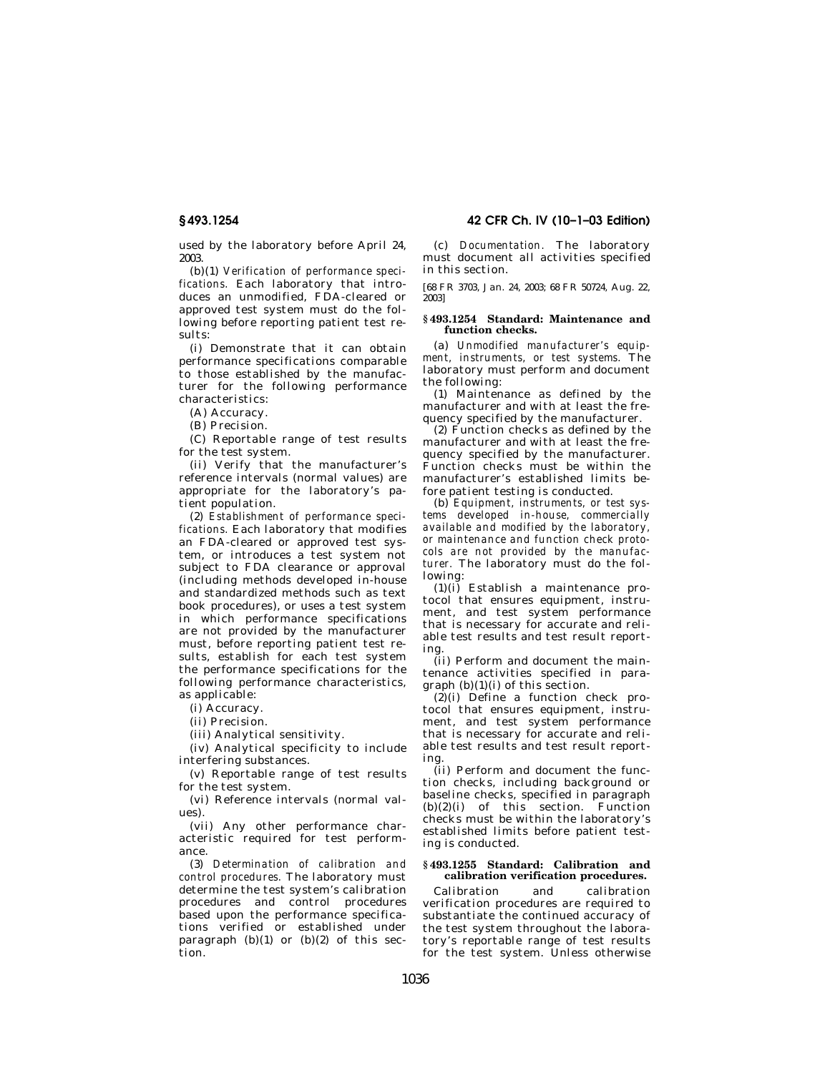used by the laboratory before April 24, 2003.

(b)(1) *Verification of performance specifications.* Each laboratory that introduces an unmodified, FDA-cleared or approved test system must do the following before reporting patient test results:

(i) Demonstrate that it can obtain performance specifications comparable to those established by the manufacturer for the following performance characteristics:

(A) Accuracy.

(B) Precision.

(C) Reportable range of test results for the test system.

(ii) Verify that the manufacturer's reference intervals (normal values) are appropriate for the laboratory's patient population.

(2) *Establishment of performance specifications.* Each laboratory that modifies an FDA-cleared or approved test system, or introduces a test system not subject to FDA clearance or approval (including methods developed in-house and standardized methods such as text book procedures), or uses a test system in which performance specifications are not provided by the manufacturer must, before reporting patient test results, establish for each test system the performance specifications for the following performance characteristics, as applicable:

(i) Accuracy.

(ii) Precision.

(iii) Analytical sensitivity.

(iv) Analytical specificity to include interfering substances.

(v) Reportable range of test results for the test system.

(vi) Reference intervals (normal values).

(vii) Any other performance characteristic required for test performance.

(3) *Determination of calibration and control procedures.* The laboratory must determine the test system's calibration procedures and control procedures based upon the performance specifications verified or established under paragraph  $(b)(1)$  or  $(b)(2)$  of this sec-.<br>tion

**§ 493.1254 42 CFR Ch. IV (10–1–03 Edition)**

(c) *Documentation.* The laboratory must document all activities specified in this section.

[68 FR 3703, Jan. 24, 2003; 68 FR 50724, Aug. 22, 2003]

## **§ 493.1254 Standard: Maintenance and function checks.**

(a) *Unmodified manufacturer's equipment, instruments, or test systems.* The laboratory must perform and document the following:

(1) Maintenance as defined by the manufacturer and with at least the frequency specified by the manufacturer.

(2) Function checks as defined by the manufacturer and with at least the frequency specified by the manufacturer. Function checks must be within the manufacturer's established limits before patient testing is conducted.

(b) *Equipment, instruments, or test systems developed in-house, commercially available and modified by the laboratory, or maintenance and function check protocols are not provided by the manufacturer.* The laboratory must do the following:

(1)(i) Establish a maintenance protocol that ensures equipment, instrument, and test system performance that is necessary for accurate and reliable test results and test result reporting.

(ii) Perform and document the maintenance activities specified in paragraph  $(b)(1)(i)$  of this section.

 $(2)(i)$  Define a function check protocol that ensures equipment, instrument, and test system performance that is necessary for accurate and reliable test results and test result reporting.

(ii) Perform and document the function checks, including background or baseline checks, specified in paragraph (b)(2)(i) of this section. Function checks must be within the laboratory's established limits before patient testing is conducted.

# **§ 493.1255 Standard: Calibration and calibration verification procedures.**

Calibration and calibration verification procedures are required to substantiate the continued accuracy of the test system throughout the laboratory's reportable range of test results for the test system. Unless otherwise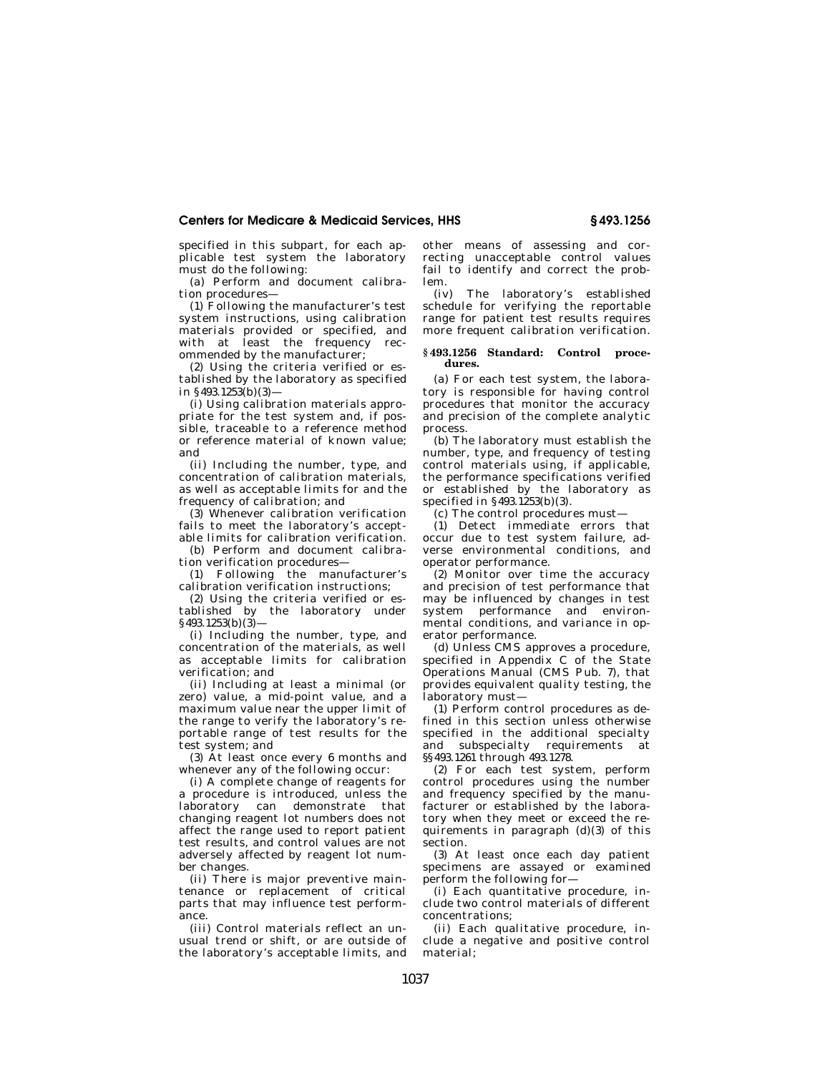specified in this subpart, for each applicable test system the laboratory must do the following:

(a) Perform and document calibration procedures—

(1) Following the manufacturer's test system instructions, using calibration materials provided or specified, and with at least the frequency recommended by the manufacturer;

(2) Using the criteria verified or established by the laboratory as specified in  $$493.1253(b)(3)$ —

(i) Using calibration materials appropriate for the test system and, if possible, traceable to a reference method or reference material of known value; and

(ii) Including the number, type, and concentration of calibration materials, as well as acceptable limits for and the frequency of calibration; and

(3) Whenever calibration verification fails to meet the laboratory's acceptable limits for calibration verification.

(b) Perform and document calibration verification procedures—

(1) Following the manufacturer's calibration verification instructions;

(2) Using the criteria verified or established by the laboratory under  $$493.1253(b)(3)$ 

(i) Including the number, type, and concentration of the materials, as well as acceptable limits for calibration verification; and

(ii) Including at least a minimal (or zero) value, a mid-point value, and a maximum value near the upper limit of the range to verify the laboratory's reportable range of test results for the test system; and

(3) At least once every 6 months and whenever any of the following occur:

(i) A complete change of reagents for a procedure is introduced, unless the laboratory can demonstrate that changing reagent lot numbers does not affect the range used to report patient test results, and control values are not adversely affected by reagent lot number changes.

(ii) There is major preventive maintenance or replacement of critical parts that may influence test performance.

(iii) Control materials reflect an unusual trend or shift, or are outside of the laboratory's acceptable limits, and other means of assessing and correcting unacceptable control values fail to identify and correct the problem.

(iv) The laboratory's established schedule for verifying the reportable range for patient test results requires more frequent calibration verification.

#### **§ 493.1256 Standard: Control procedures.**

(a) For each test system, the laboratory is responsible for having control procedures that monitor the accuracy and precision of the complete analytic process.

(b) The laboratory must establish the number, type, and frequency of testing control materials using, if applicable, the performance specifications verified or established by the laboratory as specified in  $\S 493.1253(b)(3)$ .

(c) The control procedures must—

(1) Detect immediate errors that occur due to test system failure, adverse environmental conditions, and operator performance.

(2) Monitor over time the accuracy and precision of test performance that may be influenced by changes in test system performance and environmental conditions, and variance in operator performance.

(d) Unless CMS approves a procedure, specified in Appendix C of the State Operations Manual (CMS Pub. 7), that provides equivalent quality testing, the laboratory must—

(1) Perform control procedures as defined in this section unless otherwise specified in the additional specialty and subspecialty requirements at §§493.1261 through 493.1278.

(2) For each test system, perform control procedures using the number and frequency specified by the manufacturer or established by the laboratory when they meet or exceed the requirements in paragraph  $(d)(3)$  of this section.

(3) At least once each day patient specimens are assayed or examined perform the following for—

(i) Each quantitative procedure, include two control materials of different concentrations;

(ii) Each qualitative procedure, include a negative and positive control material;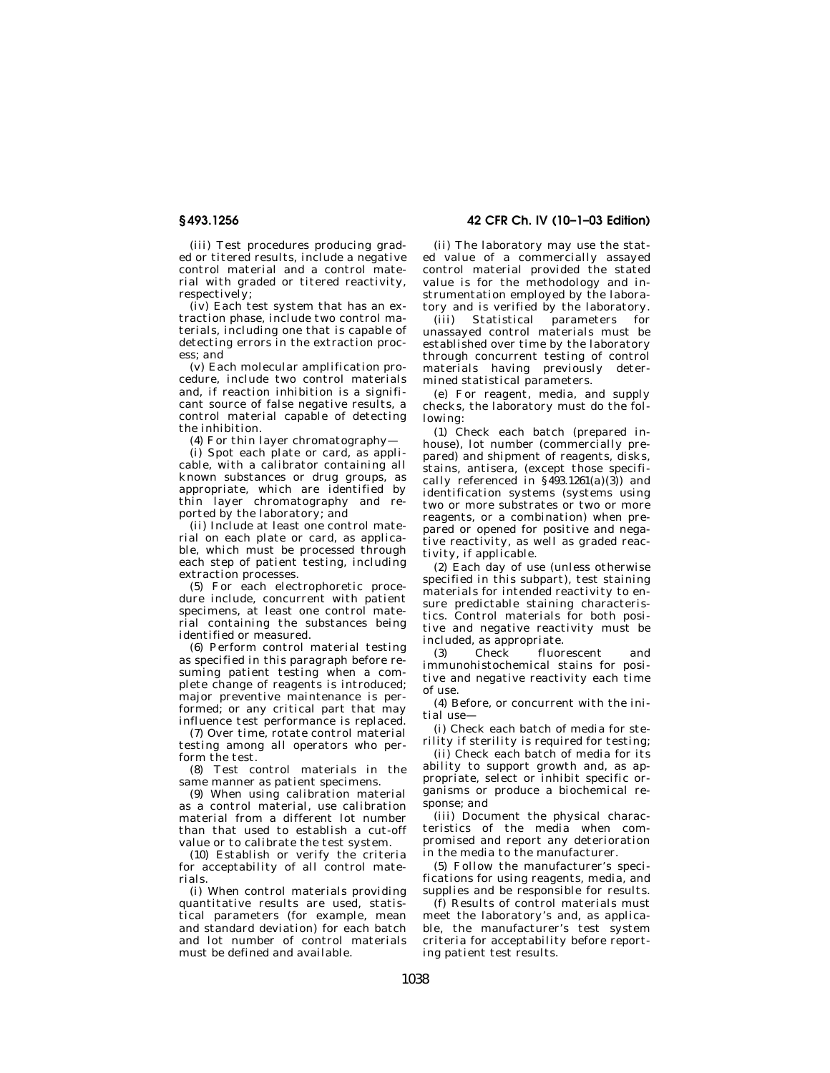**§ 493.1256 42 CFR Ch. IV (10–1–03 Edition)**

(iii) Test procedures producing graded or titered results, include a negative control material and a control material with graded or titered reactivity, respectively;

(iv) Each test system that has an extraction phase, include two control materials, including one that is capable of detecting errors in the extraction process; and

(v) Each molecular amplification procedure, include two control materials and, if reaction inhibition is a significant source of false negative results, a control material capable of detecting the inhibition.

(4) For thin layer chromatography—

(i) Spot each plate or card, as applicable, with a calibrator containing all known substances or drug groups, as appropriate, which are identified by thin layer chromatography and reported by the laboratory; and

(ii) Include at least one control material on each plate or card, as applicable, which must be processed through each step of patient testing, including extraction processes.

(5) For each electrophoretic procedure include, concurrent with patient specimens, at least one control material containing the substances being identified or measured.

(6) Perform control material testing as specified in this paragraph before resuming patient testing when a complete change of reagents is introduced: major preventive maintenance is performed; or any critical part that may influence test performance is replaced.

(7) Over time, rotate control material testing among all operators who perform the test.

(8) Test control materials in the same manner as patient specimens.

(9) When using calibration material as a control material, use calibration material from a different lot number than that used to establish a cut-off value or to calibrate the test system.

(10) Establish or verify the criteria for acceptability of all control materials.

(i) When control materials providing quantitative results are used, statistical parameters (for example, mean and standard deviation) for each batch and lot number of control materials must be defined and available.

(ii) The laboratory may use the stated value of a commercially assayed control material provided the stated value is for the methodology and instrumentation employed by the laboratory and is verified by the laboratory.

(iii) Statistical parameters for unassayed control materials must be established over time by the laboratory through concurrent testing of control materials having previously determined statistical parameters.

(e) For reagent, media, and supply checks, the laboratory must do the following:

(1) Check each batch (prepared inhouse), lot number (commercially prepared) and shipment of reagents, disks, stains, antisera, (except those specifically referenced in  $§493.1261(a)(3)$  and identification systems (systems using two or more substrates or two or more reagents, or a combination) when prepared or opened for positive and negative reactivity, as well as graded reactivity, if applicable.

(2) Each day of use (unless otherwise specified in this subpart), test staining materials for intended reactivity to ensure predictable staining characteristics. Control materials for both positive and negative reactivity must be included, as appropriate.

(3) Check fluorescent and immunohistochemical stains for positive and negative reactivity each time of use.

(4) Before, or concurrent with the initial use—

(i) Check each batch of media for sterility if sterility is required for testing;

(ii) Check each batch of media for its ability to support growth and, as appropriate, select or inhibit specific organisms or produce a biochemical response; and

(iii) Document the physical characteristics of the media when compromised and report any deterioration in the media to the manufacturer.

(5) Follow the manufacturer's specifications for using reagents, media, and supplies and be responsible for results.

(f) Results of control materials must meet the laboratory's and, as applicable, the manufacturer's test system criteria for acceptability before reporting patient test results.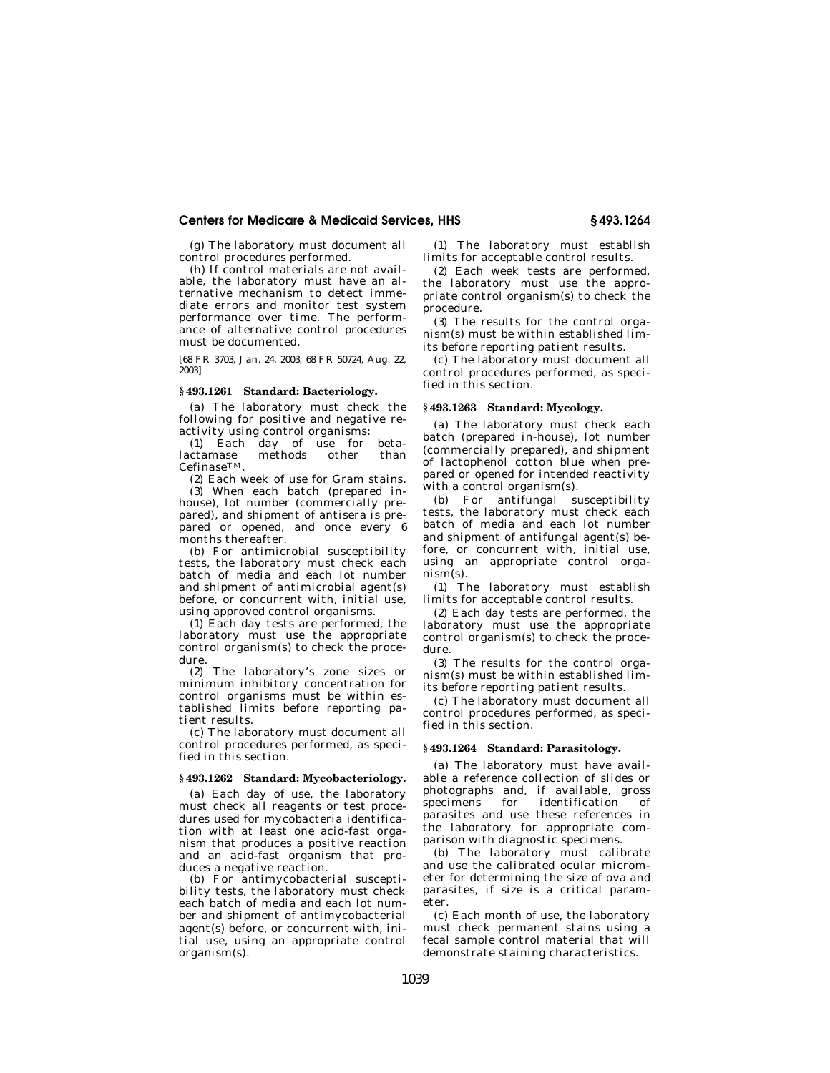(g) The laboratory must document all control procedures performed.

(h) If control materials are not available, the laboratory must have an alternative mechanism to detect immediate errors and monitor test system performance over time. The performance of alternative control procedures must be documented.

[68 FR 3703, Jan. 24, 2003; 68 FR 50724, Aug. 22, 2003]

# **§ 493.1261 Standard: Bacteriology.**

(a) The laboratory must check the following for positive and negative reactivity using control organisms:

(1) Each day of use for betalactamase methods other than CefinaseTM.

(2) Each week of use for Gram stains. (3) When each batch (prepared inhouse), lot number (commercially prepared), and shipment of antisera is prepared or opened, and once every 6 months thereafter.

(b) For antimicrobial susceptibility tests, the laboratory must check each batch of media and each lot number and shipment of antimicrobial agent(s) before, or concurrent with, initial use, using approved control organisms.

(1) Each day tests are performed, the laboratory must use the appropriate control organism(s) to check the procedure.

(2) The laboratory's zone sizes or minimum inhibitory concentration for control organisms must be within established limits before reporting patient results.

(c) The laboratory must document all control procedures performed, as specified in this section.

#### **§ 493.1262 Standard: Mycobacteriology.**

(a) Each day of use, the laboratory must check all reagents or test procedures used for mycobacteria identification with at least one acid-fast organism that produces a positive reaction and an acid-fast organism that produces a negative reaction.

(b) For antimycobacterial susceptibility tests, the laboratory must check each batch of media and each lot number and shipment of antimycobacterial agent(s) before, or concurrent with, initial use, using an appropriate control organism(s).

(1) The laboratory must establish limits for acceptable control results.

(2) Each week tests are performed, the laboratory must use the appropriate control organism(s) to check the procedure.

(3) The results for the control organism(s) must be within established limits before reporting patient results.

(c) The laboratory must document all control procedures performed, as specified in this section.

### **§ 493.1263 Standard: Mycology.**

(a) The laboratory must check each batch (prepared in-house), lot number (commercially prepared), and shipment of lactophenol cotton blue when prepared or opened for intended reactivity with a control organism(s).

(b) For antifungal susceptibility tests, the laboratory must check each batch of media and each lot number and shipment of antifungal agent(s) before, or concurrent with, initial use, using an appropriate control organism(s).

(1) The laboratory must establish limits for acceptable control results.

(2) Each day tests are performed, the laboratory must use the appropriate control organism(s) to check the procedure.

(3) The results for the control organism(s) must be within established limits before reporting patient results.

(c) The laboratory must document all control procedures performed, as specified in this section.

# **§ 493.1264 Standard: Parasitology.**

(a) The laboratory must have available a reference collection of slides or photographs and, if available, gross specimens for identification of parasites and use these references in the laboratory for appropriate comparison with diagnostic specimens.

(b) The laboratory must calibrate and use the calibrated ocular micrometer for determining the size of ova and parasites, if size is a critical parameter.

(c) Each month of use, the laboratory must check permanent stains using a fecal sample control material that will demonstrate staining characteristics.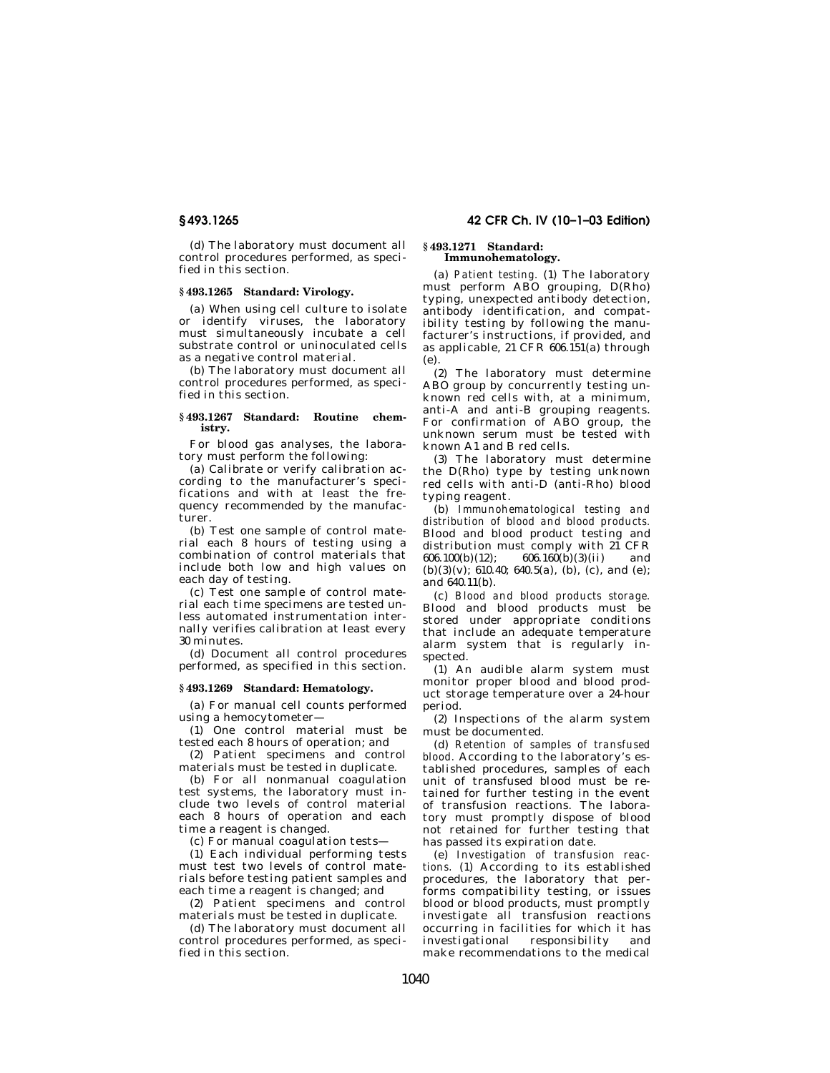(d) The laboratory must document all control procedures performed, as specified in this section.

#### **§ 493.1265 Standard: Virology.**

(a) When using cell culture to isolate or identify viruses, the laboratory must simultaneously incubate a cell substrate control or uninoculated cells as a negative control material.

(b) The laboratory must document all control procedures performed, as specified in this section.

### **§ 493.1267 Standard: Routine chemistry.**

For blood gas analyses, the laboratory must perform the following:

(a) Calibrate or verify calibration according to the manufacturer's specifications and with at least the frequency recommended by the manufacturer.

(b) Test one sample of control material each 8 hours of testing using a combination of control materials that include both low and high values on each day of testing.

(c) Test one sample of control material each time specimens are tested unless automated instrumentation internally verifies calibration at least every 30 minutes.

(d) Document all control procedures performed, as specified in this section.

#### **§ 493.1269 Standard: Hematology.**

(a) For manual cell counts performed using a hemocytometer—

(1) One control material must be tested each 8 hours of operation; and

(2) Patient specimens and control materials must be tested in duplicate.

(b) For all nonmanual coagulation test systems, the laboratory must include two levels of control material each 8 hours of operation and each time a reagent is changed.

(c) For manual coagulation tests—

(1) Each individual performing tests must test two levels of control materials before testing patient samples and each time a reagent is changed; and

(2) Patient specimens and control materials must be tested in duplicate.

(d) The laboratory must document all control procedures performed, as specified in this section.

# **§ 493.1265 42 CFR Ch. IV (10–1–03 Edition)**

#### **§ 493.1271 Standard: Immunohematology.**

(a) *Patient testing.* (1) The laboratory must perform ABO grouping, D(Rho) typing, unexpected antibody detection, antibody identification, and compatibility testing by following the manufacturer's instructions, if provided, and as applicable, 21 CFR 606.151(a) through (e).

(2) The laboratory must determine ABO group by concurrently testing unknown red cells with, at a minimum, anti-A and anti-B grouping reagents. For confirmation of ABO group, the unknown serum must be tested with known A1 and B red cells.

(3) The laboratory must determine the D(Rho) type by testing unknown red cells with anti-D (anti-Rho) blood typing reagent.

(b) *Immunohematological testing and distribution of blood and blood products.* Blood and blood product testing and distribution must comply with 21 CFR 606.100(b)(12); 606.160(b)(3)(ii) and (b)(3)(v); 610.40; 640.5(a), (b), (c), and (e); and 640.11(b).

(c) *Blood and blood products storage.* Blood and blood products must be stored under appropriate conditions that include an adequate temperature alarm system that is regularly inspected.

(1) An audible alarm system must monitor proper blood and blood product storage temperature over a 24-hour period.

(2) Inspections of the alarm system must be documented.

(d) *Retention of samples of transfused blood.* According to the laboratory's established procedures, samples of each unit of transfused blood must be retained for further testing in the event of transfusion reactions. The laboratory must promptly dispose of blood not retained for further testing that has passed its expiration date.

(e) *Investigation of transfusion reactions.* (1) According to its established procedures, the laboratory that performs compatibility testing, or issues blood or blood products, must promptly investigate all transfusion reactions occurring in facilities for which it has investigational responsibility and make recommendations to the medical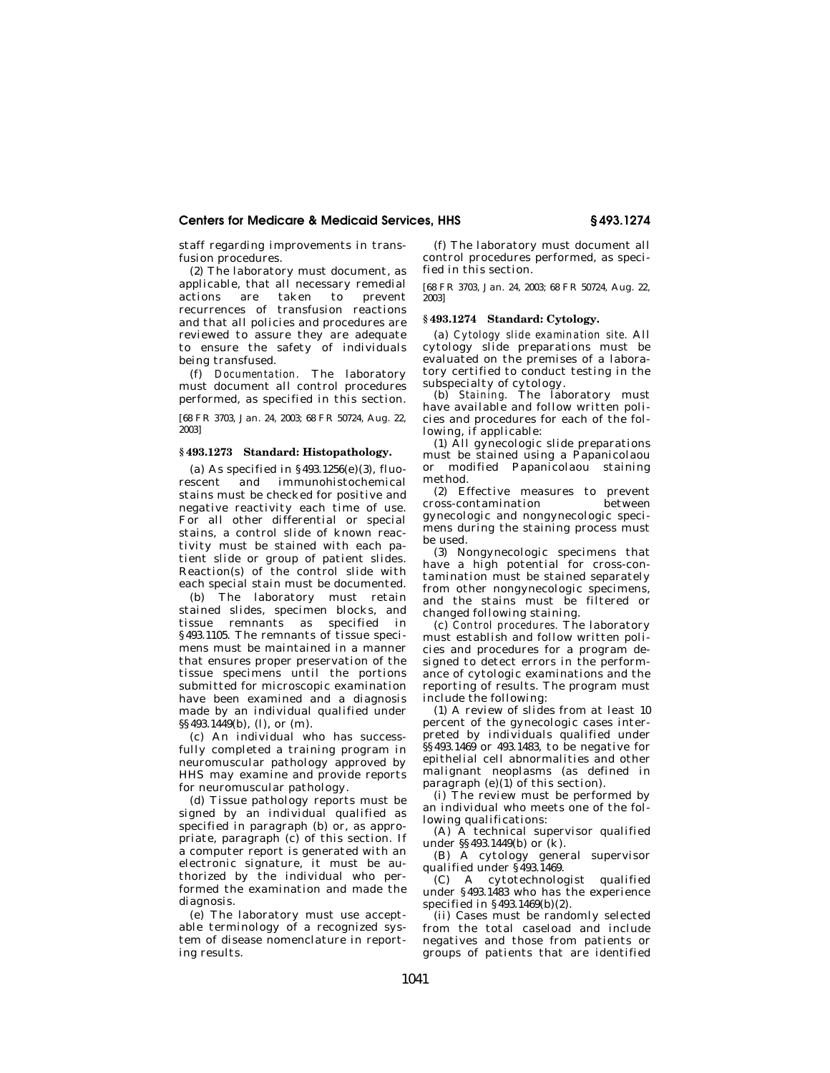staff regarding improvements in transfusion procedures.

(2) The laboratory must document, as applicable, that all necessary remedial actions are taken to prevent recurrences of transfusion reactions and that all policies and procedures are reviewed to assure they are adequate to ensure the safety of individuals being transfused.

(f) *Documentation.* The laboratory must document all control procedures performed, as specified in this section.

[68 FR 3703, Jan. 24, 2003; 68 FR 50724, Aug. 22, 2003]

## **§ 493.1273 Standard: Histopathology.**

(a) As specified in §493.1256(e)(3), fluorescent and immunohistochemical stains must be checked for positive and negative reactivity each time of use. For all other differential or special stains, a control slide of known reactivity must be stained with each patient slide or group of patient slides. Reaction(s) of the control slide with each special stain must be documented.

(b) The laboratory must retain stained slides, specimen blocks, and tissue remnants as specified in §493.1105. The remnants of tissue specimens must be maintained in a manner that ensures proper preservation of the tissue specimens until the portions submitted for microscopic examination have been examined and a diagnosis made by an individual qualified under §§493.1449(b), (l), or (m).

(c) An individual who has successfully completed a training program in neuromuscular pathology approved by HHS may examine and provide reports for neuromuscular pathology.

(d) Tissue pathology reports must be signed by an individual qualified as specified in paragraph (b) or, as appropriate, paragraph (c) of this section. If a computer report is generated with an electronic signature, it must be authorized by the individual who performed the examination and made the diagnosis.

(e) The laboratory must use acceptable terminology of a recognized system of disease nomenclature in reporting results.

(f) The laboratory must document all control procedures performed, as specified in this section.

[68 FR 3703, Jan. 24, 2003; 68 FR 50724, Aug. 22, 2003]

# **§ 493.1274 Standard: Cytology.**

(a) *Cytology slide examination site.* All cytology slide preparations must be evaluated on the premises of a laboratory certified to conduct testing in the subspecialty of cytology.

(b) *Staining*. The laboratory must have available and follow written policies and procedures for each of the following, if applicable:

(1) All gynecologic slide preparations must be stained using a Papanicolaou or modified Papanicolaou staining method.

(2) Effective measures to prevent cross-contamination between gynecologic and nongynecologic specimens during the staining process must be used.

(3) Nongynecologic specimens that have a high potential for cross-contamination must be stained separately from other nongynecologic specimens, and the stains must be filtered or changed following staining.

(c) *Control procedures.* The laboratory must establish and follow written policies and procedures for a program designed to detect errors in the performance of cytologic examinations and the reporting of results. The program must include the following:

(1) A review of slides from at least 10 percent of the gynecologic cases interpreted by individuals qualified under §§493.1469 or 493.1483, to be negative for epithelial cell abnormalities and other malignant neoplasms (as defined in paragraph (e)(1) of this section).

(i) The review must be performed by an individual who meets one of the following qualifications:

(A) A technical supervisor qualified under §§493.1449(b) or (k).

(B) A cytology general supervisor qualified under §493.1469.

(C) A cytotechnologist qualified under §493.1483 who has the experience specified in §493.1469(b)(2).

(ii) Cases must be randomly selected from the total caseload and include negatives and those from patients or groups of patients that are identified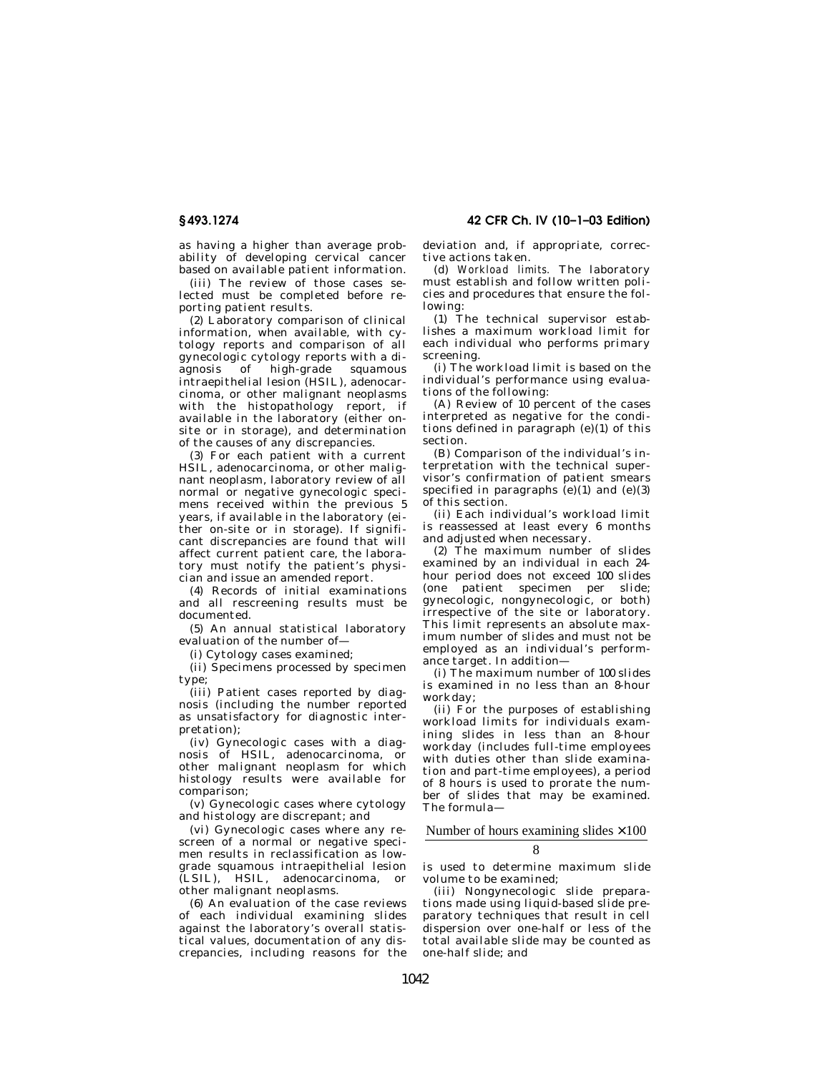as having a higher than average probability of developing cervical cancer based on available patient information.

(iii) The review of those cases selected must be completed before reporting patient results.

(2) Laboratory comparison of clinical information, when available, with cytology reports and comparison of all gynecologic cytology reports with a di-<br>agnosis of high-grade squamous  $\circ$  of high-grade squamous intraepithelial lesion (HSIL), adenocarcinoma, or other malignant neoplasms with the histopathology report, if available in the laboratory (either onsite or in storage), and determination of the causes of any discrepancies.

(3) For each patient with a current HSIL, adenocarcinoma, or other malignant neoplasm, laboratory review of all normal or negative gynecologic specimens received within the previous 5 years, if available in the laboratory (either on-site or in storage). If significant discrepancies are found that will affect current patient care, the laboratory must notify the patient's physician and issue an amended report.

(4) Records of initial examinations and all rescreening results must be documented.

(5) An annual statistical laboratory evaluation of the number of—

(i) Cytology cases examined;

(ii) Specimens processed by specimen type;

(iii) Patient cases reported by diagnosis (including the number reported as unsatisfactory for diagnostic interpretation);

(iv) Gynecologic cases with a diagnosis of HSIL, adenocarcinoma, or other malignant neoplasm for which histology results were available for comparison;

(v) Gynecologic cases where cytology and histology are discrepant; and

(vi) Gynecologic cases where any rescreen of a normal or negative specimen results in reclassification as lowgrade squamous intraepithelial lesion (LSIL), HSIL, adenocarcinoma, or other malignant neoplasms.

(6) An evaluation of the case reviews of each individual examining slides against the laboratory's overall statistical values, documentation of any discrepancies, including reasons for the

**§ 493.1274 42 CFR Ch. IV (10–1–03 Edition)**

deviation and, if appropriate, corrective actions taken.

(d) *Workload limits.* The laboratory must establish and follow written policies and procedures that ensure the following:

(1) The technical supervisor establishes a maximum workload limit for each individual who performs primary screening.

(i) The workload limit is based on the individual's performance using evaluations of the following:

(A) Review of 10 percent of the cases interpreted as negative for the conditions defined in paragraph (e)(1) of this section.

(B) Comparison of the individual's interpretation with the technical supervisor's confirmation of patient smears specified in paragraphs  $(e)(1)$  and  $(e)(3)$ of this section.

(ii) Each individual's workload limit is reassessed at least every 6 months and adjusted when necessary.

(2) The maximum number of slides examined by an individual in each 24 hour period does not exceed 100 slides (one patient specimen per slide; gynecologic, nongynecologic, or both) irrespective of the site or laboratory. This limit represents an absolute maximum number of slides and must not be employed as an individual's performance target. In addition—

(i) The maximum number of 100 slides is examined in no less than an 8-hour workday;

(ii) For the purposes of establishing workload limits for individuals examining slides in less than an 8-hour workday (includes full-time employees with duties other than slide examination and part-time employees), a period of 8 hours is used to prorate the number of slides that may be examined. The formula—

# Number of hours examining slides  $\times 100$

8

is used to determine maximum slide volume to be examined;

(iii) Nongynecologic slide preparations made using liquid-based slide preparatory techniques that result in cell dispersion over one-half or less of the total available slide may be counted as one-half slide; and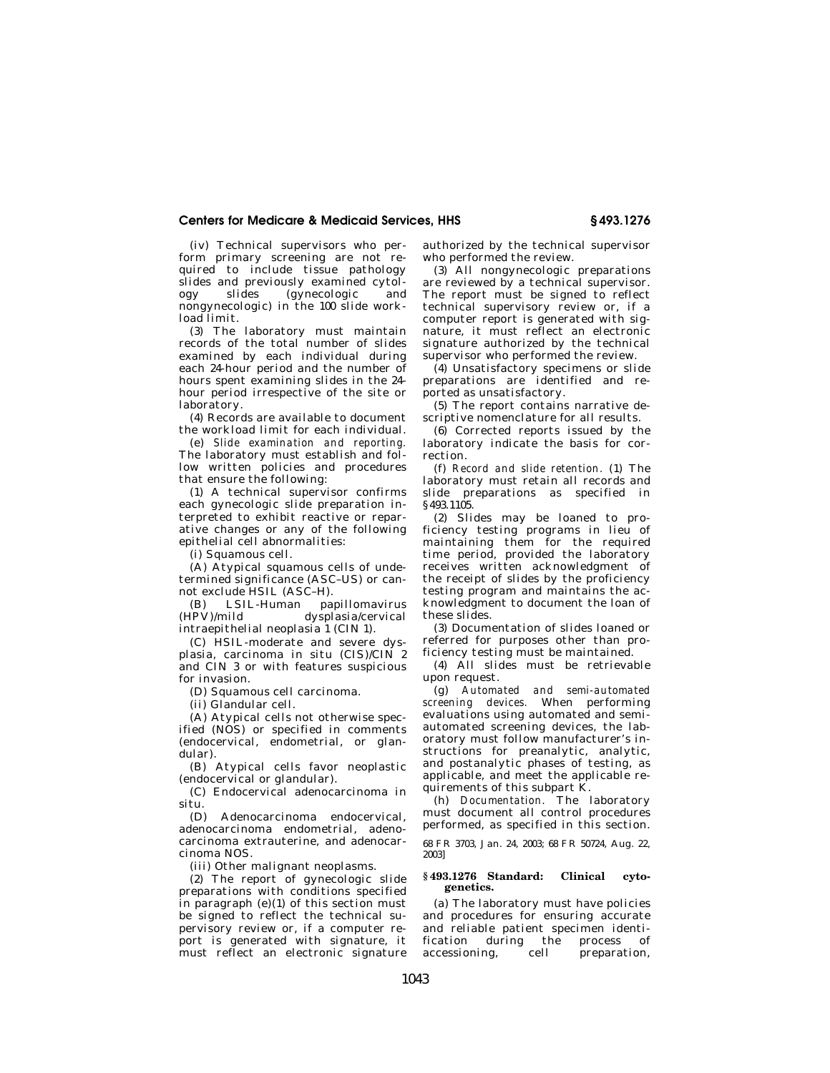(iv) Technical supervisors who perform primary screening are not required to include tissue pathology slides and previously examined cytol-<br>ogy slides (gynecologic and ogy slides (gynecologic and nongynecologic) in the 100 slide workload limit.

(3) The laboratory must maintain records of the total number of slides examined by each individual during each 24-hour period and the number of hours spent examining slides in the 24 hour period irrespective of the site or laboratory.

(4) Records are available to document the workload limit for each individual.

(e) *Slide examination and reporting.* The laboratory must establish and follow written policies and procedures that ensure the following:

(1) A technical supervisor confirms each gynecologic slide preparation interpreted to exhibit reactive or reparative changes or any of the following epithelial cell abnormalities:

(i) Squamous cell.

(A) Atypical squamous cells of undetermined significance (ASC–US) or cannot exclude HSIL (ASC–H).

(B) LSIL-Human papillomavirus dysplasia/cervical intraepithelial neoplasia 1 (CIN 1).

(C) HSIL-moderate and severe dysplasia, carcinoma in situ (CIS)/CIN 2 and CIN 3 or with features suspicious for invasion.

(D) Squamous cell carcinoma.

(ii) Glandular cell.

(A) Atypical cells not otherwise specified (NOS) or specified in comments (endocervical, endometrial, or glandular).

(B) Atypical cells favor neoplastic (endocervical or glandular).

(C) Endocervical adenocarcinoma in situ.

(D) Adenocarcinoma endocervical, adenocarcinoma endometrial, adenocarcinoma extrauterine, and adenocarcinoma NOS.

(iii) Other malignant neoplasms.

(2) The report of gynecologic slide preparations with conditions specified in paragraph (e)(1) of this section must be signed to reflect the technical supervisory review or, if a computer report is generated with signature, it must reflect an electronic signature authorized by the technical supervisor who performed the review.

(3) All nongynecologic preparations are reviewed by a technical supervisor. The report must be signed to reflect technical supervisory review or, if a computer report is generated with signature, it must reflect an electronic signature authorized by the technical supervisor who performed the review.

(4) Unsatisfactory specimens or slide preparations are identified and reported as unsatisfactory.

(5) The report contains narrative descriptive nomenclature for all results.

(6) Corrected reports issued by the laboratory indicate the basis for correction.

(f) *Record and slide retention.* (1) The laboratory must retain all records and slide preparations as specified in  $§$ 493.1105.

(2) Slides may be loaned to proficiency testing programs in lieu of maintaining them for the required time period, provided the laboratory receives written acknowledgment of the receipt of slides by the proficiency testing program and maintains the acknowledgment to document the loan of these slides.

(3) Documentation of slides loaned or referred for purposes other than proficiency testing must be maintained.

(4) All slides must be retrievable upon request.

(g) *Automated and semi-automated screening devices.* When performing evaluations using automated and semiautomated screening devices, the laboratory must follow manufacturer's instructions for preanalytic, analytic, and postanalytic phases of testing, as applicable, and meet the applicable requirements of this subpart K.

(h) *Documentation.* The laboratory must document all control procedures performed, as specified in this section.

68 FR 3703, Jan. 24, 2003; 68 FR 50724, Aug. 22, 2003]

### **§ 493.1276 Standard: Clinical cytogenetics.**

(a) The laboratory must have policies and procedures for ensuring accurate and reliable patient specimen identification during the process of accessioning, cell preparation, accessioning,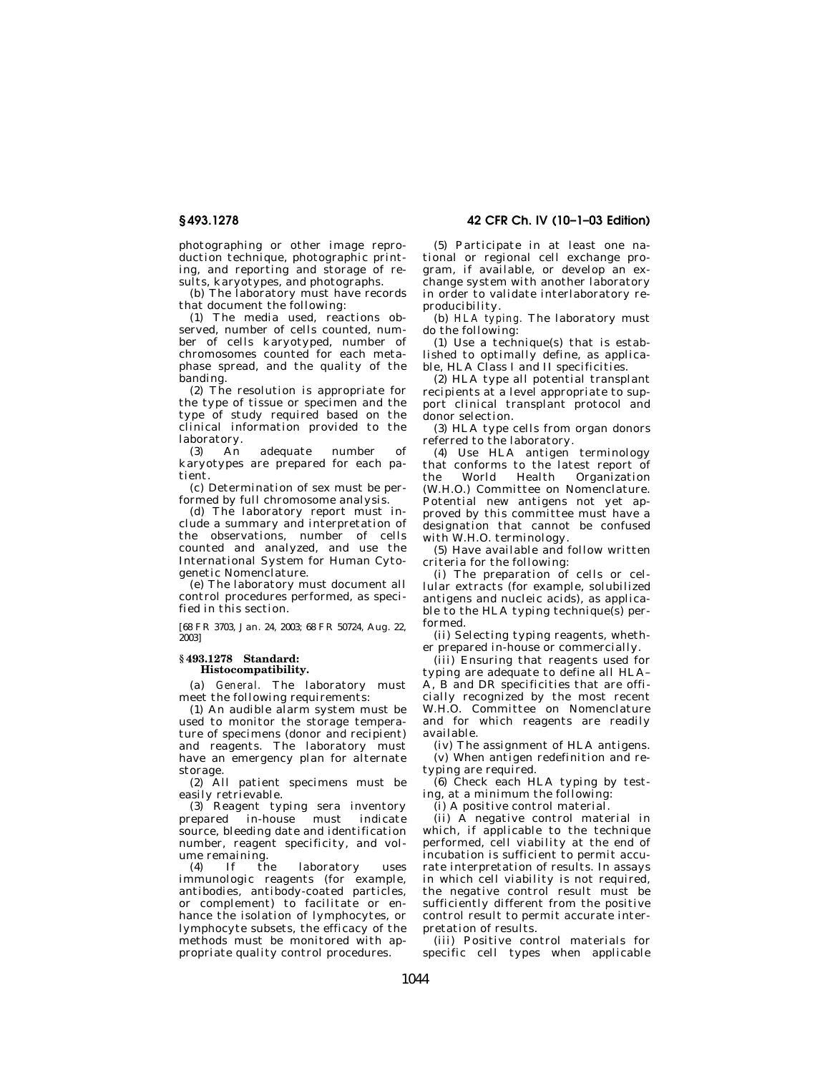photographing or other image reproduction technique, photographic printing, and reporting and storage of results, karyotypes, and photographs.

(b) The laboratory must have records that document the following:

(1) The media used, reactions observed, number of cells counted, number of cells karyotyped, number of chromosomes counted for each metaphase spread, and the quality of the banding.

(2) The resolution is appropriate for the type of tissue or specimen and the type of study required based on the clinical information provided to the laboratory.

(3) An adequate number of karyotypes are prepared for each patient.

(c) Determination of sex must be performed by full chromosome analysis.

(d) The laboratory report must include a summary and interpretation of the observations, number of cells counted and analyzed, and use the International System for Human Cytogenetic Nomenclature.

(e) The laboratory must document all control procedures performed, as specified in this section.

[68 FR 3703, Jan. 24, 2003; 68 FR 50724, Aug. 22, 2003]

# **§ 493.1278 Standard:**

**Histocompatibility.** 

(a) *General.* The laboratory must meet the following requirements:

(1) An audible alarm system must be used to monitor the storage temperature of specimens (donor and recipient) and reagents. The laboratory must have an emergency plan for alternate storage.

(2) All patient specimens must be easily retrievable.

(3) Reagent typing sera inventory prepared in-house must indicate source, bleeding date and identification number, reagent specificity, and volume remaining.

(4) If the laboratory uses immunologic reagents (for example, antibodies, antibody-coated particles, or complement) to facilitate or enhance the isolation of lymphocytes, or lymphocyte subsets, the efficacy of the methods must be monitored with appropriate quality control procedures.

**§ 493.1278 42 CFR Ch. IV (10–1–03 Edition)**

(5) Participate in at least one national or regional cell exchange program, if available, or develop an exchange system with another laboratory in order to validate interlaboratory reproducibility.

(b) *HLA typing.* The laboratory must do the following:

(1) Use a technique(s) that is established to optimally define, as applicable, HLA Class I and II specificities.

(2) HLA type all potential transplant recipients at a level appropriate to support clinical transplant protocol and donor selection.

(3) HLA type cells from organ donors referred to the laboratory.

(4) Use HLA antigen terminology that conforms to the latest report of the World Health Organization (W.H.O.) Committee on Nomenclature. Potential new antigens not yet approved by this committee must have a designation that cannot be confused with W.H.O. terminology.

(5) Have available and follow written criteria for the following:

(i) The preparation of cells or cellular extracts (for example, solubilized antigens and nucleic acids), as applicable to the HLA typing technique $(s)$  performed.

(ii) Selecting typing reagents, whether prepared in-house or commercially.

(iii) Ensuring that reagents used for typing are adequate to define all HLA– A, B and DR specificities that are officially recognized by the most recent W.H.O. Committee on Nomenclature and for which reagents are readily available.

(iv) The assignment of HLA antigens. (v) When antigen redefinition and retyping are required.

(6) Check each HLA typing by testing, at a minimum the following:

(i) A positive control material.

(ii) A negative control material in which, if applicable to the technique performed, cell viability at the end of incubation is sufficient to permit accurate interpretation of results. In assays in which cell viability is not required, the negative control result must be sufficiently different from the positive control result to permit accurate interpretation of results.

(iii) Positive control materials for specific cell types when applicable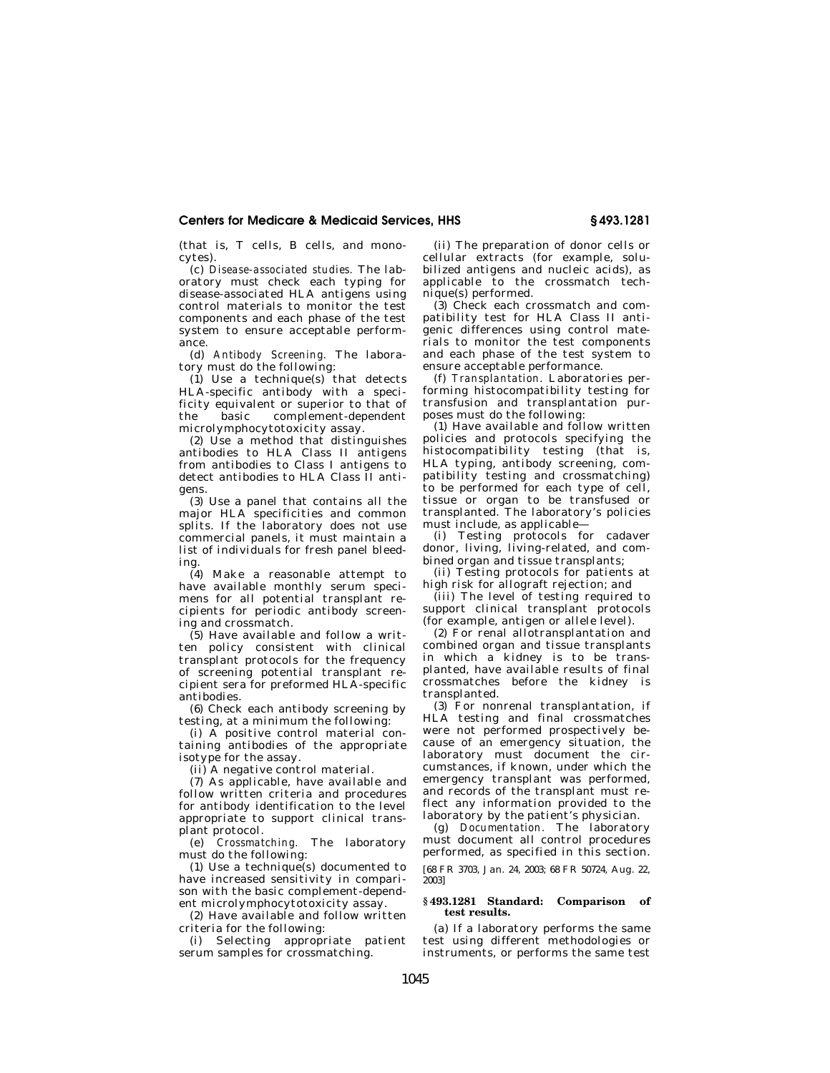(that is, T cells, B cells, and monocytes).

(c) *Disease-associated studies.* The laboratory must check each typing for disease-associated HLA antigens using control materials to monitor the test components and each phase of the test system to ensure acceptable performance.

(d) *Antibody Screening.* The laboratory must do the following:

 $(i)$  Use a technique $(s)$  that detects HLA-specific antibody with a specificity equivalent or superior to that of the basic complement-dependent microlymphocytotoxicity assay.

(2) Use a method that distinguishes antibodies to HLA Class II antigens from antibodies to Class I antigens to detect antibodies to HLA Class II antigens.

(3) Use a panel that contains all the major HLA specificities and common splits. If the laboratory does not use commercial panels, it must maintain a list of individuals for fresh panel bleeding.

(4) Make a reasonable attempt to have available monthly serum specimens for all potential transplant recipients for periodic antibody screening and crossmatch.

(5) Have available and follow a written policy consistent with clinical transplant protocols for the frequency of screening potential transplant recipient sera for preformed HLA-specific antibodies.

(6) Check each antibody screening by testing, at a minimum the following:

(i) A positive control material containing antibodies of the appropriate isotype for the assay.

(ii) A negative control material.

(7) As applicable, have available and follow written criteria and procedures for antibody identification to the level appropriate to support clinical transplant protocol.

(e) *Crossmatching.* The laboratory must do the following:

(1) Use a technique(s) documented to have increased sensitivity in comparison with the basic complement-dependent microlymphocytotoxicity assay.

(2) Have available and follow written criteria for the following:

(i) Selecting appropriate patient serum samples for crossmatching.

(ii) The preparation of donor cells or cellular extracts (for example, solubilized antigens and nucleic acids), as applicable to the crossmatch technique(s) performed.

(3) Check each crossmatch and compatibility test for HLA Class II antigenic differences using control materials to monitor the test components and each phase of the test system to ensure acceptable performance.

(f) *Transplantation.* Laboratories performing histocompatibility testing for transfusion and transplantation purposes must do the following:

(1) Have available and follow written policies and protocols specifying the histocompatibility testing (that is, HLA typing, antibody screening, compatibility testing and crossmatching) to be performed for each type of cell, tissue or organ to be transfused or transplanted. The laboratory's policies must include, as applicable—

(i) Testing protocols for cadaver donor, living, living-related, and combined organ and tissue transplants;

(ii) Testing protocols for patients at high risk for allograft rejection; and

(iii) The level of testing required to support clinical transplant protocols (for example, antigen or allele level).

(2) For renal allotransplantation and combined organ and tissue transplants in which a kidney is to be transplanted, have available results of final crossmatches before the kidney is transplanted.

(3) For nonrenal transplantation, if HLA testing and final crossmatches were not performed prospectively because of an emergency situation, the laboratory must document the circumstances, if known, under which the emergency transplant was performed, and records of the transplant must reflect any information provided to the laboratory by the patient's physician.

(g) *Documentation.* The laboratory must document all control procedures performed, as specified in this section.

[68 FR 3703, Jan. 24, 2003; 68 FR 50724, Aug. 22, 2003]

## **§ 493.1281 Standard: Comparison of test results.**

(a) If a laboratory performs the same test using different methodologies or instruments, or performs the same test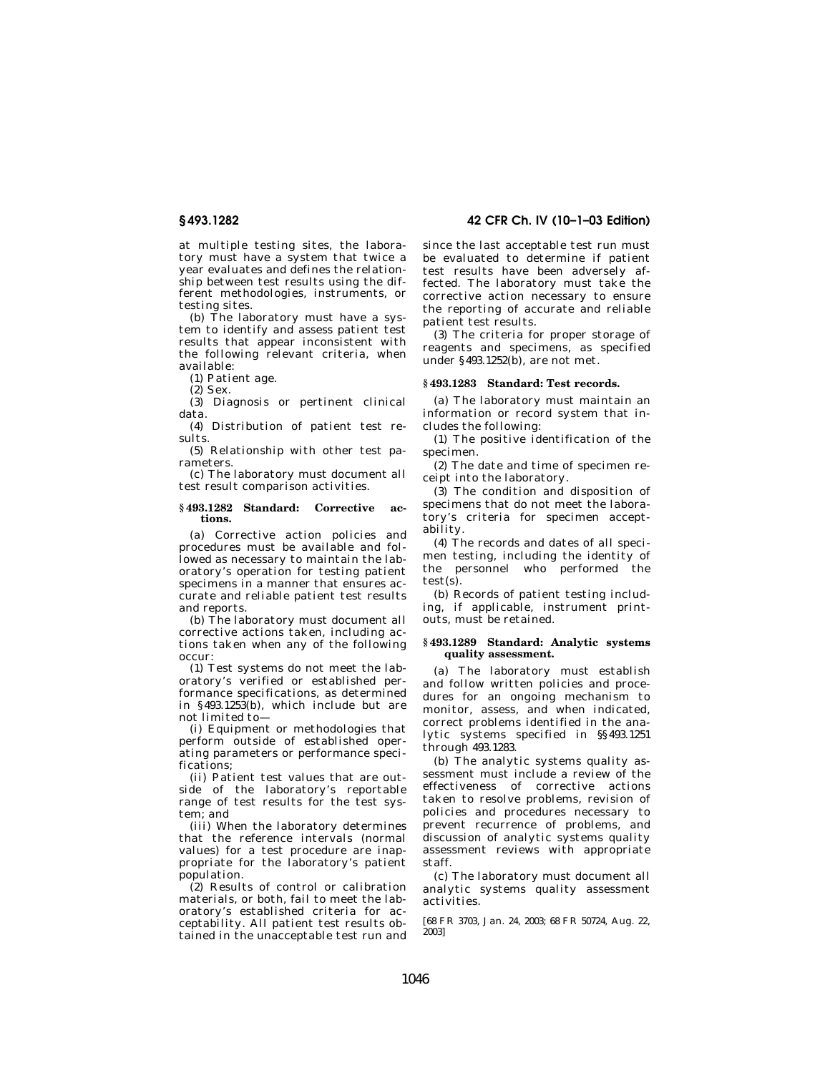at multiple testing sites, the laboratory must have a system that twice a year evaluates and defines the relationship between test results using the different methodologies, instruments, or testing sites.

(b) The laboratory must have a system to identify and assess patient test results that appear inconsistent with the following relevant criteria, when available:

(1) Patient age.

(2) Sex.

(3) Diagnosis or pertinent clinical data.

(4) Distribution of patient test results.

(5) Relationship with other test parameters.

(c) The laboratory must document all test result comparison activities.

### **§ 493.1282 Standard: Corrective actions.**

(a) Corrective action policies and procedures must be available and followed as necessary to maintain the laboratory's operation for testing patient specimens in a manner that ensures accurate and reliable patient test results and reports.

(b) The laboratory must document all corrective actions taken, including actions taken when any of the following occur:

(1) Test systems do not meet the laboratory's verified or established performance specifications, as determined in §493.1253(b), which include but are not limited to—

(i) Equipment or methodologies that perform outside of established operating parameters or performance specifications;

(ii) Patient test values that are outside of the laboratory's reportable range of test results for the test system; and

(iii) When the laboratory determines that the reference intervals (normal values) for a test procedure are inappropriate for the laboratory's patient population.

(2) Results of control or calibration materials, or both, fail to meet the laboratory's established criteria for acceptability. All patient test results obtained in the unacceptable test run and

**§ 493.1282 42 CFR Ch. IV (10–1–03 Edition)**

since the last acceptable test run must be evaluated to determine if patient test results have been adversely affected. The laboratory must take the corrective action necessary to ensure the reporting of accurate and reliable patient test results.

(3) The criteria for proper storage of reagents and specimens, as specified under §493.1252(b), are not met.

#### **§ 493.1283 Standard: Test records.**

(a) The laboratory must maintain an information or record system that includes the following:

(1) The positive identification of the specimen.

(2) The date and time of specimen receipt into the laboratory.

(3) The condition and disposition of specimens that do not meet the laboratory's criteria for specimen acceptability.

(4) The records and dates of all specimen testing, including the identity of the personnel who performed the test(s).

(b) Records of patient testing including, if applicable, instrument printouts, must be retained.

#### **§ 493.1289 Standard: Analytic systems quality assessment.**

(a) The laboratory must establish and follow written policies and procedures for an ongoing mechanism to monitor, assess, and when indicated, correct problems identified in the analytic systems specified in §§493.1251 through 493.1283.

(b) The analytic systems quality assessment must include a review of the effectiveness of corrective actions taken to resolve problems, revision of policies and procedures necessary to prevent recurrence of problems, and discussion of analytic systems quality assessment reviews with appropriate staff.

(c) The laboratory must document all analytic systems quality assessment activities.

[68 FR 3703, Jan. 24, 2003; 68 FR 50724, Aug. 22, 2003]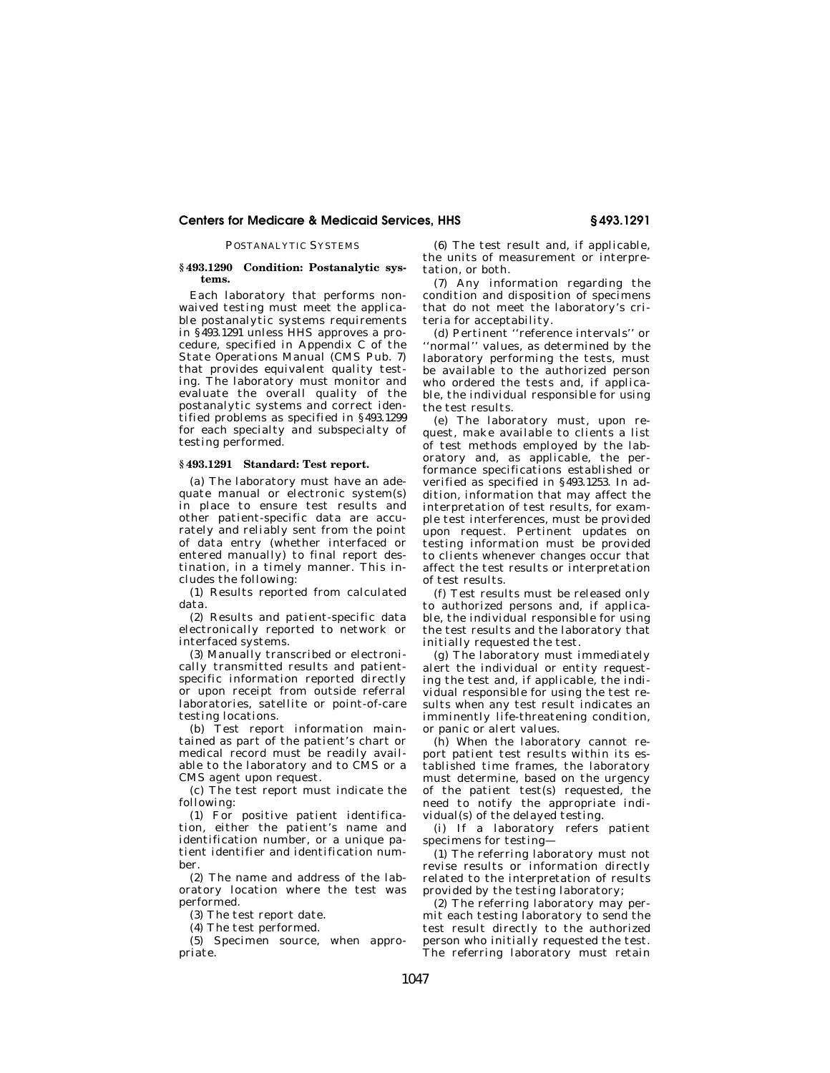POSTANALYTIC SYSTEMS

#### **§ 493.1290 Condition: Postanalytic systems.**

Each laboratory that performs nonwaived testing must meet the applicable postanalytic systems requirements in §493.1291 unless HHS approves a procedure, specified in Appendix C of the State Operations Manual (CMS Pub. 7) that provides equivalent quality testing. The laboratory must monitor and evaluate the overall quality of the postanalytic systems and correct identified problems as specified in §493.1299 for each specialty and subspecialty of testing performed.

# **§ 493.1291 Standard: Test report.**

(a) The laboratory must have an adequate manual or electronic system(s) in place to ensure test results and other patient-specific data are accurately and reliably sent from the point of data entry (whether interfaced or entered manually) to final report destination, in a timely manner. This includes the following:

(1) Results reported from calculated data.

(2) Results and patient-specific data electronically reported to network or interfaced systems.

(3) Manually transcribed or electronically transmitted results and patientspecific information reported directly or upon receipt from outside referral laboratories, satellite or point-of-care testing locations.

(b) Test report information maintained as part of the patient's chart or medical record must be readily available to the laboratory and to CMS or a CMS agent upon request.

(c) The test report must indicate the following:

(1) For positive patient identification, either the patient's name and identification number, or a unique patient identifier and identification number.

(2) The name and address of the laboratory location where the test was performed.

(3) The test report date.

(4) The test performed.

(5) Specimen source, when appropriate.

(6) The test result and, if applicable, the units of measurement or interpretation, or both.

(7) Any information regarding the condition and disposition of specimens that do not meet the laboratory's criteria for acceptability.

(d) Pertinent ''reference intervals'' or 'normal'' values, as determined by the laboratory performing the tests, must be available to the authorized person who ordered the tests and, if applicable, the individual responsible for using the test results.

(e) The laboratory must, upon request, make available to clients a list of test methods employed by the laboratory and, as applicable, the performance specifications established or verified as specified in §493.1253. In addition, information that may affect the interpretation of test results, for example test interferences, must be provided upon request. Pertinent updates on testing information must be provided to clients whenever changes occur that affect the test results or interpretation of test results.

(f) Test results must be released only to authorized persons and, if applicable, the individual responsible for using the test results and the laboratory that initially requested the test.

(g) The laboratory must immediately alert the individual or entity requesting the test and, if applicable, the individual responsible for using the test results when any test result indicates an imminently life-threatening condition, or panic or alert values.

(h) When the laboratory cannot report patient test results within its established time frames, the laboratory must determine, based on the urgency of the patient test(s) requested, the need to notify the appropriate individual(s) of the delayed testing.

(i) If a laboratory refers patient specimens for testing—

(1) The referring laboratory must not revise results or information directly related to the interpretation of results provided by the testing laboratory;

(2) The referring laboratory may permit each testing laboratory to send the test result directly to the authorized person who initially requested the test. The referring laboratory must retain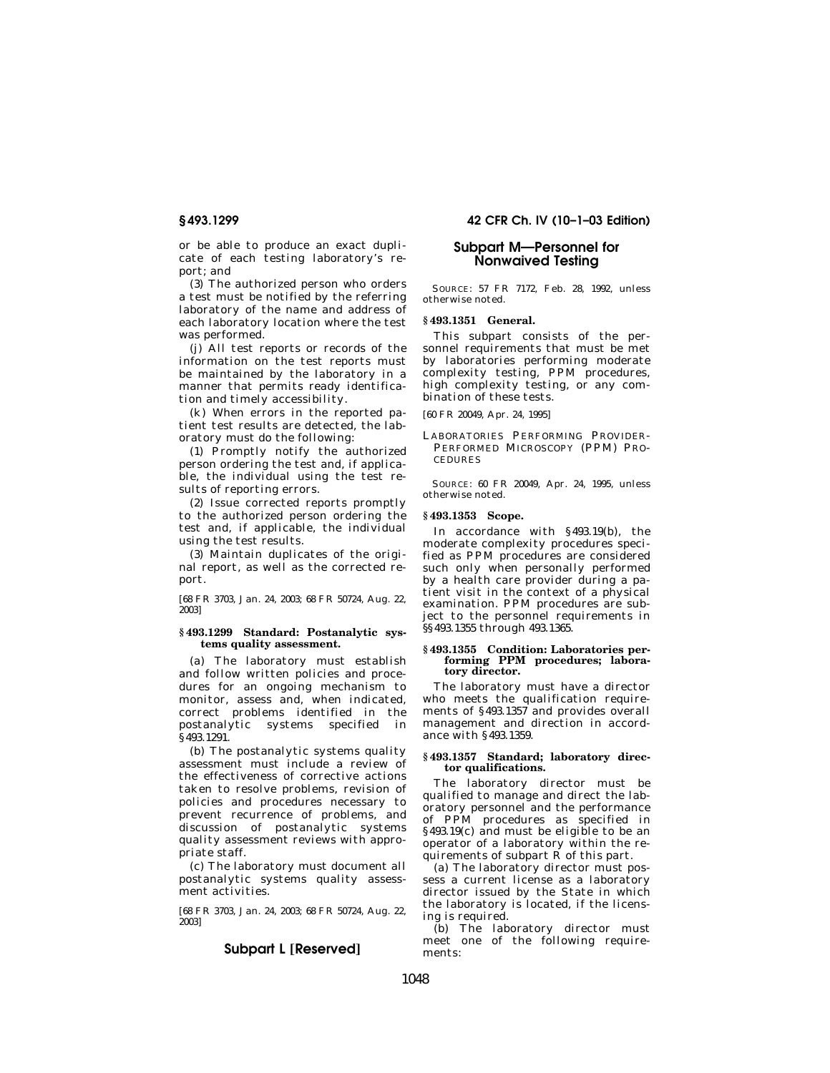or be able to produce an exact duplicate of each testing laboratory's report; and

(3) The authorized person who orders a test must be notified by the referring laboratory of the name and address of each laboratory location where the test was performed.

(j) All test reports or records of the information on the test reports must be maintained by the laboratory in a manner that permits ready identification and timely accessibility.

(k) When errors in the reported patient test results are detected, the laboratory must do the following:

(1) Promptly notify the authorized person ordering the test and, if applicable, the individual using the test results of reporting errors.

(2) Issue corrected reports promptly to the authorized person ordering the test and, if applicable, the individual using the test results.

(3) Maintain duplicates of the original report, as well as the corrected report.

[68 FR 3703, Jan. 24, 2003; 68 FR 50724, Aug. 22, 2003]

## **§ 493.1299 Standard: Postanalytic systems quality assessment.**

(a) The laboratory must establish and follow written policies and procedures for an ongoing mechanism to monitor, assess and, when indicated, correct problems identified in the postanalytic systems specified in §493.1291.

(b) The postanalytic systems quality assessment must include a review of the effectiveness of corrective actions taken to resolve problems, revision of policies and procedures necessary to prevent recurrence of problems, and discussion of postanalytic systems quality assessment reviews with appropriate staff.

(c) The laboratory must document all postanalytic systems quality assessment activities

[68 FR 3703, Jan. 24, 2003; 68 FR 50724, Aug. 22, 2003]

# **Subpart L [Reserved]**

# **§ 493.1299 42 CFR Ch. IV (10–1–03 Edition)**

# **Subpart M—Personnel for Nonwaived Testing**

SOURCE: 57 FR 7172, Feb. 28, 1992, unless otherwise noted.

### **§ 493.1351 General.**

This subpart consists of the personnel requirements that must be met by laboratories performing moderate complexity testing, PPM procedures, high complexity testing, or any combination of these tests.

[60 FR 20049, Apr. 24, 1995]

LABORATORIES PERFORMING PROVIDER-PERFORMED MICROSCOPY (PPM) PRO-**CEDURES** 

SOURCE: 60 FR 20049, Apr. 24, 1995, unless otherwise noted.

## **§ 493.1353 Scope.**

In accordance with §493.19(b), the moderate complexity procedures specified as PPM procedures are considered such only when personally performed by a health care provider during a patient visit in the context of a physical examination. PPM procedures are subject to the personnel requirements in §§493.1355 through 493.1365.

#### **§ 493.1355 Condition: Laboratories performing PPM procedures; laboratory director.**

The laboratory must have a director who meets the qualification requirements of §493.1357 and provides overall management and direction in accordance with §493.1359.

#### **§ 493.1357 Standard; laboratory director qualifications.**

The laboratory director must be qualified to manage and direct the laboratory personnel and the performance of PPM procedures as specified in §493.19(c) and must be eligible to be an operator of a laboratory within the requirements of subpart  $\tilde{R}$  of this part.

(a) The laboratory director must possess a current license as a laboratory director issued by the State in which the laboratory is located, if the licensing is required.

(b) The laboratory director must meet one of the following requirements: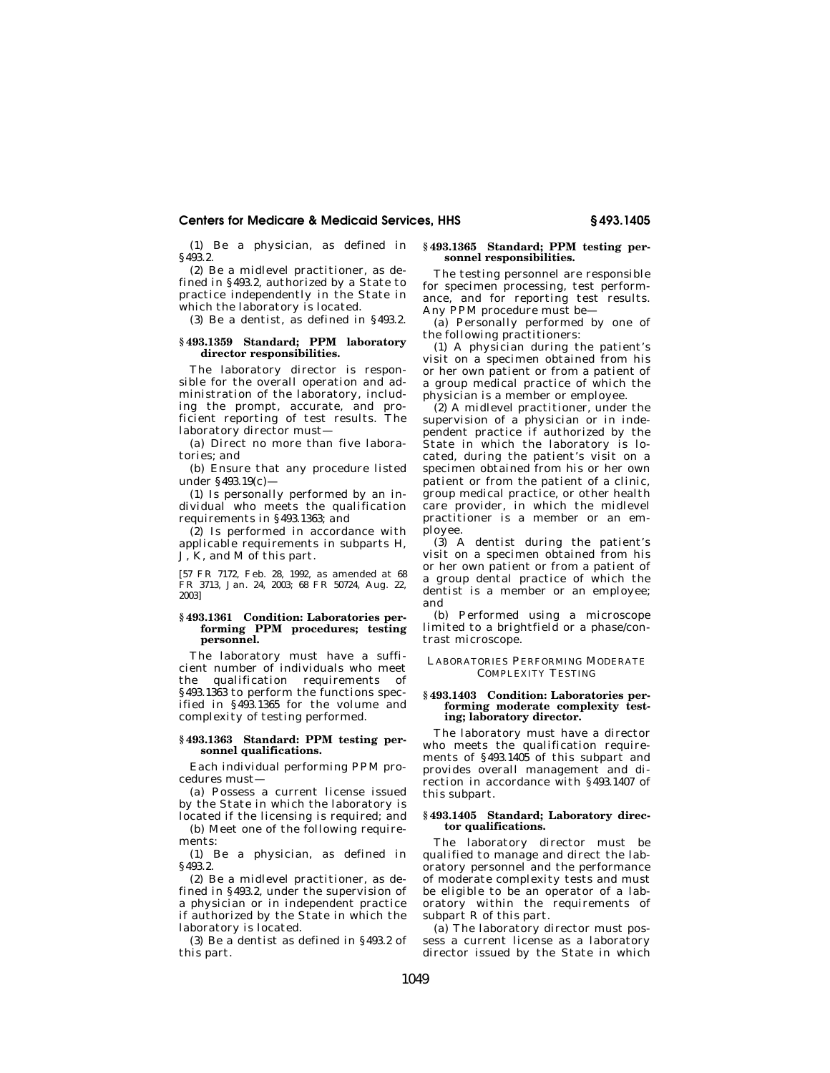(1) Be a physician, as defined in §493.2.

(2) Be a midlevel practitioner, as defined in §493.2, authorized by a State to practice independently in the State in which the laboratory is located.

(3) Be a dentist, as defined in §493.2.

#### **§ 493.1359 Standard; PPM laboratory director responsibilities.**

The laboratory director is responsible for the overall operation and administration of the laboratory, including the prompt, accurate, and proficient reporting of test results. The laboratory director must—

(a) Direct no more than five laboratories; and

(b) Ensure that any procedure listed under §493.19(c)—

(1) Is personally performed by an individual who meets the qualification requirements in §493.1363; and

(2) Is performed in accordance with applicable requirements in subparts H, J, K, and M of this part.

[57 FR 7172, Feb. 28, 1992, as amended at 68 FR 3713, Jan. 24, 2003; 68 FR 50724, Aug. 22, 2003]

#### **§ 493.1361 Condition: Laboratories performing PPM procedures; testing personnel.**

The laboratory must have a sufficient number of individuals who meet the qualification requirements of §493.1363 to perform the functions specified in §493.1365 for the volume and complexity of testing performed.

## **§ 493.1363 Standard: PPM testing personnel qualifications.**

Each individual performing PPM procedures must—

(a) Possess a current license issued by the State in which the laboratory is located if the licensing is required; and

(b) Meet one of the following requirements:

(1) Be a physician, as defined in §493.2.

(2) Be a midlevel practitioner, as defined in §493.2, under the supervision of a physician or in independent practice if authorized by the State in which the laboratory is located.

(3) Be a dentist as defined in §493.2 of this part.

### **§ 493.1365 Standard; PPM testing personnel responsibilities.**

The testing personnel are responsible for specimen processing, test performance, and for reporting test results. Any PPM procedure must be—

(a) Personally performed by one of the following practitioners:

(1) A physician during the patient's visit on a specimen obtained from his or her own patient or from a patient of a group medical practice of which the physician is a member or employee.

(2) A midlevel practitioner, under the supervision of a physician or in independent practice if authorized by the State in which the laboratory is located, during the patient's visit on a specimen obtained from his or her own patient or from the patient of a clinic, group medical practice, or other health care provider, in which the midlevel practitioner is a member or an employee.

(3) A dentist during the patient's visit on a specimen obtained from his or her own patient or from a patient of a group dental practice of which the dentist is a member or an employee; and

(b) Performed using a microscope limited to a brightfield or a phase/contrast microscope.

## LABORATORIES PERFORMING MODERATE COMPLEXITY TESTING

#### **§ 493.1403 Condition: Laboratories performing moderate complexity testing; laboratory director.**

The laboratory must have a director who meets the qualification requirements of §493.1405 of this subpart and provides overall management and direction in accordance with §493.1407 of this subpart.

## **§ 493.1405 Standard; Laboratory director qualifications.**

The laboratory director must be qualified to manage and direct the laboratory personnel and the performance of moderate complexity tests and must be eligible to be an operator of a laboratory within the requirements of subpart R of this part.

(a) The laboratory director must possess a current license as a laboratory director issued by the State in which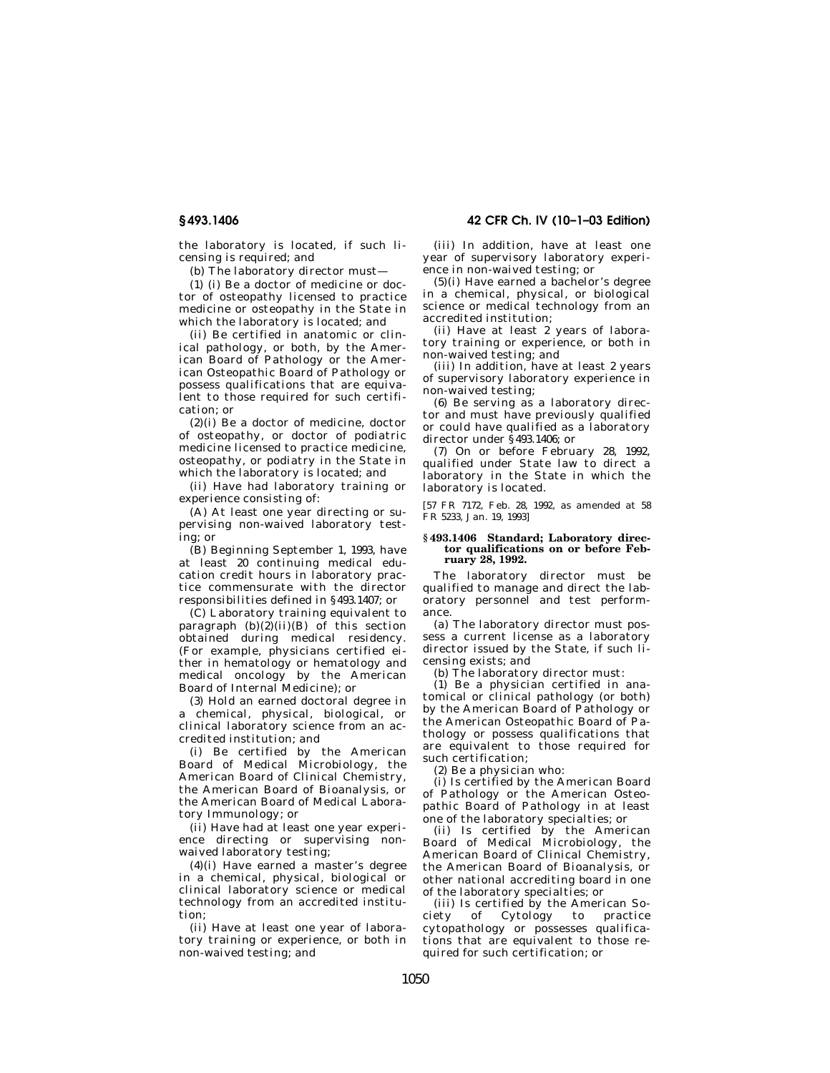the laboratory is located, if such licensing is required; and

(b) The laboratory director must—

(1) (i) Be a doctor of medicine or doctor of osteopathy licensed to practice medicine or osteopathy in the State in which the laboratory is located; and

(ii) Be certified in anatomic or clinical pathology, or both, by the American Board of Pathology or the American Osteopathic Board of Pathology or possess qualifications that are equivalent to those required for such certification; or

(2)(i) Be a doctor of medicine, doctor of osteopathy, or doctor of podiatric medicine licensed to practice medicine, osteopathy, or podiatry in the State in which the laboratory is located; and

(ii) Have had laboratory training or experience consisting of:

(A) At least one year directing or supervising non-waived laboratory testing; or

(B) Beginning September 1, 1993, have at least 20 continuing medical education credit hours in laboratory practice commensurate with the director responsibilities defined in §493.1407; or

(C) Laboratory training equivalent to paragraph  $(b)(2)(ii)(B)$  of this section obtained during medical residency. (For example, physicians certified either in hematology or hematology and medical oncology by the American Board of Internal Medicine); or

(3) Hold an earned doctoral degree in a chemical, physical, biological, or clinical laboratory science from an accredited institution; and

(i) Be certified by the American Board of Medical Microbiology, the American Board of Clinical Chemistry, the American Board of Bioanalysis, or the American Board of Medical Laboratory Immunology; or

(ii) Have had at least one year experience directing or supervising nonwaived laboratory testing;

(4)(i) Have earned a master's degree in a chemical, physical, biological or clinical laboratory science or medical technology from an accredited institution;

(ii) Have at least one year of laboratory training or experience, or both in non-waived testing; and

(iii) In addition, have at least one year of supervisory laboratory experience in non-waived testing; or

(5)(i) Have earned a bachelor's degree in a chemical, physical, or biological science or medical technology from an accredited institution;

(ii) Have at least 2 years of laboratory training or experience, or both in non-waived testing; and

(iii) In addition, have at least 2 years of supervisory laboratory experience in non-waived testing;

(6) Be serving as a laboratory director and must have previously qualified or could have qualified as a laboratory director under §493.1406; or

(7) On or before February 28, 1992, qualified under State law to direct a laboratory in the State in which the laboratory is located.

[57 FR 7172, Feb. 28, 1992, as amended at 58 FR 5233, Jan. 19, 1993]

### **§ 493.1406 Standard; Laboratory director qualifications on or before February 28, 1992.**

The laboratory director must be qualified to manage and direct the laboratory personnel and test performance.

(a) The laboratory director must possess a current license as a laboratory director issued by the State, if such licensing exists; and

(b) The laboratory director must:

(1) Be a physician certified in anatomical or clinical pathology (or both) by the American Board of Pathology or the American Osteopathic Board of Pathology or possess qualifications that are equivalent to those required for such certification;

(2) Be a physician who:

(i) Is certified by the American Board of Pathology or the American Osteopathic Board of Pathology in at least one of the laboratory specialties; or

(ii) Is certified by the American Board of Medical Microbiology, the American Board of Clinical Chemistry, the American Board of Bioanalysis, or other national accrediting board in one of the laboratory specialties; or

(iii) Is certified by the American Society of Cytology to practice of Cytology to practice cytopathology or possesses qualifications that are equivalent to those required for such certification; or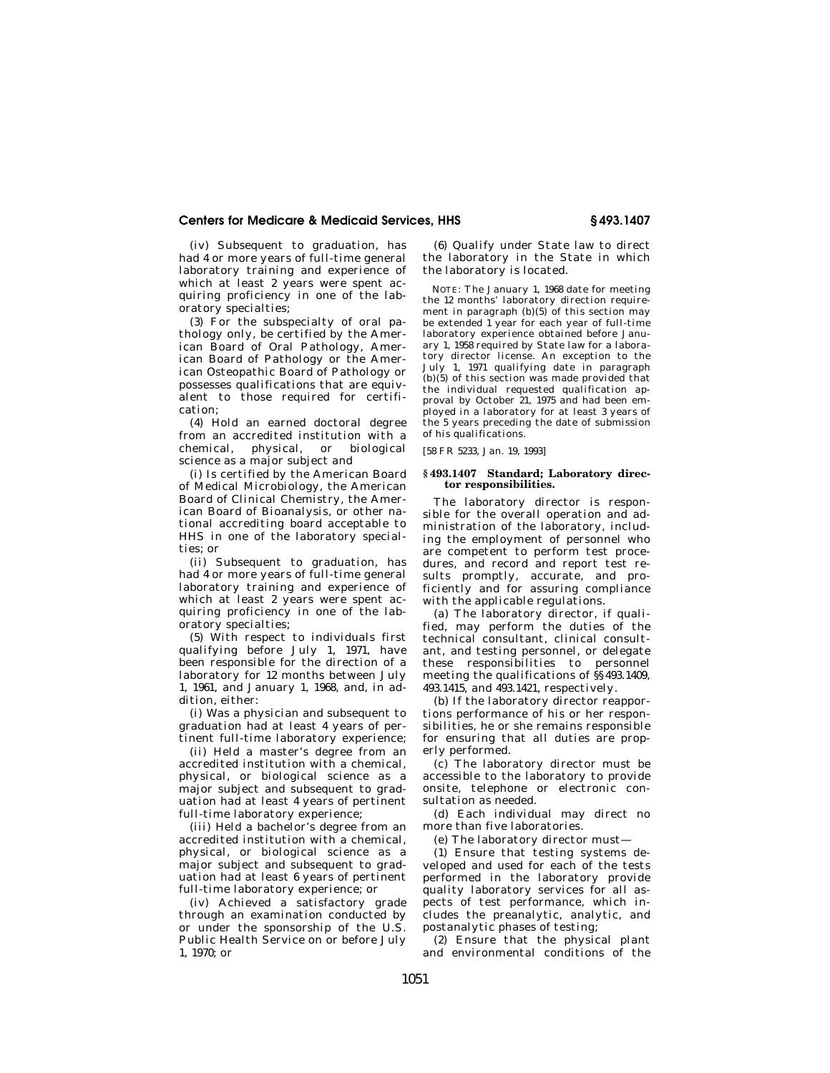(iv) Subsequent to graduation, has had 4 or more years of full-time general laboratory training and experience of which at least 2 years were spent acquiring proficiency in one of the laboratory specialties;

(3) For the subspecialty of oral pathology only, be certified by the American Board of Oral Pathology, American Board of Pathology or the American Osteopathic Board of Pathology or possesses qualifications that are equivalent to those required for certification;

(4) Hold an earned doctoral degree from an accredited institution with a chemical, physical, or biological science as a major subject and

(i) Is certified by the American Board of Medical Microbiology, the American Board of Clinical Chemistry, the American Board of Bioanalysis, or other national accrediting board acceptable to HHS in one of the laboratory specialties; or

(ii) Subsequent to graduation, has had 4 or more years of full-time general laboratory training and experience of which at least 2 years were spent acquiring proficiency in one of the laboratory specialties;

(5) With respect to individuals first qualifying before July 1, 1971, have been responsible for the direction of a laboratory for 12 months between July 1, 1961, and January 1, 1968, and, in addition, either:

(i) Was a physician and subsequent to graduation had at least 4 years of pertinent full-time laboratory experience;

(ii) Held a master's degree from an accredited institution with a chemical, physical, or biological science as a major subject and subsequent to graduation had at least 4 years of pertinent full-time laboratory experience;

(iii) Held a bachelor's degree from an accredited institution with a chemical, physical, or biological science as a major subject and subsequent to graduation had at least 6 years of pertinent full-time laboratory experience; or

(iv) Achieved a satisfactory grade through an examination conducted by or under the sponsorship of the U.S. Public Health Service on or before July 1, 1970; or

(6) Qualify under State law to direct the laboratory in the State in which the laboratory is located.

NOTE: The January 1, 1968 date for meeting the 12 months' laboratory direction requirement in paragraph  $(b)(5)$  of this section may be extended 1 year for each year of full-time laboratory experience obtained before January 1, 1958 required by State law for a laboratory director license. An exception to the July 1, 1971 qualifying date in paragraph (b)(5) of this section was made provided that the individual requested qualification approval by October 21, 1975 and had been employed in a laboratory for at least 3 years of the 5 years preceding the date of submission of his qualifications.

[58 FR 5233, Jan. 19, 1993]

#### **§ 493.1407 Standard; Laboratory director responsibilities.**

The laboratory director is responsible for the overall operation and administration of the laboratory, including the employment of personnel who are competent to perform test procedures, and record and report test results promptly, accurate, and proficiently and for assuring compliance with the applicable regulations.

(a) The laboratory director, if qualified, may perform the duties of the technical consultant, clinical consultant, and testing personnel, or delegate these responsibilities to personnel meeting the qualifications of §§493.1409, 493.1415, and 493.1421, respectively.

(b) If the laboratory director reapportions performance of his or her responsibilities, he or she remains responsible for ensuring that all duties are properly performed.

(c) The laboratory director must be accessible to the laboratory to provide onsite, telephone or electronic consultation as needed.

(d) Each individual may direct no more than five laboratories.

(e) The laboratory director must—

(1) Ensure that testing systems developed and used for each of the tests performed in the laboratory provide quality laboratory services for all aspects of test performance, which includes the preanalytic, analytic, and postanalytic phases of testing;

(2) Ensure that the physical plant and environmental conditions of the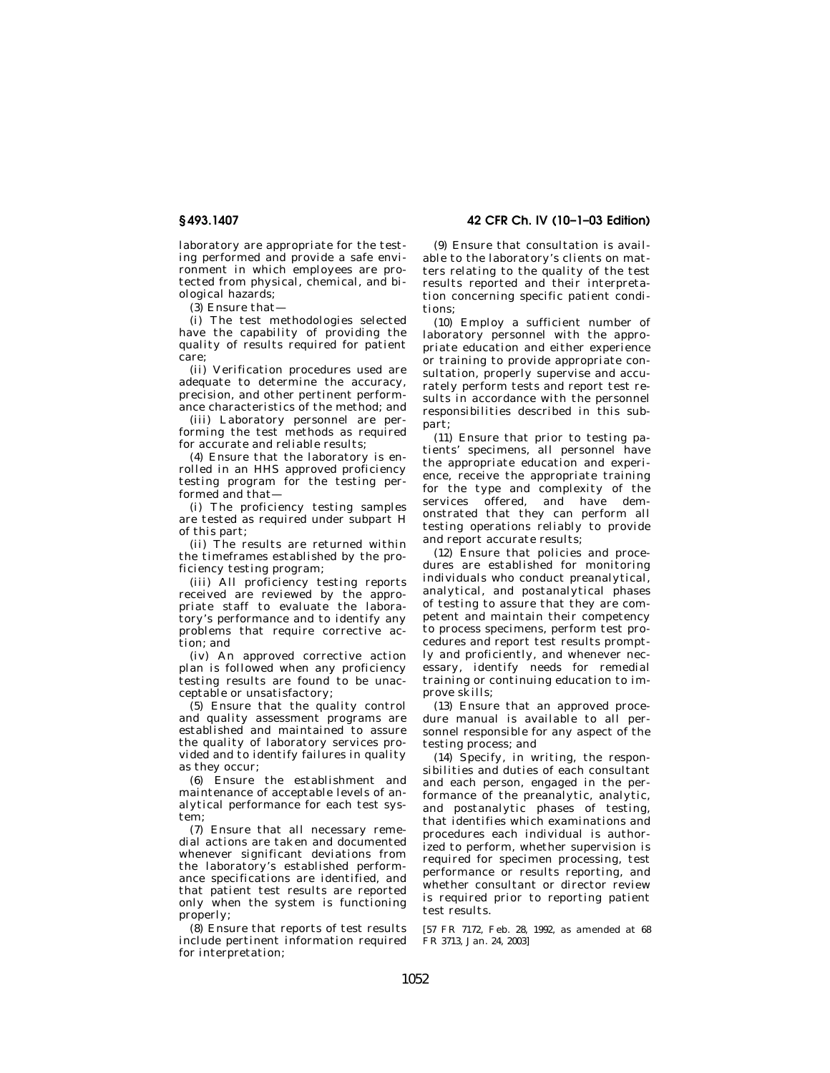laboratory are appropriate for the testing performed and provide a safe environment in which employees are protected from physical, chemical, and biological hazards;

(3) Ensure that—

(i) The test methodologies selected have the capability of providing the quality of results required for patient care;

(ii) Verification procedures used are adequate to determine the accuracy, precision, and other pertinent performance characteristics of the method; and

(iii) Laboratory personnel are performing the test methods as required for accurate and reliable results;

(4) Ensure that the laboratory is enrolled in an HHS approved proficiency testing program for the testing performed and that—

(i) The proficiency testing samples are tested as required under subpart H of this part;

(ii) The results are returned within the timeframes established by the proficiency testing program;

(iii) All proficiency testing reports received are reviewed by the appropriate staff to evaluate the laboratory's performance and to identify any problems that require corrective action; and

(iv) An approved corrective action plan is followed when any proficiency testing results are found to be unacceptable or unsatisfactory;

(5) Ensure that the quality control and quality assessment programs are established and maintained to assure the quality of laboratory services provided and to identify failures in quality as they occur;

(6) Ensure the establishment and maintenance of acceptable levels of analytical performance for each test system;

(7) Ensure that all necessary remedial actions are taken and documented whenever significant deviations from the laboratory's established performance specifications are identified, and that patient test results are reported only when the system is functioning properly;

(8) Ensure that reports of test results include pertinent information required for interpretation;

**§ 493.1407 42 CFR Ch. IV (10–1–03 Edition)**

(9) Ensure that consultation is available to the laboratory's clients on matters relating to the quality of the test results reported and their interpretation concerning specific patient conditions;

(10) Employ a sufficient number of laboratory personnel with the appropriate education and either experience or training to provide appropriate consultation, properly supervise and accurately perform tests and report test results in accordance with the personnel responsibilities described in this subpart;

(11) Ensure that prior to testing patients' specimens, all personnel have the appropriate education and experience, receive the appropriate training for the type and complexity of the services offered, and have demonstrated that they can perform all testing operations reliably to provide and report accurate results;

(12) Ensure that policies and procedures are established for monitoring individuals who conduct preanalytical, analytical, and postanalytical phases of testing to assure that they are competent and maintain their competency to process specimens, perform test procedures and report test results promptly and proficiently, and whenever necessary, identify needs for remedial training or continuing education to improve skills;

(13) Ensure that an approved procedure manual is available to all personnel responsible for any aspect of the testing process; and

(14) Specify, in writing, the responsibilities and duties of each consultant and each person, engaged in the performance of the preanalytic, analytic, and postanalytic phases of testing, that identifies which examinations and procedures each individual is authorized to perform, whether supervision is required for specimen processing, test performance or results reporting, and whether consultant or director review is required prior to reporting patient test results.

[57 FR 7172, Feb. 28, 1992, as amended at 68 FR 3713, Jan. 24, 2003]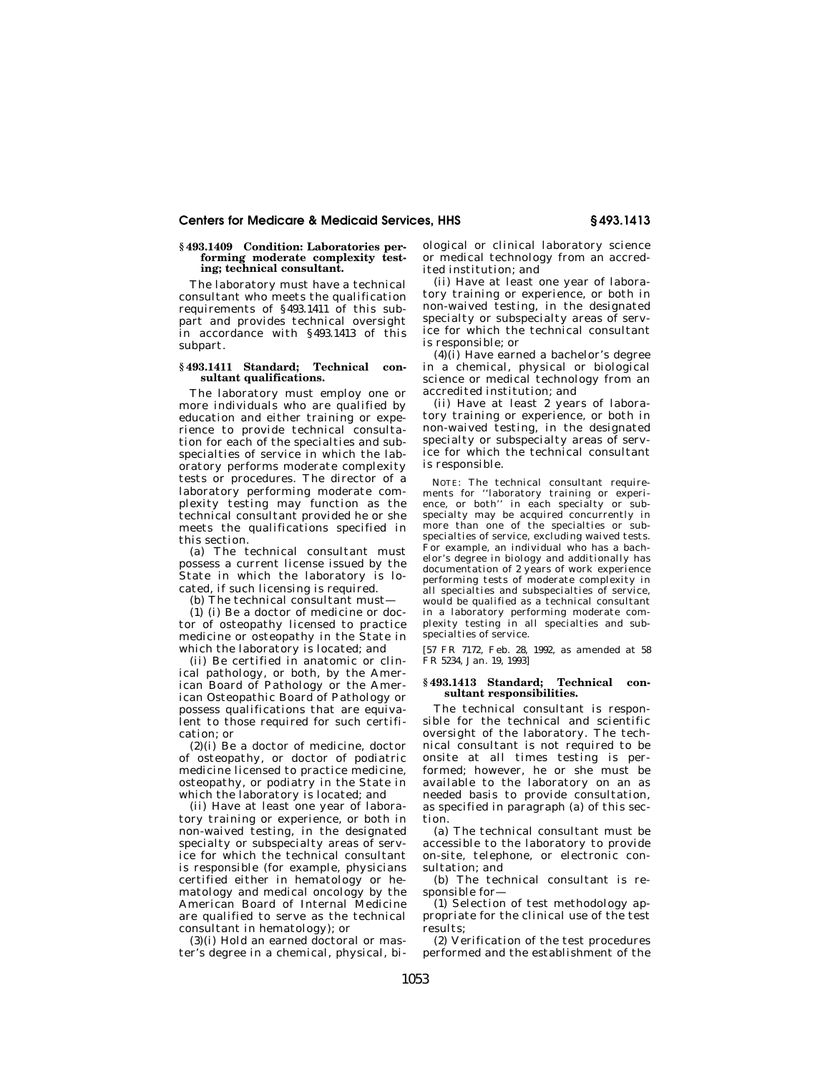#### **§ 493.1409 Condition: Laboratories performing moderate complexity testing; technical consultant.**

The laboratory must have a technical consultant who meets the qualification requirements of §493.1411 of this subpart and provides technical oversight in accordance with §493.1413 of this subpart.

#### **§ 493.1411 Standard; Technical consultant qualifications.**

The laboratory must employ one or more individuals who are qualified by education and either training or experience to provide technical consultation for each of the specialties and subspecialties of service in which the laboratory performs moderate complexity tests or procedures. The director of a laboratory performing moderate complexity testing may function as the technical consultant provided he or she meets the qualifications specified in this section.

(a) The technical consultant must possess a current license issued by the State in which the laboratory is located, if such licensing is required.

(b) The technical consultant must-

(1) (i) Be a doctor of medicine or doctor of osteopathy licensed to practice medicine or osteopathy in the State in which the laboratory is located; and

(ii) Be certified in anatomic or clinical pathology, or both, by the American Board of Pathology or the American Osteopathic Board of Pathology or possess qualifications that are equivalent to those required for such certification; or

(2)(i) Be a doctor of medicine, doctor of osteopathy, or doctor of podiatric medicine licensed to practice medicine, osteopathy, or podiatry in the State in which the laboratory is located; and

(ii) Have at least one year of laboratory training or experience, or both in non-waived testing, in the designated specialty or subspecialty areas of service for which the technical consultant is responsible (for example, physicians certified either in hematology or hematology and medical oncology by the American Board of Internal Medicine are qualified to serve as the technical consultant in hematology); or

(3)(i) Hold an earned doctoral or master's degree in a chemical, physical, biological or clinical laboratory science or medical technology from an accredited institution; and

(ii) Have at least one year of laboratory training or experience, or both in non-waived testing, in the designated specialty or subspecialty areas of service for which the technical consultant is responsible; or

 $(4)(i)$  Have earned a bachelor's degree in a chemical, physical or biological science or medical technology from an accredited institution; and

(ii) Have at least 2 years of laboratory training or experience, or both in non-waived testing, in the designated specialty or subspecialty areas of service for which the technical consultant is responsible.

NOTE: The technical consultant requirements for ''laboratory training or experience, or both" in each specialty or subspecialty may be acquired concurrently in more than one of the specialties or subspecialties of service, excluding waived tests. For example, an individual who has a bachelor's degree in biology and additionally has documentation of 2 years of work experience performing tests of moderate complexity in all specialties and subspecialties of service, would be qualified as a technical consultant in a laboratory performing moderate complexity testing in all specialties and subspecialties of service.

[57 FR 7172, Feb. 28, 1992, as amended at 58 FR 5234, Jan. 19, 1993]

#### **§ 493.1413 Standard; Technical consultant responsibilities.**

The technical consultant is responsible for the technical and scientific oversight of the laboratory. The technical consultant is not required to be onsite at all times testing is performed; however, he or she must be available to the laboratory on an as needed basis to provide consultation, as specified in paragraph (a) of this section.

(a) The technical consultant must be accessible to the laboratory to provide on-site, telephone, or electronic consultation; and

(b) The technical consultant is responsible for—

(1) Selection of test methodology appropriate for the clinical use of the test results;

(2) Verification of the test procedures performed and the establishment of the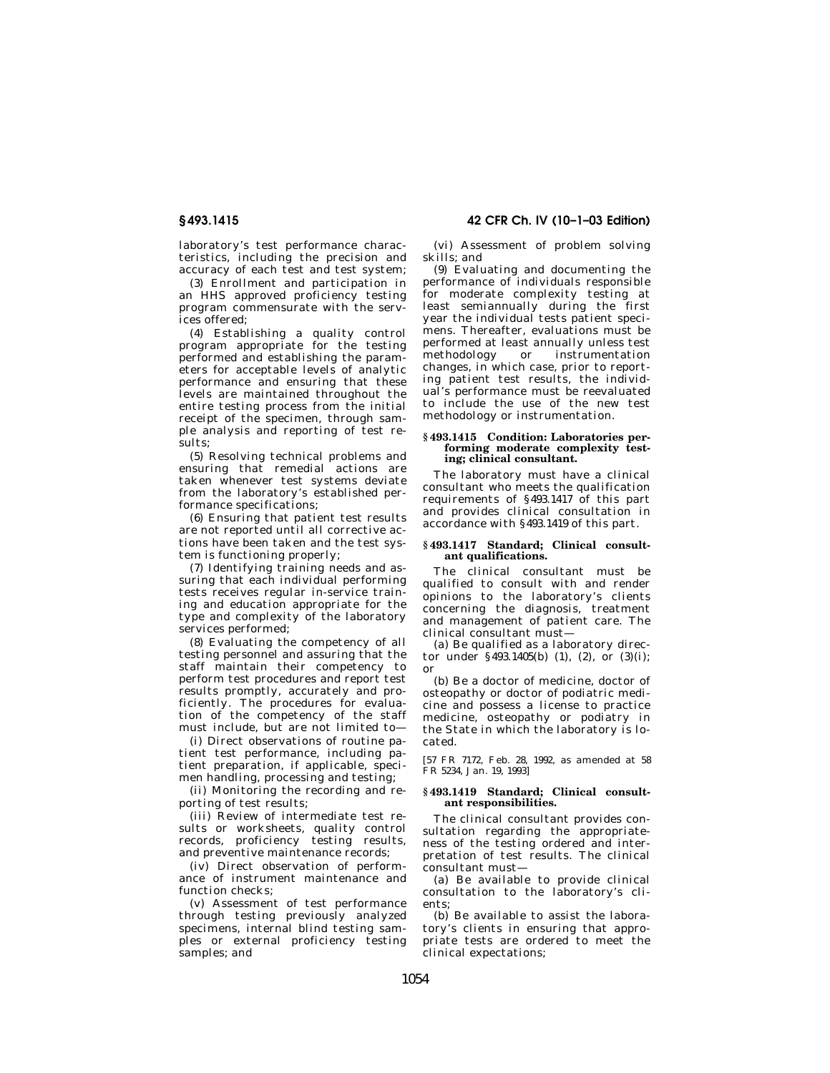laboratory's test performance characteristics, including the precision and accuracy of each test and test system;

(3) Enrollment and participation in an HHS approved proficiency testing program commensurate with the services offered;

(4) Establishing a quality control program appropriate for the testing performed and establishing the parameters for acceptable levels of analytic performance and ensuring that these levels are maintained throughout the entire testing process from the initial receipt of the specimen, through sample analysis and reporting of test results;

(5) Resolving technical problems and ensuring that remedial actions are taken whenever test systems deviate from the laboratory's established performance specifications;

(6) Ensuring that patient test results are not reported until all corrective actions have been taken and the test system is functioning properly;

(7) Identifying training needs and assuring that each individual performing tests receives regular in-service training and education appropriate for the type and complexity of the laboratory services performed;

(8) Evaluating the competency of all testing personnel and assuring that the staff maintain their competency to perform test procedures and report test results promptly, accurately and proficiently. The procedures for evaluation of the competency of the staff must include, but are not limited to—

(i) Direct observations of routine patient test performance, including patient preparation, if applicable, specimen handling, processing and testing;

(ii) Monitoring the recording and reporting of test results;

(iii) Review of intermediate test results or worksheets, quality control records, proficiency testing results, and preventive maintenance records;

(iv) Direct observation of performance of instrument maintenance and function checks;

(v) Assessment of test performance through testing previously analyzed specimens, internal blind testing samples or external proficiency testing samples; and

**§ 493.1415 42 CFR Ch. IV (10–1–03 Edition)**

(vi) Assessment of problem solving skills; and

(9) Evaluating and documenting the performance of individuals responsible for moderate complexity testing at least semiannually during the first year the individual tests patient specimens. Thereafter, evaluations must be performed at least annually unless test methodology or instrumentation changes, in which case, prior to reporting patient test results, the individual's performance must be reevaluated to include the use of the new test methodology or instrumentation.

#### **§ 493.1415 Condition: Laboratories performing moderate complexity testing; clinical consultant.**

The laboratory must have a clinical consultant who meets the qualification requirements of §493.1417 of this part and provides clinical consultation in accordance with §493.1419 of this part.

### **§ 493.1417 Standard; Clinical consultant qualifications.**

The clinical consultant must be qualified to consult with and render opinions to the laboratory's clients concerning the diagnosis, treatment and management of patient care. The clinical consultant must—

(a) Be qualified as a laboratory director under §493.1405(b) (1), (2), or (3)(i); or

(b) Be a doctor of medicine, doctor of osteopathy or doctor of podiatric medicine and possess a license to practice medicine, osteopathy or podiatry in the State in which the laboratory is located.

[57 FR 7172, Feb. 28, 1992, as amended at 58 FR 5234, Jan. 19, 1993]

## **§ 493.1419 Standard; Clinical consultant responsibilities.**

The clinical consultant provides consultation regarding the appropriateness of the testing ordered and interpretation of test results. The clinical consultant must—

(a) Be available to provide clinical consultation to the laboratory's clients;

(b) Be available to assist the laboratory's clients in ensuring that appropriate tests are ordered to meet the clinical expectations;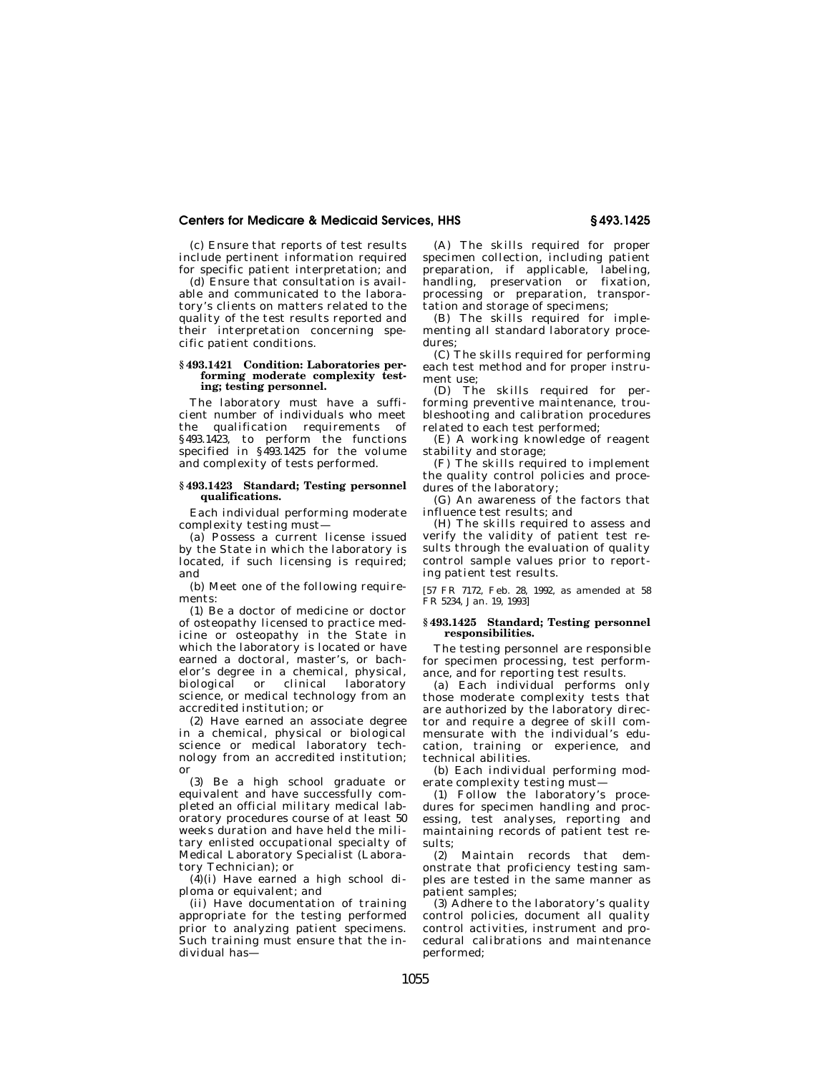(c) Ensure that reports of test results include pertinent information required for specific patient interpretation; and

(d) Ensure that consultation is available and communicated to the laboratory's clients on matters related to the quality of the test results reported and their interpretation concerning specific patient conditions.

#### **§ 493.1421 Condition: Laboratories performing moderate complexity testing; testing personnel.**

The laboratory must have a sufficient number of individuals who meet the qualification requirements of §493.1423, to perform the functions specified in §493.1425 for the volume and complexity of tests performed.

### **§ 493.1423 Standard; Testing personnel qualifications.**

Each individual performing moderate complexity testing must—

(a) Possess a current license issued by the State in which the laboratory is located, if such licensing is required; and

(b) Meet one of the following requirements:

(1) Be a doctor of medicine or doctor of osteopathy licensed to practice medicine or osteopathy in the State in which the laboratory is located or have earned a doctoral, master's, or bachelor's degree in a chemical, physical, biological or clinical laboratory science, or medical technology from an accredited institution; or

(2) Have earned an associate degree in a chemical, physical or biological science or medical laboratory technology from an accredited institution; or

(3) Be a high school graduate or equivalent and have successfully completed an official military medical laboratory procedures course of at least 50 weeks duration and have held the military enlisted occupational specialty of Medical Laboratory Specialist (Laboratory Technician); or

 $(4)(i)$  Have earned a high school diploma or equivalent; and

(ii) Have documentation of training appropriate for the testing performed prior to analyzing patient specimens. Such training must ensure that the individual has—

(A) The skills required for proper specimen collection, including patient preparation, if applicable, labeling, handling, preservation or fixation, processing or preparation, transportation and storage of specimens;

(B) The skills required for implementing all standard laboratory procedures;

(C) The skills required for performing each test method and for proper instrument use;

(D) The skills required for performing preventive maintenance, troubleshooting and calibration procedures related to each test performed;

(E) A working knowledge of reagent stability and storage;

(F) The skills required to implement the quality control policies and procedures of the laboratory;

(G) An awareness of the factors that influence test results; and

(H) The skills required to assess and verify the validity of patient test results through the evaluation of quality control sample values prior to reporting patient test results.

[57 FR 7172, Feb. 28, 1992, as amended at 58 FR 5234, Jan. 19, 1993]

### **§ 493.1425 Standard; Testing personnel responsibilities.**

The testing personnel are responsible for specimen processing, test performance, and for reporting test results.

(a) Each individual performs only those moderate complexity tests that are authorized by the laboratory director and require a degree of skill commensurate with the individual's education, training or experience, and technical abilities.

(b) Each individual performing moderate complexity testing must—

(1) Follow the laboratory's procedures for specimen handling and processing, test analyses, reporting and maintaining records of patient test results;

(2) Maintain records that demonstrate that proficiency testing samples are tested in the same manner as patient samples;

(3) Adhere to the laboratory's quality control policies, document all quality control activities, instrument and procedural calibrations and maintenance performed;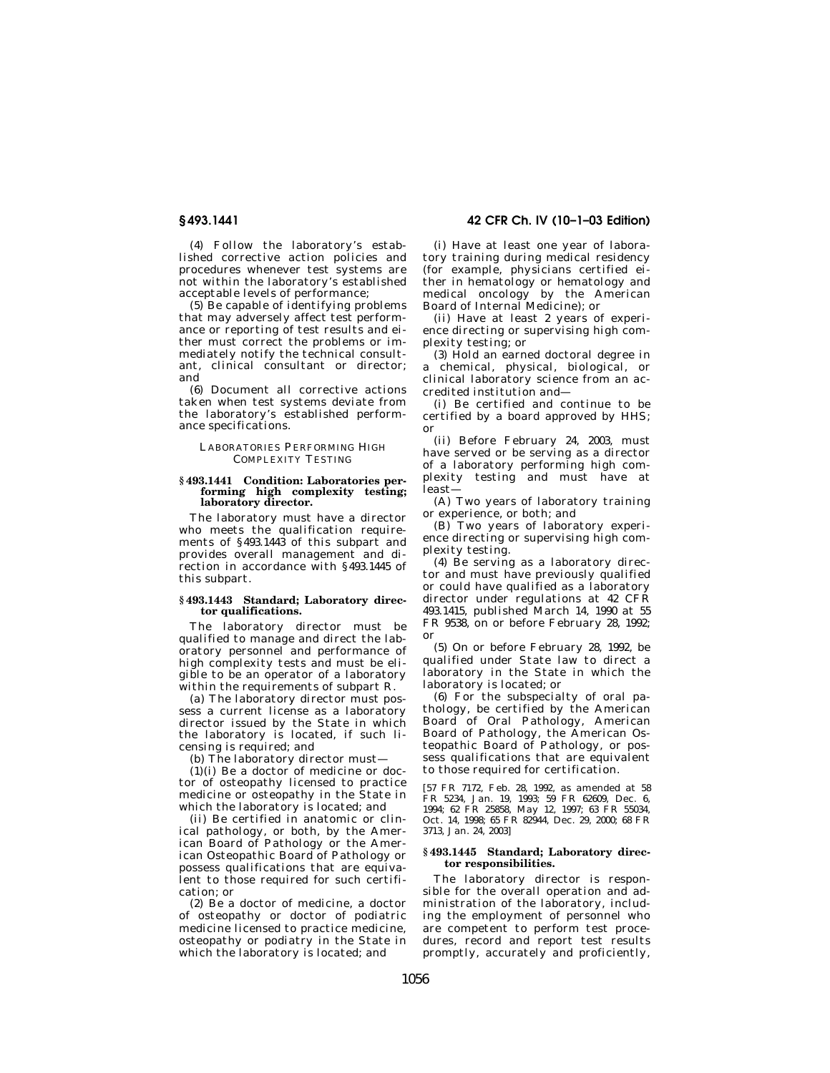**§ 493.1441 42 CFR Ch. IV (10–1–03 Edition)**

(4) Follow the laboratory's established corrective action policies and procedures whenever test systems are not within the laboratory's established acceptable levels of performance;

(5) Be capable of identifying problems that may adversely affect test performance or reporting of test results and either must correct the problems or immediately notify the technical consultant, clinical consultant or director; and

(6) Document all corrective actions taken when test systems deviate from the laboratory's established performance specifications.

LABORATORIES PERFORMING HIGH COMPLEXITY TESTING

#### **§ 493.1441 Condition: Laboratories performing high complexity testing; laboratory director.**

The laboratory must have a director who meets the qualification requirements of §493.1443 of this subpart and provides overall management and direction in accordance with §493.1445 of this subpart.

#### **§ 493.1443 Standard; Laboratory director qualifications.**

The laboratory director must be qualified to manage and direct the laboratory personnel and performance of high complexity tests and must be eligible to be an operator of a laboratory within the requirements of subpart R.

(a) The laboratory director must possess a current license as a laboratory director issued by the State in which the laboratory is located, if such licensing is required; and

(b) The laboratory director must—

 $(1)(i)$  Be a doctor of medicine or doctor of osteopathy licensed to practice medicine or osteopathy in the State in which the laboratory is located; and

(ii) Be certified in anatomic or clinical pathology, or both, by the American Board of Pathology or the American Osteopathic Board of Pathology or possess qualifications that are equivalent to those required for such certification; or

(2) Be a doctor of medicine, a doctor of osteopathy or doctor of podiatric medicine licensed to practice medicine, osteopathy or podiatry in the State in which the laboratory is located; and

(i) Have at least one year of laboratory training during medical residency (for example, physicians certified either in hematology or hematology and medical oncology by the American Board of Internal Medicine); or

(ii) Have at least 2 years of experience directing or supervising high complexity testing; or

(3) Hold an earned doctoral degree in a chemical, physical, biological, or clinical laboratory science from an accredited institution and—

(i) Be certified and continue to be certified by a board approved by HHS; or

(ii) Before February 24, 2003, must have served or be serving as a director of a laboratory performing high complexity testing and must have at least—

(A) Two years of laboratory training or experience, or both; and

(B) Two years of laboratory experience directing or supervising high complexity testing.

 $(4)$  Be serving as a laboratory director and must have previously qualified or could have qualified as a laboratory director under regulations at 42 CFR 493.1415, published March 14, 1990 at 55 FR 9538, on or before February 28, 1992; or

(5) On or before February 28, 1992, be qualified under State law to direct a laboratory in the State in which the laboratory is located; or

(6) For the subspecialty of oral pathology, be certified by the American Board of Oral Pathology, American Board of Pathology, the American Osteopathic Board of Pathology, or possess qualifications that are equivalent to those required for certification.

[57 FR 7172, Feb. 28, 1992, as amended at 58 FR 5234, Jan. 19, 1993; 59 FR 62609, Dec. 6, 1994; 62 FR 25858, May 12, 1997; 63 FR 55034, Oct. 14, 1998; 65 FR 82944, Dec. 29, 2000; 68 FR 3713, Jan. 24, 2003]

## **§ 493.1445 Standard; Laboratory director responsibilities.**

The laboratory director is responsible for the overall operation and administration of the laboratory, including the employment of personnel who are competent to perform test procedures, record and report test results promptly, accurately and proficiently,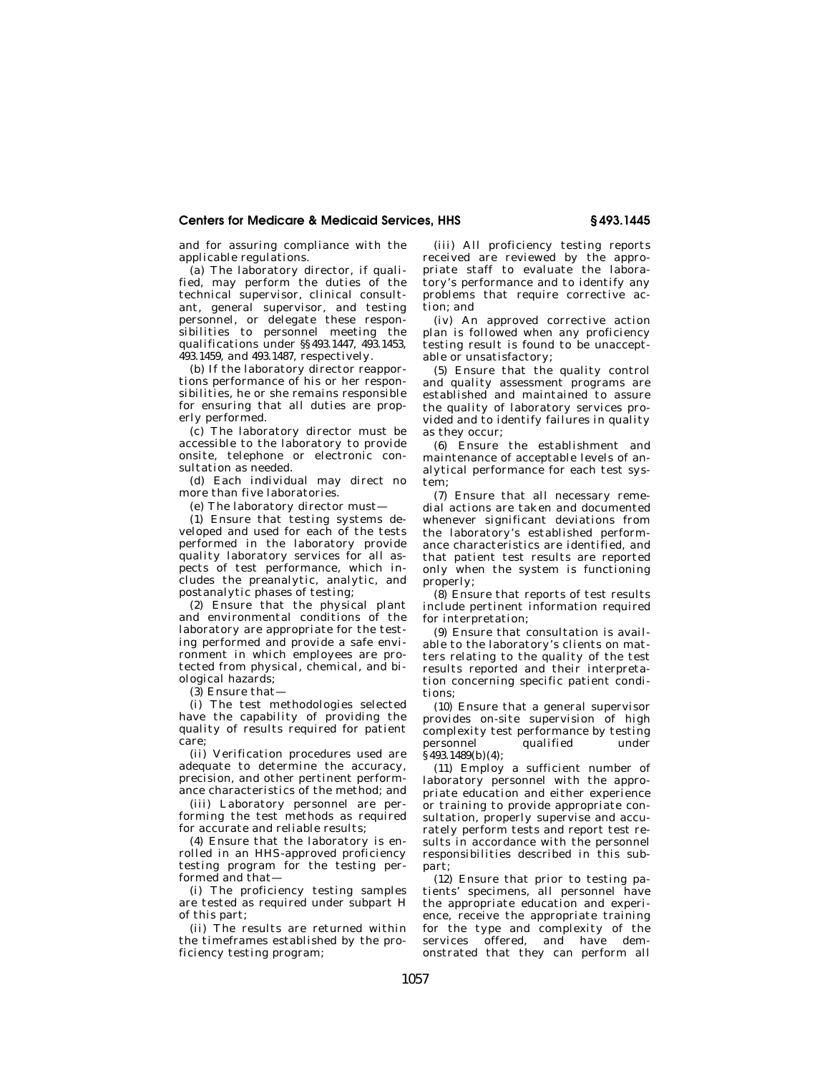and for assuring compliance with the applicable regulations.

(a) The laboratory director, if qualified, may perform the duties of the technical supervisor, clinical consultant, general supervisor, and testing personnel, or delegate these responsibilities to personnel meeting the qualifications under §§493.1447, 493.1453, 493.1459, and 493.1487, respectively.

(b) If the laboratory director reapportions performance of his or her responsibilities, he or she remains responsible for ensuring that all duties are properly performed.

(c) The laboratory director must be accessible to the laboratory to provide onsite, telephone or electronic consultation as needed.

(d) Each individual may direct no more than five laboratories.

(e) The laboratory director must—

(1) Ensure that testing systems developed and used for each of the tests performed in the laboratory provide quality laboratory services for all aspects of test performance, which includes the preanalytic, analytic, and postanalytic phases of testing;

(2) Ensure that the physical plant and environmental conditions of the laboratory are appropriate for the testing performed and provide a safe environment in which employees are protected from physical, chemical, and biological hazards;

(3) Ensure that—

(i) The test methodologies selected have the capability of providing the quality of results required for patient care;

(ii) Verification procedures used are adequate to determine the accuracy, precision, and other pertinent performance characteristics of the method; and

(iii) Laboratory personnel are performing the test methods as required for accurate and reliable results;

(4) Ensure that the laboratory is enrolled in an HHS-approved proficiency testing program for the testing performed and that—

(i) The proficiency testing samples are tested as required under subpart H of this part;

(ii) The results are returned within the timeframes established by the proficiency testing program;

(iii) All proficiency testing reports received are reviewed by the appropriate staff to evaluate the laboratory's performance and to identify any problems that require corrective action; and

(iv) An approved corrective action plan is followed when any proficiency testing result is found to be unacceptable or unsatisfactory;

(5) Ensure that the quality control and quality assessment programs are established and maintained to assure the quality of laboratory services provided and to identify failures in quality as they occur;

(6) Ensure the establishment and maintenance of acceptable levels of analytical performance for each test system;

(7) Ensure that all necessary remedial actions are taken and documented whenever significant deviations from the laboratory's established performance characteristics are identified, and that patient test results are reported only when the system is functioning properly;

(8) Ensure that reports of test results include pertinent information required for interpretation;

(9) Ensure that consultation is available to the laboratory's clients on matters relating to the quality of the test results reported and their interpretation concerning specific patient conditions;

(10) Ensure that a general supervisor provides on-site supervision of high complexity test performance by testing<br>personnel qualified under personnel  $\bar{\S}$  493.1489(b)(4);

(11) Employ a sufficient number of laboratory personnel with the appropriate education and either experience or training to provide appropriate consultation, properly supervise and accurately perform tests and report test results in accordance with the personnel responsibilities described in this subpart;

(12) Ensure that prior to testing patients' specimens, all personnel have the appropriate education and experience, receive the appropriate training for the type and complexity of the services offered, and have demonstrated that they can perform all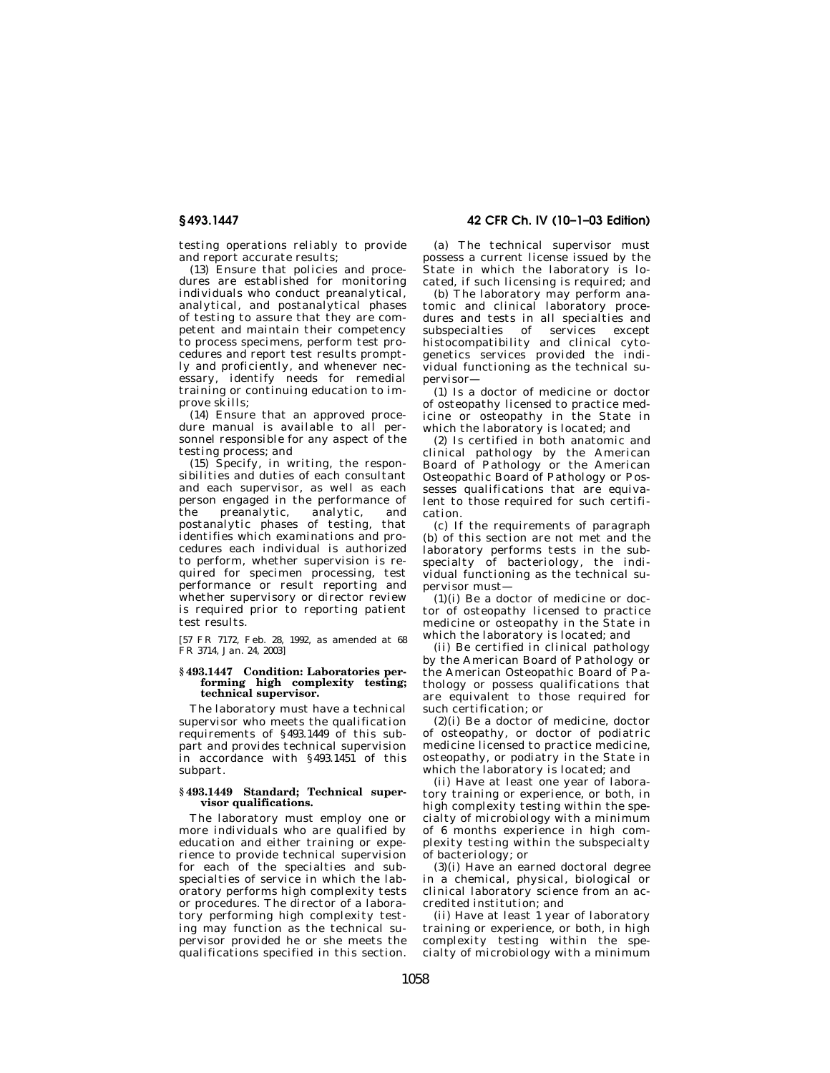# **§ 493.1447 42 CFR Ch. IV (10–1–03 Edition)**

testing operations reliably to provide and report accurate results;

(13) Ensure that policies and procedures are established for monitoring individuals who conduct preanalytical, analytical, and postanalytical phases of testing to assure that they are competent and maintain their competency to process specimens, perform test procedures and report test results promptly and proficiently, and whenever necessary, identify needs for remedial training or continuing education to improve skills;

(14) Ensure that an approved procedure manual is available to all personnel responsible for any aspect of the testing process; and

(15) Specify, in writing, the responsibilities and duties of each consultant and each supervisor, as well as each person engaged in the performance of the preanalytic, analytic, and postanalytic phases of testing, that identifies which examinations and procedures each individual is authorized to perform, whether supervision is required for specimen processing, test performance or result reporting and whether supervisory or director review is required prior to reporting patient test results.

[57 FR 7172, Feb. 28, 1992, as amended at 68 FR 3714, Jan. 24, 2003]

#### **§ 493.1447 Condition: Laboratories performing high complexity testing; technical supervisor.**

The laboratory must have a technical supervisor who meets the qualification requirements of §493.1449 of this subpart and provides technical supervision in accordance with §493.1451 of this subpart.

## **§ 493.1449 Standard; Technical supervisor qualifications.**

The laboratory must employ one or more individuals who are qualified by education and either training or experience to provide technical supervision for each of the specialties and subspecialties of service in which the laboratory performs high complexity tests or procedures. The director of a laboratory performing high complexity testing may function as the technical supervisor provided he or she meets the qualifications specified in this section.

(a) The technical supervisor must possess a current license issued by the State in which the laboratory is located, if such licensing is required; and

(b) The laboratory may perform anatomic and clinical laboratory procedures and tests in all specialties and subspecialties of services except histocompatibility and clinical cytogenetics services provided the individual functioning as the technical supervisor—

(1) Is a doctor of medicine or doctor of osteopathy licensed to practice medicine or osteopathy in the State in which the laboratory is located; and

(2) Is certified in both anatomic and clinical pathology by the American Board of Pathology or the American Osteopathic Board of Pathology or Possesses qualifications that are equivalent to those required for such certification.

(c) If the requirements of paragraph (b) of this section are not met and the laboratory performs tests in the subspecialty of bacteriology, the individual functioning as the technical supervisor must—

(1)(i) Be a doctor of medicine or doctor of osteopathy licensed to practice medicine or osteopathy in the State in which the laboratory is located; and

(ii) Be certified in clinical pathology by the American Board of Pathology or the American Osteopathic Board of Pathology or possess qualifications that are equivalent to those required for such certification; or

(2)(i) Be a doctor of medicine, doctor of osteopathy, or doctor of podiatric medicine licensed to practice medicine, osteopathy, or podiatry in the State in which the laboratory is located; and

(ii) Have at least one year of laboratory training or experience, or both, in high complexity testing within the specialty of microbiology with a minimum of 6 months experience in high complexity testing within the subspecialty of bacteriology; or

(3)(i) Have an earned doctoral degree in a chemical, physical, biological or clinical laboratory science from an accredited institution; and

(ii) Have at least 1 year of laboratory training or experience, or both, in high complexity testing within the specialty of microbiology with a minimum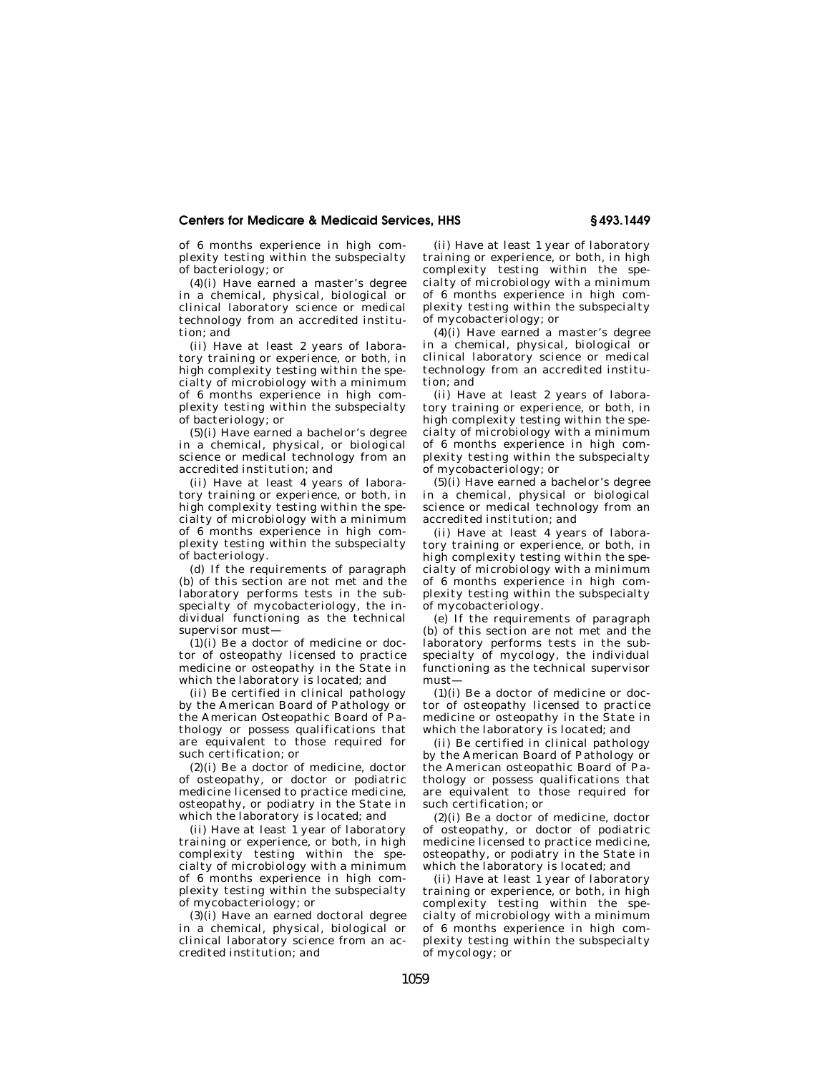of 6 months experience in high complexity testing within the subspecialty of bacteriology; or

(4)(i) Have earned a master's degree in a chemical, physical, biological or clinical laboratory science or medical technology from an accredited institution; and

(ii) Have at least 2 years of laboratory training or experience, or both, in high complexity testing within the specialty of microbiology with a minimum of 6 months experience in high complexity testing within the subspecialty of bacteriology; or

(5)(i) Have earned a bachelor's degree in a chemical, physical, or biological science or medical technology from an accredited institution; and

(ii) Have at least 4 years of laboratory training or experience, or both, in high complexity testing within the specialty of microbiology with a minimum of 6 months experience in high complexity testing within the subspecialty of bacteriology.

(d) If the requirements of paragraph (b) of this section are not met and the laboratory performs tests in the subspecialty of mycobacteriology, the individual functioning as the technical supervisor must—

(1)(i) Be a doctor of medicine or doctor of osteopathy licensed to practice medicine or osteopathy in the State in which the laboratory is located; and

(ii) Be certified in clinical pathology by the American Board of Pathology or the American Osteopathic Board of Pathology or possess qualifications that are equivalent to those required for such certification; or

(2)(i) Be a doctor of medicine, doctor of osteopathy, or doctor or podiatric medicine licensed to practice medicine, osteopathy, or podiatry in the State in which the laboratory is located; and

(ii) Have at least 1 year of laboratory training or experience, or both, in high complexity testing within the specialty of microbiology with a minimum of 6 months experience in high complexity testing within the subspecialty of mycobacteriology; or

(3)(i) Have an earned doctoral degree in a chemical, physical, biological or clinical laboratory science from an accredited institution; and

(ii) Have at least 1 year of laboratory training or experience, or both, in high complexity testing within the specialty of microbiology with a minimum of 6 months experience in high complexity testing within the subspecialty of mycobacteriology; or

(4)(i) Have earned a master's degree in a chemical, physical, biological or clinical laboratory science or medical technology from an accredited institution; and

(ii) Have at least 2 years of laboratory training or experience, or both, in high complexity testing within the specialty of microbiology with a minimum of 6 months experience in high complexity testing within the subspecialty of mycobacteriology; or

(5)(i) Have earned a bachelor's degree in a chemical, physical or biological science or medical technology from an accredited institution; and

(ii) Have at least 4 years of laboratory training or experience, or both, in high complexity testing within the specialty of microbiology with a minimum of 6 months experience in high complexity testing within the subspecialty of mycobacteriology.

(e) If the requirements of paragraph (b) of this section are not met and the laboratory performs tests in the subspecialty of mycology, the individual functioning as the technical supervisor must—

(1)(i) Be a doctor of medicine or doctor of osteopathy licensed to practice medicine or osteopathy in the State in which the laboratory is located; and

(ii) Be certified in clinical pathology by the American Board of Pathology or the American osteopathic Board of Pathology or possess qualifications that are equivalent to those required for such certification; or

(2)(i) Be a doctor of medicine, doctor of osteopathy, or doctor of podiatric medicine licensed to practice medicine, osteopathy, or podiatry in the State in which the laboratory is located; and

(ii) Have at least 1 year of laboratory training or experience, or both, in high complexity testing within the specialty of microbiology with a minimum of 6 months experience in high complexity testing within the subspecialty of mycology; or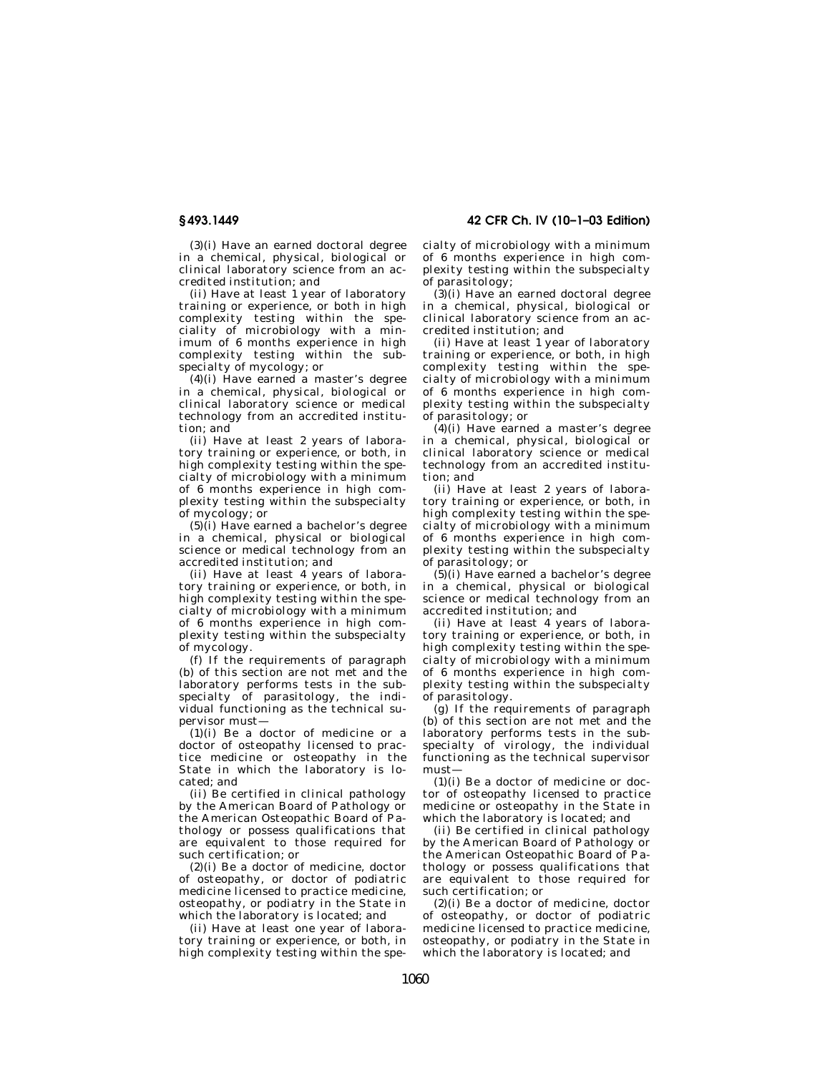(3)(i) Have an earned doctoral degree in a chemical, physical, biological or clinical laboratory science from an accredited institution; and

(ii) Have at least 1 year of laboratory training or experience, or both in high complexity testing within the speciality of microbiology with a minimum of 6 months experience in high complexity testing within the subspecialty of mycology; or

 $(4)(i)$  Have earned a master's degree in a chemical, physical, biological or clinical laboratory science or medical technology from an accredited institution; and

(ii) Have at least 2 years of laboratory training or experience, or both, in high complexity testing within the specialty of microbiology with a minimum of 6 months experience in high complexity testing within the subspecialty of mycology; or

 $(5)(i)$  Have earned a bachelor's degree in a chemical, physical or biological science or medical technology from an accredited institution; and

(ii) Have at least 4 years of laboratory training or experience, or both, in high complexity testing within the specialty of microbiology with a minimum of 6 months experience in high complexity testing within the subspecialty of mycology.

(f) If the requirements of paragraph (b) of this section are not met and the laboratory performs tests in the subspecialty of parasitology, the individual functioning as the technical supervisor must—

(1)(i) Be a doctor of medicine or a doctor of osteopathy licensed to practice medicine or osteopathy in the State in which the laboratory is located; and

(ii) Be certified in clinical pathology by the American Board of Pathology or the American Osteopathic Board of Pathology or possess qualifications that are equivalent to those required for such certification; or

(2)(i) Be a doctor of medicine, doctor of osteopathy, or doctor of podiatric medicine licensed to practice medicine, osteopathy, or podiatry in the State in which the laboratory is located; and

(ii) Have at least one year of laboratory training or experience, or both, in high complexity testing within the spe-

**§ 493.1449 42 CFR Ch. IV (10–1–03 Edition)**

cialty of microbiology with a minimum of 6 months experience in high complexity testing within the subspecialty of parasitology;

 $(3)(i)$  Have an earned doctoral degree in a chemical, physical, biological or clinical laboratory science from an accredited institution; and

(ii) Have at least 1 year of laboratory training or experience, or both, in high complexity testing within the specialty of microbiology with a minimum of 6 months experience in high complexity testing within the subspecialty of parasitology; or

 $(4)(i)$  Have earned a master's degree in a chemical, physical, biological or clinical laboratory science or medical technology from an accredited institution; and

(ii) Have at least 2 years of laboratory training or experience, or both, in high complexity testing within the specialty of microbiology with a minimum of 6 months experience in high complexity testing within the subspecialty of parasitology; or

(5)(i) Have earned a bachelor's degree in a chemical, physical or biological science or medical technology from an accredited institution; and

(ii) Have at least 4 years of laboratory training or experience, or both, in high complexity testing within the specialty of microbiology with a minimum of 6 months experience in high complexity testing within the subspecialty of parasitology.

 $(q)$  If the requirements of paragraph (b) of this section are not met and the laboratory performs tests in the subspecialty of virology, the individual functioning as the technical supervisor must—

 $(1)(i)$  Be a doctor of medicine or doctor of osteopathy licensed to practice medicine or osteopathy in the State in which the laboratory is located; and

(ii) Be certified in clinical pathology by the American Board of Pathology or the American Osteopathic Board of Pathology or possess qualifications that are equivalent to those required for such certification; or

(2)(i) Be a doctor of medicine, doctor of osteopathy, or doctor of podiatric medicine licensed to practice medicine, osteopathy, or podiatry in the State in which the laboratory is located; and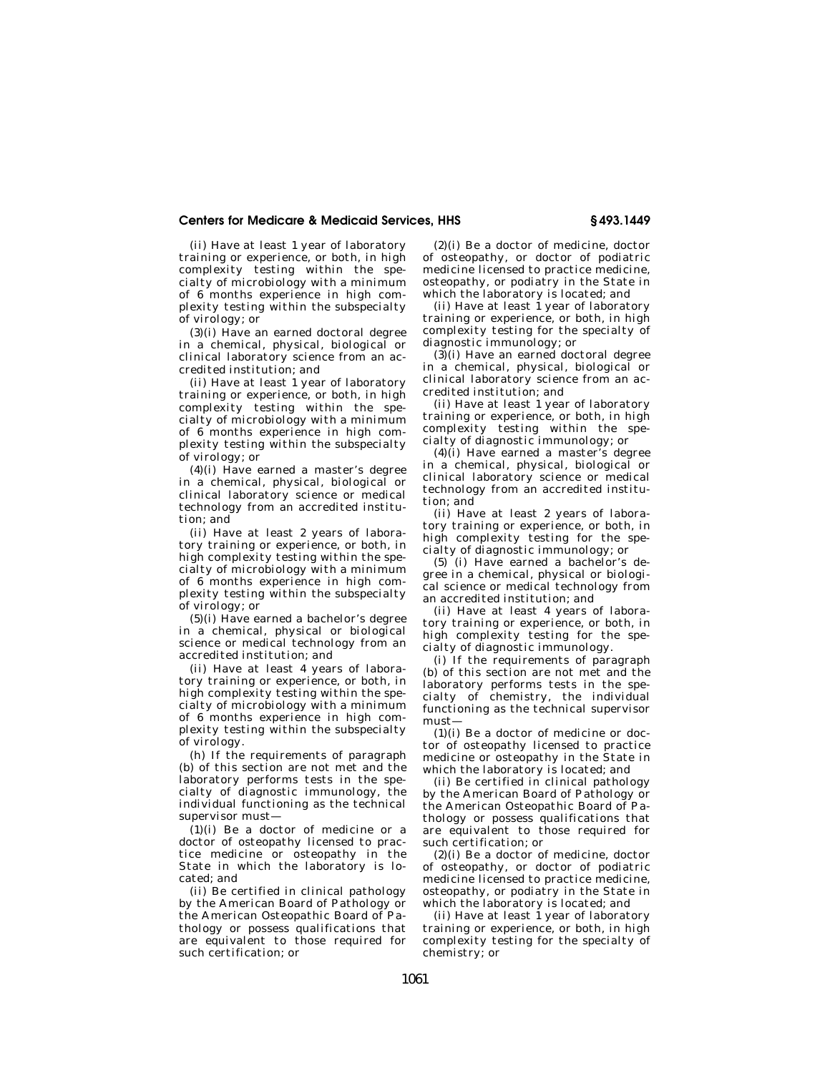(ii) Have at least 1 year of laboratory training or experience, or both, in high complexity testing within the specialty of microbiology with a minimum of 6 months experience in high complexity testing within the subspecialty of virology; or

(3)(i) Have an earned doctoral degree in a chemical, physical, biological or clinical laboratory science from an accredited institution; and

(ii) Have at least 1 year of laboratory training or experience, or both, in high complexity testing within the specialty of microbiology with a minimum of 6 months experience in high complexity testing within the subspecialty of virology; or

(4)(i) Have earned a master's degree in a chemical, physical, biological or clinical laboratory science or medical technology from an accredited institution; and

(ii) Have at least 2 years of laboratory training or experience, or both, in high complexity testing within the specialty of microbiology with a minimum of 6 months experience in high complexity testing within the subspecialty of virology; or

(5)(i) Have earned a bachelor's degree in a chemical, physical or biological science or medical technology from an accredited institution; and

(ii) Have at least 4 years of laboratory training or experience, or both, in high complexity testing within the specialty of microbiology with a minimum of 6 months experience in high complexity testing within the subspecialty of virology.

(h) If the requirements of paragraph (b) of this section are not met and the laboratory performs tests in the specialty of diagnostic immunology, the individual functioning as the technical supervisor must—

(1)(i) Be a doctor of medicine or a doctor of osteopathy licensed to practice medicine or osteopathy in the State in which the laboratory is located; and

(ii) Be certified in clinical pathology by the American Board of Pathology or the American Osteopathic Board of Pathology or possess qualifications that are equivalent to those required for such certification; or

(2)(i) Be a doctor of medicine, doctor of osteopathy, or doctor of podiatric medicine licensed to practice medicine, osteopathy, or podiatry in the State in which the laboratory is located; and

(ii) Have at least 1 year of laboratory training or experience, or both, in high complexity testing for the specialty of diagnostic immunology; or

 $(3)(i)$  Have an earned doctoral degree in a chemical, physical, biological or clinical laboratory science from an accredited institution; and

(ii) Have at least 1 year of laboratory training or experience, or both, in high complexity testing within the specialty of diagnostic immunology; or

 $(4)(i)$  Have earned a master's degree in a chemical, physical, biological or clinical laboratory science or medical technology from an accredited institution; and

(ii) Have at least 2 years of laboratory training or experience, or both, in high complexity testing for the specialty of diagnostic immunology; or

(5) (i) Have earned a bachelor's degree in a chemical, physical or biological science or medical technology from an accredited institution; and

(ii) Have at least 4 years of laboratory training or experience, or both, in high complexity testing for the specialty of diagnostic immunology.

(i) If the requirements of paragraph (b) of this section are not met and the laboratory performs tests in the specialty of chemistry, the individual functioning as the technical supervisor must—

 $(1)(i)$  Be a doctor of medicine or doctor of osteopathy licensed to practice medicine or osteopathy in the State in which the laboratory is located; and

(ii) Be certified in clinical pathology by the American Board of Pathology or the American Osteopathic Board of Pathology or possess qualifications that are equivalent to those required for such certification; or

(2)(i) Be a doctor of medicine, doctor of osteopathy, or doctor of podiatric medicine licensed to practice medicine, osteopathy, or podiatry in the State in which the laboratory is located; and

(ii) Have at least  $\tilde{1}$  year of laboratory training or experience, or both, in high complexity testing for the specialty of chemistry; or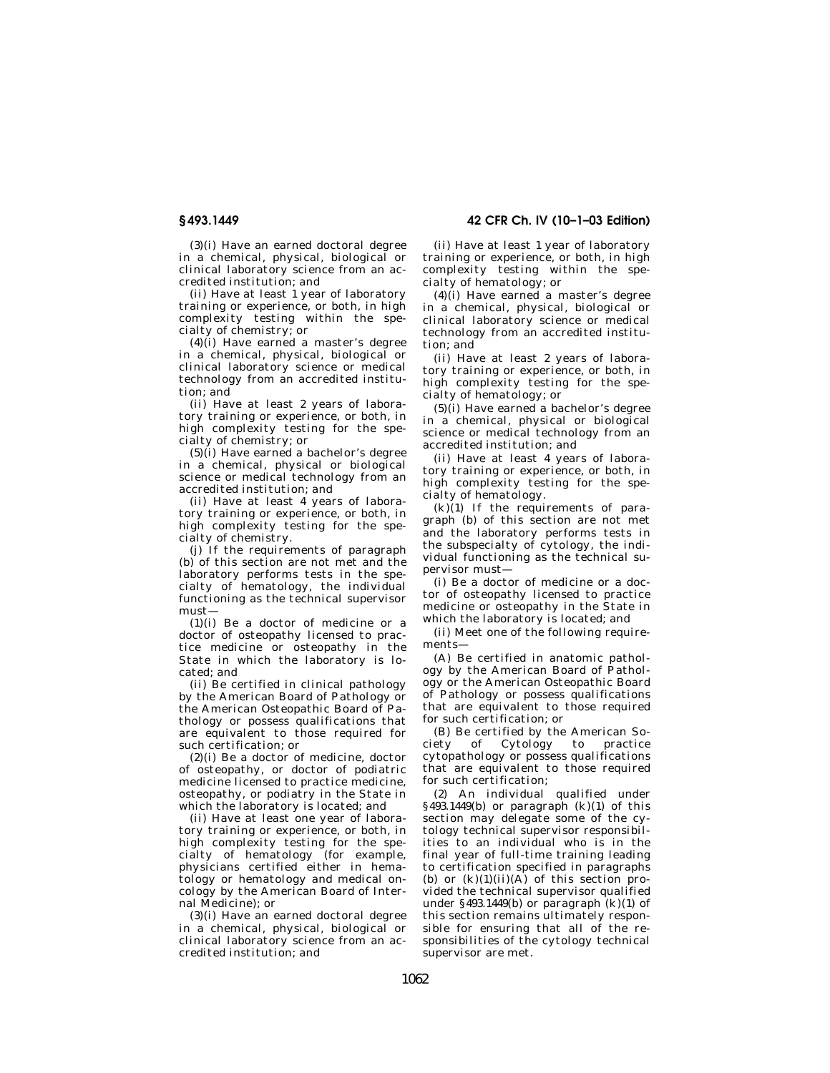(3)(i) Have an earned doctoral degree in a chemical, physical, biological or clinical laboratory science from an accredited institution; and

(ii) Have at least 1 year of laboratory training or experience, or both, in high complexity testing within the specialty of chemistry; or

 $(4)(i)$  Have earned a master's degree in a chemical, physical, biological or clinical laboratory science or medical technology from an accredited institution; and

(ii) Have at least 2 years of laboratory training or experience, or both, in high complexity testing for the specialty of chemistry; or

(5)(i) Have earned a bachelor's degree in a chemical, physical or biological science or medical technology from an accredited institution; and

(ii) Have at least 4 years of laboratory training or experience, or both, in high complexity testing for the specialty of chemistry.

(j) If the requirements of paragraph (b) of this section are not met and the laboratory performs tests in the specialty of hematology, the individual functioning as the technical supervisor must—

(1)(i) Be a doctor of medicine or a doctor of osteopathy licensed to practice medicine or osteopathy in the State in which the laboratory is located; and

(ii) Be certified in clinical pathology by the American Board of Pathology or the American Osteopathic Board of Pathology or possess qualifications that are equivalent to those required for such certification; or

(2)(i) Be a doctor of medicine, doctor of osteopathy, or doctor of podiatric medicine licensed to practice medicine, osteopathy, or podiatry in the State in which the laboratory is located; and

(ii) Have at least one year of laboratory training or experience, or both, in high complexity testing for the specialty of hematology (for example, physicians certified either in hema-.<br>tology or hematology and medical oncology by the American Board of Internal Medicine); or

(3)(i) Have an earned doctoral degree in a chemical, physical, biological or clinical laboratory science from an accredited institution; and

**§ 493.1449 42 CFR Ch. IV (10–1–03 Edition)**

(ii) Have at least 1 year of laboratory training or experience, or both, in high complexity testing within the specialty of hematology; or

(4)(i) Have earned a master's degree in a chemical, physical, biological or clinical laboratory science or medical technology from an accredited institution; and

(ii) Have at least 2 years of laboratory training or experience, or both, in high complexity testing for the specialty of hematology; or

(5)(i) Have earned a bachelor's degree in a chemical, physical or biological science or medical technology from an accredited institution; and

(ii) Have at least 4 years of laboratory training or experience, or both, in high complexity testing for the specialty of hematology.

(k)(1) If the requirements of paragraph (b) of this section are not met and the laboratory performs tests in the subspecialty of cytology, the individual functioning as the technical supervisor must—

(i) Be a doctor of medicine or a doctor of osteopathy licensed to practice medicine or osteopathy in the State in which the laboratory is located; and

(ii) Meet one of the following requirements—

(A) Be certified in anatomic pathology by the American Board of Pathology or the American Osteopathic Board of Pathology or possess qualifications that are equivalent to those required for such certification; or

(B) Be certified by the American Society of Cytology to practice cytopathology or possess qualifications that are equivalent to those required for such certification;

(2) An individual qualified under §493.1449(b) or paragraph (k)(1) of this section may delegate some of the cytology technical supervisor responsibilities to an individual who is in the final year of full-time training leading to certification specified in paragraphs (b) or  $(k)(1)(ii)(A)$  of this section provided the technical supervisor qualified under  $§$ 493.1449(b) or paragraph  $(k)(1)$  of this section remains ultimately responsible for ensuring that all of the responsibilities of the cytology technical supervisor are met.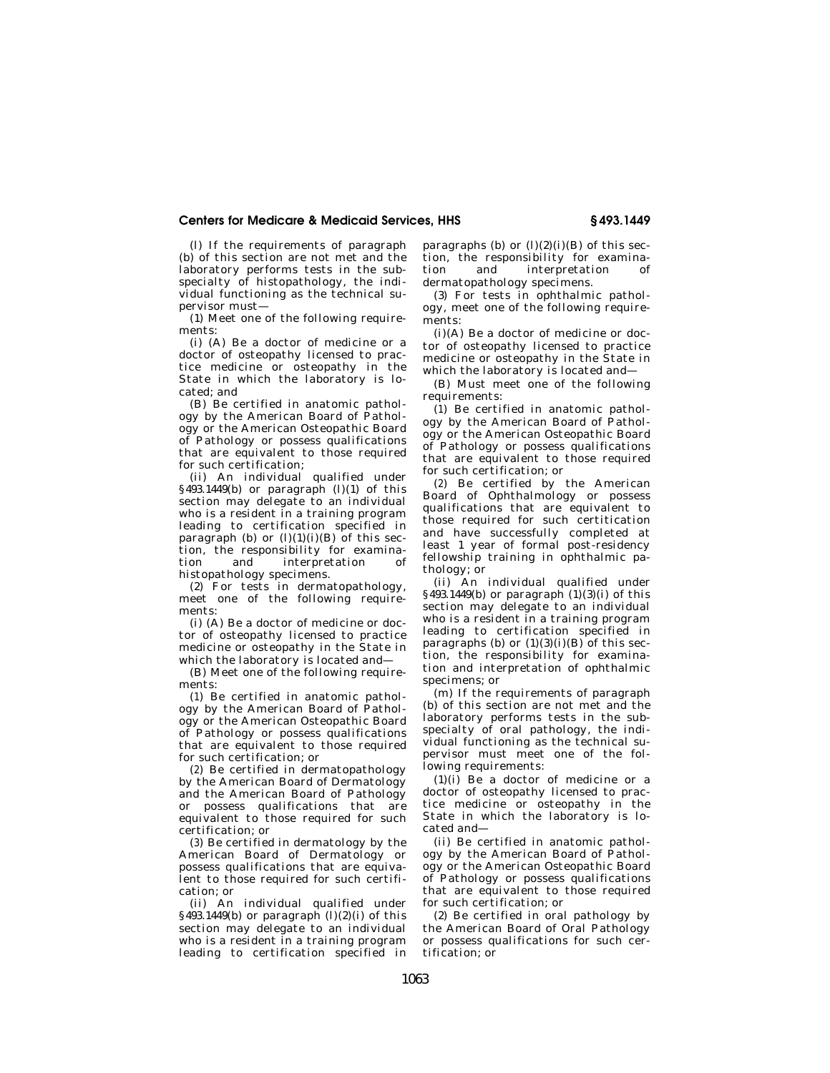(l) If the requirements of paragraph (b) of this section are not met and the laboratory performs tests in the subspecialty of histopathology, the individual functioning as the technical supervisor must—

(1) Meet one of the following requirements:

(i) (A) Be a doctor of medicine or a doctor of osteopathy licensed to practice medicine or osteopathy in the State in which the laboratory is located; and

(B) Be certified in anatomic pathology by the American Board of Pathology or the American Osteopathic Board of Pathology or possess qualifications that are equivalent to those required for such certification;

(ii) An individual qualified under  $§493.1449(b)$  or paragraph  $(l)(1)$  of this section may delegate to an individual who is a resident in a training program leading to certification specified in paragraph (b) or  $(l)(1)(i)(B)$  of this section, the responsibility for examination and interpretation of histopathology specimens.

(2) For tests in dermatopathology, meet one of the following requirements:

(i) (A) Be a doctor of medicine or doctor of osteopathy licensed to practice medicine or osteopathy in the State in which the laboratory is located and—

(B) Meet one of the following requirements:

(*1*) Be certified in anatomic pathology by the American Board of Pathology or the American Osteopathic Board of Pathology or possess qualifications that are equivalent to those required for such certification; or

(*2*) Be certified in dermatopathology by the American Board of Dermatology and the American Board of Pathology or possess qualifications that are equivalent to those required for such certification; or

(*3*) Be certified in dermatology by the American Board of Dermatology or possess qualifications that are equivalent to those required for such certification; or

(ii) An individual qualified under  $§493.1449(b)$  or paragraph  $(l)(2)(i)$  of this section may delegate to an individual who is a resident in a training program leading to certification specified in paragraphs (b) or  $(l)(2)(i)(B)$  of this section, the responsibility for examination and interpretation of dermatopathology specimens.

(3) For tests in ophthalmic pathology, meet one of the following requirements:

(i)(A) Be a doctor of medicine or doctor of osteopathy licensed to practice medicine or osteopathy in the State in which the laboratory is located and—

(B) Must meet one of the following requirements:

(*1*) Be certified in anatomic pathology by the American Board of Pathology or the American Osteopathic Board of Pathology or possess qualifications that are equivalent to those required for such certification; or

(*2*) Be certified by the American Board of Ophthalmology or possess qualifications that are equivalent to those required for such certitication and have successfully completed at least 1 year of formal post-residency fellowship training in ophthalmic pathology; or

(ii) An individual qualified under §493.1449(b) or paragraph (1)(3)(i) of this section may delegate to an individual who is a resident in a training program leading to certification specified in paragraphs (b) or  $(1)(3)(i)(B)$  of this section, the responsibility for examination and interpretation of ophthalmic specimens; or

(m) If the requirements of paragraph (b) of this section are not met and the laboratory performs tests in the subspecialty of oral pathology, the individual functioning as the technical supervisor must meet one of the following requirements:

(1)(i) Be a doctor of medicine or a doctor of osteopathy licensed to practice medicine or osteopathy in the State in which the laboratory is located and—

(ii) Be certified in anatomic pathology by the American Board of Pathology or the American Osteopathic Board of Pathology or possess qualifications that are equivalent to those required for such certification; or

(2) Be certified in oral pathology by the American Board of Oral Pathology or possess qualifications for such certification; or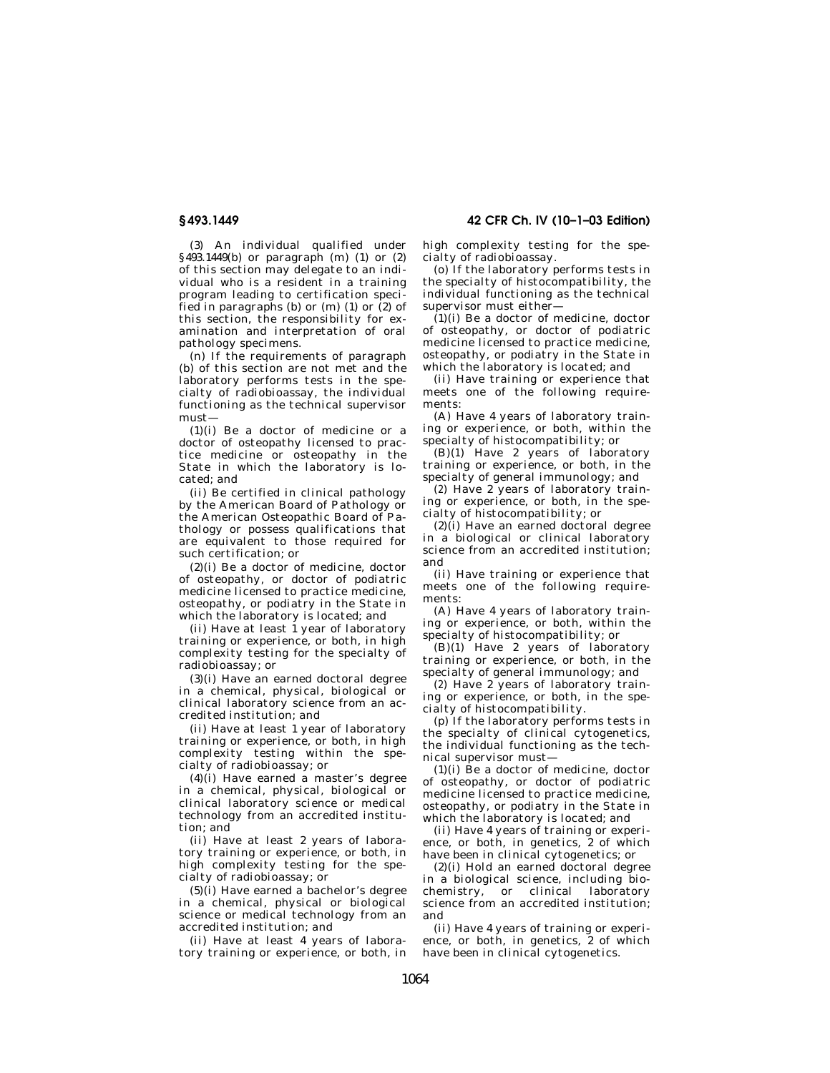(3) An individual qualified under §493.1449(b) or paragraph (m) (1) or (2) of this section may delegate to an individual who is a resident in a training program leading to certification specified in paragraphs (b) or (m) (1) or (2) of this section, the responsibility for examination and interpretation of oral pathology specimens.

(n) If the requirements of paragraph (b) of this section are not met and the laboratory performs tests in the specialty of radiobioassay, the individual functioning as the technical supervisor must—

(1)(i) Be a doctor of medicine or a doctor of osteopathy licensed to practice medicine or osteopathy in the State in which the laboratory is located; and

(ii) Be certified in clinical pathology by the American Board of Pathology or the American Osteopathic Board of Pathology or possess qualifications that are equivalent to those required for such certification; or

(2)(i) Be a doctor of medicine, doctor of osteopathy, or doctor of podiatric medicine licensed to practice medicine, osteopathy, or podiatry in the State in which the laboratory is located; and

(ii) Have at least 1 year of laboratory training or experience, or both, in high complexity testing for the specialty of radiobioassay; or

(3)(i) Have an earned doctoral degree in a chemical, physical, biological or clinical laboratory science from an accredited institution; and

(ii) Have at least 1 year of laboratory training or experience, or both, in high complexity testing within the specialty of radiobioassay; or

(4)(i) Have earned a master's degree in a chemical, physical, biological or clinical laboratory science or medical technology from an accredited institution; and

(ii) Have at least 2 years of laboratory training or experience, or both, in high complexity testing for the specialty of radiobioassay; or

(5)(i) Have earned a bachelor's degree in a chemical, physical or biological science or medical technology from an accredited institution; and

(ii) Have at least 4 years of laboratory training or experience, or both, in high complexity testing for the specialty of radiobioassay.

(o) If the laboratory performs tests in the specialty of histocompatibility, the individual functioning as the technical supervisor must either—

 $(1)(i)$  Be a doctor of medicine, doctor of osteopathy, or doctor of podiatric medicine licensed to practice medicine, osteopathy, or podiatry in the State in which the laboratory is located; and

(ii) Have training or experience that meets one of the following requirements:

(A) Have 4 years of laboratory training or experience, or both, within the specialty of histocompatibility; or

(B)(*1*) Have 2 years of laboratory training or experience, or both, in the specialty of general immunology; and

(*2*) Have 2 years of laboratory training or experience, or both, in the specialty of histocompatibility; or

 $(2)(i)$  Have an earned doctoral degree in a biological or clinical laboratory science from an accredited institution; and

(ii) Have training or experience that meets one of the following requirements:

(A) Have 4 years of laboratory training or experience, or both, within the specialty of histocompatibility; or

(B)(*1*) Have 2 years of laboratory training or experience, or both, in the specialty of general immunology; and

(*2*) Have 2 years of laboratory training or experience, or both, in the specialty of histocompatibility.

(p) If the laboratory performs tests in the specialty of clinical cytogenetics, the individual functioning as the technical supervisor must—

 $(1)(i)$  Be a doctor of medicine, doctor of osteopathy, or doctor of podiatric medicine licensed to practice medicine, osteopathy, or podiatry in the State in which the laboratory is located; and

(ii) Have 4 years of training or experience, or both, in genetics, 2 of which have been in clinical cytogenetics; or

(2)(i) Hold an earned doctoral degree in a biological science, including biochemistry, or clinical laboratory science from an accredited institution; and

(ii) Have 4 years of training or experience, or both, in genetics, 2 of which have been in clinical cytogenetics.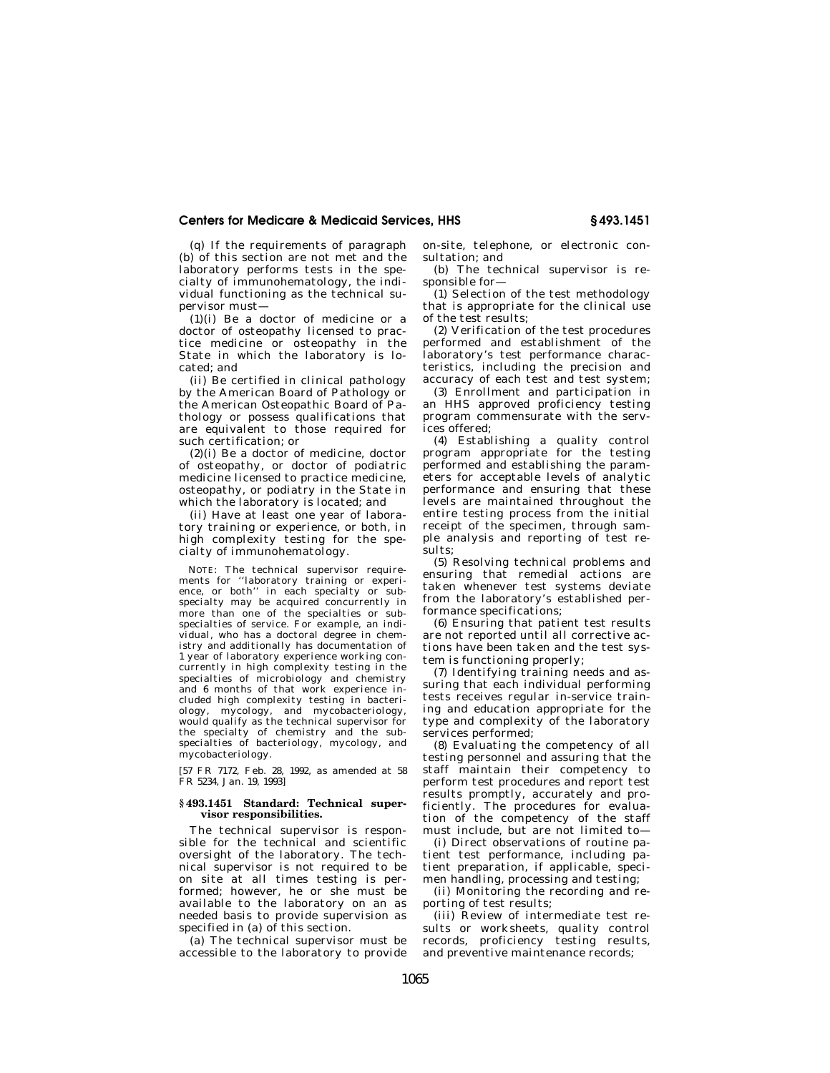(q) If the requirements of paragraph (b) of this section are not met and the laboratory performs tests in the specialty of immunohematology, the individual functioning as the technical supervisor must—

(1)(i) Be a doctor of medicine or a doctor of osteopathy licensed to practice medicine or osteopathy in the State in which the laboratory is located; and

(ii) Be certified in clinical pathology by the American Board of Pathology or the American Osteopathic Board of Pathology or possess qualifications that are equivalent to those required for such certification; or

(2)(i) Be a doctor of medicine, doctor of osteopathy, or doctor of podiatric medicine licensed to practice medicine, osteopathy, or podiatry in the State in which the laboratory is located; and

(ii) Have at least one year of laboratory training or experience, or both, in high complexity testing for the specialty of immunohematology.

NOTE: The technical supervisor requirements for ''laboratory training or experience, or both'' in each specialty or subspecialty may be acquired concurrently in more than one of the specialties or subspecialties of service. For example, an individual, who has a doctoral degree in chemistry and additionally has documentation of 1 year of laboratory experience working concurrently in high complexity testing in the specialties of microbiology and chemistry and 6 months of that work experience included high complexity testing in bacteriology, mycology, and mycobacteriology, would qualify as the technical supervisor for the specialty of chemistry and the subspecialties of bacteriology, mycology, and mycobacteriology.

[57 FR 7172, Feb. 28, 1992, as amended at 58 FR 5234, Jan. 19, 1993]

#### **§ 493.1451 Standard: Technical supervisor responsibilities.**

The technical supervisor is responsible for the technical and scientific oversight of the laboratory. The technical supervisor is not required to be on site at all times testing is performed; however, he or she must be available to the laboratory on an as needed basis to provide supervision as specified in (a) of this section.

(a) The technical supervisor must be accessible to the laboratory to provide on-site, telephone, or electronic consultation; and

(b) The technical supervisor is responsible for—

(1) Selection of the test methodology that is appropriate for the clinical use of the test results;

(2) Verification of the test procedures performed and establishment of the laboratory's test performance characteristics, including the precision and accuracy of each test and test system;

(3) Enrollment and participation in an HHS approved proficiency testing program commensurate with the services offered;

(4) Establishing a quality control program appropriate for the testing performed and establishing the parameters for acceptable levels of analytic performance and ensuring that these levels are maintained throughout the entire testing process from the initial receipt of the specimen, through sample analysis and reporting of test results;

(5) Resolving technical problems and ensuring that remedial actions are taken whenever test systems deviate from the laboratory's established performance specifications;

(6) Ensuring that patient test results are not reported until all corrective actions have been taken and the test system is functioning properly;

(7) Identifying training needs and assuring that each individual performing tests receives regular in-service training and education appropriate for the type and complexity of the laboratory services performed;

(8) Evaluating the competency of all testing personnel and assuring that the staff maintain their competency to perform test procedures and report test results promptly, accurately and proficiently. The procedures for evaluation of the competency of the staff must include, but are not limited to—

(i) Direct observations of routine patient test performance, including patient preparation, if applicable, specimen handling, processing and testing;

(ii) Monitoring the recording and reporting of test results;

(iii) Review of intermediate test results or worksheets, quality control records, proficiency testing results, and preventive maintenance records;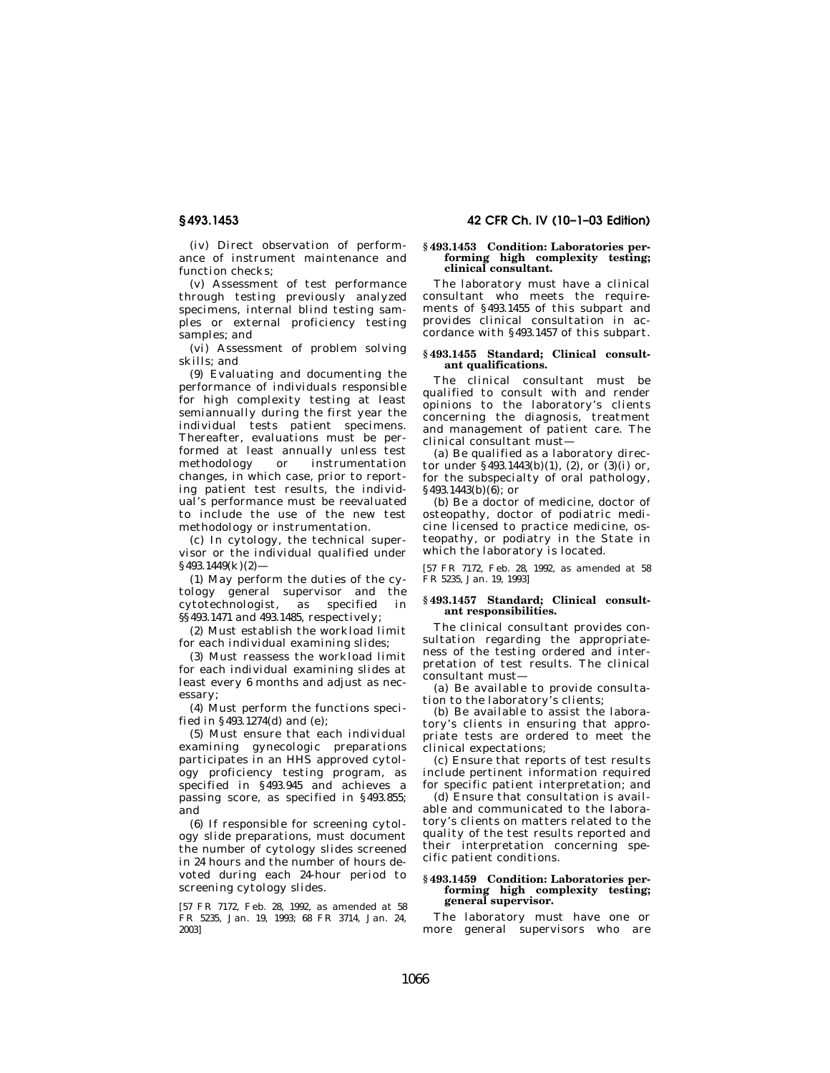(iv) Direct observation of performance of instrument maintenance and function checks;

(v) Assessment of test performance through testing previously analyzed specimens, internal blind testing samples or external proficiency testing samples; and

(vi) Assessment of problem solving skills; and

(9) Evaluating and documenting the performance of individuals responsible for high complexity testing at least semiannually during the first year the individual tests patient specimens. Thereafter, evaluations must be performed at least annually unless test methodology or instrumentation changes, in which case, prior to reporting patient test results, the individual's performance must be reevaluated to include the use of the new test methodology or instrumentation.

(c) In cytology, the technical supervisor or the individual qualified under  $§493.1449(k)(2)$ —

(1) May perform the duties of the cytology general supervisor and the cytotechnologist, as specified in §§493.1471 and 493.1485, respectively;

(2) Must establish the workload limit for each individual examining slides;

(3) Must reassess the workload limit for each individual examining slides at least every 6 months and adjust as necessary;

(4) Must perform the functions specified in §493.1274(d) and (e);

(5) Must ensure that each individual examining gynecologic preparations participates in an HHS approved cytology proficiency testing program, as specified in §493.945 and achieves a passing score, as specified in §493.855; and

(6) If responsible for screening cytology slide preparations, must document the number of cytology slides screened in 24 hours and the number of hours devoted during each 24-hour period to screening cytology slides.

[57 FR 7172, Feb. 28, 1992, as amended at 58 FR 5235, Jan. 19, 1993; 68 FR 3714, Jan. 24, 2003]

# **§ 493.1453 42 CFR Ch. IV (10–1–03 Edition)**

#### **§ 493.1453 Condition: Laboratories performing high complexity testing; clinical consultant.**

The laboratory must have a clinical consultant who meets the requirements of §493.1455 of this subpart and provides clinical consultation in accordance with §493.1457 of this subpart.

#### **§ 493.1455 Standard; Clinical consultant qualifications.**

The clinical consultant must be qualified to consult with and render opinions to the laboratory's clients concerning the diagnosis, treatment and management of patient care. The clinical consultant must—

(a) Be qualified as a laboratory director under §493.1443(b)(1), (2), or (3)(i) or, for the subspecialty of oral pathology,  $§$ 493.1443(b)( $\vec{6}$ ); or

(b) Be a doctor of medicine, doctor of osteopathy, doctor of podiatric medicine licensed to practice medicine, osteopathy, or podiatry in the State in which the laboratory is located.

[57 FR 7172, Feb. 28, 1992, as amended at 58 FR 5235, Jan. 19, 1993]

### **§ 493.1457 Standard; Clinical consultant responsibilities.**

The clinical consultant provides consultation regarding the appropriateness of the testing ordered and interpretation of test results. The clinical consultant must—

(a) Be available to provide consultation to the laboratory's clients;

(b) Be available to assist the laboratory's clients in ensuring that appropriate tests are ordered to meet the clinical expectations;

(c) Ensure that reports of test results include pertinent information required for specific patient interpretation; and

(d) Ensure that consultation is available and communicated to the laboratory's clients on matters related to the quality of the test results reported and their interpretation concerning specific patient conditions.

#### **§ 493.1459 Condition: Laboratories performing high complexity testing; general supervisor.**

The laboratory must have one or more general supervisors who are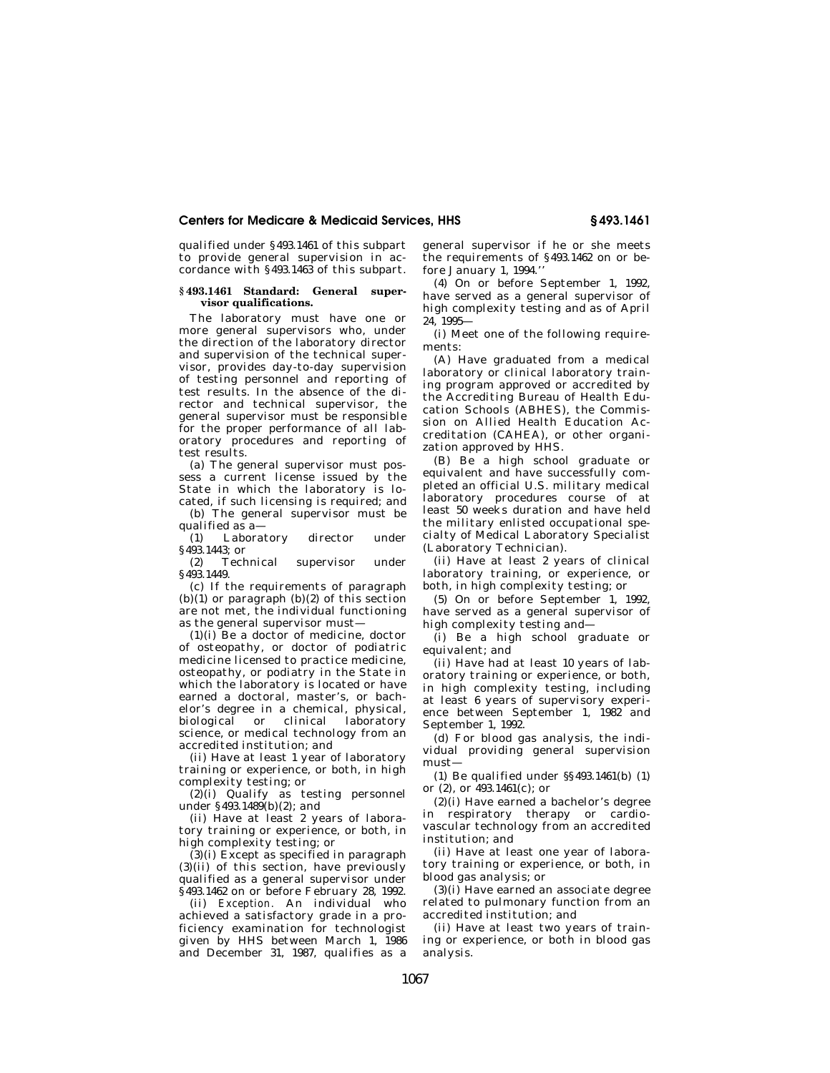qualified under §493.1461 of this subpart to provide general supervision in accordance with §493.1463 of this subpart.

#### **§ 493.1461 Standard: General supervisor qualifications.**

The laboratory must have one or more general supervisors who, under the direction of the laboratory director and supervision of the technical supervisor, provides day-to-day supervision of testing personnel and reporting of test results. In the absence of the director and technical supervisor, the general supervisor must be responsible for the proper performance of all laboratory procedures and reporting of test results.

(a) The general supervisor must possess a current license issued by the State in which the laboratory is located, if such licensing is required; and

(b) The general supervisor must be qualified as a—

(1) Laboratory director under §493.1443; or

(2) Technical supervisor under §493.1449.

(c) If the requirements of paragraph  $(b)(1)$  or paragraph  $(b)(2)$  of this section are not met, the individual functioning as the general supervisor must—

(1)(i) Be a doctor of medicine, doctor of osteopathy, or doctor of podiatric medicine licensed to practice medicine, osteopathy, or podiatry in the State in which the laboratory is located or have earned a doctoral, master's, or bachelor's degree in a chemical, physical, biological or clinical laboratory science, or medical technology from an accredited institution; and

(ii) Have at least 1 year of laboratory training or experience, or both, in high complexity testing; or

 $(2)(i)$  Qualify as testing personnel under §493.1489(b)(2); and

(ii) Have at least 2 years of laboratory training or experience, or both, in high complexity testing; or

 $(3)(i)$  Except as specified in paragraph (3)(ii) of this section, have previously qualified as a general supervisor under §493.1462 on or before February 28, 1992.

(ii) *Exception.* An individual who achieved a satisfactory grade in a proficiency examination for technologist given by HHS between March 1, 1986 and December 31, 1987, qualifies as a

general supervisor if he or she meets the requirements of §493.1462 on or before January 1, 1994.''

(4) On or before September 1, 1992, have served as a general supervisor of high complexity testing and as of April 24, 1995—

(i) Meet one of the following requirements:

(A) Have graduated from a medical laboratory or clinical laboratory training program approved or accredited by the Accrediting Bureau of Health Education Schools (ABHES), the Commission on Allied Health Education Accreditation (CAHEA), or other organization approved by HHS.

(B) Be a high school graduate or equivalent and have successfully completed an official U.S. military medical laboratory procedures course of at least 50 weeks duration and have held the military enlisted occupational specialty of Medical Laboratory Specialist (Laboratory Technician).

(ii) Have at least 2 years of clinical laboratory training, or experience, or both, in high complexity testing; or

(5) On or before September 1, 1992, have served as a general supervisor of high complexity testing and—

(i) Be a high school graduate or equivalent; and

(ii) Have had at least 10 years of laboratory training or experience, or both, in high complexity testing, including at least 6 years of supervisory experience between September 1, 1982 and September 1, 1992.

(d) For blood gas analysis, the individual providing general supervision must—

(1) Be qualified under §§493.1461(b) (1) or (2), or 493.1461(c); or

(2)(i) Have earned a bachelor's degree in respiratory therapy or cardiovascular technology from an accredited institution; and

(ii) Have at least one year of laboratory training or experience, or both, in blood gas analysis; or

(3)(i) Have earned an associate degree related to pulmonary function from an accredited institution; and

(ii) Have at least two years of training or experience, or both in blood gas analysis.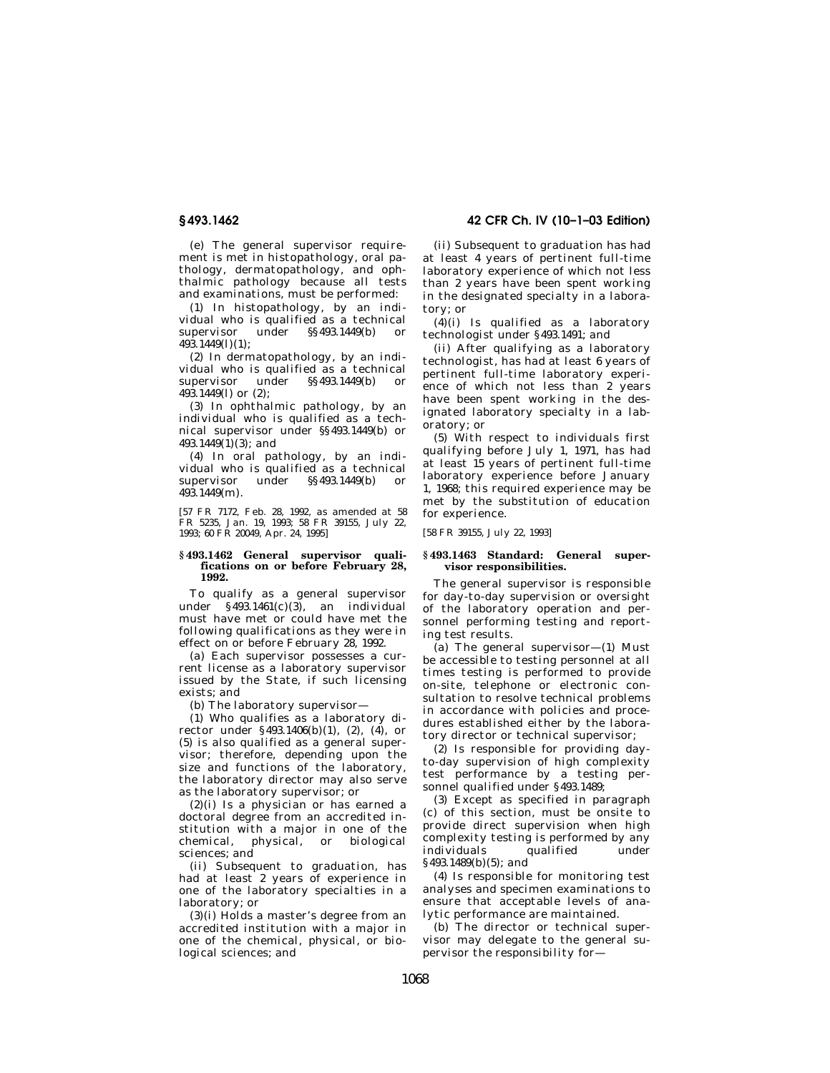**§ 493.1462 42 CFR Ch. IV (10–1–03 Edition)**

(e) The general supervisor requirement is met in histopathology, oral pathology, dermatopathology, and ophthalmic pathology because all tests and examinations, must be performed:

(1) In histopathology, by an individual who is qualified as a technical supervisor under §§493.1449(b) or  $49\overline{3}.1449(1)(1)$ ;

(2) In dermatopathology, by an individual who is qualified as a technical supervisor under §§493.1449(b) or  $49\overline{3}.1449(l)$  or  $(2)$ ;

(3) In ophthalmic pathology, by an individual who is qualified as a technical supervisor under §§493.1449(b) or 493.1449(1)(3); and

(4) In oral pathology, by an individual who is qualified as a technical supervisor under §§493.1449(b) or  $49\overline{3}.1449(m)$ .

[57 FR 7172, Feb. 28, 1992, as amended at 58 FR 5235, Jan. 19, 1993; 58 FR 39155, July 22, 1993; 60 FR 20049, Apr. 24, 1995]

### **§ 493.1462 General supervisor qualifications on or before February 28, 1992.**

To qualify as a general supervisor under §493.1461(c)(3), an individual must have met or could have met the following qualifications as they were in effect on or before February 28, 1992.

(a) Each supervisor possesses a current license as a laboratory supervisor issued by the State, if such licensing exists; and

(b) The laboratory supervisor—

(1) Who qualifies as a laboratory director under §493.1406(b)(1), (2), (4), or (5) is also qualified as a general supervisor; therefore, depending upon the size and functions of the laboratory, the laboratory director may also serve as the laboratory supervisor; or

(2)(i) Is a physician or has earned a doctoral degree from an accredited institution with a major in one of the chemical, physical, or biological sciences; and

(ii) Subsequent to graduation, has had at least 2 years of experience in one of the laboratory specialties in a laboratory; or

(3)(i) Holds a master's degree from an accredited institution with a major in one of the chemical, physical, or biological sciences; and

(ii) Subsequent to graduation has had at least 4 years of pertinent full-time laboratory experience of which not less than 2 years have been spent working in the designated specialty in a laboratory; or

(4)(i) Is qualified as a laboratory technologist under §493.1491; and

(ii) After qualifying as a laboratory technologist, has had at least 6 years of pertinent full-time laboratory experience of which not less than 2 years have been spent working in the designated laboratory specialty in a laboratory; or

(5) With respect to individuals first qualifying before July 1, 1971, has had at least 15 years of pertinent full-time laboratory experience before January 1, 1968; this required experience may be met by the substitution of education for experience.

[58 FR 39155, July 22, 1993]

### **§ 493.1463 Standard: General supervisor responsibilities.**

The general supervisor is responsible for day-to-day supervision or oversight of the laboratory operation and personnel performing testing and reporting test results.

(a) The general supervisor—(1) Must be accessible to testing personnel at all times testing is performed to provide on-site, telephone or electronic consultation to resolve technical problems in accordance with policies and procedures established either by the laboratory director or technical supervisor;

(2) Is responsible for providing dayto-day supervision of high complexity test performance by a testing personnel qualified under §493.1489;

(3) Except as specified in paragraph (c) of this section, must be onsite to provide direct supervision when high complexity testing is performed by any<br>individuals qualified under individuals qualified under §493.1489(b)(5); and

(4) Is responsible for monitoring test analyses and specimen examinations to ensure that acceptable levels of analytic performance are maintained.

(b) The director or technical supervisor may delegate to the general supervisor the responsibility for—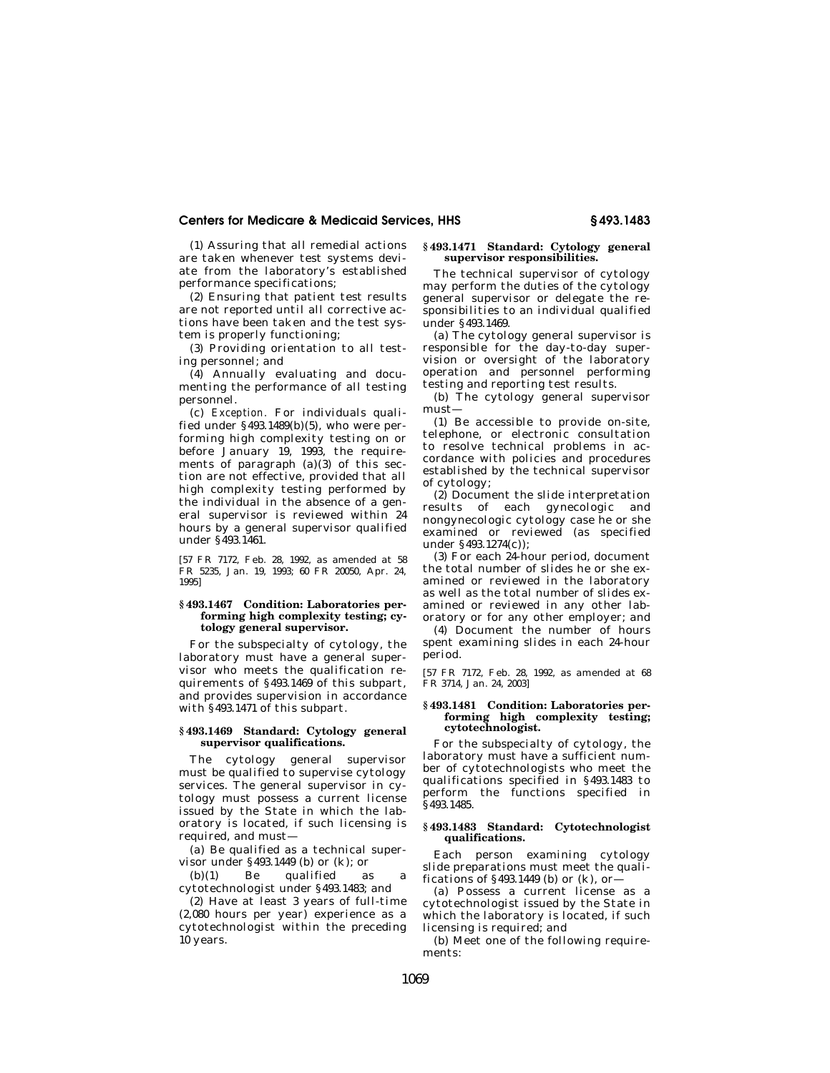(1) Assuring that all remedial actions are taken whenever test systems deviate from the laboratory's established performance specifications;

(2) Ensuring that patient test results are not reported until all corrective actions have been taken and the test system is properly functioning;

(3) Providing orientation to all testing personnel; and

(4) Annually evaluating and documenting the performance of all testing personnel.

(c) *Exception.* For individuals qualified under  $\S 493.1489(b)(5)$ , who were performing high complexity testing on or before January 19, 1993, the requirements of paragraph  $(a)(3)$  of this section are not effective, provided that all high complexity testing performed by the individual in the absence of a general supervisor is reviewed within 24 hours by a general supervisor qualified under §493.1461.

[57 FR 7172, Feb. 28, 1992, as amended at 58 FR 5235, Jan. 19, 1993; 60 FR 20050, Apr. 24, 1995]

#### **§ 493.1467 Condition: Laboratories performing high complexity testing; cytology general supervisor.**

For the subspecialty of cytology, the laboratory must have a general supervisor who meets the qualification requirements of §493.1469 of this subpart, and provides supervision in accordance with §493.1471 of this subpart.

## **§ 493.1469 Standard: Cytology general supervisor qualifications.**

The cytology general supervisor must be qualified to supervise cytology services. The general supervisor in cytology must possess a current license issued by the State in which the laboratory is located, if such licensing is required, and must—

(a) Be qualified as a technical supervisor under §493.1449 (b) or (k); or

 $(b)(1)$  Be qualified as cytotechnologist under §493.1483; and

(2) Have at least 3 years of full-time (2,080 hours per year) experience as a cytotechnologist within the preceding 10 years.

## **§ 493.1471 Standard: Cytology general supervisor responsibilities.**

The technical supervisor of cytology may perform the duties of the cytology general supervisor or delegate the responsibilities to an individual qualified under §493.1469.

(a) The cytology general supervisor is responsible for the day-to-day supervision or oversight of the laboratory operation and personnel performing testing and reporting test results.

(b) The cytology general supervisor must—

(1) Be accessible to provide on-site, telephone, or electronic consultation to resolve technical problems in accordance with policies and procedures established by the technical supervisor of cytology;

(2) Document the slide interpretation results of each gynecologic and nongynecologic cytology case he or she examined or reviewed (as specified under §493.1274(c));

(3) For each 24-hour period, document the total number of slides he or she examined or reviewed in the laboratory as well as the total number of slides examined or reviewed in any other laboratory or for any other employer; and

(4) Document the number of hours spent examining slides in each 24-hour period.

[57 FR 7172, Feb. 28, 1992, as amended at 68 FR 3714, Jan. 24, 2003]

#### **§ 493.1481 Condition: Laboratories performing high complexity testing; cytotechnologist.**

For the subspecialty of cytology, the laboratory must have a sufficient number of cytotechnologists who meet the qualifications specified in §493.1483 to perform the functions specified in §493.1485.

# **§ 493.1483 Standard: Cytotechnologist qualifications.**

Each person examining cytology slide preparations must meet the qualifications of §493.1449 (b) or (k), or—

(a) Possess a current license as a cytotechnologist issued by the State in which the laboratory is located, if such licensing is required; and

(b) Meet one of the following requirements: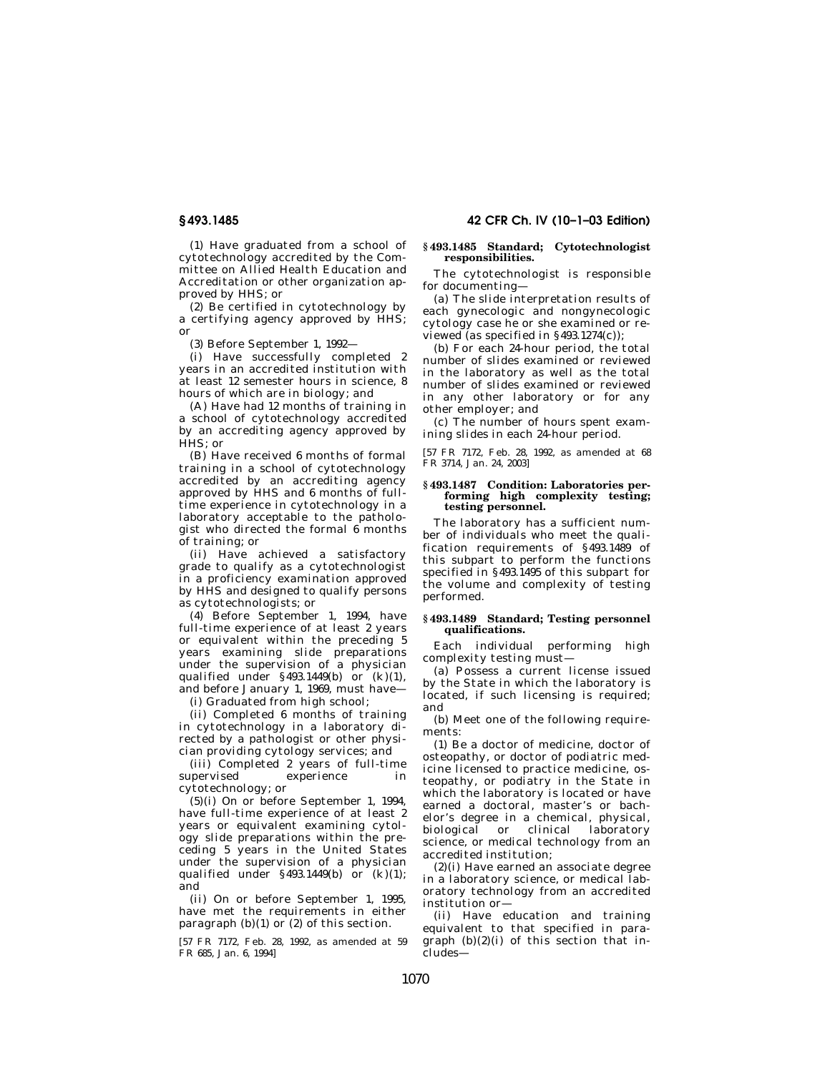(1) Have graduated from a school of cytotechnology accredited by the Committee on Allied Health Education and Accreditation or other organization approved by HHS; or

(2) Be certified in cytotechnology by a certifying agency approved by HHS; or

(3) Before September 1, 1992—

(i) Have successfully completed 2 years in an accredited institution with at least 12 semester hours in science, 8 hours of which are in biology; and

(A) Have had 12 months of training in a school of cytotechnology accredited by an accrediting agency approved by HHS; or

(B) Have received 6 months of formal training in a school of cytotechnology accredited by an accrediting agency approved by HHS and 6 months of fulltime experience in cytotechnology in a laboratory acceptable to the pathologist who directed the formal 6 months of training; or

(ii) Have achieved a satisfactory grade to qualify as a cytotechnologist in a proficiency examination approved by HHS and designed to qualify persons as cytotechnologists; or

(4) Before September 1, 1994, have full-time experience of at least 2 years or equivalent within the preceding 5 years examining slide preparations under the supervision of a physician qualified under  $§493.1449(b)$  or  $(k)(1)$ , and before January 1, 1969, must have—

(i) Graduated from high school;

(ii) Completed 6 months of training in cytotechnology in a laboratory directed by a pathologist or other physician providing cytology services; and

(iii) Completed 2 years of full-time supervised experience in cytotechnology; or

(5)(i) On or before September 1, 1994, have full-time experience of at least 2 years or equivalent examining cytology slide preparations within the preceding 5 years in the United States under the supervision of a physician qualified under  $§493.1449(b)$  or  $(k)(1);$ and

(ii) On or before September 1, 1995, have met the requirements in either paragraph  $(b)(1)$  or  $(2)$  of this section.

[57 FR 7172, Feb. 28, 1992, as amended at 59 FR 685, Jan. 6, 1994]

# **§ 493.1485 42 CFR Ch. IV (10–1–03 Edition)**

### **§ 493.1485 Standard; Cytotechnologist responsibilities.**

The cytotechnologist is responsible for documenting—

(a) The slide interpretation results of each gynecologic and nongynecologic cytology case he or she examined or reviewed (as specified in §493.1274(c));

(b) For each 24-hour period, the total number of slides examined or reviewed in the laboratory as well as the total number of slides examined or reviewed in any other laboratory or for any other employer; and

(c) The number of hours spent examining slides in each 24-hour period.

[57 FR 7172, Feb. 28, 1992, as amended at 68 FR 3714, Jan. 24, 2003]

## **§ 493.1487 Condition: Laboratories performing high complexity testing; testing personnel.**

The laboratory has a sufficient number of individuals who meet the qualification requirements of §493.1489 of this subpart to perform the functions specified in §493.1495 of this subpart for the volume and complexity of testing performed.

### **§ 493.1489 Standard; Testing personnel qualifications.**

Each individual performing high complexity testing must—

(a) Possess a current license issued by the State in which the laboratory is located, if such licensing is required; and

(b) Meet one of the following requirements:

(1) Be a doctor of medicine, doctor of osteopathy, or doctor of podiatric medicine licensed to practice medicine, osteopathy, or podiatry in the State in which the laboratory is located or have earned a doctoral, master's or bachelor's degree in a chemical, physical, biological or clinical laboratory science, or medical technology from an accredited institution;

(2)(i) Have earned an associate degree in a laboratory science, or medical laboratory technology from an accredited institution or—

(ii) Have education and training equivalent to that specified in paragraph  $(b)(2)(i)$  of this section that includes—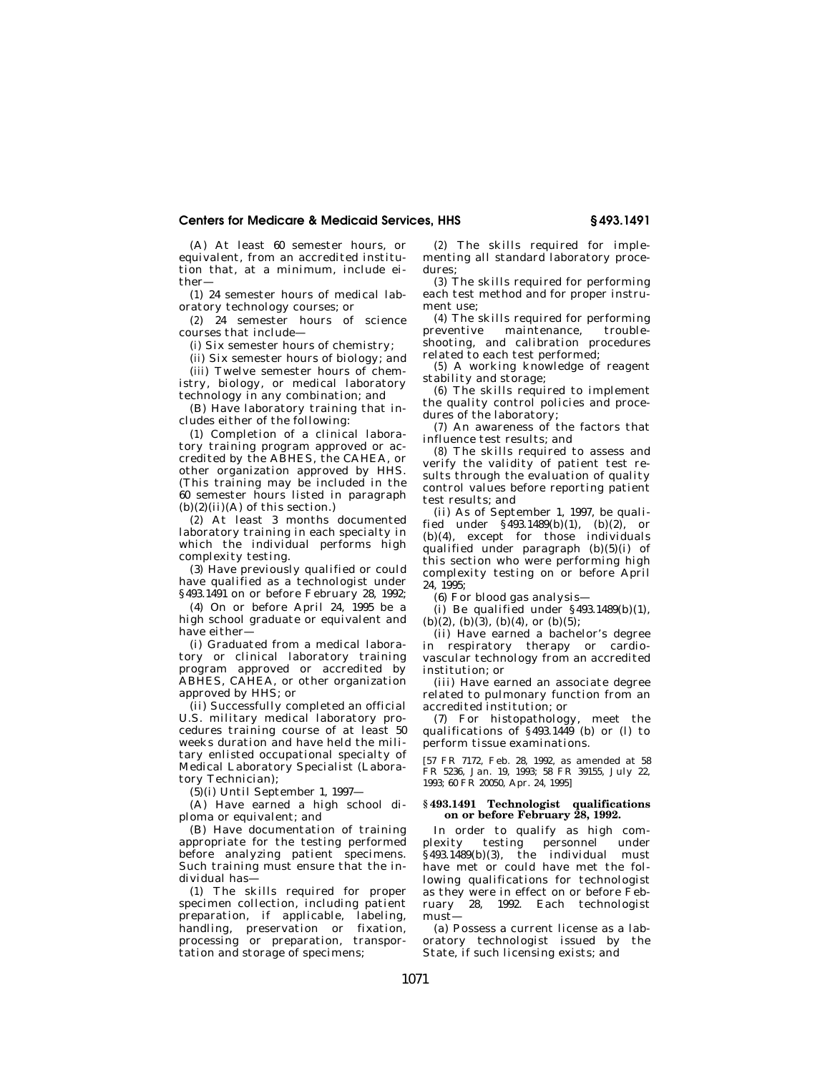(A) At least 60 semester hours, or equivalent, from an accredited institution that, at a minimum, include either—

(*1*) 24 semester hours of medical laboratory technology courses; or

(*2*) 24 semester hours of science courses that include—

(*i*) Six semester hours of chemistry;

(*ii*) Six semester hours of biology; and

(*iii*) Twelve semester hours of chemistry, biology, or medical laboratory technology in any combination; and

(B) Have laboratory training that includes either of the following:

(*1*) Completion of a clinical laboratory training program approved or accredited by the ABHES, the CAHEA, or other organization approved by HHS. (This training may be included in the 60 semester hours listed in paragraph  $(b)(2)(ii)(A)$  of this section.)

(*2*) At least 3 months documented laboratory training in each specialty in which the individual performs high complexity testing.

(3) Have previously qualified or could have qualified as a technologist under §493.1491 on or before February 28, 1992;

(4) On or before April 24, 1995 be a high school graduate or equivalent and have either—

(i) Graduated from a medical laboratory or clinical laboratory training program approved or accredited by ABHES, CAHEA, or other organization approved by HHS; or

(ii) Successfully completed an official U.S. military medical laboratory procedures training course of at least 50 weeks duration and have held the military enlisted occupational specialty of Medical Laboratory Specialist (Laboratory Technician);

(5)(i) Until September 1, 1997—

(A) Have earned a high school diploma or equivalent; and

(B) Have documentation of training appropriate for the testing performed before analyzing patient specimens. Such training must ensure that the individual has—

(*1*) The skills required for proper specimen collection, including patient preparation, if applicable, labeling, handling, preservation or fixation, processing or preparation, transportation and storage of specimens;

(*2*) The skills required for implementing all standard laboratory procedures;

(*3*) The skills required for performing each test method and for proper instrument use;

(*4*) The skills required for performing preventive maintenance, troubleshooting, and calibration procedures related to each test performed;

(*5*) A working knowledge of reagent stability and storage;

(*6*) The skills required to implement the quality control policies and procedures of the laboratory;

 $(7)$  An awareness of the factors that influence test results; and

(*8*) The skills required to assess and verify the validity of patient test results through the evaluation of quality control values before reporting patient test results; and

(ii) As of September 1, 1997, be qualified under §493.1489(b)(1), (b)(2), or (b)(4), except for those individuals qualified under paragraph (b)(5)(i) of this section who were performing high complexity testing on or before April 24, 1995;

(6) For blood gas analysis—

(i) Be qualified under §493.1489(b)(1), (b)(2), (b)(3), (b)(4), or (b)(5);

(ii) Have earned a bachelor's degree in respiratory therapy or cardiovascular technology from an accredited institution; or

(iii) Have earned an associate degree related to pulmonary function from an accredited institution; or

(7) For histopathology, meet the qualifications of §493.1449 (b) or (l) to perform tissue examinations.

[57 FR 7172, Feb. 28, 1992, as amended at 58 FR 5236, Jan. 19, 1993; 58 FR 39155, July 22, 1993; 60 FR 20050, Apr. 24, 1995]

#### **§ 493.1491 Technologist qualifications on or before February 28, 1992.**

In order to qualify as high complexity testing personnel  $\hat{\S}$ 493.1489(b)(3), the individual must have met or could have met the following qualifications for technologist as they were in effect on or before February 28, 1992. Each technologist must—

(a) Possess a current license as a laboratory technologist issued by the State, if such licensing exists; and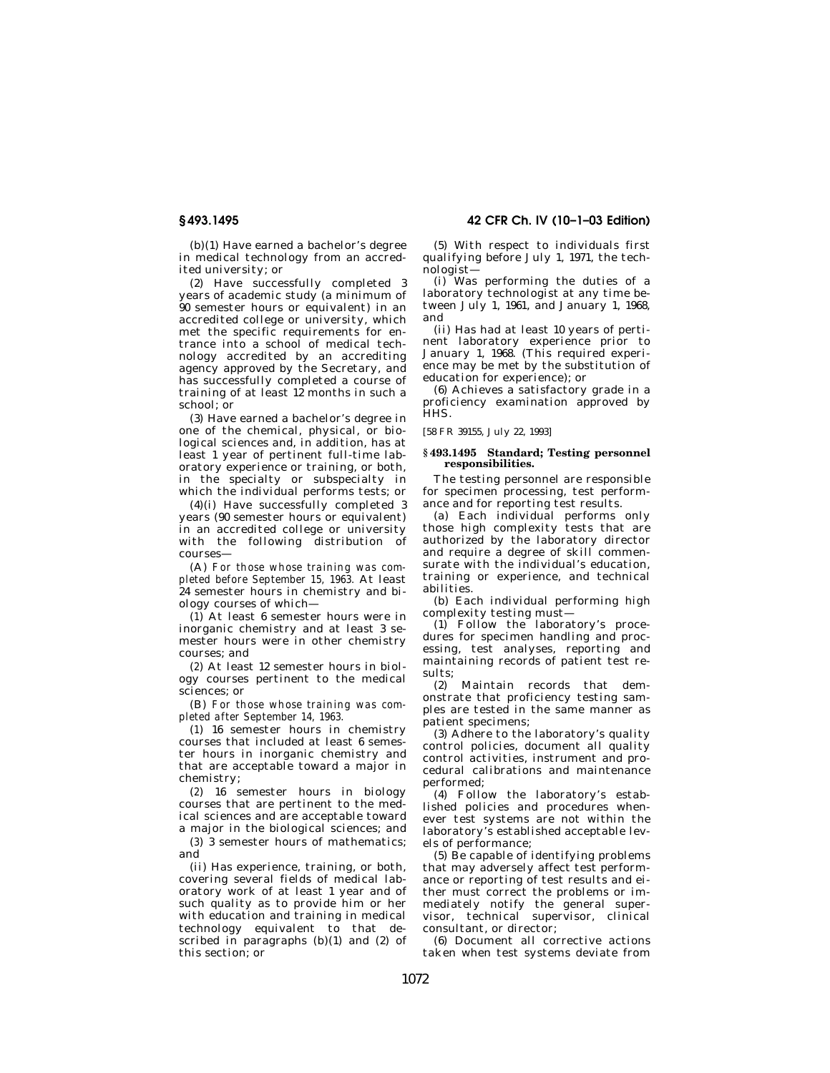**§ 493.1495 42 CFR Ch. IV (10–1–03 Edition)**

(b)(1) Have earned a bachelor's degree in medical technology from an accredited university; or

(2) Have successfully completed 3 years of academic study (a minimum of 90 semester hours or equivalent) in an accredited college or university, which met the specific requirements for entrance into a school of medical technology accredited by an accrediting agency approved by the Secretary, and has successfully completed a course of training of at least 12 months in such a school; or

(3) Have earned a bachelor's degree in one of the chemical, physical, or biological sciences and, in addition, has at least 1 year of pertinent full-time laboratory experience or training, or both, in the specialty or subspecialty in which the individual performs tests; or

(4)(i) Have successfully completed 3 years (90 semester hours or equivalent) in an accredited college or university with the following distribution of courses—

(A) *For those whose training was completed before September 15, 1963.* At least 24 semester hours in chemistry and biology courses of which—

(*1*) At least 6 semester hours were in inorganic chemistry and at least 3 semester hours were in other chemistry courses; and

(*2*) At least 12 semester hours in biology courses pertinent to the medical sciences; or

(B) *For those whose training was completed after September 14, 1963.*

(*1*) 16 semester hours in chemistry courses that included at least 6 semester hours in inorganic chemistry and that are acceptable toward a major in chemistry;

(*2*) 16 semester hours in biology courses that are pertinent to the medical sciences and are acceptable toward a major in the biological sciences; and

(*3*) 3 semester hours of mathematics; and

(ii) Has experience, training, or both, covering several fields of medical laboratory work of at least 1 year and of such quality as to provide him or her with education and training in medical technology equivalent to that described in paragraphs  $(b)(1)$  and  $(2)$  of this section; or

(5) With respect to individuals first qualifying before July 1, 1971, the technologist—

(i) Was performing the duties of a laboratory technologist at any time between July 1, 1961, and January 1, 1968, and

(ii) Has had at least 10 years of pertinent laboratory experience prior to January 1, 1968. (This required experience may be met by the substitution of education for experience); or

(6) Achieves a satisfactory grade in a proficiency examination approved by HHS.

[58 FR 39155, July 22, 1993]

## **§ 493.1495 Standard; Testing personnel responsibilities.**

The testing personnel are responsible for specimen processing, test performance and for reporting test results.

(a) Each individual performs only those high complexity tests that are authorized by the laboratory director and require a degree of skill commensurate with the individual's education, training or experience, and technical abilities.

(b) Each individual performing high complexity testing must—

(1) Follow the laboratory's procedures for specimen handling and processing, test analyses, reporting and maintaining records of patient test results;

(2) Maintain records that demonstrate that proficiency testing samples are tested in the same manner as patient specimens;

(3) Adhere to the laboratory's quality control policies, document all quality control activities, instrument and procedural calibrations and maintenance performed;

(4) Follow the laboratory's established policies and procedures whenever test systems are not within the laboratory's established acceptable levels of performance;

(5) Be capable of identifying problems that may adversely affect test performance or reporting of test results and either must correct the problems or immediately notify the general supervisor, technical supervisor, clinical consultant, or director;

(6) Document all corrective actions taken when test systems deviate from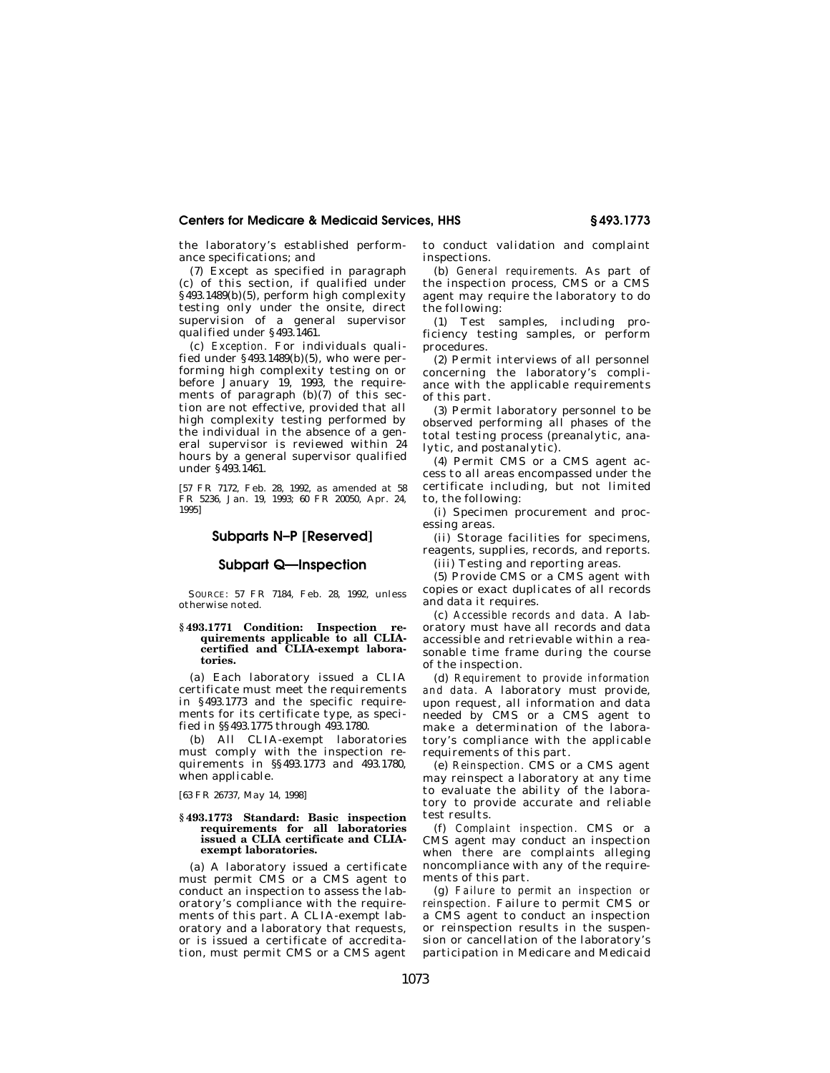the laboratory's established performance specifications; and

(7) Except as specified in paragraph (c) of this section, if qualified under §493.1489(b)(5), perform high complexity testing only under the onsite, direct supervision of a general supervisor qualified under §493.1461.

(c) *Exception.* For individuals qualified under  $§$ 493.1489(b)(5), who were performing high complexity testing on or before January 19, 1993, the requirements of paragraph (b)(7) of this section are not effective, provided that all high complexity testing performed by the individual in the absence of a general supervisor is reviewed within 24 hours by a general supervisor qualified under §493.1461.

[57 FR 7172, Feb. 28, 1992, as amended at 58 FR 5236, Jan. 19, 1993; 60 FR 20050, Apr. 24, 1995]

# **Subparts N–P [Reserved]**

# **Subpart Q—Inspection**

SOURCE: 57 FR 7184, Feb. 28, 1992, unless otherwise noted.

## **§ 493.1771 Condition: Inspection requirements applicable to all CLIAcertified and CLIA-exempt laboratories.**

(a) Each laboratory issued a CLIA certificate must meet the requirements in §493.1773 and the specific requirements for its certificate type, as specified in §§493.1775 through 493.1780.

(b) All CLIA-exempt laboratories must comply with the inspection requirements in §§493.1773 and 493.1780, when applicable.

[63 FR 26737, May 14, 1998]

#### **§ 493.1773 Standard: Basic inspection requirements for all laboratories issued a CLIA certificate and CLIAexempt laboratories.**

(a) A laboratory issued a certificate must permit CMS or a CMS agent to conduct an inspection to assess the laboratory's compliance with the requirements of this part. A CLIA-exempt laboratory and a laboratory that requests, or is issued a certificate of accreditation, must permit CMS or a CMS agent to conduct validation and complaint inspections.

(b) *General requirements.* As part of the inspection process, CMS or a CMS agent may require the laboratory to do the following:

(1) Test samples, including proficiency testing samples, or perform procedures.

(2) Permit interviews of all personnel concerning the laboratory's compliance with the applicable requirements of this part.

(3) Permit laboratory personnel to be observed performing all phases of the total testing process (preanalytic, analytic, and postanalytic).

(4) Permit CMS or a CMS agent access to all areas encompassed under the certificate including, but not limited to, the following:

(i) Specimen procurement and processing areas.

(ii) Storage facilities for specimens, reagents, supplies, records, and reports.

(iii) Testing and reporting areas.

(5) Provide CMS or a CMS agent with copies or exact duplicates of all records and data it requires.

(c) *Accessible records and data.* A laboratory must have all records and data accessible and retrievable within a reasonable time frame during the course of the inspection.

(d) *Requirement to provide information and data.* A laboratory must provide, upon request, all information and data needed by CMS or a CMS agent to make a determination of the laboratory's compliance with the applicable requirements of this part.

(e) *Reinspection.* CMS or a CMS agent may reinspect a laboratory at any time to evaluate the ability of the laboratory to provide accurate and reliable test results.

(f) *Complaint inspection.* CMS or a CMS agent may conduct an inspection when there are complaints alleging noncompliance with any of the requirements of this part.

(g) *Failure to permit an inspection or reinspection.* Failure to permit CMS or a CMS agent to conduct an inspection or reinspection results in the suspension or cancellation of the laboratory's participation in Medicare and Medicaid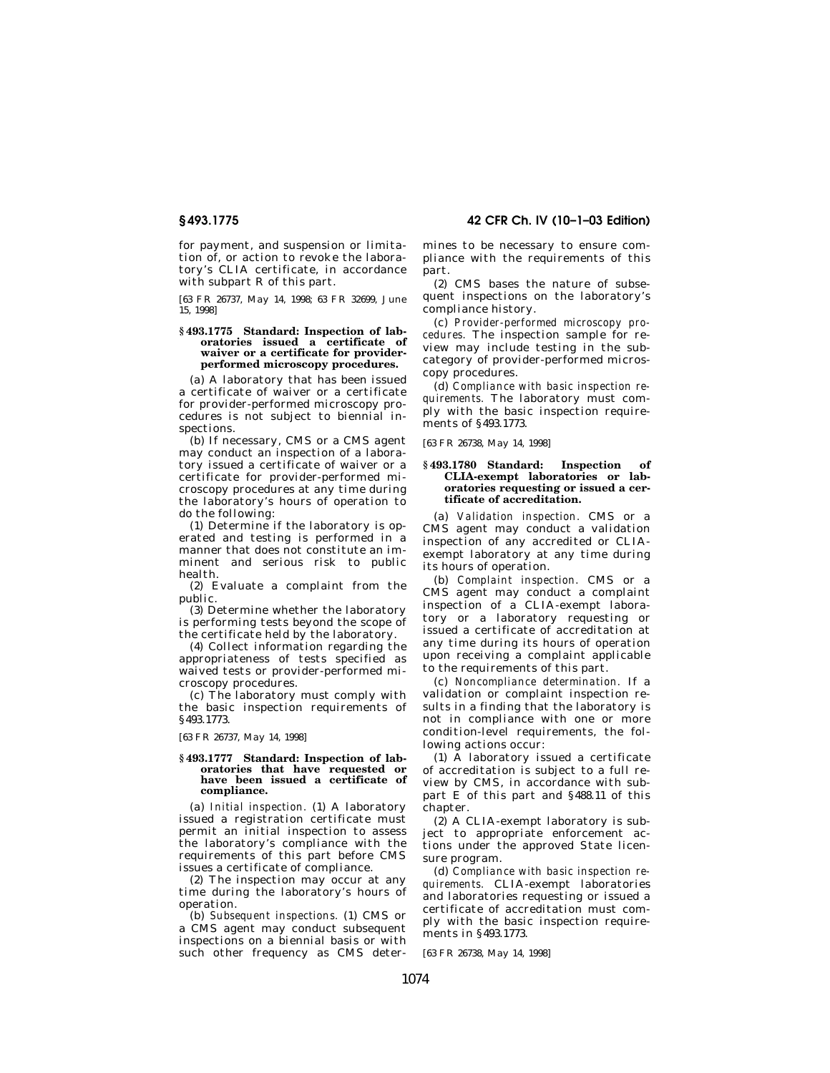for payment, and suspension or limitation of, or action to revoke the laboratory's CLIA certificate, in accordance with subpart R of this part.

[63 FR 26737, May 14, 1998; 63 FR 32699, June 15, 1998]

#### **§ 493.1775 Standard: Inspection of laboratories issued a certificate of waiver or a certificate for providerperformed microscopy procedures.**

(a) A laboratory that has been issued a certificate of waiver or a certificate for provider-performed microscopy procedures is not subject to biennial inspections.

(b) If necessary, CMS or a CMS agent may conduct an inspection of a laboratory issued a certificate of waiver or a certificate for provider-performed microscopy procedures at any time during the laboratory's hours of operation to do the following:

(1) Determine if the laboratory is operated and testing is performed in a manner that does not constitute an imminent and serious risk to public health.

(2) Evaluate a complaint from the public.

(3) Determine whether the laboratory is performing tests beyond the scope of the certificate held by the laboratory.

(4) Collect information regarding the appropriateness of tests specified as waived tests or provider-performed microscopy procedures.

(c) The laboratory must comply with the basic inspection requirements of §493.1773.

[63 FR 26737, May 14, 1998]

#### **§ 493.1777 Standard: Inspection of laboratories that have requested or have been issued a certificate of compliance.**

(a) *Initial inspection.* (1) A laboratory issued a registration certificate must permit an initial inspection to assess the laboratory's compliance with the requirements of this part before CMS issues a certificate of compliance.

(2) The inspection may occur at any time during the laboratory's hours of operation.

(b) *Subsequent inspections.* (1) CMS or a CMS agent may conduct subsequent inspections on a biennial basis or with such other frequency as CMS deter-

**§ 493.1775 42 CFR Ch. IV (10–1–03 Edition)**

mines to be necessary to ensure compliance with the requirements of this part.

(2) CMS bases the nature of subsequent inspections on the laboratory's compliance history.

(c) *Provider-performed microscopy procedures.* The inspection sample for review may include testing in the subcategory of provider-performed microscopy procedures.

(d) *Compliance with basic inspection requirements.* The laboratory must comply with the basic inspection requirements of §493.1773.

[63 FR 26738, May 14, 1998]

#### **§ 493.1780 Standard: Inspection of CLIA-exempt laboratories or laboratories requesting or issued a certificate of accreditation.**

(a) *Validation inspection.* CMS or a CMS agent may conduct a validation inspection of any accredited or CLIAexempt laboratory at any time during its hours of operation.

(b) *Complaint inspection.* CMS or a CMS agent may conduct a complaint inspection of a CLIA-exempt laboratory or a laboratory requesting or issued a certificate of accreditation at any time during its hours of operation upon receiving a complaint applicable to the requirements of this part.

(c) *Noncompliance determination.* If a validation or complaint inspection results in a finding that the laboratory is not in compliance with one or more condition-level requirements, the following actions occur:

(1) A laboratory issued a certificate of accreditation is subject to a full review by CMS, in accordance with subpart E of this part and §488.11 of this chapter.

(2) A CLIA-exempt laboratory is subject to appropriate enforcement actions under the approved State licensure program.

(d) *Compliance with basic inspection requirements.* CLIA-exempt laboratories and laboratories requesting or issued a certificate of accreditation must comply with the basic inspection requirements in §493.1773.

[63 FR 26738, May 14, 1998]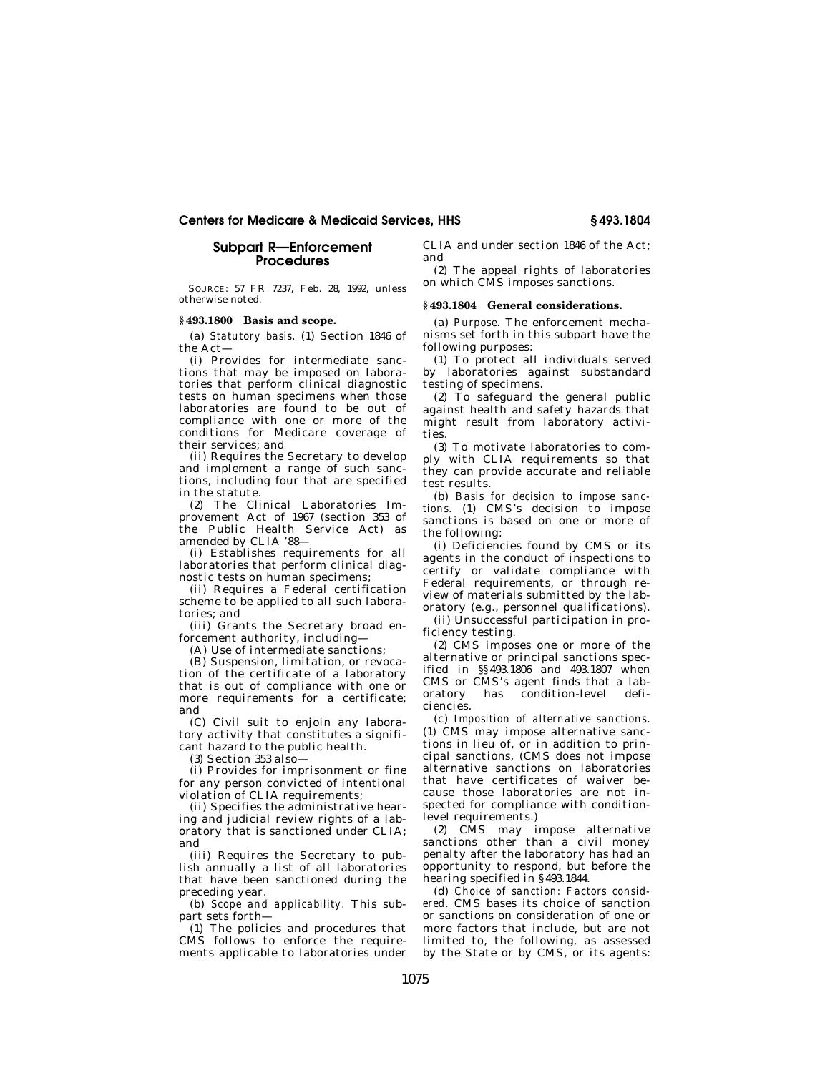# **Subpart R—Enforcement Procedures**

SOURCE: 57 FR 7237, Feb. 28, 1992, unless otherwise noted.

## **§ 493.1800 Basis and scope.**

(a) *Statutory basis.* (1) Section 1846 of the Act—

(i) Provides for intermediate sanctions that may be imposed on laboratories that perform clinical diagnostic tests on human specimens when those laboratories are found to be out of compliance with one or more of the conditions for Medicare coverage of their services; and

(ii) Requires the Secretary to develop and implement a range of such sanctions, including four that are specified in the statute.

(2) The Clinical Laboratories Improvement Act of 1967 (section 353 of the Public Health Service Act) as amended by CLIA '88—

(i) Establishes requirements for all laboratories that perform clinical diagnostic tests on human specimens;

(ii) Requires a Federal certification scheme to be applied to all such laboratories; and

(iii) Grants the Secretary broad enforcement authority, including—

(A) Use of intermediate sanctions;

(B) Suspension, limitation, or revocation of the certificate of a laboratory that is out of compliance with one or more requirements for a certificate; and

(C) Civil suit to enjoin any laboratory activity that constitutes a significant hazard to the public health.

(3) Section 353 also—

(i) Provides for imprisonment or fine for any person convicted of intentional violation of CLIA requirements;

(ii) Specifies the administrative hearing and judicial review rights of a laboratory that is sanctioned under CLIA; and

(iii) Requires the Secretary to publish annually a list of all laboratories that have been sanctioned during the preceding year.

(b) *Scope and applicability.* This subpart sets forth—

(1) The policies and procedures that CMS follows to enforce the requirements applicable to laboratories under CLIA and under section 1846 of the Act; and

(2) The appeal rights of laboratories on which CMS imposes sanctions.

## **§ 493.1804 General considerations.**

(a) *Purpose.* The enforcement mechanisms set forth in this subpart have the following purposes:

(1) To protect all individuals served by laboratories against substandard testing of specimens.

(2) To safeguard the general public against health and safety hazards that might result from laboratory activities.

(3) To motivate laboratories to comply with CLIA requirements so that they can provide accurate and reliable test results.

(b) *Basis for decision to impose sanctions.* (1) CMS's decision to impose sanctions is based on one or more of the following:

(i) Deficiencies found by CMS or its agents in the conduct of inspections to certify or validate compliance with Federal requirements, or through review of materials submitted by the laboratory (e.g., personnel qualifications).

(ii) Unsuccessful participation in proficiency testing.

(2) CMS imposes one or more of the alternative or principal sanctions specified in §§493.1806 and 493.1807 when CMS or CMS's agent finds that a laboratory has condition-level deficiencies.

(c) *Imposition of alternative sanctions*. (1) CMS may impose alternative sanctions in lieu of, or in addition to principal sanctions, (CMS does not impose alternative sanctions on laboratories that have certificates of waiver because those laboratories are not inspected for compliance with conditionlevel requirements.)

(2) CMS may impose alternative sanctions other than a civil money penalty after the laboratory has had an opportunity to respond, but before the hearing specified in §493.1844.

(d) *Choice of sanction: Factors considered*. CMS bases its choice of sanction or sanctions on consideration of one or more factors that include, but are not limited to, the following, as assessed by the State or by CMS, or its agents: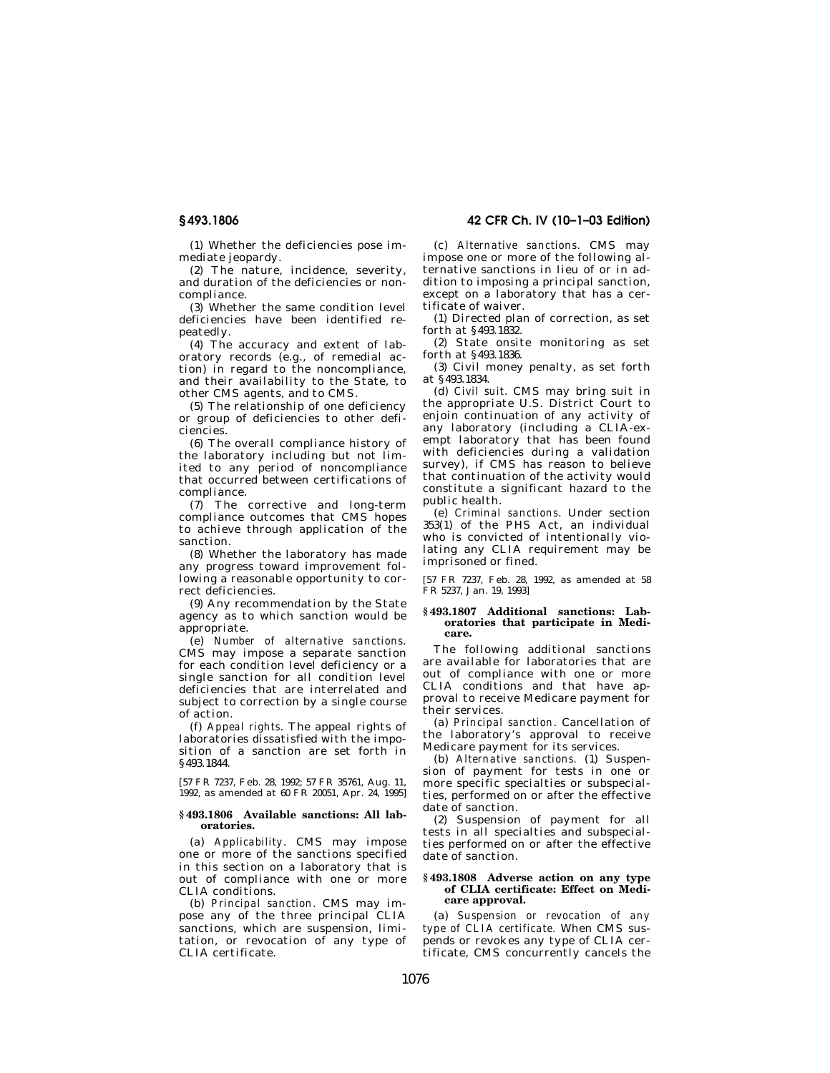(1) Whether the deficiencies pose immediate jeopardy.

(2) The nature, incidence, severity, and duration of the deficiencies or noncompliance.

(3) Whether the same condition level deficiencies have been identified repeatedly.

(4) The accuracy and extent of laboratory records (e.g., of remedial action) in regard to the noncompliance. and their availability to the State, to other CMS agents, and to CMS.

(5) The relationship of one deficiency or group of deficiencies to other deficiencies.

(6) The overall compliance history of the laboratory including but not limited to any period of noncompliance that occurred between certifications of compliance.

(7) The corrective and long-term compliance outcomes that CMS hopes to achieve through application of the sanction.

(8) Whether the laboratory has made any progress toward improvement following a reasonable opportunity to correct deficiencies.

(9) Any recommendation by the State agency as to which sanction would be appropriate.

(e) *Number of alternative sanctions*. CMS may impose a separate sanction for each condition level deficiency or a single sanction for all condition level deficiencies that are interrelated and subject to correction by a single course of action.

(f) *Appeal rights*. The appeal rights of laboratories dissatisfied with the imposition of a sanction are set forth in §493.1844.

[57 FR 7237, Feb. 28, 1992; 57 FR 35761, Aug. 11, 1992, as amended at 60 FR 20051, Apr. 24, 1995]

### **§ 493.1806 Available sanctions: All laboratories.**

(a) *Applicability*. CMS may impose one or more of the sanctions specified in this section on a laboratory that is out of compliance with one or more CLIA conditions.

(b) *Principal sanction*. CMS may impose any of the three principal CLIA sanctions, which are suspension, limitation, or revocation of any type of CLIA certificate.

# **§ 493.1806 42 CFR Ch. IV (10–1–03 Edition)**

(c) *Alternative sanctions*. CMS may impose one or more of the following alternative sanctions in lieu of or in addition to imposing a principal sanction, except on a laboratory that has a certificate of waiver.

(1) Directed plan of correction, as set forth at §493.1832.

(2) State onsite monitoring as set forth at §493.1836.

(3) Civil money penalty, as set forth at §493.1834.

(d) *Civil suit*. CMS may bring suit in the appropriate U.S. District Court to enjoin continuation of any activity of any laboratory (including a CLIA-exempt laboratory that has been found with deficiencies during a validation survey), if CMS has reason to believe that continuation of the activity would constitute a significant hazard to the public health.

(e) *Criminal sanctions*. Under section 353(1) of the PHS Act, an individual who is convicted of intentionally violating any CLIA requirement may be imprisoned or fined.

[57 FR 7237, Feb. 28, 1992, as amended at 58 FR 5237, Jan. 19, 1993]

#### **§ 493.1807 Additional sanctions: Laboratories that participate in Medicare.**

The following additional sanctions are available for laboratories that are out of compliance with one or more CLIA conditions and that have approval to receive Medicare payment for their services.

(a) *Principal sanction*. Cancellation of the laboratory's approval to receive Medicare payment for its services.

(b) *Alternative sanctions.* (1) Suspension of payment for tests in one or more specific specialties or subspecialties, performed on or after the effective date of sanction.

(2) Suspension of payment for all tests in all specialties and subspecialties performed on or after the effective date of sanction.

## **§ 493.1808 Adverse action on any type of CLIA certificate: Effect on Medicare approval.**

(a) *Suspension or revocation of any type of CLIA certificate.* When CMS suspends or revokes any type of CLIA certificate, CMS concurrently cancels the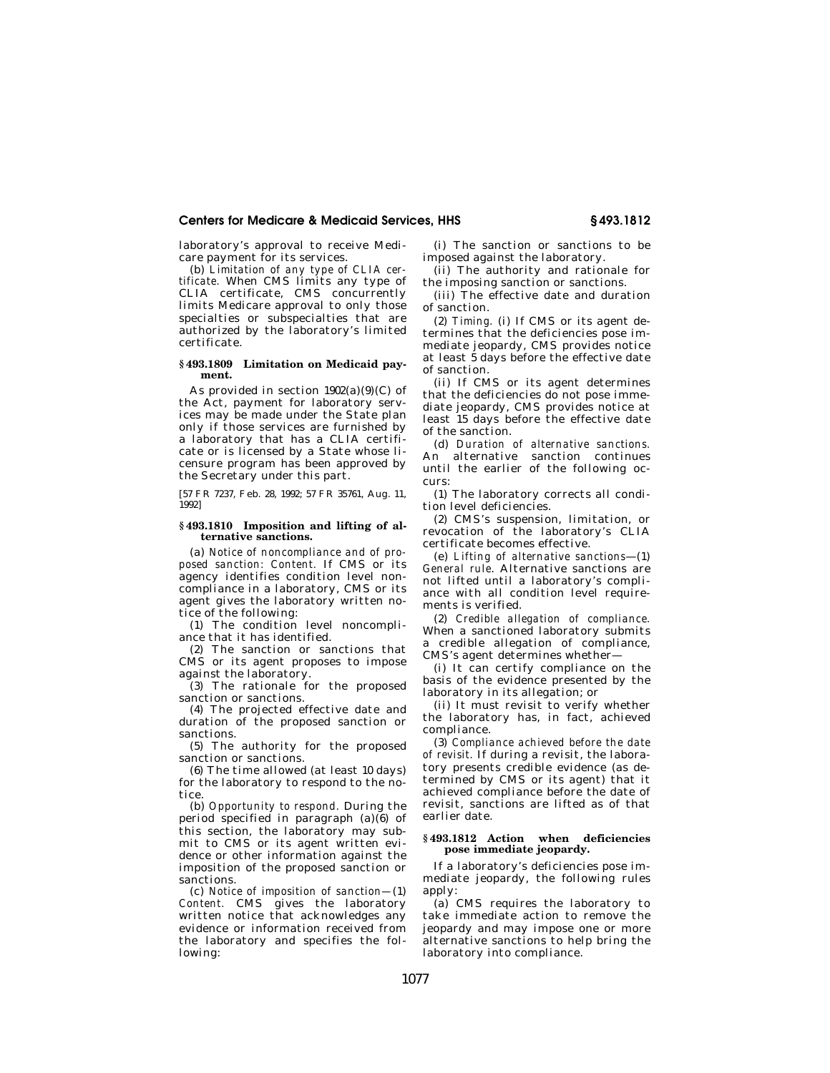laboratory's approval to receive Medicare payment for its services.

(b) *Limitation of any type of CLIA certificate.* When CMS limits any type of CLIA certificate, CMS concurrently limits Medicare approval to only those specialties or subspecialties that are authorized by the laboratory's limited certificate.

## **§ 493.1809 Limitation on Medicaid payment.**

As provided in section 1902(a)(9)(C) of the Act, payment for laboratory services may be made under the State plan only if those services are furnished by a laboratory that has a CLIA certificate or is licensed by a State whose licensure program has been approved by the Secretary under this part.

[57 FR 7237, Feb. 28, 1992; 57 FR 35761, Aug. 11, 1992]

## **§ 493.1810 Imposition and lifting of alternative sanctions.**

(a) *Notice of noncompliance and of proposed sanction: Content.* If CMS or its agency identifies condition level noncompliance in a laboratory, CMS or its agent gives the laboratory written notice of the following:

(1) The condition level noncompliance that it has identified.

(2) The sanction or sanctions that CMS or its agent proposes to impose against the laboratory.

(3) The rationale for the proposed sanction or sanctions.

(4) The projected effective date and duration of the proposed sanction or sanctions.

(5) The authority for the proposed sanction or sanctions.

(6) The time allowed (at least 10 days) for the laboratory to respond to the notice.

(b) *Opportunity to respond.* During the period specified in paragraph  $(a)(6)$  of this section, the laboratory may submit to CMS or its agent written evidence or other information against the imposition of the proposed sanction or sanctions.

(c) *Notice of imposition of sanction—*(1) *Content.* CMS gives the laboratory written notice that acknowledges any evidence or information received from the laboratory and specifies the following:

(i) The sanction or sanctions to be imposed against the laboratory.

(ii) The authority and rationale for the imposing sanction or sanctions.

(iii) The effective date and duration of sanction.

(2) *Timing.* (i) If CMS or its agent determines that the deficiencies pose immediate jeopardy, CMS provides notice at least 5 days before the effective date of sanction.

(ii) If CMS or its agent determines that the deficiencies do not pose immediate jeopardy, CMS provides notice at least 15 days before the effective date of the sanction.

(d) *Duration of alternative sanctions.* An alternative sanction continues until the earlier of the following occurs:

(1) The laboratory corrects all condition level deficiencies.

(2) CMS's suspension, limitation, or revocation of the laboratory's CLIA certificate becomes effective.

(e) *Lifting of alternative sanctions*—(1) *General rule*. Alternative sanctions are not lifted until a laboratory's compliance with all condition level requirements is verified.

(2) *Credible allegation of compliance.* When a sanctioned laboratory submits a credible allegation of compliance, CMS's agent determines whether—

(i) It can certify compliance on the basis of the evidence presented by the laboratory in its allegation; or

(ii) It must revisit to verify whether the laboratory has, in fact, achieved compliance.

(3) *Compliance achieved before the date of revisit.* If during a revisit, the laboratory presents credible evidence (as determined by CMS or its agent) that it achieved compliance before the date of revisit, sanctions are lifted as of that earlier date.

## **§ 493.1812 Action when deficiencies pose immediate jeopardy.**

If a laboratory's deficiencies pose immediate jeopardy, the following rules apply:

(a) CMS requires the laboratory to take immediate action to remove the jeopardy and may impose one or more alternative sanctions to help bring the laboratory into compliance.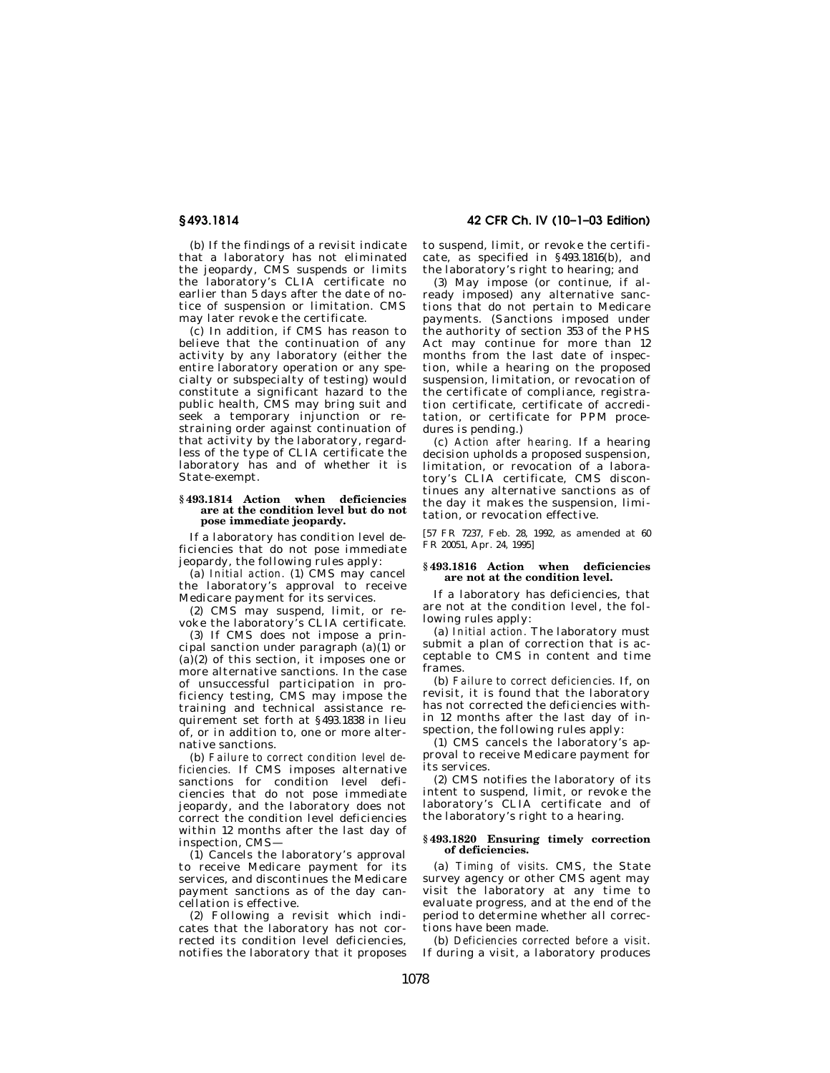(b) If the findings of a revisit indicate that a laboratory has not eliminated the jeopardy, CMS suspends or limits the laboratory's CLIA certificate no earlier than 5 days after the date of notice of suspension or limitation. CMS may later revoke the certificate.

(c) In addition, if CMS has reason to believe that the continuation of any activity by any laboratory (either the entire laboratory operation or any specialty or subspecialty of testing) would constitute a significant hazard to the public health, CMS may bring suit and seek a temporary injunction or restraining order against continuation of that activity by the laboratory, regardless of the type of CLIA certificate the laboratory has and of whether it is State-exempt.

### **§ 493.1814 Action when deficiencies are at the condition level but do not pose immediate jeopardy.**

If a laboratory has condition level deficiencies that do not pose immediate jeopardy, the following rules apply:

(a) *Initial action.* (1) CMS may cancel the laboratory's approval to receive Medicare payment for its services.

(2) CMS may suspend, limit, or revoke the laboratory's CLIA certificate.

(3) If CMS does not impose a principal sanction under paragraph  $(a)(1)$  or  $(a)(2)$  of this section, it imposes one or more alternative sanctions. In the case of unsuccessful participation in proficiency testing, CMS may impose the training and technical assistance requirement set forth at §493.1838 in lieu of, or in addition to, one or more alternative sanctions.

(b) *Failure to correct condition level deficiencies.* If CMS imposes alternative sanctions for condition level deficiencies that do not pose immediate jeopardy, and the laboratory does not correct the condition level deficiencies within 12 months after the last day of inspection, CMS—

(1) Cancels the laboratory's approval to receive Medicare payment for its services, and discontinues the Medicare payment sanctions as of the day cancellation is effective.

(2) Following a revisit which indicates that the laboratory has not corrected its condition level deficiencies, notifies the laboratory that it proposes

**§ 493.1814 42 CFR Ch. IV (10–1–03 Edition)**

to suspend, limit, or revoke the certificate, as specified in §493.1816(b), and the laboratory's right to hearing; and

(3) May impose (or continue, if already imposed) any alternative sanctions that do not pertain to Medicare payments. (Sanctions imposed under the authority of section 353 of the PHS Act may continue for more than 12 months from the last date of inspection, while a hearing on the proposed suspension, limitation, or revocation of the certificate of compliance, registration certificate, certificate of accreditation, or certificate for PPM procedures is pending.)

(c) *Action after hearing.* If a hearing decision upholds a proposed suspension, limitation, or revocation of a laboratory's CLIA certificate, CMS discontinues any alternative sanctions as of the day it makes the suspension, limitation, or revocation effective.

[57 FR 7237, Feb. 28, 1992, as amended at 60 FR 20051, Apr. 24, 1995]

## **§ 493.1816 Action when deficiencies are not at the condition level.**

If a laboratory has deficiencies, that are not at the condition level, the following rules apply:

(a) *Initial action.* The laboratory must submit a plan of correction that is acceptable to CMS in content and time frames.

(b) *Failure to correct deficiencies.* If, on revisit, it is found that the laboratory has not corrected the deficiencies within 12 months after the last day of inspection, the following rules apply:

(1) CMS cancels the laboratory's approval to receive Medicare payment for its services.

(2) CMS notifies the laboratory of its intent to suspend, limit, or revoke the laboratory's CLIA certificate and of the laboratory's right to a hearing.

## **§ 493.1820 Ensuring timely correction of deficiencies.**

(a) *Timing of visits*. CMS, the State survey agency or other CMS agent may visit the laboratory at any time to evaluate progress, and at the end of the period to determine whether all corrections have been made.

(b) *Deficiencies corrected before a visit*. If during a visit, a laboratory produces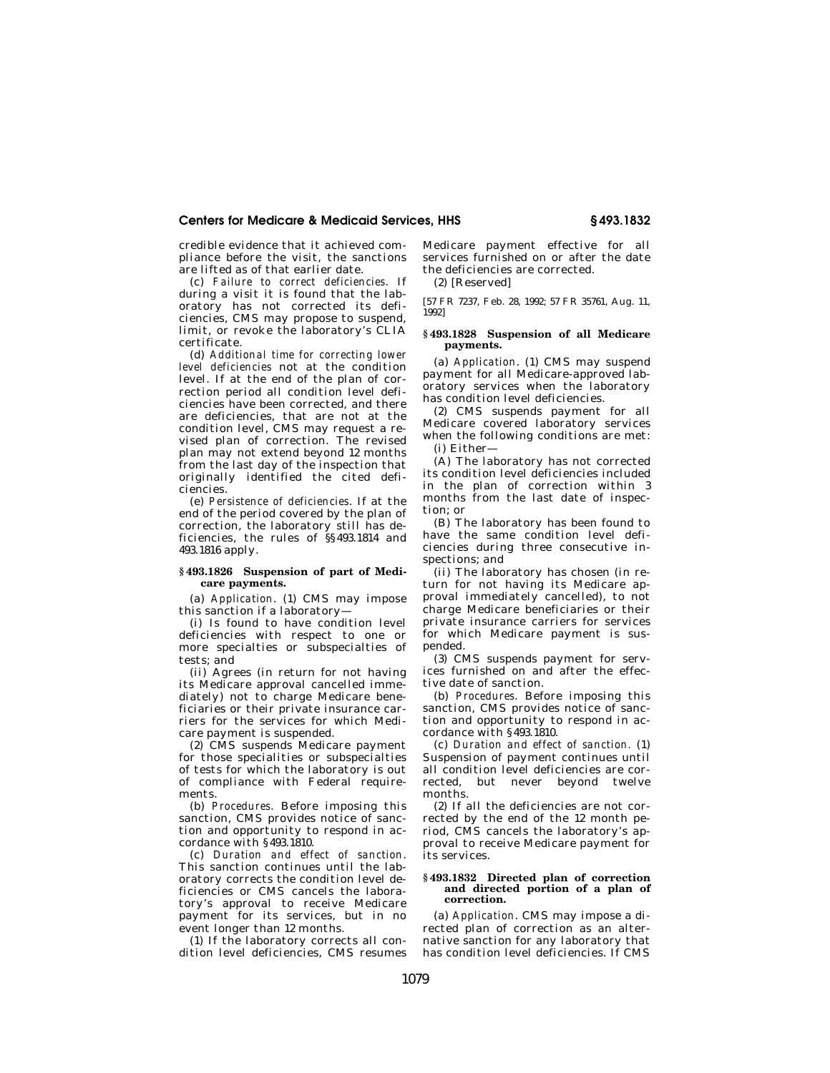credible evidence that it achieved compliance before the visit, the sanctions are lifted as of that earlier date.

(c) *Failure to correct deficiencies*. If during a visit it is found that the laboratory has not corrected its deficiencies, CMS may propose to suspend, limit, or revoke the laboratory's CLIA certificate.

(d) *Additional time for correcting lower level deficiencies* not at the condition level. If at the end of the plan of correction period all condition level deficiencies have been corrected, and there are deficiencies, that are not at the condition level, CMS may request a revised plan of correction. The revised plan may not extend beyond 12 months from the last day of the inspection that originally identified the cited deficiencies.

(e) *Persistence of deficiencies*. If at the end of the period covered by the plan of correction, the laboratory still has deficiencies, the rules of §§493.1814 and 493.1816 apply.

# **§ 493.1826 Suspension of part of Medicare payments.**

(a) *Application*. (1) CMS may impose this sanction if a laboratory—

(i) Is found to have condition level deficiencies with respect to one or more specialties or subspecialties of tests; and

(ii) Agrees (in return for not having its Medicare approval cancelled immediately) not to charge Medicare beneficiaries or their private insurance carriers for the services for which Medicare payment is suspended.

(2) CMS suspends Medicare payment for those specialities or subspecialties of tests for which the laboratory is out of compliance with Federal requirements.

(b) *Procedures*. Before imposing this sanction, CMS provides notice of sanction and opportunity to respond in accordance with §493.1810.

(c) *Duration and effect of sanction*. This sanction continues until the laboratory corrects the condition level deficiencies or CMS cancels the laboratory's approval to receive Medicare payment for its services, but in no event longer than 12 months.

(1) If the laboratory corrects all condition level deficiencies, CMS resumes Medicare payment effective for all services furnished on or after the date the deficiencies are corrected.

(2) [Reserved]

[57 FR 7237, Feb. 28, 1992; 57 FR 35761, Aug. 11, 1992]

## **§ 493.1828 Suspension of all Medicare payments.**

(a) *Application*. (1) CMS may suspend payment for all Medicare-approved laboratory services when the laboratory has condition level deficiencies.

(2) CMS suspends payment for all Medicare covered laboratory services when the following conditions are met: (i) Either—

(A) The laboratory has not corrected its condition level deficiencies included in the plan of correction within 3 months from the last date of inspection; or

(B) The laboratory has been found to have the same condition level deficiencies during three consecutive inspections; and

(ii) The laboratory has chosen (in return for not having its Medicare approval immediately cancelled), to not charge Medicare beneficiaries or their private insurance carriers for services for which Medicare payment is suspended.

(3) CMS suspends payment for services furnished on and after the effective date of sanction.

(b) *Procedures*. Before imposing this sanction, CMS provides notice of sanction and opportunity to respond in accordance with §493.1810.

(c) *Duration and effect of sanction.* (1) Suspension of payment continues until all condition level deficiencies are corrected, but never beyond twelve months.

(2) If all the deficiencies are not corrected by the end of the 12 month period, CMS cancels the laboratory's approval to receive Medicare payment for its services.

## **§ 493.1832 Directed plan of correction and directed portion of a plan of correction.**

(a) *Application*. CMS may impose a directed plan of correction as an alternative sanction for any laboratory that has condition level deficiencies. If CMS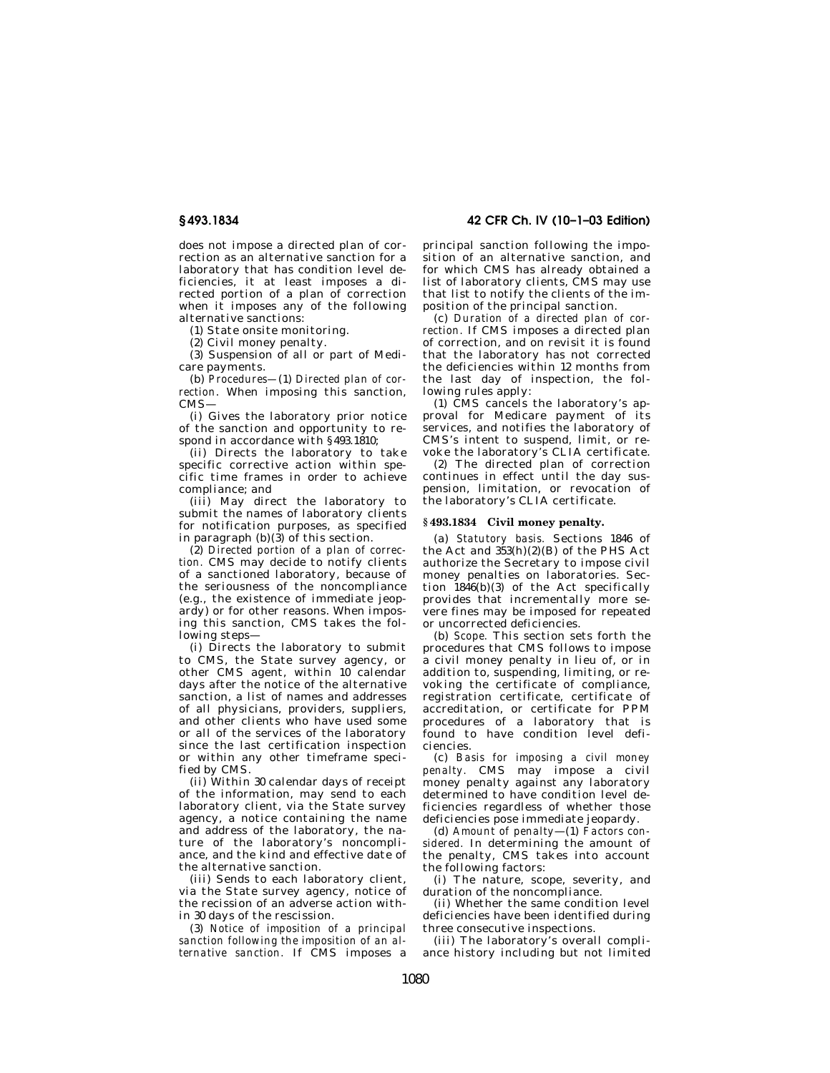does not impose a directed plan of correction as an alternative sanction for a laboratory that has condition level deficiencies, it at least imposes a directed portion of a plan of correction when it imposes any of the following alternative sanctions:

(1) State onsite monitoring.

(2) Civil money penalty.

(3) Suspension of all or part of Medicare payments.

(b) *Procedures—*(1) *Directed plan of correction*. When imposing this sanction, CMS—

(i) Gives the laboratory prior notice of the sanction and opportunity to respond in accordance with §493.1810;

(ii) Directs the laboratory to take specific corrective action within specific time frames in order to achieve compliance; and

(iii) May direct the laboratory to submit the names of laboratory clients for notification purposes, as specified in paragraph  $(b)(3)$  of this section.

(2) *Directed portion of a plan of correction.* CMS may decide to notify clients of a sanctioned laboratory, because of the seriousness of the noncompliance (e.g., the existence of immediate jeopardy) or for other reasons. When imposing this sanction, CMS takes the following steps-

(i) Directs the laboratory to submit to CMS, the State survey agency, or other CMS agent, within 10 calendar days after the notice of the alternative sanction, a list of names and addresses of all physicians, providers, suppliers, and other clients who have used some or all of the services of the laboratory since the last certification inspection or within any other timeframe specified by CMS.

(ii) Within 30 calendar days of receipt of the information, may send to each laboratory client, via the State survey agency, a notice containing the name and address of the laboratory, the nature of the laboratory's noncompliance, and the kind and effective date of the alternative sanction.

(iii) Sends to each laboratory client, via the State survey agency, notice of the recission of an adverse action within 30 days of the rescission.

(3) *Notice of imposition of a principal sanction following the imposition of an alternative sanction.* If CMS imposes a

**§ 493.1834 42 CFR Ch. IV (10–1–03 Edition)**

principal sanction following the imposition of an alternative sanction, and for which CMS has already obtained a list of laboratory clients, CMS may use that list to notify the clients of the imposition of the principal sanction.

(c) *Duration of a directed plan of correction.* If CMS imposes a directed plan of correction, and on revisit it is found that the laboratory has not corrected the deficiencies within 12 months from the last day of inspection, the following rules apply:

(1) CMS cancels the laboratory's approval for Medicare payment of its services, and notifies the laboratory of CMS's intent to suspend, limit, or revoke the laboratory's CLIA certificate.

(2) The directed plan of correction continues in effect until the day suspension, limitation, or revocation of the laboratory's CLIA certificate.

# **§ 493.1834 Civil money penalty.**

(a) *Statutory basis.* Sections 1846 of the Act and  $353(h)(2)(B)$  of the PHS Act authorize the Secretary to impose civil money penalties on laboratories. Section 1846(b)(3) of the Act specifically provides that incrementally more severe fines may be imposed for repeated or uncorrected deficiencies.

(b) *Scope.* This section sets forth the procedures that CMS follows to impose a civil money penalty in lieu of, or in addition to, suspending, limiting, or revoking the certificate of compliance, registration certificate, certificate of accreditation, or certificate for PPM procedures of a laboratory that is found to have condition level deficiencies.

(c) *Basis for imposing a civil money penalty.* CMS may impose a civil money penalty against any laboratory determined to have condition level deficiencies regardless of whether those deficiencies pose immediate jeopardy.

(d) *Amount of penalty*—(1) *Factors considered.* In determining the amount of the penalty, CMS takes into account the following factors:

(i) The nature, scope, severity, and duration of the noncompliance

(ii) Whether the same condition level deficiencies have been identified during three consecutive inspections.

(iii) The laboratory's overall compliance history including but not limited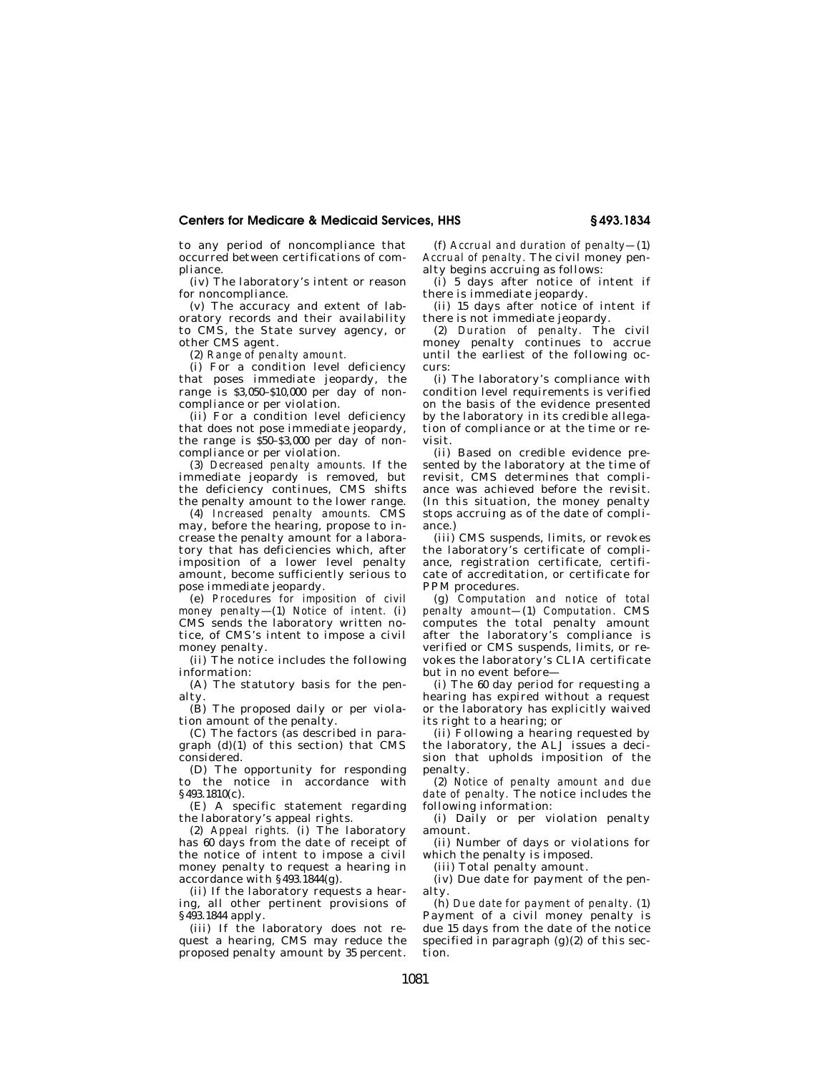to any period of noncompliance that occurred between certifications of compliance.

(iv) The laboratory's intent or reason for noncompliance.

(v) The accuracy and extent of laboratory records and their availability to CMS, the State survey agency, or other CMS agent.

(2) *Range of penalty amount.*

(i) For a condition level deficiency that poses immediate jeopardy, the range is \$3,050–\$10,000 per day of noncompliance or per violation.

(ii) For a condition level deficiency that does not pose immediate jeopardy, the range is  $$50-$3,000$  per day of noncompliance or per violation.

(3) *Decreased penalty amounts.* If the immediate jeopardy is removed, but the deficiency continues, CMS shifts the penalty amount to the lower range.

(4) *Increased penalty amounts.* CMS may, before the hearing, propose to increase the penalty amount for a laboratory that has deficiencies which, after imposition of a lower level penalty amount, become sufficiently serious to pose immediate jeopardy.

(e) *Procedures for imposition of civil money penalty*—(1) *Notice of intent.* (i) CMS sends the laboratory written notice, of CMS's intent to impose a civil money penalty.

(ii) The notice includes the following information:

(A) The statutory basis for the penalty.

 $(B)$  The proposed daily or per violation amount of the penalty.

(C) The factors (as described in paragraph (d)(1) of this section) that CMS considered.

(D) The opportunity for responding to the notice in accordance with §493.1810(c).

(E) A specific statement regarding the laboratory's appeal rights.

(2) *Appeal rights.* (i) The laboratory has 60 days from the date of receipt of the notice of intent to impose a civil money penalty to request a hearing in accordance with §493.1844(g).

(ii) If the laboratory requests a hearing, all other pertinent provisions of §493.1844 apply.

(iii) If the laboratory does not request a hearing, CMS may reduce the proposed penalty amount by 35 percent.

(f) *Accrual and duration of penalty—*(1) *Accrual of penalty.* The civil money penalty begins accruing as follows:

(i) 5 days after notice of intent if there is immediate jeopardy.

(ii) 15 days after notice of intent if there is not immediate jeopardy.

(2) *Duration of penalty.* The civil money penalty continues to accrue until the earliest of the following occurs:

(i) The laboratory's compliance with condition level requirements is verified on the basis of the evidence presented by the laboratory in its credible allegation of compliance or at the time or revisit.

(ii) Based on credible evidence presented by the laboratory at the time of revisit, CMS determines that compliance was achieved before the revisit. (In this situation, the money penalty stops accruing as of the date of compliance.)

(iii) CMS suspends, limits, or revokes the laboratory's certificate of compliance, registration certificate, certificate of accreditation, or certificate for PPM procedures.

(g) *Computation and notice of total penalty amount—*(1) *Computation.* CMS computes the total penalty amount after the laboratory's compliance is verified or CMS suspends, limits, or revokes the laboratory's CLIA certificate but in no event before-

(i) The 60 day period for requesting a hearing has expired without a request or the laboratory has explicitly waived its right to a hearing; or

(ii) Following a hearing requested by the laboratory, the ALJ issues a decision that upholds imposition of the penalty.

(2) *Notice of penalty amount and due date of penalty.* The notice includes the following information:

(i) Daily or per violation penalty amount.

(ii) Number of days or violations for which the penalty is imposed.

(iii) Total penalty amount.

(iv) Due date for payment of the penalty.

(h) *Due date for payment of penalty.* (1) Payment of a civil money penalty is due 15 days from the date of the notice specified in paragraph  $(g)(2)$  of this section.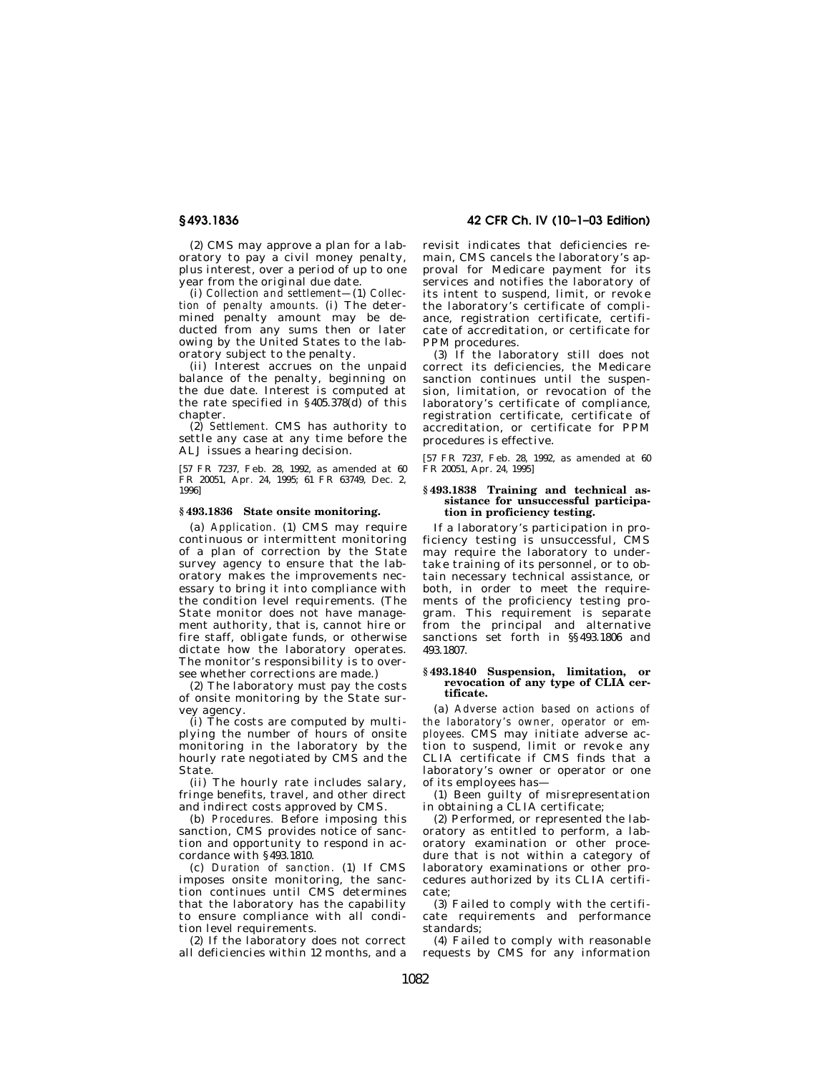(2) CMS may approve a plan for a laboratory to pay a civil money penalty, plus interest, over a period of up to one year from the original due date.

(i) *Collection and settlement—*(1) *Collection of penalty amounts.* (i) The determined penalty amount may be deducted from any sums then or later owing by the United States to the laboratory subject to the penalty.

(ii) Interest accrues on the unpaid balance of the penalty, beginning on the due date. Interest is computed at the rate specified in §405.378(d) of this chapter.

(2) *Settlement.* CMS has authority to settle any case at any time before the ALJ issues a hearing decision.

[57 FR 7237, Feb. 28, 1992, as amended at 60 FR 20051, Apr. 24, 1995; 61 FR 63749, Dec. 2, 1996]

# **§ 493.1836 State onsite monitoring.**

(a) *Application.* (1) CMS may require continuous or intermittent monitoring of a plan of correction by the State survey agency to ensure that the laboratory makes the improvements necessary to bring it into compliance with the condition level requirements. (The State monitor does not have management authority, that is, cannot hire or fire staff, obligate funds, or otherwise dictate how the laboratory operates. The monitor's responsibility is to oversee whether corrections are made.)

(2) The laboratory must pay the costs of onsite monitoring by the State survey agency.

(i) The costs are computed by multiplying the number of hours of onsite monitoring in the laboratory by the hourly rate negotiated by CMS and the State.

(ii) The hourly rate includes salary, fringe benefits, travel, and other direct and indirect costs approved by CMS.

(b) *Procedures.* Before imposing this sanction, CMS provides notice of sanction and opportunity to respond in accordance with §493.1810.

(c) *Duration of sanction.* (1) If CMS imposes onsite monitoring, the sanction continues until CMS determines that the laboratory has the capability to ensure compliance with all condition level requirements.

(2) If the laboratory does not correct all deficiencies within 12 months, and a

# **§ 493.1836 42 CFR Ch. IV (10–1–03 Edition)**

revisit indicates that deficiencies remain, CMS cancels the laboratory's approval for Medicare payment for its services and notifies the laboratory of its intent to suspend, limit, or revoke the laboratory's certificate of compliance, registration certificate, certificate of accreditation, or certificate for PPM procedures.

(3) If the laboratory still does not correct its deficiencies, the Medicare sanction continues until the suspension, limitation, or revocation of the laboratory's certificate of compliance, registration certificate, certificate of accreditation, or certificate for PPM procedures is effective.

[57 FR 7237, Feb. 28, 1992, as amended at 60 FR 20051, Apr. 24, 1995]

## **§ 493.1838 Training and technical assistance for unsuccessful participation in proficiency testing.**

If a laboratory's participation in proficiency testing is unsuccessful, CMS may require the laboratory to undertake training of its personnel, or to obtain necessary technical assistance, or both, in order to meet the requirements of the proficiency testing program. This requirement is separate from the principal and alternative sanctions set forth in §§493.1806 and 493.1807.

## **§ 493.1840 Suspension, limitation, or revocation of any type of CLIA certificate.**

(a) *Adverse action based on actions of the laboratory's owner, operator or employees.* CMS may initiate adverse action to suspend, limit or revoke any CLIA certificate if CMS finds that a laboratory's owner or operator or one of its employees has—

(1) Been guilty of misrepresentation in obtaining a CLIA certificate;

(2) Performed, or represented the laboratory as entitled to perform, a laboratory examination or other procedure that is not within a category of laboratory examinations or other procedures authorized by its CLIA certificate;

(3) Failed to comply with the certificate requirements and performance standards;

(4) Failed to comply with reasonable requests by CMS for any information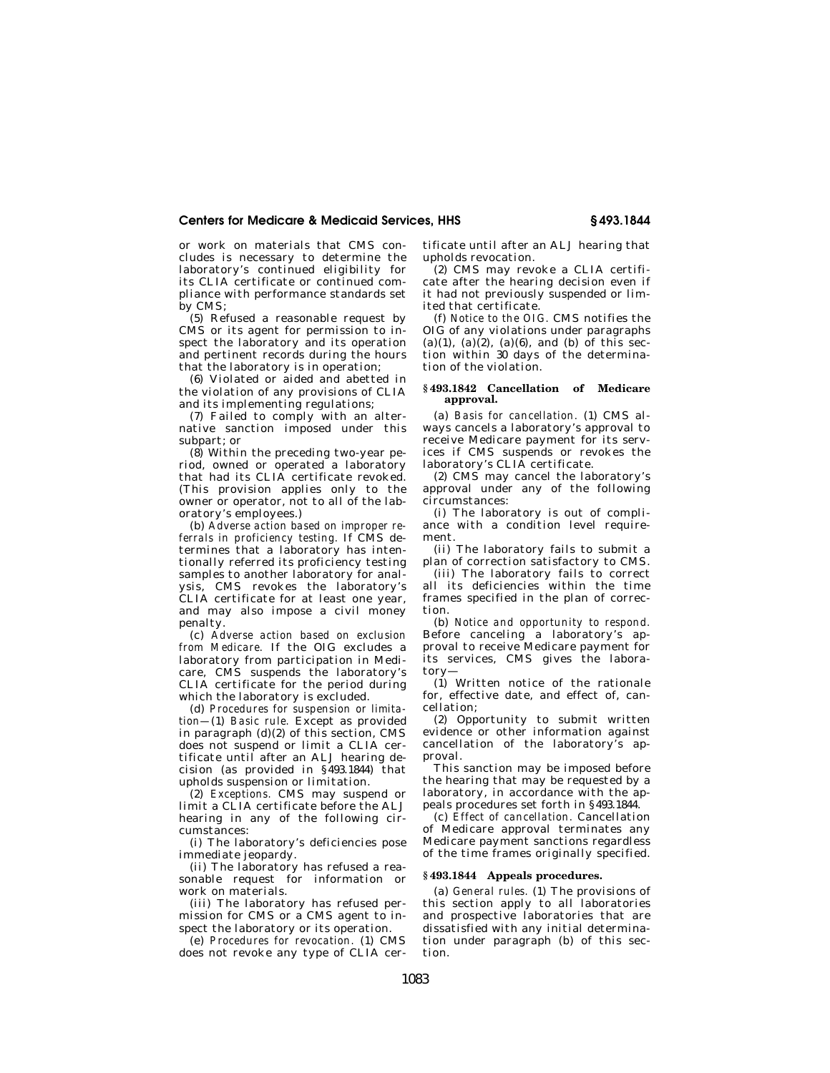or work on materials that CMS concludes is necessary to determine the laboratory's continued eligibility for its CLIA certificate or continued compliance with performance standards set by CMS;

(5) Refused a reasonable request by CMS or its agent for permission to inspect the laboratory and its operation and pertinent records during the hours that the laboratory is in operation;

(6) Violated or aided and abetted in the violation of any provisions of CLIA and its implementing regulations;

(7) Failed to comply with an alternative sanction imposed under this subpart; or

(8) Within the preceding two-year period, owned or operated a laboratory that had its CLIA certificate revoked. (This provision applies only to the owner or operator, not to all of the laboratory's employees.)

(b) *Adverse action based on improper referrals in proficiency testing.* If CMS determines that a laboratory has intentionally referred its proficiency testing samples to another laboratory for analysis, CMS revokes the laboratory's CLIA certificate for at least one year, and may also impose a civil money penalty.

(c) *Adverse action based on exclusion from Medicare.* If the OIG excludes a laboratory from participation in Medicare, CMS suspends the laboratory's CLIA certificate for the period during which the laboratory is excluded.

(d) *Procedures for suspension or limitation—*(1) *Basic rule.* Except as provided in paragraph (d)(2) of this section, CMS does not suspend or limit a CLIA certificate until after an ALJ hearing decision (as provided in §493.1844) that upholds suspension or limitation.

(2) *Exceptions.* CMS may suspend or limit a CLIA certificate before the ALJ hearing in any of the following circumstances:

(i) The laboratory's deficiencies pose immediate jeopardy.

(ii) The laboratory has refused a reasonable request for information or work on materials.

(iii) The laboratory has refused permission for CMS or a CMS agent to inspect the laboratory or its operation.

(e) *Procedures for revocation.* (1) CMS does not revoke any type of CLIA certificate until after an ALJ hearing that upholds revocation.

(2) CMS may revoke a CLIA certificate after the hearing decision even if it had not previously suspended or limited that certificate.

(f) *Notice to the OIG.* CMS notifies the OIG of any violations under paragraphs (a)(1), (a)(2), (a)(6), and (b) of this section within 30 days of the determination of the violation.

## **§ 493.1842 Cancellation of Medicare approval.**

(a) *Basis for cancellation.* (1) CMS always cancels a laboratory's approval to receive Medicare payment for its services if CMS suspends or revokes the laboratory's CLIA certificate.

(2) CMS may cancel the laboratory's approval under any of the following circumstances:

(i) The laboratory is out of compliance with a condition level requirement.

(ii) The laboratory fails to submit a plan of correction satisfactory to CMS.

(iii) The laboratory fails to correct all its deficiencies within the time frames specified in the plan of correction.

(b) *Notice and opportunity to respond.* Before canceling a laboratory's approval to receive Medicare payment for its services, CMS gives the laboratory—

(1) Written notice of the rationale for, effective date, and effect of, cancellation;

(2) Opportunity to submit written evidence or other information against cancellation of the laboratory's approval.

This sanction may be imposed before the hearing that may be requested by a laboratory, in accordance with the appeals procedures set forth in §493.1844.

(c) *Effect of cancellation.* Cancellation of Medicare approval terminates any Medicare payment sanctions regardless of the time frames originally specified.

## **§ 493.1844 Appeals procedures.**

(a) *General rules.* (1) The provisions of this section apply to all laboratories and prospective laboratories that are dissatisfied with any initial determination under paragraph (b) of this section.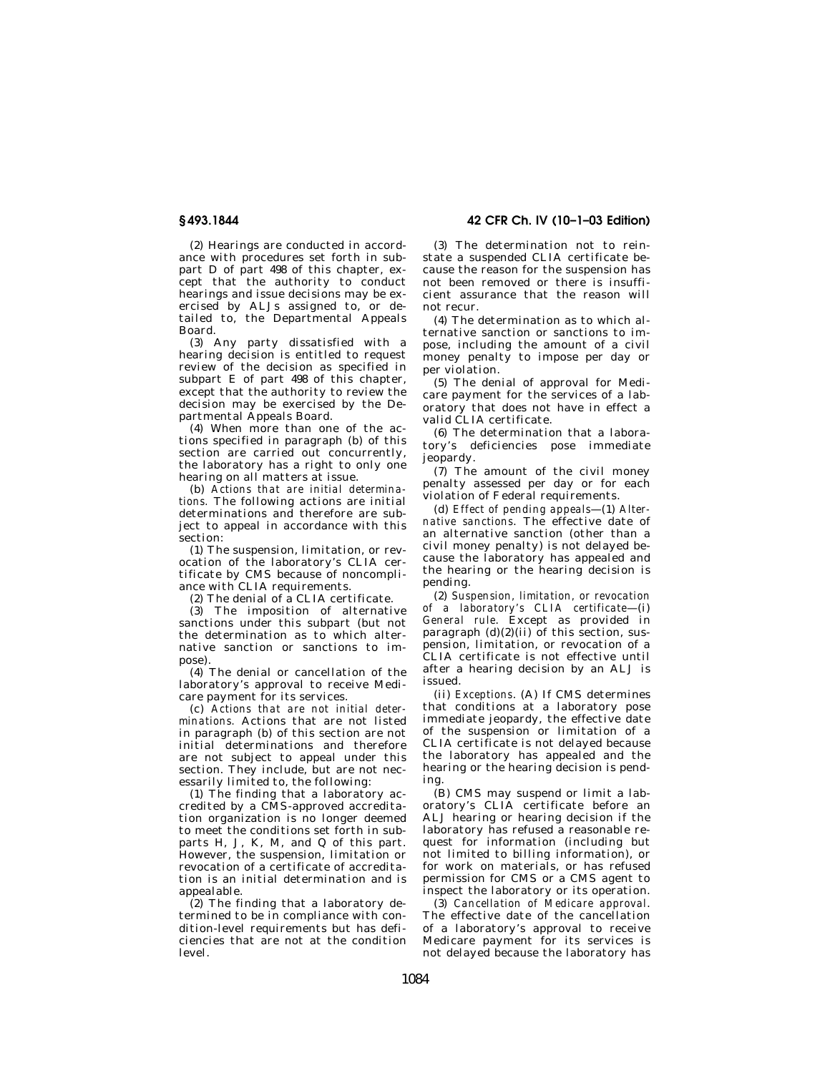(2) Hearings are conducted in accordance with procedures set forth in subpart D of part 498 of this chapter, except that the authority to conduct hearings and issue decisions may be exercised by ALJs assigned to, or detailed to, the Departmental Appeals Board.

(3) Any party dissatisfied with a hearing decision is entitled to request review of the decision as specified in subpart E of part 498 of this chapter, except that the authority to review the decision may be exercised by the Departmental Appeals Board.

(4) When more than one of the actions specified in paragraph (b) of this section are carried out concurrently, the laboratory has a right to only one hearing on all matters at issue.

(b) *Actions that are initial determinations.* The following actions are initial determinations and therefore are subject to appeal in accordance with this section:

(1) The suspension, limitation, or revocation of the laboratory's CLIA certificate by CMS because of noncompliance with CLIA requirements.

(2) The denial of a CLIA certificate.

(3) The imposition of alternative sanctions under this subpart (but not the determination as to which alternative sanction or sanctions to impose).

(4) The denial or cancellation of the laboratory's approval to receive Medicare payment for its services.

(c) *Actions that are not initial determinations.* Actions that are not listed in paragraph (b) of this section are not initial determinations and therefore are not subject to appeal under this section. They include, but are not necessarily limited to, the following:

(1) The finding that a laboratory accredited by a CMS-approved accreditation organization is no longer deemed to meet the conditions set forth in subparts H, J, K, M, and Q of this part. However, the suspension, limitation or revocation of a certificate of accreditation is an initial determination and is appealable.

(2) The finding that a laboratory determined to be in compliance with condition-level requirements but has deficiencies that are not at the condition level.

**§ 493.1844 42 CFR Ch. IV (10–1–03 Edition)**

(3) The determination not to reinstate a suspended CLIA certificate because the reason for the suspension has not been removed or there is insufficient assurance that the reason will not recur.

(4) The determination as to which alternative sanction or sanctions to impose, including the amount of a civil money penalty to impose per day or per violation.

(5) The denial of approval for Medicare payment for the services of a laboratory that does not have in effect a valid CLIA certificate.

(6) The determination that a laboratory's deficiencies pose immediate jeopardy.

(7) The amount of the civil money penalty assessed per day or for each violation of Federal requirements.

(d) *Effect of pending appeals*—(1) *Alternative sanctions*. The effective date of an alternative sanction (other than a civil money penalty) is not delayed because the laboratory has appealed and the hearing or the hearing decision is pending.

(2) *Suspension, limitation, or revocation of a laboratory's CLIA certificate*—(i) *General rule*. Except as provided in paragraph  $(d)(2)(ii)$  of this section, suspension, limitation, or revocation of a CLIA certificate is not effective until after a hearing decision by an ALJ is issued.

(ii) *Exceptions*. (A) If CMS determines that conditions at a laboratory pose immediate jeopardy, the effective date of the suspension or limitation of a CLIA certificate is not delayed because the laboratory has appealed and the hearing or the hearing decision is pending.

(B) CMS may suspend or limit a laboratory's CLIA certificate before an ALJ hearing or hearing decision if the laboratory has refused a reasonable request for information (including but not limited to billing information), or for work on materials, or has refused permission for CMS or a CMS agent to inspect the laboratory or its operation.

(3) *Cancellation of Medicare approval*. The effective date of the cancellation of a laboratory's approval to receive Medicare payment for its services is not delayed because the laboratory has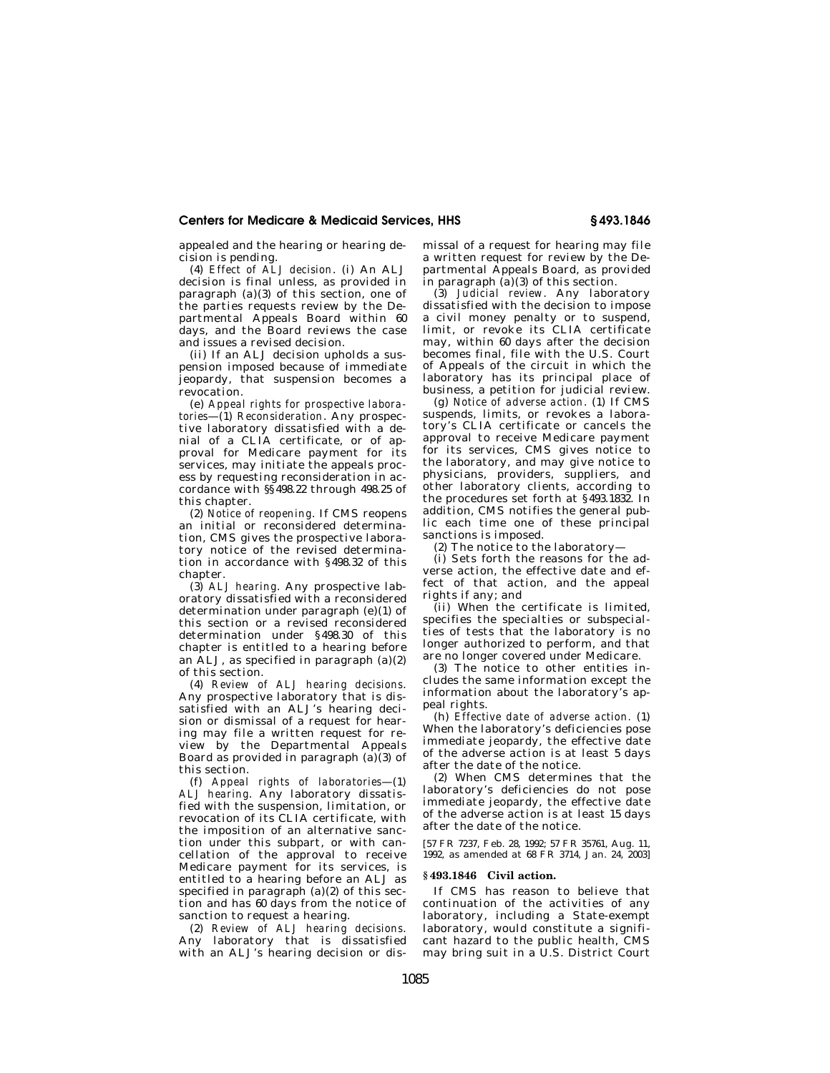appealed and the hearing or hearing decision is pending.

(4) *Effect of ALJ decision*. (i) An ALJ decision is final unless, as provided in paragraph (a)(3) of this section, one of the parties requests review by the Departmental Appeals Board within 60 days, and the Board reviews the case and issues a revised decision.

(ii) If an ALJ decision upholds a suspension imposed because of immediate jeopardy, that suspension becomes a revocation.

(e) *Appeal rights for prospective laboratories*—(1) *Reconsideration*. Any prospective laboratory dissatisfied with a denial of a CLIA certificate, or of approval for Medicare payment for its services, may initiate the appeals process by requesting reconsideration in accordance with §§498.22 through 498.25 of this chapter.

(2) *Notice of reopening*. If CMS reopens an initial or reconsidered determination, CMS gives the prospective laboratory notice of the revised determination in accordance with §498.32 of this chapter.

(3) *ALJ hearing*. Any prospective laboratory dissatisfied with a reconsidered determination under paragraph (e)(1) of this section or a revised reconsidered determination under §498.30 of this chapter is entitled to a hearing before an ALJ, as specified in paragraph (a)(2) of this section.

(4) *Review of ALJ hearing decisions*. Any prospective laboratory that is dissatisfied with an ALJ's hearing decision or dismissal of a request for hearing may file a written request for review by the Departmental Appeals Board as provided in paragraph  $(a)(3)$  of this section.

(f) *Appeal rights of laboratories*—(1) *ALJ hearing*. Any laboratory dissatisfied with the suspension, limitation, or revocation of its CLIA certificate, with the imposition of an alternative sanction under this subpart, or with cancellation of the approval to receive Medicare payment for its services, is entitled to a hearing before an ALJ as specified in paragraph  $(a)(2)$  of this section and has 60 days from the notice of sanction to request a hearing.

(2) *Review of ALJ hearing decisions*. Any laboratory that is dissatisfied with an ALJ's hearing decision or dismissal of a request for hearing may file a written request for review by the Departmental Appeals Board, as provided in paragraph  $(a)(3)$  of this section.

(3) *Judicial review*. Any laboratory dissatisfied with the decision to impose a civil money penalty or to suspend, limit, or revoke its CLIA certificate may, within 60 days after the decision becomes final, file with the U.S. Court of Appeals of the circuit in which the laboratory has its principal place of business, a petition for judicial review.

(g) *Notice of adverse action*. (1) If CMS suspends, limits, or revokes a laboratory's CLIA certificate or cancels the approval to receive Medicare payment for its services, CMS gives notice to the laboratory, and may give notice to physicians, providers, suppliers, and other laboratory clients, according to the procedures set forth at §493.1832. In addition, CMS notifies the general public each time one of these principal sanctions is imposed.

(2) The notice to the laboratory—

(i) Sets forth the reasons for the adverse action, the effective date and effect of that action, and the appeal rights if any; and

(ii) When the certificate is limited, specifies the specialties or subspecialties of tests that the laboratory is no longer authorized to perform, and that are no longer covered under Medicare.

(3) The notice to other entities includes the same information except the information about the laboratory's appeal rights.

(h) *Effective date of adverse action.* (1) When the laboratory's deficiencies pose immediate jeopardy, the effective date of the adverse action is at least 5 days after the date of the notice.

(2) When CMS determines that the laboratory's deficiencies do not pose immediate jeopardy, the effective date of the adverse action is at least 15 days after the date of the notice.

[57 FR 7237, Feb. 28, 1992; 57 FR 35761, Aug. 11, 1992, as amended at 68 FR 3714, Jan. 24, 2003]

## **§ 493.1846 Civil action.**

If CMS has reason to believe that continuation of the activities of any laboratory, including a State-exempt laboratory, would constitute a significant hazard to the public health, CMS may bring suit in a U.S. District Court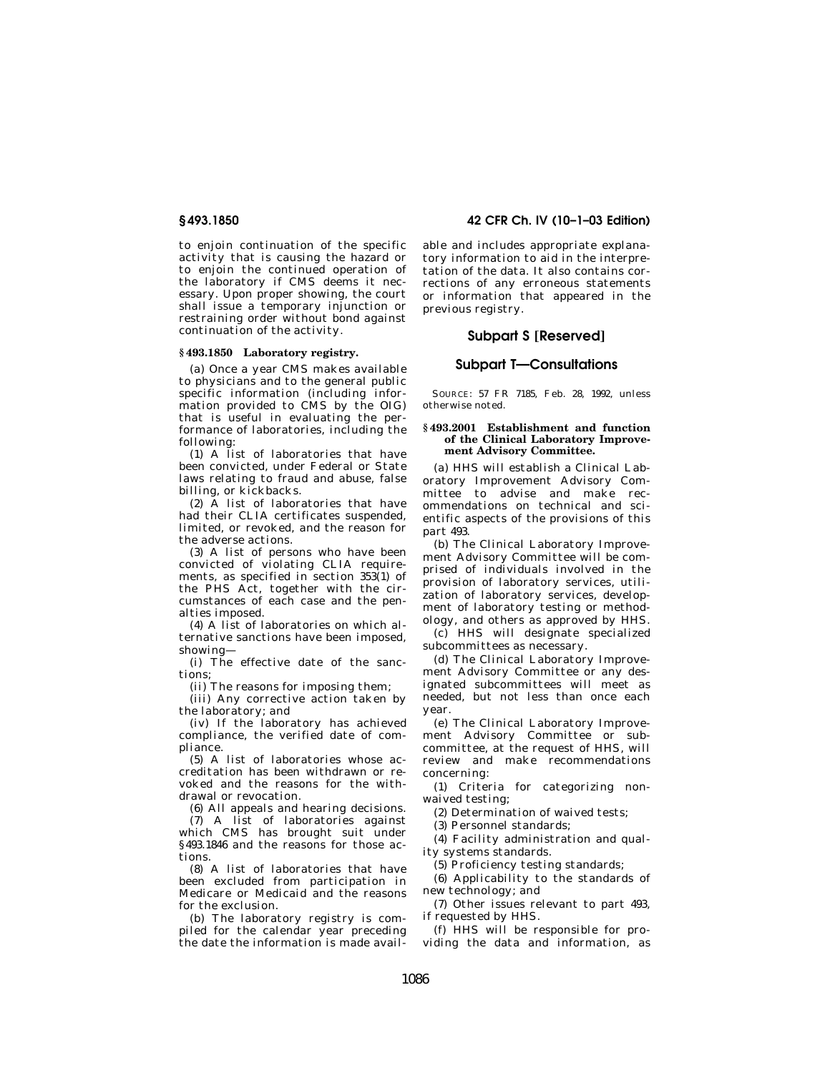to enjoin continuation of the specific activity that is causing the hazard or to enjoin the continued operation of the laboratory if CMS deems it necessary. Upon proper showing, the court shall issue a temporary injunction or restraining order without bond against continuation of the activity.

## **§ 493.1850 Laboratory registry.**

(a) Once a year CMS makes available to physicians and to the general public specific information (including information provided to CMS by the OIG) that is useful in evaluating the performance of laboratories, including the following:

(1) A list of laboratories that have been convicted, under Federal or State laws relating to fraud and abuse, false billing, or kickbacks.

(2) A list of laboratories that have had their CLIA certificates suspended, limited, or revoked, and the reason for the adverse actions.

(3) A list of persons who have been convicted of violating CLIA requirements, as specified in section  $353(1)$  of the PHS Act, together with the circumstances of each case and the penalties imposed.

(4) A list of laboratories on which alternative sanctions have been imposed, showing—

(i) The effective date of the sanctions;

(ii) The reasons for imposing them;

(iii) Any corrective action taken by the laboratory; and

(iv) If the laboratory has achieved compliance, the verified date of compliance.

(5) A list of laboratories whose accreditation has been withdrawn or revoked and the reasons for the withdrawal or revocation.

(6) All appeals and hearing decisions.

(7) A list of laboratories against which CMS has brought suit under §493.1846 and the reasons for those actions.

(8) A list of laboratories that have been excluded from participation in Medicare or Medicaid and the reasons for the exclusion.

(b) The laboratory registry is compiled for the calendar year preceding the date the information is made avail-

**§ 493.1850 42 CFR Ch. IV (10–1–03 Edition)**

able and includes appropriate explanatory information to aid in the interpretation of the data. It also contains corrections of any erroneous statements or information that appeared in the previous registry.

# **Subpart S [Reserved]**

# **Subpart T—Consultations**

SOURCE: 57 FR 7185, Feb. 28, 1992, unless otherwise noted.

## **§ 493.2001 Establishment and function of the Clinical Laboratory Improvement Advisory Committee.**

(a) HHS will establish a Clinical Laboratory Improvement Advisory Committee to advise and make recommendations on technical and scientific aspects of the provisions of this part 493.

(b) The Clinical Laboratory Improvement Advisory Committee will be comprised of individuals involved in the provision of laboratory services, utilization of laboratory services, development of laboratory testing or methodology, and others as approved by HHS.

(c) HHS will designate specialized subcommittees as necessary.

(d) The Clinical Laboratory Improvement Advisory Committee or any designated subcommittees will meet as needed, but not less than once each year.

(e) The Clinical Laboratory Improvement Advisory Committee or subcommittee, at the request of HHS, will review and make recommendations concerning:

(1) Criteria for categorizing nonwaived testing;

(2) Determination of waived tests;

(3) Personnel standards;

(4) Facility administration and quality systems standards.

(5) Proficiency testing standards;

(6) Applicability to the standards of new technology; and

(7) Other issues relevant to part 493, if requested by HHS.

(f) HHS will be responsible for providing the data and information, as